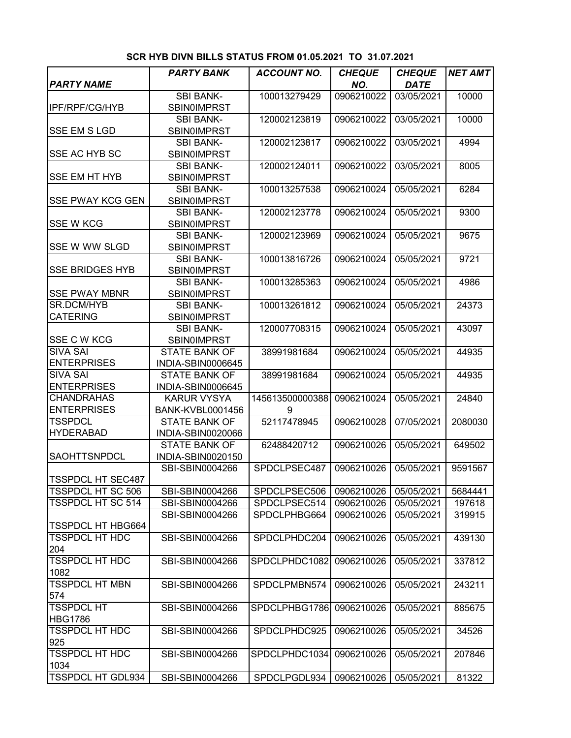|                                                   | <b>PARTY BANK</b>       | <b>ACCOUNT NO.</b> | <b>CHEQUE</b> | <b>CHEQUE</b> | <b>NET AMT</b> |
|---------------------------------------------------|-------------------------|--------------------|---------------|---------------|----------------|
| <b>PARTY NAME</b>                                 |                         |                    | NO.           | <b>DATE</b>   |                |
|                                                   | <b>SBI BANK-</b>        | 100013279429       | 0906210022    | 03/05/2021    | 10000          |
| <b>IPF/RPF/CG/HYB</b>                             | <b>SBIN0IMPRST</b>      |                    |               |               |                |
|                                                   | <b>SBI BANK-</b>        | 120002123819       | 0906210022    | 03/05/2021    | 10000          |
| <b>SSE EM S LGD</b>                               | SBIN0IMPRST             |                    |               |               |                |
|                                                   | <b>SBI BANK-</b>        | 120002123817       | 0906210022    | 03/05/2021    | 4994           |
| SSE AC HYB SC                                     | <b>SBIN0IMPRST</b>      |                    |               |               |                |
|                                                   | <b>SBI BANK-</b>        | 120002124011       | 0906210022    | 03/05/2021    | 8005           |
| <b>SSE EM HT HYB</b>                              | <b>SBIN0IMPRST</b>      |                    |               |               |                |
|                                                   | <b>SBI BANK-</b>        | 100013257538       | 0906210024    | 05/05/2021    | 6284           |
| <b>SSE PWAY KCG GEN</b>                           | <b>SBIN0IMPRST</b>      |                    |               |               |                |
|                                                   | <b>SBI BANK-</b>        | 120002123778       | 0906210024    | 05/05/2021    | 9300           |
| <b>SSE W KCG</b>                                  | <b>SBIN0IMPRST</b>      |                    |               |               |                |
|                                                   | <b>SBI BANK-</b>        | 120002123969       | 0906210024    | 05/05/2021    | 9675           |
| SSE W WW SLGD                                     | <b>SBINOIMPRST</b>      |                    |               |               |                |
|                                                   | <b>SBI BANK-</b>        | 100013816726       | 0906210024    | 05/05/2021    | 9721           |
| <b>SSE BRIDGES HYB</b>                            | <b>SBIN0IMPRST</b>      |                    |               |               |                |
|                                                   | <b>SBI BANK-</b>        | 100013285363       | 0906210024    | 05/05/2021    | 4986           |
| <b>SSE PWAY MBNR</b>                              | <b>SBIN0IMPRST</b>      |                    |               |               |                |
| SR.DCM/HYB                                        | <b>SBI BANK-</b>        | 100013261812       | 0906210024    | 05/05/2021    | 24373          |
| <b>CATERING</b>                                   | <b>SBIN0IMPRST</b>      |                    |               |               |                |
|                                                   | <b>SBI BANK-</b>        | 120007708315       | 0906210024    | 05/05/2021    | 43097          |
| SSE C W KCG                                       | <b>SBIN0IMPRST</b>      |                    |               |               |                |
| <b>SIVA SAI</b>                                   | <b>STATE BANK OF</b>    | 38991981684        | 0906210024    | 05/05/2021    | 44935          |
| <b>ENTERPRISES</b>                                | INDIA-SBIN0006645       |                    |               |               |                |
| <b>SIVA SAI</b>                                   | <b>STATE BANK OF</b>    | 38991981684        | 0906210024    | 05/05/2021    | 44935          |
| <b>ENTERPRISES</b>                                | INDIA-SBIN0006645       |                    |               |               |                |
| <b>CHANDRAHAS</b>                                 | <b>KARUR VYSYA</b>      | 145613500000388    | 0906210024    | 05/05/2021    | 24840          |
| <b>ENTERPRISES</b>                                | <b>BANK-KVBL0001456</b> | 9                  |               |               |                |
| <b>TSSPDCL</b>                                    | <b>STATE BANK OF</b>    | 52117478945        | 0906210028    | 07/05/2021    | 2080030        |
| <b>HYDERABAD</b>                                  | INDIA-SBIN0020066       |                    |               |               |                |
|                                                   | <b>STATE BANK OF</b>    | 62488420712        | 0906210026    | 05/05/2021    | 649502         |
| SAOHTTSNPDCL                                      | INDIA-SBIN0020150       |                    |               |               |                |
|                                                   | SBI-SBIN0004266         | SPDCLPSEC487       | 0906210026    | 05/05/2021    | 9591567        |
| <b>TSSPDCL HT SEC487</b>                          |                         |                    |               |               |                |
| <b>TSSPDCL HT SC 506</b>                          | SBI-SBIN0004266         | SPDCLPSEC506       | 0906210026    | 05/05/2021    | 5684441        |
| <b>TSSPDCL HT SC 514</b>                          | SBI-SBIN0004266         | SPDCLPSEC514       | 0906210026    | 05/05/2021    | 197618         |
|                                                   | SBI-SBIN0004266         | SPDCLPHBG664       | 0906210026    | 05/05/2021    | 319915         |
| <b>TSSPDCL HT HBG664</b><br><b>TSSPDCL HT HDC</b> | SBI-SBIN0004266         | SPDCLPHDC204       |               |               |                |
| 204                                               |                         |                    | 0906210026    | 05/05/2021    | 439130         |
| <b>TSSPDCL HT HDC</b>                             | SBI-SBIN0004266         | SPDCLPHDC1082      | 0906210026    | 05/05/2021    | 337812         |
| 1082                                              |                         |                    |               |               |                |
| <b>TSSPDCL HT MBN</b>                             | SBI-SBIN0004266         | SPDCLPMBN574       | 0906210026    | 05/05/2021    | 243211         |
| 574                                               |                         |                    |               |               |                |
| <b>TSSPDCL HT</b>                                 | SBI-SBIN0004266         | SPDCLPHBG1786      | 0906210026    | 05/05/2021    | 885675         |
| <b>HBG1786</b>                                    |                         |                    |               |               |                |
| <b>TSSPDCL HT HDC</b>                             | SBI-SBIN0004266         | SPDCLPHDC925       | 0906210026    | 05/05/2021    | 34526          |
| 925                                               |                         |                    |               |               |                |
| <b>TSSPDCL HT HDC</b>                             | SBI-SBIN0004266         | SPDCLPHDC1034      | 0906210026    | 05/05/2021    | 207846         |
| 1034                                              |                         |                    |               |               |                |
| <b>TSSPDCL HT GDL934</b>                          | SBI-SBIN0004266         | SPDCLPGDL934       | 0906210026    | 05/05/2021    | 81322          |

**SCR HYB DIVN BILLS STATUS FROM 01.05.2021 TO 31.07.2021**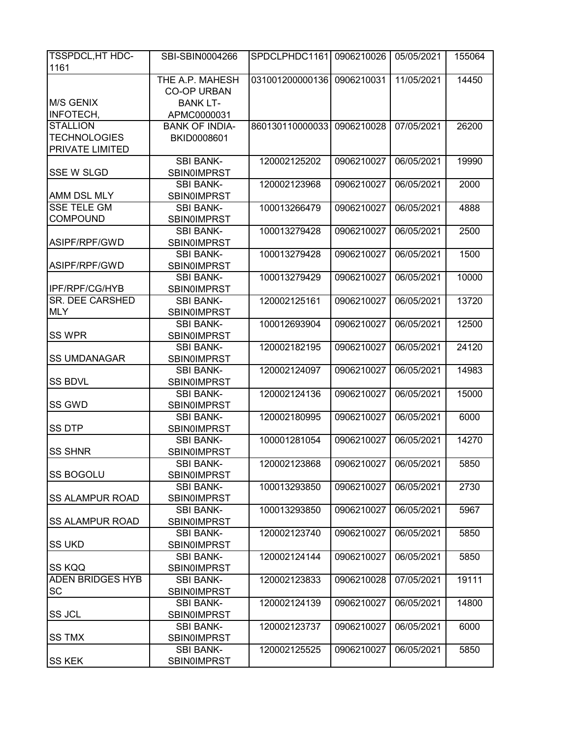| <b>TSSPDCL, HT HDC-</b> | SBI-SBIN0004266                        | SPDCLPHDC1161              | 0906210026 | 05/05/2021 | 155064 |
|-------------------------|----------------------------------------|----------------------------|------------|------------|--------|
| 1161                    |                                        |                            |            |            |        |
|                         | THE A.P. MAHESH                        | 031001200000136 0906210031 |            | 11/05/2021 | 14450  |
|                         | <b>CO-OP URBAN</b>                     |                            |            |            |        |
| <b>M/S GENIX</b>        | <b>BANK LT-</b>                        |                            |            |            |        |
| INFOTECH,               | APMC0000031                            |                            |            |            |        |
| <b>STALLION</b>         | <b>BANK OF INDIA-</b>                  | 860130110000033            | 0906210028 | 07/05/2021 | 26200  |
| <b>TECHNOLOGIES</b>     | BKID0008601                            |                            |            |            |        |
| PRIVATE LIMITED         |                                        |                            |            |            |        |
|                         | <b>SBI BANK-</b>                       | 120002125202               | 0906210027 | 06/05/2021 | 19990  |
| <b>SSE W SLGD</b>       | <b>SBIN0IMPRST</b>                     |                            |            |            |        |
|                         | <b>SBI BANK-</b>                       | 120002123968               | 0906210027 | 06/05/2021 | 2000   |
| AMM DSL MLY             | <b>SBIN0IMPRST</b>                     |                            |            |            |        |
| <b>SSE TELE GM</b>      | <b>SBI BANK-</b>                       | 100013266479               | 0906210027 | 06/05/2021 | 4888   |
| <b>COMPOUND</b>         | SBIN0IMPRST                            |                            |            |            |        |
|                         | <b>SBI BANK-</b>                       | 100013279428               | 0906210027 | 06/05/2021 | 2500   |
| ASIPF/RPF/GWD           | SBIN0IMPRST                            |                            |            |            |        |
|                         | <b>SBI BANK-</b>                       | 100013279428               | 0906210027 | 06/05/2021 | 1500   |
| ASIPF/RPF/GWD           | SBIN0IMPRST                            |                            |            |            |        |
|                         | <b>SBI BANK-</b>                       | 100013279429               | 0906210027 | 06/05/2021 | 10000  |
| <b>IPF/RPF/CG/HYB</b>   | <b>SBIN0IMPRST</b>                     |                            |            |            |        |
| <b>SR. DEE CARSHED</b>  | <b>SBI BANK-</b>                       | 120002125161               | 0906210027 | 06/05/2021 | 13720  |
| <b>MLY</b>              | <b>SBIN0IMPRST</b>                     |                            |            |            |        |
|                         | <b>SBI BANK-</b>                       | 100012693904               | 0906210027 | 06/05/2021 | 12500  |
| SS WPR                  | <b>SBIN0IMPRST</b>                     |                            |            |            |        |
|                         | <b>SBI BANK-</b>                       | 120002182195               | 0906210027 | 06/05/2021 | 24120  |
| <b>SS UMDANAGAR</b>     | <b>SBIN0IMPRST</b>                     |                            |            |            |        |
|                         | <b>SBI BANK-</b>                       | 120002124097               | 0906210027 | 06/05/2021 | 14983  |
| <b>SS BDVL</b>          | <b>SBIN0IMPRST</b>                     |                            |            |            |        |
|                         | <b>SBI BANK-</b>                       | 120002124136               | 0906210027 | 06/05/2021 | 15000  |
| SS GWD                  | SBIN0IMPRST                            |                            |            |            |        |
|                         | <b>SBI BANK-</b>                       | 120002180995               | 0906210027 | 06/05/2021 | 6000   |
| <b>SS DTP</b>           | <b>SBIN0IMPRST</b>                     |                            |            |            |        |
|                         | <b>SBI BANK-</b>                       | 100001281054               | 0906210027 | 06/05/2021 | 14270  |
| <b>SS SHNR</b>          | <b>SBIN0IMPRST</b>                     |                            |            |            |        |
|                         | SBI BANK-                              | 120002123868               | 0906210027 | 06/05/2021 | 5850   |
| <b>SS BOGOLU</b>        | <b>SBIN0IMPRST</b>                     |                            |            |            |        |
|                         | <b>SBI BANK-</b>                       | 100013293850               | 0906210027 | 06/05/2021 | 2730   |
| <b>SS ALAMPUR ROAD</b>  | <b>SBIN0IMPRST</b><br><b>SBI BANK-</b> | 100013293850               | 0906210027 | 06/05/2021 | 5967   |
| <b>SS ALAMPUR ROAD</b>  | <b>SBIN0IMPRST</b>                     |                            |            |            |        |
|                         | <b>SBI BANK-</b>                       | 120002123740               | 0906210027 | 06/05/2021 | 5850   |
| <b>SS UKD</b>           | <b>SBIN0IMPRST</b>                     |                            |            |            |        |
|                         | <b>SBI BANK-</b>                       | 120002124144               | 0906210027 | 06/05/2021 | 5850   |
| <b>SS KQQ</b>           | <b>SBIN0IMPRST</b>                     |                            |            |            |        |
| <b>ADEN BRIDGES HYB</b> | <b>SBI BANK-</b>                       | 120002123833               | 0906210028 | 07/05/2021 | 19111  |
| SC                      | <b>SBIN0IMPRST</b>                     |                            |            |            |        |
|                         | <b>SBI BANK-</b>                       | 120002124139               | 0906210027 | 06/05/2021 | 14800  |
| SS JCL                  | <b>SBIN0IMPRST</b>                     |                            |            |            |        |
|                         | <b>SBI BANK-</b>                       | 120002123737               | 0906210027 | 06/05/2021 | 6000   |
| <b>SS TMX</b>           | <b>SBIN0IMPRST</b>                     |                            |            |            |        |
|                         | <b>SBI BANK-</b>                       | 120002125525               | 0906210027 | 06/05/2021 | 5850   |
| <b>SS KEK</b>           | <b>SBIN0IMPRST</b>                     |                            |            |            |        |
|                         |                                        |                            |            |            |        |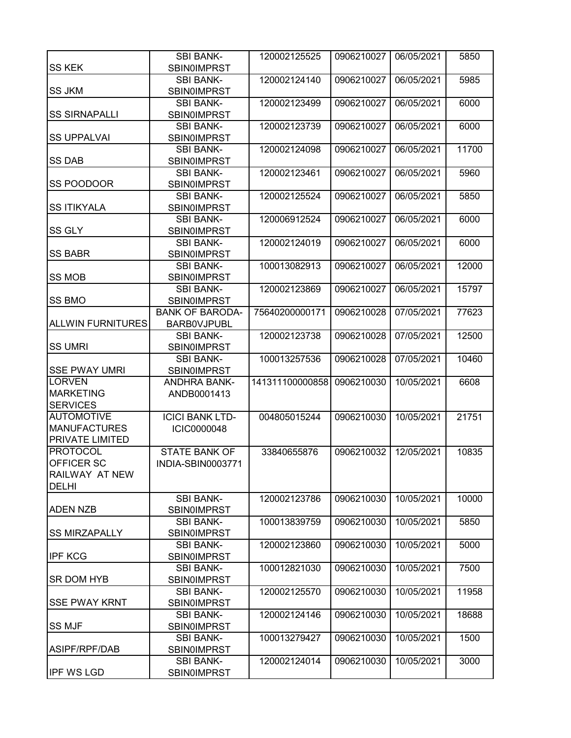| <b>SS KEK</b>            | <b>SBI BANK-</b><br><b>SBIN0IMPRST</b> | 120002125525    | 0906210027 | 06/05/2021 | 5850  |
|--------------------------|----------------------------------------|-----------------|------------|------------|-------|
|                          | <b>SBI BANK-</b>                       | 120002124140    | 0906210027 | 06/05/2021 | 5985  |
| <b>SS JKM</b>            | <b>SBIN0IMPRST</b>                     |                 |            |            |       |
| <b>SS SIRNAPALLI</b>     | <b>SBI BANK-</b><br><b>SBIN0IMPRST</b> | 120002123499    | 0906210027 | 06/05/2021 | 6000  |
|                          | <b>SBI BANK-</b>                       | 120002123739    | 0906210027 | 06/05/2021 | 6000  |
| <b>SS UPPALVAI</b>       | <b>SBIN0IMPRST</b>                     |                 |            |            |       |
|                          | <b>SBI BANK-</b>                       | 120002124098    | 0906210027 | 06/05/2021 | 11700 |
| <b>SS DAB</b>            | <b>SBIN0IMPRST</b>                     |                 |            |            |       |
|                          | <b>SBI BANK-</b>                       | 120002123461    | 0906210027 | 06/05/2021 | 5960  |
| SS POODOOR               | SBIN0IMPRST                            |                 |            |            |       |
|                          | <b>SBI BANK-</b>                       | 120002125524    | 0906210027 | 06/05/2021 | 5850  |
| <b>SS ITIKYALA</b>       | <b>SBIN0IMPRST</b>                     |                 |            |            |       |
|                          | <b>SBI BANK-</b>                       | 120006912524    | 0906210027 | 06/05/2021 | 6000  |
| <b>SS GLY</b>            | <b>SBIN0IMPRST</b>                     |                 |            |            |       |
|                          | <b>SBI BANK-</b>                       | 120002124019    | 0906210027 | 06/05/2021 | 6000  |
| <b>SS BABR</b>           | <b>SBIN0IMPRST</b>                     |                 |            |            |       |
|                          | <b>SBI BANK-</b>                       | 100013082913    | 0906210027 | 06/05/2021 | 12000 |
| <b>SS MOB</b>            | <b>SBIN0IMPRST</b>                     |                 |            |            |       |
|                          | <b>SBI BANK-</b>                       | 120002123869    | 0906210027 | 06/05/2021 | 15797 |
| <b>SS BMO</b>            | <b>SBINOIMPRST</b>                     |                 |            |            |       |
|                          | <b>BANK OF BARODA-</b>                 | 75640200000171  | 0906210028 | 07/05/2021 | 77623 |
| <b>ALLWIN FURNITURES</b> | <b>BARBOVJPUBL</b>                     |                 |            |            |       |
|                          | <b>SBI BANK-</b>                       | 120002123738    | 0906210028 | 07/05/2021 | 12500 |
| <b>SS UMRI</b>           |                                        |                 |            |            |       |
|                          | <b>SBIN0IMPRST</b>                     |                 |            |            |       |
|                          | <b>SBI BANK-</b>                       | 100013257536    | 0906210028 | 07/05/2021 | 10460 |
| <b>SSE PWAY UMRI</b>     | <b>SBINOIMPRST</b>                     |                 |            |            |       |
| <b>LORVEN</b>            | <b>ANDHRA BANK-</b>                    | 141311100000858 | 0906210030 | 10/05/2021 | 6608  |
| <b>MARKETING</b>         | ANDB0001413                            |                 |            |            |       |
| <b>SERVICES</b>          |                                        |                 |            |            |       |
| <b>AUTOMOTIVE</b>        | <b>ICICI BANK LTD-</b>                 | 004805015244    | 0906210030 | 10/05/2021 | 21751 |
| <b>MANUFACTURES</b>      | <b>ICIC0000048</b>                     |                 |            |            |       |
| PRIVATE LIMITED          |                                        |                 |            |            |       |
| <b>PROTOCOL</b>          | <b>STATE BANK OF</b>                   | 33840655876     | 0906210032 | 12/05/2021 | 10835 |
| OFFICER SC               | INDIA-SBIN0003771                      |                 |            |            |       |
| RAILWAY AT NEW           |                                        |                 |            |            |       |
| <b>DELHI</b>             |                                        |                 |            |            |       |
|                          | <b>SBI BANK-</b>                       | 120002123786    | 0906210030 | 10/05/2021 | 10000 |
| <b>ADEN NZB</b>          | <b>SBIN0IMPRST</b>                     |                 |            |            |       |
|                          | <b>SBI BANK-</b>                       | 100013839759    | 0906210030 | 10/05/2021 | 5850  |
| <b>SS MIRZAPALLY</b>     | <b>SBIN0IMPRST</b>                     |                 |            |            |       |
|                          | <b>SBI BANK-</b>                       | 120002123860    | 0906210030 | 10/05/2021 | 5000  |
| <b>IPF KCG</b>           | <b>SBIN0IMPRST</b>                     |                 |            |            |       |
|                          | <b>SBI BANK-</b>                       | 100012821030    | 0906210030 | 10/05/2021 | 7500  |
| SR DOM HYB               | <b>SBINOIMPRST</b>                     |                 |            |            |       |
|                          | <b>SBI BANK-</b>                       | 120002125570    | 0906210030 | 10/05/2021 | 11958 |
| <b>SSE PWAY KRNT</b>     | <b>SBIN0IMPRST</b>                     |                 |            |            |       |
|                          | <b>SBI BANK-</b>                       | 120002124146    | 0906210030 | 10/05/2021 | 18688 |
| <b>SS MJF</b>            | <b>SBIN0IMPRST</b>                     |                 |            |            |       |
|                          | <b>SBI BANK-</b>                       | 100013279427    | 0906210030 | 10/05/2021 | 1500  |
| ASIPF/RPF/DAB            | <b>SBIN0IMPRST</b>                     |                 |            |            |       |
|                          | <b>SBI BANK-</b>                       | 120002124014    | 0906210030 | 10/05/2021 | 3000  |
| <b>IPF WS LGD</b>        | <b>SBIN0IMPRST</b>                     |                 |            |            |       |
|                          |                                        |                 |            |            |       |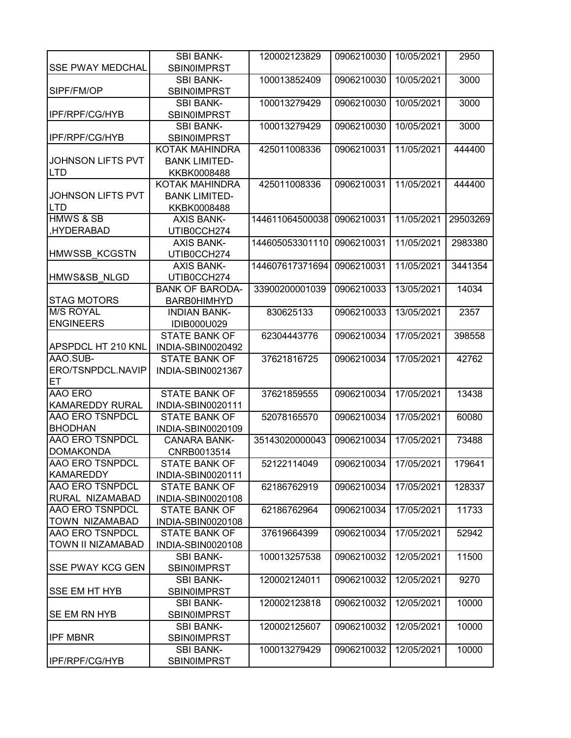| <b>SSE PWAY MEDCHAL</b><br><b>SBIN0IMPRST</b><br><b>SBI BANK-</b><br>100013852409<br>0906210030<br>10/05/2021<br>3000<br>SIPF/FM/OP<br>SBIN0IMPRST<br>100013279429<br><b>SBI BANK-</b><br>0906210030<br>10/05/2021<br>3000<br><b>IPF/RPF/CG/HYB</b><br><b>SBIN0IMPRST</b><br>100013279429<br><b>SBI BANK-</b><br>0906210030<br>10/05/2021<br>3000<br><b>IPF/RPF/CG/HYB</b><br><b>SBIN0IMPRST</b><br><b>KOTAK MAHINDRA</b><br>425011008336<br>0906210031<br>11/05/2021<br>444400<br><b>JOHNSON LIFTS PVT</b><br><b>BANK LIMITED-</b><br><b>LTD</b><br>KKBK0008488<br>KOTAK MAHINDRA<br>425011008336<br>0906210031<br>11/05/2021<br>444400<br><b>JOHNSON LIFTS PVT</b><br><b>BANK LIMITED-</b><br><b>LTD</b><br>KKBK0008488<br><b>HMWS &amp; SB</b><br>144611064500038<br>0906210031<br>11/05/2021<br>29503269<br><b>AXIS BANK-</b><br>,HYDERABAD<br>UTIB0CCH274<br>144605053301110<br>0906210031<br>11/05/2021<br><b>AXIS BANK-</b><br>2983380<br><b>HMWSSB KCGSTN</b><br>UTIB0CCH274<br><b>AXIS BANK-</b><br>144607617371694<br>0906210031<br>11/05/2021<br>3441354<br>HMWS&SB NLGD<br>UTIB0CCH274<br><b>BANK OF BARODA-</b><br>33900200001039<br>0906210033<br>13/05/2021<br>14034<br><b>STAG MOTORS</b><br><b>BARB0HIMHYD</b><br><b>M/S ROYAL</b><br><b>INDIAN BANK-</b><br>830625133<br>0906210033<br>13/05/2021<br>2357<br><b>ENGINEERS</b><br>IDIB000U029<br><b>STATE BANK OF</b><br>0906210034<br>17/05/2021<br>62304443776<br>398558<br>APSPDCL HT 210 KNL<br>INDIA-SBIN0020492<br>AAO.SUB-<br><b>STATE BANK OF</b><br>37621816725<br>0906210034<br>17/05/2021<br>42762<br>ERO/TSNPDCL.NAVIP<br>INDIA-SBIN0021367<br>ET<br>AAO ERO<br><b>STATE BANK OF</b><br>37621859555<br>0906210034<br>17/05/2021<br>13438<br><b>KAMAREDDY RURAL</b><br>INDIA-SBIN0020111<br><b>AAO ERO TSNPDCL</b><br><b>STATE BANK OF</b><br>52078165570<br>0906210034<br>17/05/2021<br>60080<br><b>BHODHAN</b><br>INDIA-SBIN0020109<br><b>AAO ERO TSNPDCL</b><br><b>CANARA BANK-</b><br>35143020000043<br>0906210034<br>17/05/2021<br>73488<br><b>DOMAKONDA</b><br>CNRB0013514<br><b>AAO ERO TSNPDCL</b><br>179641<br><b>STATE BANK OF</b><br>52122114049<br>0906210034 17/05/2021<br><b>KAMAREDDY</b><br>INDIA-SBIN0020111<br><b>AAO ERO TSNPDCL</b><br>17/05/2021<br><b>STATE BANK OF</b><br>62186762919<br>0906210034<br>128337<br>RURAL NIZAMABAD<br>INDIA-SBIN0020108<br><b>AAO ERO TSNPDCL</b><br>0906210034<br>17/05/2021<br>11733<br><b>STATE BANK OF</b><br>62186762964<br><b>TOWN NIZAMABAD</b><br>INDIA-SBIN0020108<br><b>AAO ERO TSNPDCL</b><br><b>STATE BANK OF</b><br>37619664399<br>0906210034<br>17/05/2021<br>52942<br>TOWN II NIZAMABAD<br>INDIA-SBIN0020108<br>100013257538<br>0906210032<br>12/05/2021<br>11500<br><b>SBI BANK-</b><br><b>SSE PWAY KCG GEN</b><br><b>SBIN0IMPRST</b><br>120002124011<br>0906210032<br>12/05/2021<br>9270<br><b>SBI BANK-</b><br><b>SSE EM HT HYB</b><br><b>SBINOIMPRST</b><br>120002123818<br>0906210032<br>12/05/2021<br>10000<br><b>SBI BANK-</b><br><b>SE EM RN HYB</b><br><b>SBIN0IMPRST</b><br>120002125607<br>12/05/2021<br>10000<br><b>SBI BANK-</b><br>0906210032<br><b>IPF MBNR</b><br><b>SBIN0IMPRST</b><br><b>SBI BANK-</b><br>100013279429<br>0906210032<br>12/05/2021<br>10000<br><b>SBIN0IMPRST</b> |                | <b>SBI BANK-</b> | 120002123829 | 0906210030 | 10/05/2021 | 2950 |
|-----------------------------------------------------------------------------------------------------------------------------------------------------------------------------------------------------------------------------------------------------------------------------------------------------------------------------------------------------------------------------------------------------------------------------------------------------------------------------------------------------------------------------------------------------------------------------------------------------------------------------------------------------------------------------------------------------------------------------------------------------------------------------------------------------------------------------------------------------------------------------------------------------------------------------------------------------------------------------------------------------------------------------------------------------------------------------------------------------------------------------------------------------------------------------------------------------------------------------------------------------------------------------------------------------------------------------------------------------------------------------------------------------------------------------------------------------------------------------------------------------------------------------------------------------------------------------------------------------------------------------------------------------------------------------------------------------------------------------------------------------------------------------------------------------------------------------------------------------------------------------------------------------------------------------------------------------------------------------------------------------------------------------------------------------------------------------------------------------------------------------------------------------------------------------------------------------------------------------------------------------------------------------------------------------------------------------------------------------------------------------------------------------------------------------------------------------------------------------------------------------------------------------------------------------------------------------------------------------------------------------------------------------------------------------------------------------------------------------------------------------------------------------------------------------------------------------------------------------------------------------------------------------------------------------------------------------------------------------------------------------------------------------------------------------------------------------------------------------------------------------------------------------------------------------------------------------------------------------------------------------|----------------|------------------|--------------|------------|------------|------|
|                                                                                                                                                                                                                                                                                                                                                                                                                                                                                                                                                                                                                                                                                                                                                                                                                                                                                                                                                                                                                                                                                                                                                                                                                                                                                                                                                                                                                                                                                                                                                                                                                                                                                                                                                                                                                                                                                                                                                                                                                                                                                                                                                                                                                                                                                                                                                                                                                                                                                                                                                                                                                                                                                                                                                                                                                                                                                                                                                                                                                                                                                                                                                                                                                                                     |                |                  |              |            |            |      |
|                                                                                                                                                                                                                                                                                                                                                                                                                                                                                                                                                                                                                                                                                                                                                                                                                                                                                                                                                                                                                                                                                                                                                                                                                                                                                                                                                                                                                                                                                                                                                                                                                                                                                                                                                                                                                                                                                                                                                                                                                                                                                                                                                                                                                                                                                                                                                                                                                                                                                                                                                                                                                                                                                                                                                                                                                                                                                                                                                                                                                                                                                                                                                                                                                                                     |                |                  |              |            |            |      |
|                                                                                                                                                                                                                                                                                                                                                                                                                                                                                                                                                                                                                                                                                                                                                                                                                                                                                                                                                                                                                                                                                                                                                                                                                                                                                                                                                                                                                                                                                                                                                                                                                                                                                                                                                                                                                                                                                                                                                                                                                                                                                                                                                                                                                                                                                                                                                                                                                                                                                                                                                                                                                                                                                                                                                                                                                                                                                                                                                                                                                                                                                                                                                                                                                                                     |                |                  |              |            |            |      |
|                                                                                                                                                                                                                                                                                                                                                                                                                                                                                                                                                                                                                                                                                                                                                                                                                                                                                                                                                                                                                                                                                                                                                                                                                                                                                                                                                                                                                                                                                                                                                                                                                                                                                                                                                                                                                                                                                                                                                                                                                                                                                                                                                                                                                                                                                                                                                                                                                                                                                                                                                                                                                                                                                                                                                                                                                                                                                                                                                                                                                                                                                                                                                                                                                                                     |                |                  |              |            |            |      |
|                                                                                                                                                                                                                                                                                                                                                                                                                                                                                                                                                                                                                                                                                                                                                                                                                                                                                                                                                                                                                                                                                                                                                                                                                                                                                                                                                                                                                                                                                                                                                                                                                                                                                                                                                                                                                                                                                                                                                                                                                                                                                                                                                                                                                                                                                                                                                                                                                                                                                                                                                                                                                                                                                                                                                                                                                                                                                                                                                                                                                                                                                                                                                                                                                                                     |                |                  |              |            |            |      |
|                                                                                                                                                                                                                                                                                                                                                                                                                                                                                                                                                                                                                                                                                                                                                                                                                                                                                                                                                                                                                                                                                                                                                                                                                                                                                                                                                                                                                                                                                                                                                                                                                                                                                                                                                                                                                                                                                                                                                                                                                                                                                                                                                                                                                                                                                                                                                                                                                                                                                                                                                                                                                                                                                                                                                                                                                                                                                                                                                                                                                                                                                                                                                                                                                                                     |                |                  |              |            |            |      |
|                                                                                                                                                                                                                                                                                                                                                                                                                                                                                                                                                                                                                                                                                                                                                                                                                                                                                                                                                                                                                                                                                                                                                                                                                                                                                                                                                                                                                                                                                                                                                                                                                                                                                                                                                                                                                                                                                                                                                                                                                                                                                                                                                                                                                                                                                                                                                                                                                                                                                                                                                                                                                                                                                                                                                                                                                                                                                                                                                                                                                                                                                                                                                                                                                                                     |                |                  |              |            |            |      |
|                                                                                                                                                                                                                                                                                                                                                                                                                                                                                                                                                                                                                                                                                                                                                                                                                                                                                                                                                                                                                                                                                                                                                                                                                                                                                                                                                                                                                                                                                                                                                                                                                                                                                                                                                                                                                                                                                                                                                                                                                                                                                                                                                                                                                                                                                                                                                                                                                                                                                                                                                                                                                                                                                                                                                                                                                                                                                                                                                                                                                                                                                                                                                                                                                                                     |                |                  |              |            |            |      |
|                                                                                                                                                                                                                                                                                                                                                                                                                                                                                                                                                                                                                                                                                                                                                                                                                                                                                                                                                                                                                                                                                                                                                                                                                                                                                                                                                                                                                                                                                                                                                                                                                                                                                                                                                                                                                                                                                                                                                                                                                                                                                                                                                                                                                                                                                                                                                                                                                                                                                                                                                                                                                                                                                                                                                                                                                                                                                                                                                                                                                                                                                                                                                                                                                                                     |                |                  |              |            |            |      |
|                                                                                                                                                                                                                                                                                                                                                                                                                                                                                                                                                                                                                                                                                                                                                                                                                                                                                                                                                                                                                                                                                                                                                                                                                                                                                                                                                                                                                                                                                                                                                                                                                                                                                                                                                                                                                                                                                                                                                                                                                                                                                                                                                                                                                                                                                                                                                                                                                                                                                                                                                                                                                                                                                                                                                                                                                                                                                                                                                                                                                                                                                                                                                                                                                                                     |                |                  |              |            |            |      |
|                                                                                                                                                                                                                                                                                                                                                                                                                                                                                                                                                                                                                                                                                                                                                                                                                                                                                                                                                                                                                                                                                                                                                                                                                                                                                                                                                                                                                                                                                                                                                                                                                                                                                                                                                                                                                                                                                                                                                                                                                                                                                                                                                                                                                                                                                                                                                                                                                                                                                                                                                                                                                                                                                                                                                                                                                                                                                                                                                                                                                                                                                                                                                                                                                                                     |                |                  |              |            |            |      |
|                                                                                                                                                                                                                                                                                                                                                                                                                                                                                                                                                                                                                                                                                                                                                                                                                                                                                                                                                                                                                                                                                                                                                                                                                                                                                                                                                                                                                                                                                                                                                                                                                                                                                                                                                                                                                                                                                                                                                                                                                                                                                                                                                                                                                                                                                                                                                                                                                                                                                                                                                                                                                                                                                                                                                                                                                                                                                                                                                                                                                                                                                                                                                                                                                                                     |                |                  |              |            |            |      |
|                                                                                                                                                                                                                                                                                                                                                                                                                                                                                                                                                                                                                                                                                                                                                                                                                                                                                                                                                                                                                                                                                                                                                                                                                                                                                                                                                                                                                                                                                                                                                                                                                                                                                                                                                                                                                                                                                                                                                                                                                                                                                                                                                                                                                                                                                                                                                                                                                                                                                                                                                                                                                                                                                                                                                                                                                                                                                                                                                                                                                                                                                                                                                                                                                                                     |                |                  |              |            |            |      |
|                                                                                                                                                                                                                                                                                                                                                                                                                                                                                                                                                                                                                                                                                                                                                                                                                                                                                                                                                                                                                                                                                                                                                                                                                                                                                                                                                                                                                                                                                                                                                                                                                                                                                                                                                                                                                                                                                                                                                                                                                                                                                                                                                                                                                                                                                                                                                                                                                                                                                                                                                                                                                                                                                                                                                                                                                                                                                                                                                                                                                                                                                                                                                                                                                                                     |                |                  |              |            |            |      |
|                                                                                                                                                                                                                                                                                                                                                                                                                                                                                                                                                                                                                                                                                                                                                                                                                                                                                                                                                                                                                                                                                                                                                                                                                                                                                                                                                                                                                                                                                                                                                                                                                                                                                                                                                                                                                                                                                                                                                                                                                                                                                                                                                                                                                                                                                                                                                                                                                                                                                                                                                                                                                                                                                                                                                                                                                                                                                                                                                                                                                                                                                                                                                                                                                                                     |                |                  |              |            |            |      |
|                                                                                                                                                                                                                                                                                                                                                                                                                                                                                                                                                                                                                                                                                                                                                                                                                                                                                                                                                                                                                                                                                                                                                                                                                                                                                                                                                                                                                                                                                                                                                                                                                                                                                                                                                                                                                                                                                                                                                                                                                                                                                                                                                                                                                                                                                                                                                                                                                                                                                                                                                                                                                                                                                                                                                                                                                                                                                                                                                                                                                                                                                                                                                                                                                                                     |                |                  |              |            |            |      |
|                                                                                                                                                                                                                                                                                                                                                                                                                                                                                                                                                                                                                                                                                                                                                                                                                                                                                                                                                                                                                                                                                                                                                                                                                                                                                                                                                                                                                                                                                                                                                                                                                                                                                                                                                                                                                                                                                                                                                                                                                                                                                                                                                                                                                                                                                                                                                                                                                                                                                                                                                                                                                                                                                                                                                                                                                                                                                                                                                                                                                                                                                                                                                                                                                                                     |                |                  |              |            |            |      |
|                                                                                                                                                                                                                                                                                                                                                                                                                                                                                                                                                                                                                                                                                                                                                                                                                                                                                                                                                                                                                                                                                                                                                                                                                                                                                                                                                                                                                                                                                                                                                                                                                                                                                                                                                                                                                                                                                                                                                                                                                                                                                                                                                                                                                                                                                                                                                                                                                                                                                                                                                                                                                                                                                                                                                                                                                                                                                                                                                                                                                                                                                                                                                                                                                                                     |                |                  |              |            |            |      |
|                                                                                                                                                                                                                                                                                                                                                                                                                                                                                                                                                                                                                                                                                                                                                                                                                                                                                                                                                                                                                                                                                                                                                                                                                                                                                                                                                                                                                                                                                                                                                                                                                                                                                                                                                                                                                                                                                                                                                                                                                                                                                                                                                                                                                                                                                                                                                                                                                                                                                                                                                                                                                                                                                                                                                                                                                                                                                                                                                                                                                                                                                                                                                                                                                                                     |                |                  |              |            |            |      |
|                                                                                                                                                                                                                                                                                                                                                                                                                                                                                                                                                                                                                                                                                                                                                                                                                                                                                                                                                                                                                                                                                                                                                                                                                                                                                                                                                                                                                                                                                                                                                                                                                                                                                                                                                                                                                                                                                                                                                                                                                                                                                                                                                                                                                                                                                                                                                                                                                                                                                                                                                                                                                                                                                                                                                                                                                                                                                                                                                                                                                                                                                                                                                                                                                                                     |                |                  |              |            |            |      |
|                                                                                                                                                                                                                                                                                                                                                                                                                                                                                                                                                                                                                                                                                                                                                                                                                                                                                                                                                                                                                                                                                                                                                                                                                                                                                                                                                                                                                                                                                                                                                                                                                                                                                                                                                                                                                                                                                                                                                                                                                                                                                                                                                                                                                                                                                                                                                                                                                                                                                                                                                                                                                                                                                                                                                                                                                                                                                                                                                                                                                                                                                                                                                                                                                                                     |                |                  |              |            |            |      |
|                                                                                                                                                                                                                                                                                                                                                                                                                                                                                                                                                                                                                                                                                                                                                                                                                                                                                                                                                                                                                                                                                                                                                                                                                                                                                                                                                                                                                                                                                                                                                                                                                                                                                                                                                                                                                                                                                                                                                                                                                                                                                                                                                                                                                                                                                                                                                                                                                                                                                                                                                                                                                                                                                                                                                                                                                                                                                                                                                                                                                                                                                                                                                                                                                                                     |                |                  |              |            |            |      |
|                                                                                                                                                                                                                                                                                                                                                                                                                                                                                                                                                                                                                                                                                                                                                                                                                                                                                                                                                                                                                                                                                                                                                                                                                                                                                                                                                                                                                                                                                                                                                                                                                                                                                                                                                                                                                                                                                                                                                                                                                                                                                                                                                                                                                                                                                                                                                                                                                                                                                                                                                                                                                                                                                                                                                                                                                                                                                                                                                                                                                                                                                                                                                                                                                                                     |                |                  |              |            |            |      |
|                                                                                                                                                                                                                                                                                                                                                                                                                                                                                                                                                                                                                                                                                                                                                                                                                                                                                                                                                                                                                                                                                                                                                                                                                                                                                                                                                                                                                                                                                                                                                                                                                                                                                                                                                                                                                                                                                                                                                                                                                                                                                                                                                                                                                                                                                                                                                                                                                                                                                                                                                                                                                                                                                                                                                                                                                                                                                                                                                                                                                                                                                                                                                                                                                                                     |                |                  |              |            |            |      |
|                                                                                                                                                                                                                                                                                                                                                                                                                                                                                                                                                                                                                                                                                                                                                                                                                                                                                                                                                                                                                                                                                                                                                                                                                                                                                                                                                                                                                                                                                                                                                                                                                                                                                                                                                                                                                                                                                                                                                                                                                                                                                                                                                                                                                                                                                                                                                                                                                                                                                                                                                                                                                                                                                                                                                                                                                                                                                                                                                                                                                                                                                                                                                                                                                                                     |                |                  |              |            |            |      |
|                                                                                                                                                                                                                                                                                                                                                                                                                                                                                                                                                                                                                                                                                                                                                                                                                                                                                                                                                                                                                                                                                                                                                                                                                                                                                                                                                                                                                                                                                                                                                                                                                                                                                                                                                                                                                                                                                                                                                                                                                                                                                                                                                                                                                                                                                                                                                                                                                                                                                                                                                                                                                                                                                                                                                                                                                                                                                                                                                                                                                                                                                                                                                                                                                                                     |                |                  |              |            |            |      |
|                                                                                                                                                                                                                                                                                                                                                                                                                                                                                                                                                                                                                                                                                                                                                                                                                                                                                                                                                                                                                                                                                                                                                                                                                                                                                                                                                                                                                                                                                                                                                                                                                                                                                                                                                                                                                                                                                                                                                                                                                                                                                                                                                                                                                                                                                                                                                                                                                                                                                                                                                                                                                                                                                                                                                                                                                                                                                                                                                                                                                                                                                                                                                                                                                                                     |                |                  |              |            |            |      |
|                                                                                                                                                                                                                                                                                                                                                                                                                                                                                                                                                                                                                                                                                                                                                                                                                                                                                                                                                                                                                                                                                                                                                                                                                                                                                                                                                                                                                                                                                                                                                                                                                                                                                                                                                                                                                                                                                                                                                                                                                                                                                                                                                                                                                                                                                                                                                                                                                                                                                                                                                                                                                                                                                                                                                                                                                                                                                                                                                                                                                                                                                                                                                                                                                                                     |                |                  |              |            |            |      |
|                                                                                                                                                                                                                                                                                                                                                                                                                                                                                                                                                                                                                                                                                                                                                                                                                                                                                                                                                                                                                                                                                                                                                                                                                                                                                                                                                                                                                                                                                                                                                                                                                                                                                                                                                                                                                                                                                                                                                                                                                                                                                                                                                                                                                                                                                                                                                                                                                                                                                                                                                                                                                                                                                                                                                                                                                                                                                                                                                                                                                                                                                                                                                                                                                                                     |                |                  |              |            |            |      |
|                                                                                                                                                                                                                                                                                                                                                                                                                                                                                                                                                                                                                                                                                                                                                                                                                                                                                                                                                                                                                                                                                                                                                                                                                                                                                                                                                                                                                                                                                                                                                                                                                                                                                                                                                                                                                                                                                                                                                                                                                                                                                                                                                                                                                                                                                                                                                                                                                                                                                                                                                                                                                                                                                                                                                                                                                                                                                                                                                                                                                                                                                                                                                                                                                                                     |                |                  |              |            |            |      |
|                                                                                                                                                                                                                                                                                                                                                                                                                                                                                                                                                                                                                                                                                                                                                                                                                                                                                                                                                                                                                                                                                                                                                                                                                                                                                                                                                                                                                                                                                                                                                                                                                                                                                                                                                                                                                                                                                                                                                                                                                                                                                                                                                                                                                                                                                                                                                                                                                                                                                                                                                                                                                                                                                                                                                                                                                                                                                                                                                                                                                                                                                                                                                                                                                                                     |                |                  |              |            |            |      |
|                                                                                                                                                                                                                                                                                                                                                                                                                                                                                                                                                                                                                                                                                                                                                                                                                                                                                                                                                                                                                                                                                                                                                                                                                                                                                                                                                                                                                                                                                                                                                                                                                                                                                                                                                                                                                                                                                                                                                                                                                                                                                                                                                                                                                                                                                                                                                                                                                                                                                                                                                                                                                                                                                                                                                                                                                                                                                                                                                                                                                                                                                                                                                                                                                                                     |                |                  |              |            |            |      |
|                                                                                                                                                                                                                                                                                                                                                                                                                                                                                                                                                                                                                                                                                                                                                                                                                                                                                                                                                                                                                                                                                                                                                                                                                                                                                                                                                                                                                                                                                                                                                                                                                                                                                                                                                                                                                                                                                                                                                                                                                                                                                                                                                                                                                                                                                                                                                                                                                                                                                                                                                                                                                                                                                                                                                                                                                                                                                                                                                                                                                                                                                                                                                                                                                                                     |                |                  |              |            |            |      |
|                                                                                                                                                                                                                                                                                                                                                                                                                                                                                                                                                                                                                                                                                                                                                                                                                                                                                                                                                                                                                                                                                                                                                                                                                                                                                                                                                                                                                                                                                                                                                                                                                                                                                                                                                                                                                                                                                                                                                                                                                                                                                                                                                                                                                                                                                                                                                                                                                                                                                                                                                                                                                                                                                                                                                                                                                                                                                                                                                                                                                                                                                                                                                                                                                                                     |                |                  |              |            |            |      |
|                                                                                                                                                                                                                                                                                                                                                                                                                                                                                                                                                                                                                                                                                                                                                                                                                                                                                                                                                                                                                                                                                                                                                                                                                                                                                                                                                                                                                                                                                                                                                                                                                                                                                                                                                                                                                                                                                                                                                                                                                                                                                                                                                                                                                                                                                                                                                                                                                                                                                                                                                                                                                                                                                                                                                                                                                                                                                                                                                                                                                                                                                                                                                                                                                                                     |                |                  |              |            |            |      |
|                                                                                                                                                                                                                                                                                                                                                                                                                                                                                                                                                                                                                                                                                                                                                                                                                                                                                                                                                                                                                                                                                                                                                                                                                                                                                                                                                                                                                                                                                                                                                                                                                                                                                                                                                                                                                                                                                                                                                                                                                                                                                                                                                                                                                                                                                                                                                                                                                                                                                                                                                                                                                                                                                                                                                                                                                                                                                                                                                                                                                                                                                                                                                                                                                                                     |                |                  |              |            |            |      |
|                                                                                                                                                                                                                                                                                                                                                                                                                                                                                                                                                                                                                                                                                                                                                                                                                                                                                                                                                                                                                                                                                                                                                                                                                                                                                                                                                                                                                                                                                                                                                                                                                                                                                                                                                                                                                                                                                                                                                                                                                                                                                                                                                                                                                                                                                                                                                                                                                                                                                                                                                                                                                                                                                                                                                                                                                                                                                                                                                                                                                                                                                                                                                                                                                                                     |                |                  |              |            |            |      |
|                                                                                                                                                                                                                                                                                                                                                                                                                                                                                                                                                                                                                                                                                                                                                                                                                                                                                                                                                                                                                                                                                                                                                                                                                                                                                                                                                                                                                                                                                                                                                                                                                                                                                                                                                                                                                                                                                                                                                                                                                                                                                                                                                                                                                                                                                                                                                                                                                                                                                                                                                                                                                                                                                                                                                                                                                                                                                                                                                                                                                                                                                                                                                                                                                                                     |                |                  |              |            |            |      |
|                                                                                                                                                                                                                                                                                                                                                                                                                                                                                                                                                                                                                                                                                                                                                                                                                                                                                                                                                                                                                                                                                                                                                                                                                                                                                                                                                                                                                                                                                                                                                                                                                                                                                                                                                                                                                                                                                                                                                                                                                                                                                                                                                                                                                                                                                                                                                                                                                                                                                                                                                                                                                                                                                                                                                                                                                                                                                                                                                                                                                                                                                                                                                                                                                                                     |                |                  |              |            |            |      |
|                                                                                                                                                                                                                                                                                                                                                                                                                                                                                                                                                                                                                                                                                                                                                                                                                                                                                                                                                                                                                                                                                                                                                                                                                                                                                                                                                                                                                                                                                                                                                                                                                                                                                                                                                                                                                                                                                                                                                                                                                                                                                                                                                                                                                                                                                                                                                                                                                                                                                                                                                                                                                                                                                                                                                                                                                                                                                                                                                                                                                                                                                                                                                                                                                                                     |                |                  |              |            |            |      |
|                                                                                                                                                                                                                                                                                                                                                                                                                                                                                                                                                                                                                                                                                                                                                                                                                                                                                                                                                                                                                                                                                                                                                                                                                                                                                                                                                                                                                                                                                                                                                                                                                                                                                                                                                                                                                                                                                                                                                                                                                                                                                                                                                                                                                                                                                                                                                                                                                                                                                                                                                                                                                                                                                                                                                                                                                                                                                                                                                                                                                                                                                                                                                                                                                                                     |                |                  |              |            |            |      |
|                                                                                                                                                                                                                                                                                                                                                                                                                                                                                                                                                                                                                                                                                                                                                                                                                                                                                                                                                                                                                                                                                                                                                                                                                                                                                                                                                                                                                                                                                                                                                                                                                                                                                                                                                                                                                                                                                                                                                                                                                                                                                                                                                                                                                                                                                                                                                                                                                                                                                                                                                                                                                                                                                                                                                                                                                                                                                                                                                                                                                                                                                                                                                                                                                                                     |                |                  |              |            |            |      |
|                                                                                                                                                                                                                                                                                                                                                                                                                                                                                                                                                                                                                                                                                                                                                                                                                                                                                                                                                                                                                                                                                                                                                                                                                                                                                                                                                                                                                                                                                                                                                                                                                                                                                                                                                                                                                                                                                                                                                                                                                                                                                                                                                                                                                                                                                                                                                                                                                                                                                                                                                                                                                                                                                                                                                                                                                                                                                                                                                                                                                                                                                                                                                                                                                                                     |                |                  |              |            |            |      |
|                                                                                                                                                                                                                                                                                                                                                                                                                                                                                                                                                                                                                                                                                                                                                                                                                                                                                                                                                                                                                                                                                                                                                                                                                                                                                                                                                                                                                                                                                                                                                                                                                                                                                                                                                                                                                                                                                                                                                                                                                                                                                                                                                                                                                                                                                                                                                                                                                                                                                                                                                                                                                                                                                                                                                                                                                                                                                                                                                                                                                                                                                                                                                                                                                                                     |                |                  |              |            |            |      |
|                                                                                                                                                                                                                                                                                                                                                                                                                                                                                                                                                                                                                                                                                                                                                                                                                                                                                                                                                                                                                                                                                                                                                                                                                                                                                                                                                                                                                                                                                                                                                                                                                                                                                                                                                                                                                                                                                                                                                                                                                                                                                                                                                                                                                                                                                                                                                                                                                                                                                                                                                                                                                                                                                                                                                                                                                                                                                                                                                                                                                                                                                                                                                                                                                                                     |                |                  |              |            |            |      |
|                                                                                                                                                                                                                                                                                                                                                                                                                                                                                                                                                                                                                                                                                                                                                                                                                                                                                                                                                                                                                                                                                                                                                                                                                                                                                                                                                                                                                                                                                                                                                                                                                                                                                                                                                                                                                                                                                                                                                                                                                                                                                                                                                                                                                                                                                                                                                                                                                                                                                                                                                                                                                                                                                                                                                                                                                                                                                                                                                                                                                                                                                                                                                                                                                                                     |                |                  |              |            |            |      |
|                                                                                                                                                                                                                                                                                                                                                                                                                                                                                                                                                                                                                                                                                                                                                                                                                                                                                                                                                                                                                                                                                                                                                                                                                                                                                                                                                                                                                                                                                                                                                                                                                                                                                                                                                                                                                                                                                                                                                                                                                                                                                                                                                                                                                                                                                                                                                                                                                                                                                                                                                                                                                                                                                                                                                                                                                                                                                                                                                                                                                                                                                                                                                                                                                                                     |                |                  |              |            |            |      |
|                                                                                                                                                                                                                                                                                                                                                                                                                                                                                                                                                                                                                                                                                                                                                                                                                                                                                                                                                                                                                                                                                                                                                                                                                                                                                                                                                                                                                                                                                                                                                                                                                                                                                                                                                                                                                                                                                                                                                                                                                                                                                                                                                                                                                                                                                                                                                                                                                                                                                                                                                                                                                                                                                                                                                                                                                                                                                                                                                                                                                                                                                                                                                                                                                                                     |                |                  |              |            |            |      |
|                                                                                                                                                                                                                                                                                                                                                                                                                                                                                                                                                                                                                                                                                                                                                                                                                                                                                                                                                                                                                                                                                                                                                                                                                                                                                                                                                                                                                                                                                                                                                                                                                                                                                                                                                                                                                                                                                                                                                                                                                                                                                                                                                                                                                                                                                                                                                                                                                                                                                                                                                                                                                                                                                                                                                                                                                                                                                                                                                                                                                                                                                                                                                                                                                                                     |                |                  |              |            |            |      |
|                                                                                                                                                                                                                                                                                                                                                                                                                                                                                                                                                                                                                                                                                                                                                                                                                                                                                                                                                                                                                                                                                                                                                                                                                                                                                                                                                                                                                                                                                                                                                                                                                                                                                                                                                                                                                                                                                                                                                                                                                                                                                                                                                                                                                                                                                                                                                                                                                                                                                                                                                                                                                                                                                                                                                                                                                                                                                                                                                                                                                                                                                                                                                                                                                                                     |                |                  |              |            |            |      |
|                                                                                                                                                                                                                                                                                                                                                                                                                                                                                                                                                                                                                                                                                                                                                                                                                                                                                                                                                                                                                                                                                                                                                                                                                                                                                                                                                                                                                                                                                                                                                                                                                                                                                                                                                                                                                                                                                                                                                                                                                                                                                                                                                                                                                                                                                                                                                                                                                                                                                                                                                                                                                                                                                                                                                                                                                                                                                                                                                                                                                                                                                                                                                                                                                                                     |                |                  |              |            |            |      |
|                                                                                                                                                                                                                                                                                                                                                                                                                                                                                                                                                                                                                                                                                                                                                                                                                                                                                                                                                                                                                                                                                                                                                                                                                                                                                                                                                                                                                                                                                                                                                                                                                                                                                                                                                                                                                                                                                                                                                                                                                                                                                                                                                                                                                                                                                                                                                                                                                                                                                                                                                                                                                                                                                                                                                                                                                                                                                                                                                                                                                                                                                                                                                                                                                                                     | IPF/RPF/CG/HYB |                  |              |            |            |      |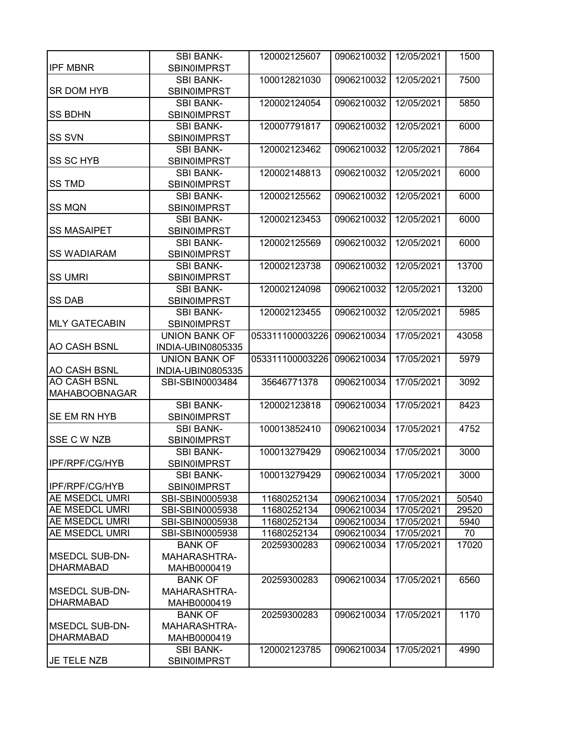|                       | <b>SBI BANK-</b>     | 120002125607    | 0906210032 | 12/05/2021 | 1500  |
|-----------------------|----------------------|-----------------|------------|------------|-------|
| <b>IPF MBNR</b>       | <b>SBIN0IMPRST</b>   |                 |            |            |       |
|                       | <b>SBI BANK-</b>     | 100012821030    | 0906210032 | 12/05/2021 | 7500  |
| SR DOM HYB            | <b>SBIN0IMPRST</b>   |                 |            |            |       |
|                       | <b>SBI BANK-</b>     | 120002124054    | 0906210032 | 12/05/2021 | 5850  |
| <b>SS BDHN</b>        | SBIN0IMPRST          |                 |            |            |       |
|                       | <b>SBI BANK-</b>     | 120007791817    | 0906210032 | 12/05/2021 | 6000  |
| <b>SS SVN</b>         | <b>SBINOIMPRST</b>   |                 |            |            |       |
|                       | <b>SBI BANK-</b>     | 120002123462    | 0906210032 | 12/05/2021 | 7864  |
| <b>SS SC HYB</b>      | <b>SBIN0IMPRST</b>   |                 |            |            |       |
|                       | <b>SBI BANK-</b>     | 120002148813    | 0906210032 | 12/05/2021 | 6000  |
| <b>SS TMD</b>         | <b>SBIN0IMPRST</b>   |                 |            |            |       |
|                       | <b>SBI BANK-</b>     | 120002125562    | 0906210032 | 12/05/2021 | 6000  |
| <b>SS MQN</b>         | <b>SBIN0IMPRST</b>   |                 |            |            |       |
|                       | <b>SBI BANK-</b>     | 120002123453    | 0906210032 | 12/05/2021 | 6000  |
| <b>SS MASAIPET</b>    | SBIN0IMPRST          |                 |            |            |       |
|                       | <b>SBI BANK-</b>     | 120002125569    | 0906210032 | 12/05/2021 | 6000  |
| <b>SS WADIARAM</b>    | <b>SBIN0IMPRST</b>   |                 |            |            |       |
|                       | <b>SBI BANK-</b>     | 120002123738    | 0906210032 | 12/05/2021 | 13700 |
| <b>SS UMRI</b>        | <b>SBINOIMPRST</b>   |                 |            |            |       |
|                       | <b>SBI BANK-</b>     | 120002124098    | 0906210032 | 12/05/2021 | 13200 |
| <b>SS DAB</b>         | <b>SBIN0IMPRST</b>   |                 |            |            |       |
|                       | <b>SBI BANK-</b>     | 120002123455    | 0906210032 | 12/05/2021 | 5985  |
| <b>MLY GATECABIN</b>  | <b>SBIN0IMPRST</b>   |                 |            |            |       |
|                       | UNION BANK OF        | 053311100003226 | 0906210034 | 17/05/2021 | 43058 |
| <b>AO CASH BSNL</b>   | INDIA-UBIN0805335    |                 |            |            |       |
|                       | <b>UNION BANK OF</b> | 053311100003226 | 0906210034 | 17/05/2021 | 5979  |
| <b>AO CASH BSNL</b>   | INDIA-UBIN0805335    |                 |            |            |       |
| AO CASH BSNL          | SBI-SBIN0003484      | 35646771378     | 0906210034 | 17/05/2021 | 3092  |
| <b>MAHABOOBNAGAR</b>  |                      |                 |            |            |       |
|                       | <b>SBI BANK-</b>     | 120002123818    | 0906210034 | 17/05/2021 | 8423  |
| SE EM RN HYB          | <b>SBIN0IMPRST</b>   |                 |            |            |       |
|                       | <b>SBI BANK-</b>     | 100013852410    | 0906210034 | 17/05/2021 | 4752  |
| <b>SSE C W NZB</b>    | <b>SBINOIMPRST</b>   |                 |            |            |       |
|                       | <b>SBI BANK-</b>     | 100013279429    | 0906210034 | 17/05/2021 | 3000  |
| IPF/RPF/CG/HYB        | <b>SBIN0IMPRST</b>   |                 |            |            |       |
|                       | <b>SBI BANK-</b>     | 100013279429    | 0906210034 | 17/05/2021 | 3000  |
| IPF/RPF/CG/HYB        | <b>SBIN0IMPRST</b>   |                 |            |            |       |
| <b>AE MSEDCL UMRI</b> | SBI-SBIN0005938      | 11680252134     | 0906210034 | 17/05/2021 | 50540 |
| <b>AE MSEDCL UMRI</b> | SBI-SBIN0005938      | 11680252134     | 0906210034 | 17/05/2021 | 29520 |
| <b>AE MSEDCL UMRI</b> | SBI-SBIN0005938      | 11680252134     | 0906210034 | 17/05/2021 | 5940  |
| AE MSEDCL UMRI        | SBI-SBIN0005938      | 11680252134     | 0906210034 | 17/05/2021 | 70    |
|                       | <b>BANK OF</b>       | 20259300283     | 0906210034 | 17/05/2021 | 17020 |
| <b>MSEDCL SUB-DN-</b> | <b>MAHARASHTRA-</b>  |                 |            |            |       |
| <b>DHARMABAD</b>      | MAHB0000419          |                 |            |            |       |
|                       | <b>BANK OF</b>       | 20259300283     | 0906210034 | 17/05/2021 | 6560  |
| <b>MSEDCL SUB-DN-</b> | MAHARASHTRA-         |                 |            |            |       |
| <b>DHARMABAD</b>      | MAHB0000419          |                 |            |            |       |
|                       | <b>BANK OF</b>       | 20259300283     | 0906210034 | 17/05/2021 | 1170  |
| <b>MSEDCL SUB-DN-</b> | MAHARASHTRA-         |                 |            |            |       |
| <b>DHARMABAD</b>      | MAHB0000419          |                 |            |            |       |
|                       | <b>SBI BANK-</b>     | 120002123785    | 0906210034 | 17/05/2021 | 4990  |
| JE TELE NZB           | <b>SBIN0IMPRST</b>   |                 |            |            |       |
|                       |                      |                 |            |            |       |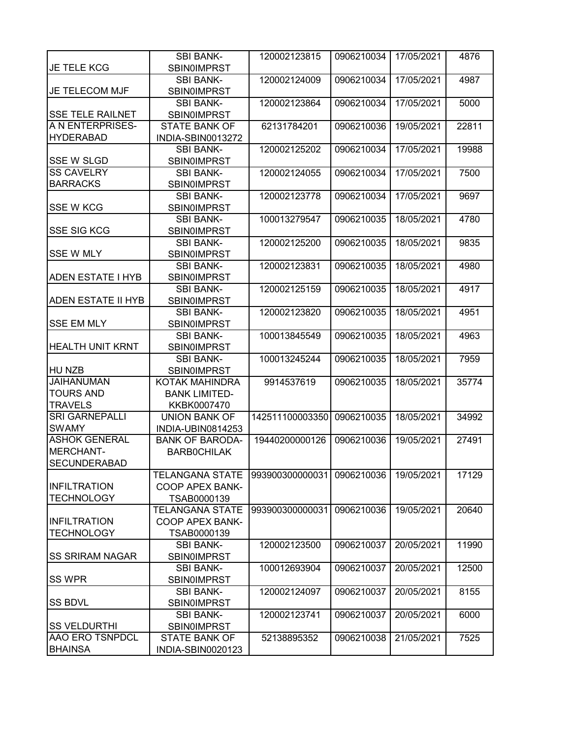|                           | <b>SBI BANK-</b>       | 120002123815    | 0906210034 | 17/05/2021 | 4876  |
|---------------------------|------------------------|-----------------|------------|------------|-------|
| JE TELE KCG               | SBIN0IMPRST            |                 |            |            |       |
|                           | <b>SBI BANK-</b>       | 120002124009    | 0906210034 | 17/05/2021 | 4987  |
| <b>JE TELECOM MJF</b>     | <b>SBIN0IMPRST</b>     |                 |            |            |       |
|                           | <b>SBI BANK-</b>       | 120002123864    | 0906210034 | 17/05/2021 | 5000  |
| <b>SSE TELE RAILNET</b>   | <b>SBIN0IMPRST</b>     |                 |            |            |       |
| A N ENTERPRISES-          | <b>STATE BANK OF</b>   | 62131784201     | 0906210036 | 19/05/2021 | 22811 |
| <b>HYDERABAD</b>          | INDIA-SBIN0013272      |                 |            |            |       |
|                           | <b>SBI BANK-</b>       | 120002125202    | 0906210034 | 17/05/2021 | 19988 |
| <b>SSE W SLGD</b>         | <b>SBIN0IMPRST</b>     |                 |            |            |       |
| <b>SS CAVELRY</b>         | <b>SBI BANK-</b>       | 120002124055    | 0906210034 | 17/05/2021 | 7500  |
| <b>BARRACKS</b>           | <b>SBIN0IMPRST</b>     |                 |            |            |       |
|                           | <b>SBI BANK-</b>       | 120002123778    | 0906210034 | 17/05/2021 | 9697  |
| <b>SSE W KCG</b>          | <b>SBIN0IMPRST</b>     |                 |            |            |       |
|                           | <b>SBI BANK-</b>       | 100013279547    | 0906210035 | 18/05/2021 | 4780  |
| <b>SSE SIG KCG</b>        | <b>SBIN0IMPRST</b>     |                 |            |            |       |
|                           | <b>SBI BANK-</b>       | 120002125200    | 0906210035 | 18/05/2021 | 9835  |
| <b>SSE W MLY</b>          | <b>SBIN0IMPRST</b>     |                 |            |            |       |
|                           | <b>SBI BANK-</b>       | 120002123831    | 0906210035 | 18/05/2021 | 4980  |
| <b>ADEN ESTATE I HYB</b>  | <b>SBINOIMPRST</b>     |                 |            |            |       |
|                           | <b>SBI BANK-</b>       | 120002125159    | 0906210035 | 18/05/2021 | 4917  |
| <b>ADEN ESTATE II HYB</b> | <b>SBINOIMPRST</b>     |                 |            |            |       |
|                           | <b>SBI BANK-</b>       | 120002123820    | 0906210035 | 18/05/2021 | 4951  |
| <b>SSE EM MLY</b>         | <b>SBIN0IMPRST</b>     |                 |            |            |       |
|                           | <b>SBI BANK-</b>       | 100013845549    | 0906210035 | 18/05/2021 | 4963  |
| <b>HEALTH UNIT KRNT</b>   | <b>SBIN0IMPRST</b>     |                 |            |            |       |
|                           | <b>SBI BANK-</b>       | 100013245244    | 0906210035 | 18/05/2021 | 7959  |
| HU NZB                    | <b>SBIN0IMPRST</b>     |                 |            |            |       |
| <b>JAIHANUMAN</b>         | KOTAK MAHINDRA         | 9914537619      | 0906210035 | 18/05/2021 | 35774 |
| <b>TOURS AND</b>          | <b>BANK LIMITED-</b>   |                 |            |            |       |
| <b>TRAVELS</b>            | KKBK0007470            |                 |            |            |       |
| <b>SRI GARNEPALLI</b>     | <b>UNION BANK OF</b>   | 142511100003350 | 0906210035 | 18/05/2021 | 34992 |
| <b>SWAMY</b>              | INDIA-UBIN0814253      |                 |            |            |       |
| <b>ASHOK GENERAL</b>      | <b>BANK OF BARODA-</b> | 19440200000126  | 0906210036 | 19/05/2021 | 27491 |
| MERCHANT-                 | <b>BARBOCHILAK</b>     |                 |            |            |       |
| <b>SECUNDERABAD</b>       |                        |                 |            |            |       |
|                           | <b>TELANGANA STATE</b> | 993900300000031 | 0906210036 | 19/05/2021 | 17129 |
| <b>INFILTRATION</b>       | <b>COOP APEX BANK-</b> |                 |            |            |       |
| <b>TECHNOLOGY</b>         | TSAB0000139            |                 |            |            |       |
|                           | <b>TELANGANA STATE</b> | 993900300000031 | 0906210036 | 19/05/2021 | 20640 |
| <b>INFILTRATION</b>       | <b>COOP APEX BANK-</b> |                 |            |            |       |
| <b>TECHNOLOGY</b>         | TSAB0000139            |                 |            |            |       |
|                           | <b>SBI BANK-</b>       | 120002123500    | 0906210037 | 20/05/2021 | 11990 |
| <b>SS SRIRAM NAGAR</b>    | <b>SBIN0IMPRST</b>     |                 |            |            |       |
|                           | <b>SBI BANK-</b>       | 100012693904    | 0906210037 | 20/05/2021 | 12500 |
| <b>SS WPR</b>             | <b>SBINOIMPRST</b>     |                 |            |            |       |
|                           | <b>SBI BANK-</b>       | 120002124097    | 0906210037 | 20/05/2021 | 8155  |
| <b>SS BDVL</b>            | <b>SBIN0IMPRST</b>     |                 |            |            |       |
|                           | <b>SBI BANK-</b>       | 120002123741    | 0906210037 | 20/05/2021 | 6000  |
| <b>SS VELDURTHI</b>       | <b>SBIN0IMPRST</b>     |                 |            |            |       |
| <b>AAO ERO TSNPDCL</b>    | <b>STATE BANK OF</b>   | 52138895352     | 0906210038 | 21/05/2021 | 7525  |
| <b>BHAINSA</b>            | INDIA-SBIN0020123      |                 |            |            |       |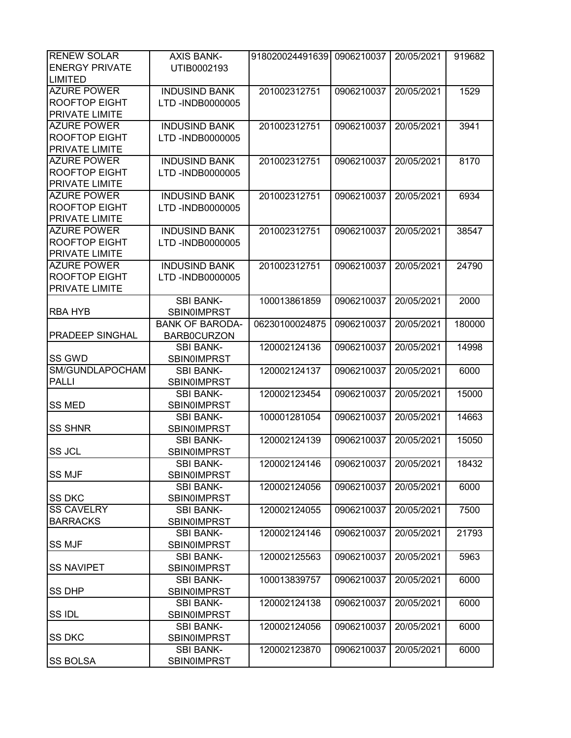| <b>RENEW SOLAR</b>     | <b>AXIS BANK-</b>      | 918020024491639 | 0906210037 | 20/05/2021 | 919682 |
|------------------------|------------------------|-----------------|------------|------------|--------|
| <b>ENERGY PRIVATE</b>  | UTIB0002193            |                 |            |            |        |
| <b>LIMITED</b>         |                        |                 |            |            |        |
| <b>AZURE POWER</b>     | <b>INDUSIND BANK</b>   | 201002312751    | 0906210037 | 20/05/2021 | 1529   |
| <b>ROOFTOP EIGHT</b>   | LTD -INDB0000005       |                 |            |            |        |
| <b>PRIVATE LIMITE</b>  |                        |                 |            |            |        |
| <b>AZURE POWER</b>     | <b>INDUSIND BANK</b>   | 201002312751    | 0906210037 | 20/05/2021 | 3941   |
| <b>ROOFTOP EIGHT</b>   | LTD -INDB0000005       |                 |            |            |        |
| PRIVATE LIMITE         |                        |                 |            |            |        |
| <b>AZURE POWER</b>     | <b>INDUSIND BANK</b>   | 201002312751    | 0906210037 | 20/05/2021 | 8170   |
| <b>ROOFTOP EIGHT</b>   | LTD -INDB0000005       |                 |            |            |        |
| PRIVATE LIMITE         |                        |                 |            |            |        |
|                        |                        |                 |            |            |        |
| <b>AZURE POWER</b>     | <b>INDUSIND BANK</b>   | 201002312751    | 0906210037 | 20/05/2021 | 6934   |
| <b>ROOFTOP EIGHT</b>   | LTD -INDB0000005       |                 |            |            |        |
| PRIVATE LIMITE         |                        |                 |            |            |        |
| <b>AZURE POWER</b>     | <b>INDUSIND BANK</b>   | 201002312751    | 0906210037 | 20/05/2021 | 38547  |
| <b>ROOFTOP EIGHT</b>   | LTD -INDB0000005       |                 |            |            |        |
| PRIVATE LIMITE         |                        |                 |            |            |        |
| <b>AZURE POWER</b>     | <b>INDUSIND BANK</b>   | 201002312751    | 0906210037 | 20/05/2021 | 24790  |
| <b>ROOFTOP EIGHT</b>   | LTD -INDB0000005       |                 |            |            |        |
| PRIVATE LIMITE         |                        |                 |            |            |        |
|                        | <b>SBI BANK-</b>       | 100013861859    | 0906210037 | 20/05/2021 | 2000   |
| <b>RBA HYB</b>         | <b>SBIN0IMPRST</b>     |                 |            |            |        |
|                        | <b>BANK OF BARODA-</b> | 06230100024875  | 0906210037 | 20/05/2021 | 180000 |
| <b>PRADEEP SINGHAL</b> | <b>BARB0CURZON</b>     |                 |            |            |        |
|                        | <b>SBI BANK-</b>       | 120002124136    | 0906210037 | 20/05/2021 | 14998  |
| <b>SS GWD</b>          | <b>SBIN0IMPRST</b>     |                 |            |            |        |
| SM/GUNDLAPOCHAM        | <b>SBI BANK-</b>       | 120002124137    | 0906210037 | 20/05/2021 | 6000   |
| <b>PALLI</b>           | <b>SBIN0IMPRST</b>     |                 |            |            |        |
|                        | <b>SBI BANK-</b>       | 120002123454    | 0906210037 | 20/05/2021 | 15000  |
| <b>SS MED</b>          | SBIN0IMPRST            |                 |            |            |        |
|                        | <b>SBI BANK-</b>       | 100001281054    | 0906210037 | 20/05/2021 | 14663  |
| <b>SS SHNR</b>         | <b>SBIN0IMPRST</b>     |                 |            |            |        |
|                        | <b>SBI BANK-</b>       | 120002124139    | 0906210037 | 20/05/2021 | 15050  |
| <b>SS JCL</b>          | <b>SBIN0IMPRST</b>     |                 |            |            |        |
|                        | <b>SBI BANK-</b>       | 120002124146    | 0906210037 | 20/05/2021 | 18432  |
| <b>SS MJF</b>          | <b>SBIN0IMPRST</b>     |                 |            |            |        |
|                        | <b>SBI BANK-</b>       | 120002124056    | 0906210037 | 20/05/2021 | 6000   |
| <b>SS DKC</b>          | <b>SBIN0IMPRST</b>     |                 |            |            |        |
| <b>SS CAVELRY</b>      |                        |                 | 0906210037 | 20/05/2021 | 7500   |
| <b>BARRACKS</b>        | <b>SBI BANK-</b>       | 120002124055    |            |            |        |
|                        | <b>SBIN0IMPRST</b>     |                 |            |            |        |
|                        | <b>SBI BANK-</b>       | 120002124146    | 0906210037 | 20/05/2021 | 21793  |
| <b>SS MJF</b>          | <b>SBIN0IMPRST</b>     |                 |            |            |        |
|                        | <b>SBI BANK-</b>       | 120002125563    | 0906210037 | 20/05/2021 | 5963   |
| <b>SS NAVIPET</b>      | <b>SBIN0IMPRST</b>     |                 |            |            |        |
|                        | <b>SBI BANK-</b>       | 100013839757    | 0906210037 | 20/05/2021 | 6000   |
| <b>SS DHP</b>          | <b>SBIN0IMPRST</b>     |                 |            |            |        |
|                        | <b>SBI BANK-</b>       | 120002124138    | 0906210037 | 20/05/2021 | 6000   |
| <b>SSIDL</b>           | <b>SBIN0IMPRST</b>     |                 |            |            |        |
|                        | <b>SBI BANK-</b>       | 120002124056    | 0906210037 | 20/05/2021 | 6000   |
| <b>SS DKC</b>          | <b>SBIN0IMPRST</b>     |                 |            |            |        |
|                        | <b>SBI BANK-</b>       | 120002123870    | 0906210037 | 20/05/2021 | 6000   |
| <b>SS BOLSA</b>        | <b>SBIN0IMPRST</b>     |                 |            |            |        |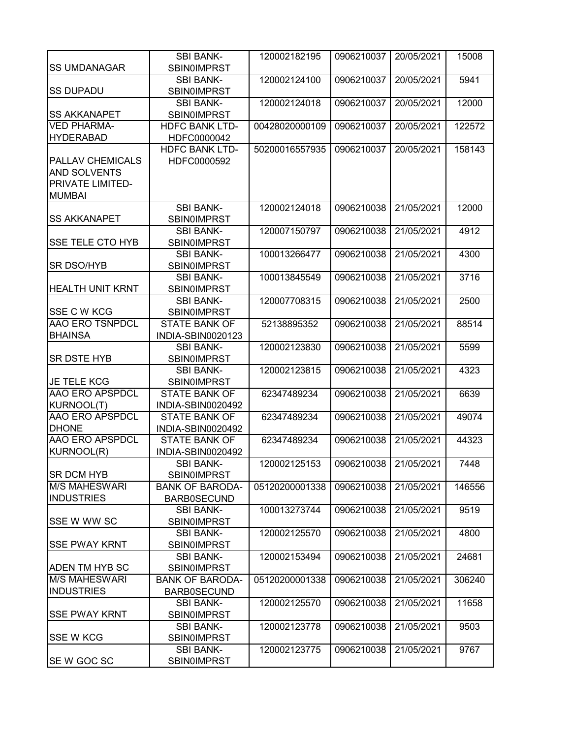|                         | <b>SBI BANK-</b>                       | 120002182195   | 0906210037            | 20/05/2021 | 15008  |
|-------------------------|----------------------------------------|----------------|-----------------------|------------|--------|
| <b>SS UMDANAGAR</b>     | <b>SBIN0IMPRST</b>                     |                |                       |            |        |
|                         | <b>SBI BANK-</b>                       | 120002124100   | 0906210037            | 20/05/2021 | 5941   |
| <b>SS DUPADU</b>        | <b>SBIN0IMPRST</b>                     |                |                       |            |        |
|                         | <b>SBI BANK-</b>                       | 120002124018   | 0906210037            | 20/05/2021 | 12000  |
| <b>SS AKKANAPET</b>     | <b>SBIN0IMPRST</b>                     |                |                       |            |        |
| <b>VED PHARMA-</b>      | <b>HDFC BANK LTD-</b>                  | 00428020000109 | 0906210037            | 20/05/2021 | 122572 |
| <b>HYDERABAD</b>        | HDFC0000042                            |                |                       |            |        |
|                         | <b>HDFC BANK LTD-</b>                  | 50200016557935 | 0906210037            | 20/05/2021 | 158143 |
| <b>PALLAV CHEMICALS</b> | HDFC0000592                            |                |                       |            |        |
| <b>AND SOLVENTS</b>     |                                        |                |                       |            |        |
| <b>PRIVATE LIMITED-</b> |                                        |                |                       |            |        |
| <b>MUMBAI</b>           |                                        |                |                       |            |        |
|                         | <b>SBI BANK-</b>                       | 120002124018   | 0906210038            | 21/05/2021 | 12000  |
| <b>SS AKKANAPET</b>     | <b>SBIN0IMPRST</b>                     |                |                       |            |        |
|                         | <b>SBI BANK-</b>                       | 120007150797   | 0906210038            | 21/05/2021 | 4912   |
| <b>SSE TELE CTO HYB</b> | SBIN0IMPRST                            |                |                       |            |        |
|                         | <b>SBI BANK-</b>                       | 100013266477   | 0906210038            | 21/05/2021 | 4300   |
| <b>SR DSO/HYB</b>       | SBIN0IMPRST                            |                |                       |            |        |
|                         | <b>SBI BANK-</b>                       | 100013845549   | 0906210038            | 21/05/2021 | 3716   |
| <b>HEALTH UNIT KRNT</b> | <b>SBIN0IMPRST</b>                     |                |                       |            |        |
|                         | <b>SBI BANK-</b>                       | 120007708315   | 0906210038            | 21/05/2021 | 2500   |
| <b>SSE C W KCG</b>      | <b>SBIN0IMPRST</b>                     |                |                       |            |        |
| <b>AAO ERO TSNPDCL</b>  | <b>STATE BANK OF</b>                   | 52138895352    | 0906210038            | 21/05/2021 | 88514  |
| <b>BHAINSA</b>          | INDIA-SBIN0020123                      |                |                       |            |        |
| <b>SR DSTE HYB</b>      | <b>SBI BANK-</b>                       | 120002123830   | 0906210038            | 21/05/2021 | 5599   |
|                         | <b>SBIN0IMPRST</b><br><b>SBI BANK-</b> | 120002123815   | 0906210038            | 21/05/2021 | 4323   |
| JE TELE KCG             | <b>SBIN0IMPRST</b>                     |                |                       |            |        |
| <b>AAO ERO APSPDCL</b>  | <b>STATE BANK OF</b>                   | 62347489234    | 0906210038            | 21/05/2021 | 6639   |
| KURNOOL(T)              | INDIA-SBIN0020492                      |                |                       |            |        |
| <b>AAO ERO APSPDCL</b>  | <b>STATE BANK OF</b>                   | 62347489234    | 0906210038            | 21/05/2021 | 49074  |
| <b>DHONE</b>            | INDIA-SBIN0020492                      |                |                       |            |        |
| <b>AAO ERO APSPDCL</b>  | <b>STATE BANK OF</b>                   | 62347489234    | 0906210038            | 21/05/2021 | 44323  |
| KURNOOL(R)              | INDIA-SBIN0020492                      |                |                       |            |        |
|                         | <b>SBI BANK-</b>                       | 120002125153   | 0906210038 21/05/2021 |            | 7448   |
| <b>SR DCM HYB</b>       | <b>SBIN0IMPRST</b>                     |                |                       |            |        |
| <b>M/S MAHESWARI</b>    | <b>BANK OF BARODA-</b>                 | 05120200001338 | 0906210038            | 21/05/2021 | 146556 |
| <b>INDUSTRIES</b>       | <b>BARB0SECUND</b>                     |                |                       |            |        |
|                         | <b>SBI BANK-</b>                       | 100013273744   | 0906210038            | 21/05/2021 | 9519   |
| SSE W WW SC             | <b>SBIN0IMPRST</b>                     |                |                       |            |        |
|                         | <b>SBI BANK-</b>                       | 120002125570   | 0906210038            | 21/05/2021 | 4800   |
| <b>SSE PWAY KRNT</b>    | <b>SBIN0IMPRST</b>                     |                |                       |            |        |
|                         | <b>SBI BANK-</b>                       | 120002153494   | 0906210038            | 21/05/2021 | 24681  |
| <b>ADEN TM HYB SC</b>   | <b>SBIN0IMPRST</b>                     |                |                       |            |        |
| <b>M/S MAHESWARI</b>    | <b>BANK OF BARODA-</b>                 | 05120200001338 | 0906210038            | 21/05/2021 | 306240 |
| <b>INDUSTRIES</b>       | <b>BARB0SECUND</b>                     |                |                       |            |        |
|                         | <b>SBI BANK-</b>                       | 120002125570   | 0906210038            | 21/05/2021 | 11658  |
| <b>SSE PWAY KRNT</b>    | <b>SBIN0IMPRST</b>                     |                |                       |            |        |
|                         | <b>SBI BANK-</b>                       | 120002123778   | 0906210038            | 21/05/2021 | 9503   |
| <b>SSE W KCG</b>        | <b>SBIN0IMPRST</b>                     |                |                       |            |        |
|                         | <b>SBI BANK-</b>                       | 120002123775   | 0906210038            | 21/05/2021 | 9767   |
| SE W GOC SC             | <b>SBIN0IMPRST</b>                     |                |                       |            |        |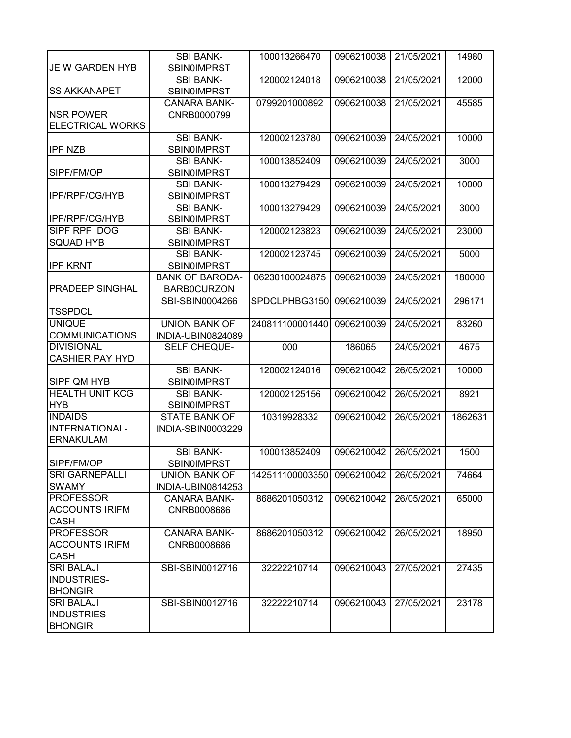|                               | <b>SBI BANK-</b>                         | 100013266470    | 0906210038 | 21/05/2021 | 14980   |
|-------------------------------|------------------------------------------|-----------------|------------|------------|---------|
| JE W GARDEN HYB               | <b>SBIN0IMPRST</b>                       |                 |            |            |         |
|                               | <b>SBI BANK-</b>                         | 120002124018    | 0906210038 | 21/05/2021 | 12000   |
| <b>SS AKKANAPET</b>           | <b>SBIN0IMPRST</b>                       |                 |            |            |         |
|                               | <b>CANARA BANK-</b>                      | 0799201000892   | 0906210038 | 21/05/2021 | 45585   |
| <b>NSR POWER</b>              | CNRB0000799                              |                 |            |            |         |
| <b>ELECTRICAL WORKS</b>       |                                          |                 |            |            |         |
|                               | <b>SBI BANK-</b>                         | 120002123780    | 0906210039 | 24/05/2021 | 10000   |
| <b>IPF NZB</b>                | <b>SBIN0IMPRST</b>                       |                 |            |            |         |
|                               | <b>SBI BANK-</b>                         | 100013852409    | 0906210039 | 24/05/2021 | 3000    |
| SIPF/FM/OP                    | <b>SBIN0IMPRST</b>                       |                 |            |            |         |
|                               | <b>SBI BANK-</b>                         | 100013279429    | 0906210039 | 24/05/2021 | 10000   |
| IPF/RPF/CG/HYB                | <b>SBIN0IMPRST</b>                       |                 |            |            |         |
|                               | <b>SBI BANK-</b>                         | 100013279429    | 0906210039 | 24/05/2021 | 3000    |
| <b>IPF/RPF/CG/HYB</b>         | <b>SBIN0IMPRST</b>                       |                 |            |            |         |
| SIPF RPF DOG                  |                                          | 120002123823    |            |            |         |
|                               | <b>SBI BANK-</b>                         |                 | 0906210039 | 24/05/2021 | 23000   |
| <b>SQUAD HYB</b>              | <b>SBIN0IMPRST</b>                       |                 |            |            |         |
|                               | <b>SBI BANK-</b>                         | 120002123745    | 0906210039 | 24/05/2021 | 5000    |
| <b>IPF KRNT</b>               | <b>SBIN0IMPRST</b>                       |                 |            |            |         |
|                               | <b>BANK OF BARODA-</b>                   | 06230100024875  | 0906210039 | 24/05/2021 | 180000  |
| <b>PRADEEP SINGHAL</b>        | <b>BARB0CURZON</b>                       |                 |            |            |         |
|                               | SBI-SBIN0004266                          | SPDCLPHBG3150   | 0906210039 | 24/05/2021 | 296171  |
| <b>TSSPDCL</b>                |                                          |                 |            |            |         |
| <b>UNIQUE</b>                 | <b>UNION BANK OF</b>                     | 240811100001440 | 0906210039 | 24/05/2021 | 83260   |
| <b>COMMUNICATIONS</b>         | INDIA-UBIN0824089                        |                 |            |            |         |
|                               |                                          |                 |            |            |         |
| <b>DIVISIONAL</b>             | SELF CHEQUE-                             | 000             | 186065     | 24/05/2021 | 4675    |
| <b>CASHIER PAY HYD</b>        |                                          |                 |            |            |         |
|                               | <b>SBI BANK-</b>                         | 120002124016    | 0906210042 | 26/05/2021 | 10000   |
| SIPF QM HYB                   | <b>SBIN0IMPRST</b>                       |                 |            |            |         |
| <b>HEALTH UNIT KCG</b>        | <b>SBI BANK-</b>                         | 120002125156    | 0906210042 | 26/05/2021 | 8921    |
| <b>HYB</b>                    | <b>SBIN0IMPRST</b>                       |                 |            |            |         |
| <b>INDAIDS</b>                | <b>STATE BANK OF</b>                     | 10319928332     | 0906210042 | 26/05/2021 | 1862631 |
| INTERNATIONAL-                | INDIA-SBIN0003229                        |                 |            |            |         |
| <b>ERNAKULAM</b>              |                                          |                 |            |            |         |
|                               | <b>SBI BANK-</b>                         | 100013852409    | 0906210042 | 26/05/2021 | 1500    |
| SIPF/FM/OP                    |                                          |                 |            |            |         |
| <b>SRI GARNEPALLI</b>         | <b>SBIN0IMPRST</b>                       |                 |            |            |         |
| <b>SWAMY</b>                  | <b>UNION BANK OF</b>                     | 142511100003350 | 0906210042 | 26/05/2021 | 74664   |
| <b>PROFESSOR</b>              | INDIA-UBIN0814253<br><b>CANARA BANK-</b> |                 |            |            |         |
| <b>ACCOUNTS IRIFM</b>         |                                          | 8686201050312   | 0906210042 | 26/05/2021 | 65000   |
|                               | CNRB0008686                              |                 |            |            |         |
| <b>CASH</b>                   |                                          |                 |            |            |         |
| <b>PROFESSOR</b>              | <b>CANARA BANK-</b>                      | 8686201050312   | 0906210042 | 26/05/2021 | 18950   |
| <b>ACCOUNTS IRIFM</b>         | CNRB0008686                              |                 |            |            |         |
| <b>CASH</b>                   |                                          |                 |            |            |         |
| <b>SRI BALAJI</b>             | SBI-SBIN0012716                          | 32222210714     | 0906210043 | 27/05/2021 | 27435   |
| <b>INDUSTRIES-</b>            |                                          |                 |            |            |         |
| <b>BHONGIR</b>                |                                          |                 |            |            |         |
| <b>SRI BALAJI</b>             | SBI-SBIN0012716                          | 32222210714     | 0906210043 | 27/05/2021 | 23178   |
| INDUSTRIES-<br><b>BHONGIR</b> |                                          |                 |            |            |         |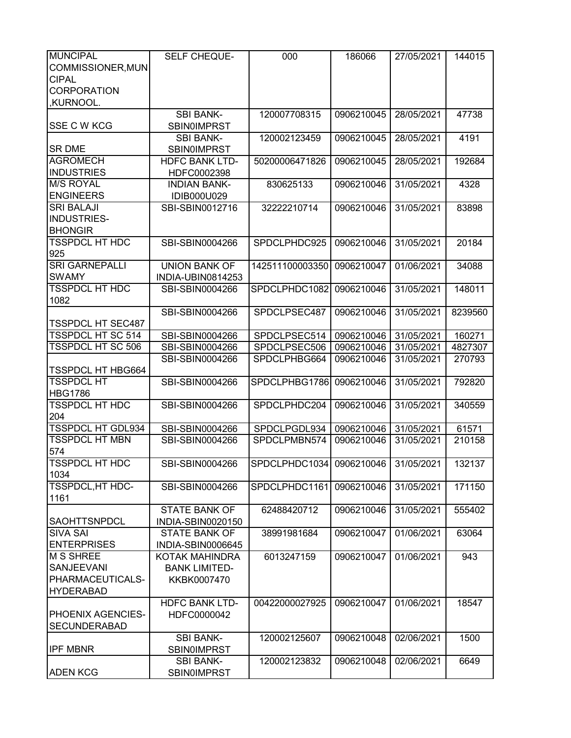| <b>MUNCIPAL</b>          | SELF CHEQUE-          | 000                      | 186066     | 27/05/2021 | 144015  |
|--------------------------|-----------------------|--------------------------|------------|------------|---------|
| COMMISSIONER, MUN        |                       |                          |            |            |         |
| <b>CIPAL</b>             |                       |                          |            |            |         |
| <b>CORPORATION</b>       |                       |                          |            |            |         |
| ,KURNOOL.                |                       |                          |            |            |         |
|                          | <b>SBI BANK-</b>      | 120007708315             | 0906210045 | 28/05/2021 | 47738   |
| <b>SSE C W KCG</b>       | <b>SBIN0IMPRST</b>    |                          |            |            |         |
|                          | <b>SBI BANK-</b>      | 120002123459             | 0906210045 | 28/05/2021 | 4191    |
| <b>SR DME</b>            | <b>SBIN0IMPRST</b>    |                          |            |            |         |
| <b>AGROMECH</b>          | <b>HDFC BANK LTD-</b> | 50200006471826           | 0906210045 | 28/05/2021 | 192684  |
| <b>INDUSTRIES</b>        | HDFC0002398           |                          |            |            |         |
| <b>M/S ROYAL</b>         | <b>INDIAN BANK-</b>   | 830625133                | 0906210046 | 31/05/2021 | 4328    |
| <b>ENGINEERS</b>         | IDIB000U029           |                          |            |            |         |
| <b>SRI BALAJI</b>        | SBI-SBIN0012716       | 32222210714              | 0906210046 | 31/05/2021 | 83898   |
| INDUSTRIES-              |                       |                          |            |            |         |
| <b>BHONGIR</b>           |                       |                          |            |            |         |
| <b>TSSPDCL HT HDC</b>    | SBI-SBIN0004266       |                          |            |            |         |
|                          |                       | SPDCLPHDC925             | 0906210046 | 31/05/2021 | 20184   |
| 925                      |                       |                          |            |            |         |
| <b>SRI GARNEPALLI</b>    | <b>UNION BANK OF</b>  | 142511100003350          | 0906210047 | 01/06/2021 | 34088   |
| <b>SWAMY</b>             | INDIA-UBIN0814253     |                          |            |            |         |
| <b>TSSPDCL HT HDC</b>    | SBI-SBIN0004266       | SPDCLPHDC1082            | 0906210046 | 31/05/2021 | 148011  |
| 1082                     |                       |                          |            |            |         |
|                          | SBI-SBIN0004266       | SPDCLPSEC487             | 0906210046 | 31/05/2021 | 8239560 |
| <b>TSSPDCL HT SEC487</b> |                       |                          |            |            |         |
| <b>TSSPDCL HT SC 514</b> | SBI-SBIN0004266       | SPDCLPSEC514             | 0906210046 | 31/05/2021 | 160271  |
| <b>TSSPDCL HT SC 506</b> | SBI-SBIN0004266       | SPDCLPSEC506             | 0906210046 | 31/05/2021 | 4827307 |
|                          | SBI-SBIN0004266       | SPDCLPHBG664             | 0906210046 | 31/05/2021 | 270793  |
| <b>TSSPDCL HT HBG664</b> |                       |                          |            |            |         |
| <b>TSSPDCL HT</b>        | SBI-SBIN0004266       | SPDCLPHBG1786            | 0906210046 | 31/05/2021 | 792820  |
| <b>HBG1786</b>           |                       |                          |            |            |         |
| <b>TSSPDCL HT HDC</b>    | SBI-SBIN0004266       | SPDCLPHDC204             | 0906210046 | 31/05/2021 | 340559  |
| 204                      |                       |                          |            |            |         |
| <b>TSSPDCL HT GDL934</b> | SBI-SBIN0004266       | SPDCLPGDL934             | 0906210046 | 31/05/2021 | 61571   |
| <b>TSSPDCL HT MBN</b>    | SBI-SBIN0004266       | SPDCLPMBN574             | 0906210046 | 31/05/2021 | 210158  |
| 574                      |                       |                          |            |            |         |
| <b>TSSPDCL HT HDC</b>    | SBI-SBIN0004266       | SPDCLPHDC1034 0906210046 |            | 31/05/2021 | 132137  |
| 1034                     |                       |                          |            |            |         |
| TSSPDCL, HT HDC-         | SBI-SBIN0004266       | SPDCLPHDC1161            | 0906210046 | 31/05/2021 | 171150  |
| 1161                     |                       |                          |            |            |         |
|                          | <b>STATE BANK OF</b>  | 62488420712              | 0906210046 | 31/05/2021 | 555402  |
| <b>SAOHTTSNPDCL</b>      | INDIA-SBIN0020150     |                          |            |            |         |
| <b>SIVA SAI</b>          | <b>STATE BANK OF</b>  | 38991981684              | 0906210047 | 01/06/2021 | 63064   |
| <b>ENTERPRISES</b>       | INDIA-SBIN0006645     |                          |            |            |         |
| <b>M S SHREE</b>         | KOTAK MAHINDRA        | 6013247159               | 0906210047 | 01/06/2021 | 943     |
| <b>SANJEEVANI</b>        | <b>BANK LIMITED-</b>  |                          |            |            |         |
| PHARMACEUTICALS-         | KKBK0007470           |                          |            |            |         |
| <b>HYDERABAD</b>         |                       |                          |            |            |         |
|                          | <b>HDFC BANK LTD-</b> | 00422000027925           | 0906210047 | 01/06/2021 | 18547   |
| <b>PHOENIX AGENCIES-</b> | HDFC0000042           |                          |            |            |         |
| <b>SECUNDERABAD</b>      |                       |                          |            |            |         |
|                          | <b>SBI BANK-</b>      | 120002125607             | 0906210048 | 02/06/2021 | 1500    |
| <b>IPF MBNR</b>          | <b>SBIN0IMPRST</b>    |                          |            |            |         |
|                          | <b>SBI BANK-</b>      | 120002123832             | 0906210048 | 02/06/2021 | 6649    |
| <b>ADEN KCG</b>          | <b>SBIN0IMPRST</b>    |                          |            |            |         |
|                          |                       |                          |            |            |         |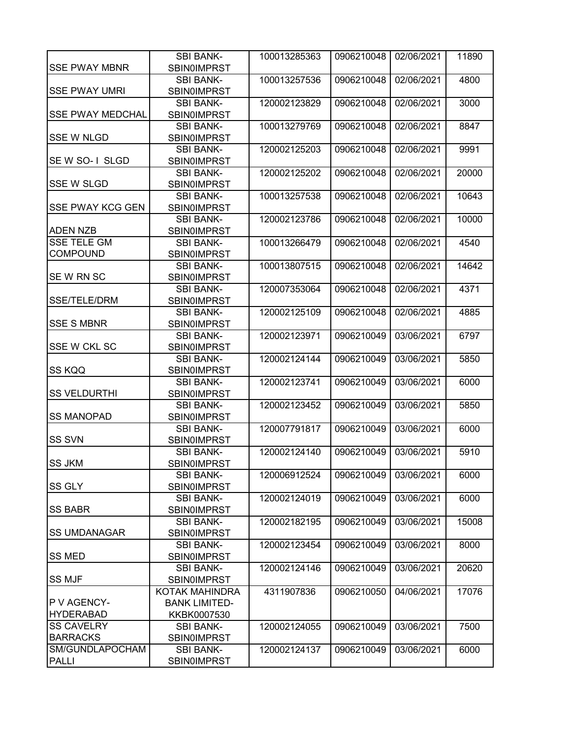|                         | <b>SBI BANK-</b>     | 100013285363 | 0906210048 | 02/06/2021 | 11890 |
|-------------------------|----------------------|--------------|------------|------------|-------|
| <b>SSE PWAY MBNR</b>    | <b>SBIN0IMPRST</b>   |              |            |            |       |
|                         | <b>SBI BANK-</b>     | 100013257536 | 0906210048 | 02/06/2021 | 4800  |
| <b>SSE PWAY UMRI</b>    | <b>SBIN0IMPRST</b>   |              |            |            |       |
|                         | <b>SBI BANK-</b>     | 120002123829 | 0906210048 | 02/06/2021 | 3000  |
| <b>SSE PWAY MEDCHAL</b> | <b>SBIN0IMPRST</b>   |              |            |            |       |
|                         | <b>SBI BANK-</b>     | 100013279769 | 0906210048 | 02/06/2021 | 8847  |
| <b>SSE W NLGD</b>       | <b>SBIN0IMPRST</b>   |              |            |            |       |
|                         | <b>SBI BANK-</b>     | 120002125203 | 0906210048 | 02/06/2021 | 9991  |
| SE W SO-1 SLGD          | <b>SBINOIMPRST</b>   |              |            |            |       |
|                         | <b>SBI BANK-</b>     | 120002125202 | 0906210048 | 02/06/2021 | 20000 |
| <b>SSE W SLGD</b>       | <b>SBIN0IMPRST</b>   |              |            |            |       |
|                         | <b>SBI BANK-</b>     | 100013257538 | 0906210048 | 02/06/2021 | 10643 |
| <b>SSE PWAY KCG GEN</b> | <b>SBIN0IMPRST</b>   |              |            |            |       |
|                         | <b>SBI BANK-</b>     | 120002123786 | 0906210048 | 02/06/2021 | 10000 |
| <b>ADEN NZB</b>         | SBIN0IMPRST          |              |            |            |       |
| <b>SSE TELE GM</b>      | <b>SBI BANK-</b>     | 100013266479 | 0906210048 | 02/06/2021 | 4540  |
| <b>COMPOUND</b>         | <b>SBIN0IMPRST</b>   |              |            |            |       |
|                         | <b>SBI BANK-</b>     | 100013807515 | 0906210048 | 02/06/2021 | 14642 |
| SEW RN SC               | <b>SBIN0IMPRST</b>   |              |            |            |       |
|                         | <b>SBI BANK-</b>     | 120007353064 | 0906210048 | 02/06/2021 | 4371  |
| SSE/TELE/DRM            | <b>SBIN0IMPRST</b>   |              |            |            |       |
|                         | <b>SBI BANK-</b>     | 120002125109 | 0906210048 | 02/06/2021 | 4885  |
| <b>SSE S MBNR</b>       | <b>SBINOIMPRST</b>   |              |            |            |       |
|                         | <b>SBI BANK-</b>     | 120002123971 | 0906210049 | 03/06/2021 | 6797  |
| SSE W CKL SC            | <b>SBIN0IMPRST</b>   |              |            |            |       |
|                         | <b>SBI BANK-</b>     | 120002124144 | 0906210049 | 03/06/2021 | 5850  |
| <b>SS KQQ</b>           | <b>SBIN0IMPRST</b>   |              |            |            |       |
|                         | <b>SBI BANK-</b>     | 120002123741 | 0906210049 | 03/06/2021 | 6000  |
| <b>SS VELDURTHI</b>     | <b>SBIN0IMPRST</b>   |              |            |            |       |
|                         | <b>SBI BANK-</b>     | 120002123452 | 0906210049 | 03/06/2021 | 5850  |
| <b>SS MANOPAD</b>       | <b>SBIN0IMPRST</b>   |              |            |            |       |
|                         | <b>SBI BANK-</b>     | 120007791817 | 0906210049 | 03/06/2021 | 6000  |
| <b>SS SVN</b>           | <b>SBIN0IMPRST</b>   |              |            |            |       |
|                         | <b>SBI BANK-</b>     | 120002124140 | 0906210049 | 03/06/2021 | 5910  |
| <b>SS JKM</b>           | SBIN0IMPRST          |              |            |            |       |
|                         | <b>SBI BANK-</b>     | 120006912524 | 0906210049 | 03/06/2021 | 6000  |
| SS GLY                  | SBIN0IMPRST          |              |            |            |       |
|                         | <b>SBI BANK-</b>     | 120002124019 | 0906210049 | 03/06/2021 | 6000  |
| <b>SS BABR</b>          | <b>SBIN0IMPRST</b>   |              |            |            |       |
|                         | <b>SBI BANK-</b>     | 120002182195 | 0906210049 | 03/06/2021 | 15008 |
| <b>SS UMDANAGAR</b>     | <b>SBIN0IMPRST</b>   |              |            |            |       |
|                         | <b>SBI BANK-</b>     | 120002123454 | 0906210049 | 03/06/2021 | 8000  |
| <b>SS MED</b>           | <b>SBIN0IMPRST</b>   |              |            |            |       |
|                         | <b>SBI BANK-</b>     | 120002124146 | 0906210049 | 03/06/2021 | 20620 |
| <b>SS MJF</b>           | <b>SBIN0IMPRST</b>   |              |            |            |       |
|                         | KOTAK MAHINDRA       | 4311907836   | 0906210050 | 04/06/2021 | 17076 |
| P V AGENCY-             | <b>BANK LIMITED-</b> |              |            |            |       |
| <b>HYDERABAD</b>        | KKBK0007530          |              |            |            |       |
| <b>SS CAVELRY</b>       | <b>SBI BANK-</b>     | 120002124055 | 0906210049 | 03/06/2021 | 7500  |
| <b>BARRACKS</b>         | <b>SBIN0IMPRST</b>   |              |            |            |       |
| SM/GUNDLAPOCHAM         | <b>SBI BANK-</b>     | 120002124137 | 0906210049 | 03/06/2021 | 6000  |
| <b>PALLI</b>            | <b>SBIN0IMPRST</b>   |              |            |            |       |
|                         |                      |              |            |            |       |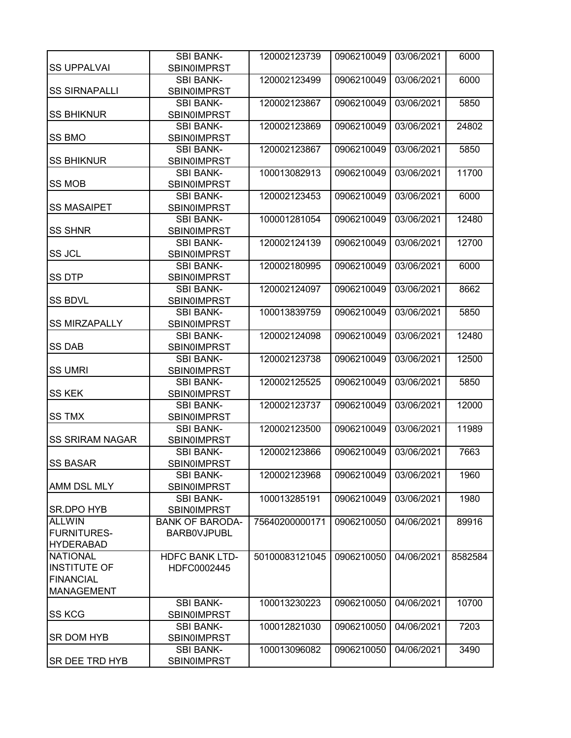| <b>SS UPPALVAI</b>     | <b>SBI BANK-</b>                       | 120002123739   | 0906210049 | 03/06/2021 | 6000    |
|------------------------|----------------------------------------|----------------|------------|------------|---------|
|                        | <b>SBIN0IMPRST</b><br><b>SBI BANK-</b> | 120002123499   | 0906210049 | 03/06/2021 | 6000    |
| <b>SS SIRNAPALLI</b>   | <b>SBIN0IMPRST</b>                     |                |            |            |         |
|                        | <b>SBI BANK-</b>                       | 120002123867   | 0906210049 | 03/06/2021 | 5850    |
| <b>SS BHIKNUR</b>      | <b>SBIN0IMPRST</b>                     |                |            |            |         |
|                        | <b>SBI BANK-</b>                       | 120002123869   | 0906210049 | 03/06/2021 | 24802   |
| SS BMO                 | <b>SBINOIMPRST</b>                     |                |            |            |         |
|                        | <b>SBI BANK-</b>                       | 120002123867   | 0906210049 | 03/06/2021 | 5850    |
| <b>SS BHIKNUR</b>      | <b>SBIN0IMPRST</b>                     |                |            |            |         |
|                        | <b>SBI BANK-</b>                       | 100013082913   | 0906210049 | 03/06/2021 | 11700   |
| <b>SS MOB</b>          | <b>SBIN0IMPRST</b>                     |                |            |            |         |
|                        | <b>SBI BANK-</b>                       | 120002123453   | 0906210049 | 03/06/2021 | 6000    |
| <b>SS MASAIPET</b>     | <b>SBIN0IMPRST</b>                     |                |            |            |         |
|                        | <b>SBI BANK-</b>                       | 100001281054   | 0906210049 | 03/06/2021 | 12480   |
| <b>SS SHNR</b>         | <b>SBIN0IMPRST</b>                     |                |            |            |         |
|                        | <b>SBI BANK-</b>                       | 120002124139   | 0906210049 | 03/06/2021 | 12700   |
| <b>SS JCL</b>          | <b>SBIN0IMPRST</b>                     |                |            |            |         |
|                        |                                        |                |            |            |         |
| <b>SS DTP</b>          | <b>SBI BANK-</b>                       | 120002180995   | 0906210049 | 03/06/2021 | 6000    |
|                        | <b>SBIN0IMPRST</b>                     |                |            | 03/06/2021 |         |
|                        | <b>SBI BANK-</b>                       | 120002124097   | 0906210049 |            | 8662    |
| <b>SS BDVL</b>         | <b>SBIN0IMPRST</b>                     |                |            |            |         |
|                        | <b>SBI BANK-</b>                       | 100013839759   | 0906210049 | 03/06/2021 | 5850    |
| <b>SS MIRZAPALLY</b>   | <b>SBIN0IMPRST</b>                     |                |            |            |         |
|                        | <b>SBI BANK-</b>                       | 120002124098   | 0906210049 | 03/06/2021 | 12480   |
| <b>SS DAB</b>          | <b>SBIN0IMPRST</b>                     |                |            |            |         |
|                        | <b>SBI BANK-</b>                       | 120002123738   | 0906210049 | 03/06/2021 | 12500   |
| <b>SS UMRI</b>         | <b>SBINOIMPRST</b>                     |                |            |            |         |
|                        | <b>SBI BANK-</b>                       | 120002125525   | 0906210049 | 03/06/2021 | 5850    |
| <b>SS KEK</b>          | <b>SBIN0IMPRST</b>                     |                |            |            |         |
|                        | <b>SBI BANK-</b>                       | 120002123737   | 0906210049 | 03/06/2021 | 12000   |
| <b>SS TMX</b>          | <b>SBIN0IMPRST</b>                     |                |            |            |         |
|                        | <b>SBI BANK-</b>                       | 120002123500   | 0906210049 | 03/06/2021 | 11989   |
| <b>SS SRIRAM NAGAR</b> | <b>SBIN0IMPRST</b>                     |                |            |            |         |
|                        | <b>SBI BANK-</b>                       | 120002123866   | 0906210049 | 03/06/2021 | 7663    |
| <b>SS BASAR</b>        | SBIN0IMPRST                            |                |            |            |         |
|                        | <b>SBI BANK-</b>                       | 120002123968   | 0906210049 | 03/06/2021 | 1960    |
| AMM DSL MLY            | <b>SBIN0IMPRST</b>                     |                |            |            |         |
|                        | <b>SBI BANK-</b>                       | 100013285191   | 0906210049 | 03/06/2021 | 1980    |
| <b>SR.DPO HYB</b>      | <b>SBIN0IMPRST</b>                     |                |            |            |         |
| <b>ALLWIN</b>          | <b>BANK OF BARODA-</b>                 | 75640200000171 | 0906210050 | 04/06/2021 | 89916   |
| <b>FURNITURES-</b>     | <b>BARBOVJPUBL</b>                     |                |            |            |         |
| <b>HYDERABAD</b>       |                                        |                |            |            |         |
| <b>NATIONAL</b>        | <b>HDFC BANK LTD-</b>                  | 50100083121045 | 0906210050 | 04/06/2021 | 8582584 |
| <b>INSTITUTE OF</b>    | HDFC0002445                            |                |            |            |         |
| <b>FINANCIAL</b>       |                                        |                |            |            |         |
| <b>MANAGEMENT</b>      |                                        |                |            |            |         |
|                        | <b>SBI BANK-</b>                       | 100013230223   | 0906210050 | 04/06/2021 | 10700   |
| <b>SS KCG</b>          | <b>SBIN0IMPRST</b>                     |                |            |            |         |
|                        | <b>SBI BANK-</b>                       | 100012821030   | 0906210050 | 04/06/2021 | 7203    |
| SR DOM HYB             | <b>SBIN0IMPRST</b>                     |                |            |            |         |
|                        | <b>SBI BANK-</b>                       | 100013096082   | 0906210050 | 04/06/2021 | 3490    |
| <b>SR DEE TRD HYB</b>  | <b>SBIN0IMPRST</b>                     |                |            |            |         |
|                        |                                        |                |            |            |         |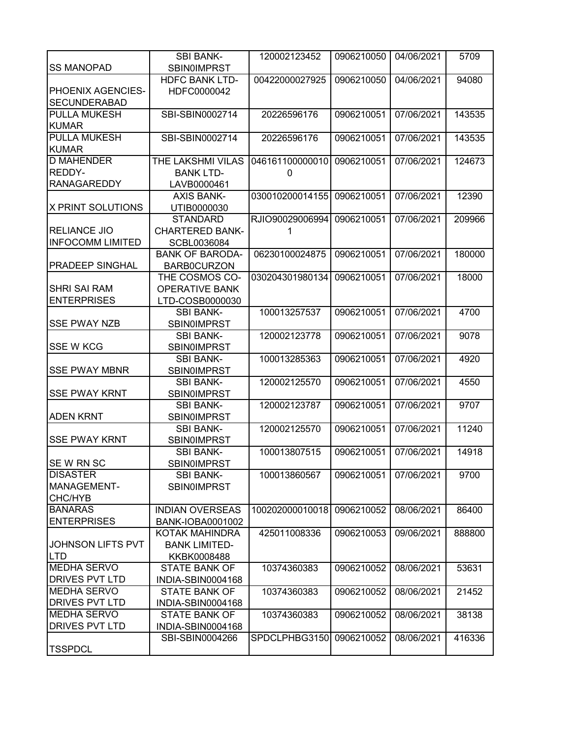|                          | <b>SBI BANK-</b>       | 120002123452    | 0906210050 | 04/06/2021 | 5709   |
|--------------------------|------------------------|-----------------|------------|------------|--------|
| <b>SS MANOPAD</b>        | <b>SBIN0IMPRST</b>     |                 |            |            |        |
|                          | <b>HDFC BANK LTD-</b>  | 00422000027925  | 0906210050 | 04/06/2021 | 94080  |
| PHOENIX AGENCIES-        | HDFC0000042            |                 |            |            |        |
| <b>SECUNDERABAD</b>      |                        |                 |            |            |        |
| <b>PULLA MUKESH</b>      | SBI-SBIN0002714        | 20226596176     | 0906210051 | 07/06/2021 | 143535 |
| <b>KUMAR</b>             |                        |                 |            |            |        |
| <b>PULLA MUKESH</b>      | SBI-SBIN0002714        | 20226596176     | 0906210051 | 07/06/2021 | 143535 |
| <b>KUMAR</b>             |                        |                 |            |            |        |
| <b>D MAHENDER</b>        | THE LAKSHMI VILAS      | 046161100000010 | 0906210051 | 07/06/2021 | 124673 |
| REDDY-                   | <b>BANK LTD-</b>       | 0               |            |            |        |
| <b>RANAGAREDDY</b>       | LAVB0000461            |                 |            |            |        |
|                          | <b>AXIS BANK-</b>      | 030010200014155 | 0906210051 | 07/06/2021 | 12390  |
| <b>X PRINT SOLUTIONS</b> | UTIB0000030            |                 |            |            |        |
|                          | <b>STANDARD</b>        | RJIO90029006994 | 0906210051 | 07/06/2021 | 209966 |
| <b>RELIANCE JIO</b>      | <b>CHARTERED BANK-</b> | 1               |            |            |        |
| <b>INFOCOMM LIMITED</b>  | SCBL0036084            |                 |            |            |        |
|                          | <b>BANK OF BARODA-</b> | 06230100024875  | 0906210051 | 07/06/2021 | 180000 |
| <b>PRADEEP SINGHAL</b>   | <b>BARB0CURZON</b>     |                 |            |            |        |
|                          | THE COSMOS CO-         | 030204301980134 | 0906210051 | 07/06/2021 | 18000  |
| <b>SHRI SAI RAM</b>      | <b>OPERATIVE BANK</b>  |                 |            |            |        |
| <b>ENTERPRISES</b>       | LTD-COSB0000030        |                 |            |            |        |
|                          | <b>SBI BANK-</b>       | 100013257537    | 0906210051 | 07/06/2021 | 4700   |
| <b>SSE PWAY NZB</b>      | <b>SBIN0IMPRST</b>     |                 |            |            |        |
|                          | <b>SBI BANK-</b>       | 120002123778    | 0906210051 | 07/06/2021 | 9078   |
| <b>SSE W KCG</b>         | <b>SBIN0IMPRST</b>     |                 |            |            |        |
|                          | <b>SBI BANK-</b>       | 100013285363    | 0906210051 | 07/06/2021 | 4920   |
| <b>SSE PWAY MBNR</b>     | <b>SBIN0IMPRST</b>     |                 |            |            |        |
|                          | <b>SBI BANK-</b>       | 120002125570    | 0906210051 | 07/06/2021 | 4550   |
| <b>SSE PWAY KRNT</b>     | <b>SBIN0IMPRST</b>     |                 |            |            |        |
|                          | <b>SBI BANK-</b>       | 120002123787    | 0906210051 | 07/06/2021 | 9707   |
| <b>ADEN KRNT</b>         | <b>SBIN0IMPRST</b>     |                 |            |            |        |
|                          | <b>SBI BANK-</b>       | 120002125570    | 0906210051 | 07/06/2021 | 11240  |
| <b>SSE PWAY KRNT</b>     | <b>SBIN0IMPRST</b>     |                 |            |            |        |
|                          | <b>SBI BANK-</b>       | 100013807515    | 0906210051 | 07/06/2021 | 14918  |
| SEW RN SC                | <b>SBIN0IMPRST</b>     |                 |            |            |        |
| <b>DISASTER</b>          | <b>SBI BANK-</b>       | 100013860567    | 0906210051 | 07/06/2021 | 9700   |
| MANAGEMENT-              | <b>SBIN0IMPRST</b>     |                 |            |            |        |
| CHC/HYB                  |                        |                 |            |            |        |
| <b>BANARAS</b>           | <b>INDIAN OVERSEAS</b> | 100202000010018 | 0906210052 | 08/06/2021 | 86400  |
| <b>ENTERPRISES</b>       | BANK-IOBA0001002       |                 |            |            |        |
|                          | KOTAK MAHINDRA         | 425011008336    | 0906210053 | 09/06/2021 | 888800 |
| <b>JOHNSON LIFTS PVT</b> | <b>BANK LIMITED-</b>   |                 |            |            |        |
| <b>LTD</b>               | KKBK0008488            |                 |            |            |        |
| <b>MEDHA SERVO</b>       | <b>STATE BANK OF</b>   | 10374360383     | 0906210052 | 08/06/2021 | 53631  |
| <b>DRIVES PVT LTD</b>    | INDIA-SBIN0004168      |                 |            |            |        |
| <b>MEDHA SERVO</b>       | <b>STATE BANK OF</b>   | 10374360383     | 0906210052 | 08/06/2021 | 21452  |
| <b>DRIVES PVT LTD</b>    | INDIA-SBIN0004168      |                 |            |            |        |
| <b>MEDHA SERVO</b>       | <b>STATE BANK OF</b>   | 10374360383     | 0906210052 | 08/06/2021 | 38138  |
| DRIVES PVT LTD           | INDIA-SBIN0004168      |                 |            |            |        |
|                          | SBI-SBIN0004266        | SPDCLPHBG3150   | 0906210052 | 08/06/2021 | 416336 |
| <b>TSSPDCL</b>           |                        |                 |            |            |        |
|                          |                        |                 |            |            |        |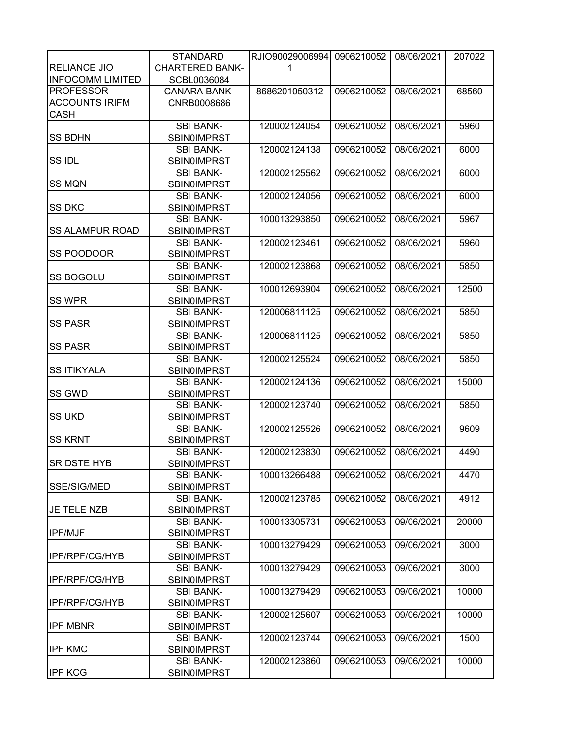|                         | <b>STANDARD</b>        | RJIO90029006994 | 0906210052 | 08/06/2021 | 207022 |
|-------------------------|------------------------|-----------------|------------|------------|--------|
| <b>RELIANCE JIO</b>     | <b>CHARTERED BANK-</b> | 1               |            |            |        |
| <b>INFOCOMM LIMITED</b> | SCBL0036084            |                 |            |            |        |
| <b>PROFESSOR</b>        | <b>CANARA BANK-</b>    | 8686201050312   | 0906210052 | 08/06/2021 | 68560  |
| <b>ACCOUNTS IRIFM</b>   | CNRB0008686            |                 |            |            |        |
| <b>CASH</b>             |                        |                 |            |            |        |
|                         |                        |                 |            |            |        |
|                         | <b>SBI BANK-</b>       | 120002124054    | 0906210052 | 08/06/2021 | 5960   |
| <b>SS BDHN</b>          | <b>SBIN0IMPRST</b>     |                 |            |            |        |
|                         | <b>SBI BANK-</b>       | 120002124138    | 0906210052 | 08/06/2021 | 6000   |
| <b>SSIDL</b>            | <b>SBIN0IMPRST</b>     |                 |            |            |        |
|                         | <b>SBI BANK-</b>       | 120002125562    | 0906210052 | 08/06/2021 | 6000   |
| <b>SS MQN</b>           | <b>SBIN0IMPRST</b>     |                 |            |            |        |
|                         | <b>SBI BANK-</b>       | 120002124056    | 0906210052 | 08/06/2021 | 6000   |
| <b>SS DKC</b>           | <b>SBIN0IMPRST</b>     |                 |            |            |        |
|                         | <b>SBI BANK-</b>       | 100013293850    | 0906210052 | 08/06/2021 | 5967   |
| <b>SS ALAMPUR ROAD</b>  | <b>SBIN0IMPRST</b>     |                 |            |            |        |
|                         | <b>SBI BANK-</b>       | 120002123461    | 0906210052 | 08/06/2021 | 5960   |
| SS POODOOR              | <b>SBIN0IMPRST</b>     |                 |            |            |        |
|                         | <b>SBI BANK-</b>       | 120002123868    | 0906210052 | 08/06/2021 | 5850   |
| <b>SS BOGOLU</b>        | <b>SBIN0IMPRST</b>     |                 |            |            |        |
|                         | <b>SBI BANK-</b>       | 100012693904    | 0906210052 | 08/06/2021 | 12500  |
| <b>SS WPR</b>           | <b>SBIN0IMPRST</b>     |                 |            |            |        |
|                         | <b>SBI BANK-</b>       | 120006811125    | 0906210052 | 08/06/2021 | 5850   |
| <b>SS PASR</b>          | <b>SBIN0IMPRST</b>     |                 |            |            |        |
|                         | <b>SBI BANK-</b>       |                 |            |            |        |
| <b>SS PASR</b>          |                        | 120006811125    | 0906210052 | 08/06/2021 | 5850   |
|                         | <b>SBIN0IMPRST</b>     |                 |            |            |        |
|                         | <b>SBI BANK-</b>       | 120002125524    | 0906210052 | 08/06/2021 | 5850   |
| <b>SS ITIKYALA</b>      | <b>SBIN0IMPRST</b>     |                 |            |            |        |
|                         | <b>SBI BANK-</b>       | 120002124136    | 0906210052 | 08/06/2021 | 15000  |
| SS GWD                  | <b>SBIN0IMPRST</b>     |                 |            |            |        |
|                         | <b>SBI BANK-</b>       | 120002123740    | 0906210052 | 08/06/2021 | 5850   |
| <b>SS UKD</b>           | <b>SBIN0IMPRST</b>     |                 |            |            |        |
|                         | <b>SBI BANK-</b>       | 120002125526    | 0906210052 | 08/06/2021 | 9609   |
| <b>SS KRNT</b>          | <b>SBIN0IMPRST</b>     |                 |            |            |        |
|                         | <b>SBI BANK-</b>       | 120002123830    | 0906210052 | 08/06/2021 | 4490   |
| <b>SR DSTE HYB</b>      | SBIN0IMPRST            |                 |            |            |        |
|                         | <b>SBI BANK-</b>       | 100013266488    | 0906210052 | 08/06/2021 | 4470   |
| SSE/SIG/MED             | SBIN0IMPRST            |                 |            |            |        |
|                         | <b>SBI BANK-</b>       | 120002123785    | 0906210052 | 08/06/2021 | 4912   |
| JE TELE NZB             | <b>SBIN0IMPRST</b>     |                 |            |            |        |
|                         | <b>SBI BANK-</b>       | 100013305731    | 0906210053 | 09/06/2021 | 20000  |
| <b>IPF/MJF</b>          | <b>SBIN0IMPRST</b>     |                 |            |            |        |
|                         | <b>SBI BANK-</b>       | 100013279429    | 0906210053 | 09/06/2021 | 3000   |
| IPF/RPF/CG/HYB          | <b>SBIN0IMPRST</b>     |                 |            |            |        |
|                         | <b>SBI BANK-</b>       | 100013279429    | 0906210053 | 09/06/2021 | 3000   |
| IPF/RPF/CG/HYB          | <b>SBIN0IMPRST</b>     |                 |            |            |        |
|                         | <b>SBI BANK-</b>       | 100013279429    | 0906210053 | 09/06/2021 | 10000  |
| <b>IPF/RPF/CG/HYB</b>   | <b>SBIN0IMPRST</b>     |                 |            |            |        |
|                         |                        | 120002125607    |            |            |        |
|                         | <b>SBI BANK-</b>       |                 | 0906210053 | 09/06/2021 | 10000  |
| <b>IPF MBNR</b>         | <b>SBIN0IMPRST</b>     |                 |            |            |        |
|                         | <b>SBI BANK-</b>       | 120002123744    | 0906210053 | 09/06/2021 | 1500   |
| <b>IPF KMC</b>          | <b>SBIN0IMPRST</b>     |                 |            |            |        |
|                         | <b>SBI BANK-</b>       | 120002123860    | 0906210053 | 09/06/2021 | 10000  |
| <b>IPF KCG</b>          | <b>SBIN0IMPRST</b>     |                 |            |            |        |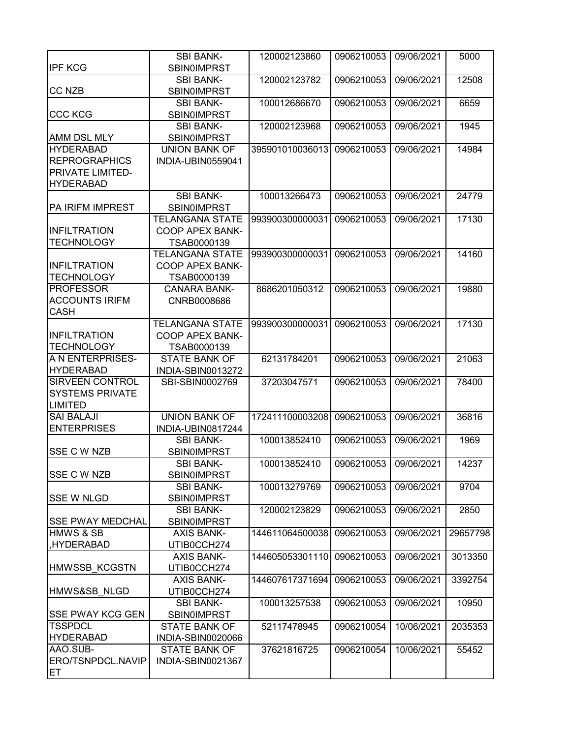|                                           | <b>SBI BANK-</b>                           | 120002123860    | 0906210053 | 09/06/2021 | 5000     |
|-------------------------------------------|--------------------------------------------|-----------------|------------|------------|----------|
| <b>IPF KCG</b>                            | <b>SBIN0IMPRST</b>                         |                 |            |            |          |
|                                           | <b>SBI BANK-</b>                           | 120002123782    | 0906210053 | 09/06/2021 | 12508    |
| <b>CC NZB</b>                             | <b>SBIN0IMPRST</b>                         |                 |            |            |          |
|                                           | <b>SBI BANK-</b>                           | 100012686670    | 0906210053 | 09/06/2021 | 6659     |
| <b>CCC KCG</b>                            | <b>SBIN0IMPRST</b>                         |                 |            |            |          |
|                                           | <b>SBI BANK-</b>                           | 120002123968    | 0906210053 | 09/06/2021 | 1945     |
| AMM DSL MLY                               | <b>SBIN0IMPRST</b>                         |                 |            |            |          |
| <b>HYDERABAD</b>                          | <b>UNION BANK OF</b>                       | 395901010036013 | 0906210053 | 09/06/2021 | 14984    |
| <b>REPROGRAPHICS</b>                      | INDIA-UBIN0559041                          |                 |            |            |          |
| PRIVATE LIMITED-                          |                                            |                 |            |            |          |
| <b>HYDERABAD</b>                          |                                            |                 |            |            |          |
|                                           | <b>SBI BANK-</b>                           | 100013266473    | 0906210053 | 09/06/2021 | 24779    |
| PA IRIFM IMPREST                          | <b>SBIN0IMPRST</b>                         |                 |            |            |          |
|                                           | <b>TELANGANA STATE</b>                     | 993900300000031 | 0906210053 | 09/06/2021 | 17130    |
| <b>INFILTRATION</b>                       | COOP APEX BANK-                            |                 |            |            |          |
| <b>TECHNOLOGY</b>                         | TSAB0000139<br><b>TELANGANA STATE</b>      | 993900300000031 | 0906210053 | 09/06/2021 | 14160    |
| <b>INFILTRATION</b>                       | <b>COOP APEX BANK-</b>                     |                 |            |            |          |
| <b>TECHNOLOGY</b>                         | TSAB0000139                                |                 |            |            |          |
| <b>PROFESSOR</b>                          | <b>CANARA BANK-</b>                        | 8686201050312   | 0906210053 | 09/06/2021 | 19880    |
| <b>ACCOUNTS IRIFM</b>                     | CNRB0008686                                |                 |            |            |          |
| <b>CASH</b>                               |                                            |                 |            |            |          |
|                                           | <b>TELANGANA STATE</b>                     | 993900300000031 | 0906210053 | 09/06/2021 | 17130    |
| <b>INFILTRATION</b>                       | <b>COOP APEX BANK-</b>                     |                 |            |            |          |
| <b>TECHNOLOGY</b>                         | TSAB0000139                                |                 |            |            |          |
| A N ENTERPRISES-                          | <b>STATE BANK OF</b>                       | 62131784201     | 0906210053 | 09/06/2021 | 21063    |
| <b>HYDERABAD</b>                          | INDIA-SBIN0013272                          |                 |            |            |          |
| <b>SIRVEEN CONTROL</b>                    | SBI-SBIN0002769                            | 37203047571     | 0906210053 | 09/06/2021 | 78400    |
| <b>SYSTEMS PRIVATE</b>                    |                                            |                 |            |            |          |
| <b>LIMITED</b>                            |                                            |                 |            |            |          |
| <b>SAI BALAJI</b>                         | <b>UNION BANK OF</b>                       | 172411100003208 | 0906210053 | 09/06/2021 | 36816    |
| <b>ENTERPRISES</b>                        | INDIA-UBIN0817244                          |                 |            |            |          |
|                                           | <b>SBI BANK-</b>                           | 100013852410    | 0906210053 | 09/06/2021 | 1969     |
| SSE C W NZB                               | <b>SBIN0IMPRST</b>                         |                 |            |            |          |
|                                           | <b>SBI BANK-</b>                           | 100013852410    | 0906210053 | 09/06/2021 | 14237    |
| <b>SSE C W NZB</b>                        | <b>SBIN0IMPRST</b>                         |                 |            |            |          |
|                                           | <b>SBI BANK-</b>                           | 100013279769    | 0906210053 | 09/06/2021 | 9704     |
| <b>SSE W NLGD</b>                         | <b>SBIN0IMPRST</b>                         |                 |            |            |          |
|                                           | SBI BANK-                                  | 120002123829    | 0906210053 | 09/06/2021 | 2850     |
| <b>SSE PWAY MEDCHAL</b>                   | <b>SBIN0IMPRST</b>                         |                 |            |            |          |
| <b>HMWS &amp; SB</b>                      | <b>AXIS BANK-</b>                          | 144611064500038 | 0906210053 | 09/06/2021 | 29657798 |
| HYDERABAD,                                | UTIB0CCH274                                |                 |            |            |          |
|                                           | <b>AXIS BANK-</b>                          | 144605053301110 | 0906210053 | 09/06/2021 | 3013350  |
| <b>HMWSSB KCGSTN</b>                      | UTIB0CCH274                                |                 |            |            |          |
|                                           | <b>AXIS BANK-</b>                          | 144607617371694 | 0906210053 | 09/06/2021 | 3392754  |
| HMWS&SB NLGD                              | UTIB0CCH274                                | 100013257538    |            |            |          |
|                                           | <b>SBI BANK-</b>                           |                 | 0906210053 | 09/06/2021 | 10950    |
| <b>SSE PWAY KCG GEN</b><br><b>TSSPDCL</b> | <b>SBIN0IMPRST</b><br><b>STATE BANK OF</b> | 52117478945     | 0906210054 | 10/06/2021 | 2035353  |
| <b>HYDERABAD</b>                          | INDIA-SBIN0020066                          |                 |            |            |          |
| AAO.SUB-                                  | <b>STATE BANK OF</b>                       | 37621816725     | 0906210054 | 10/06/2021 | 55452    |
| ERO/TSNPDCL.NAVIP                         | INDIA-SBIN0021367                          |                 |            |            |          |
| ET                                        |                                            |                 |            |            |          |
|                                           |                                            |                 |            |            |          |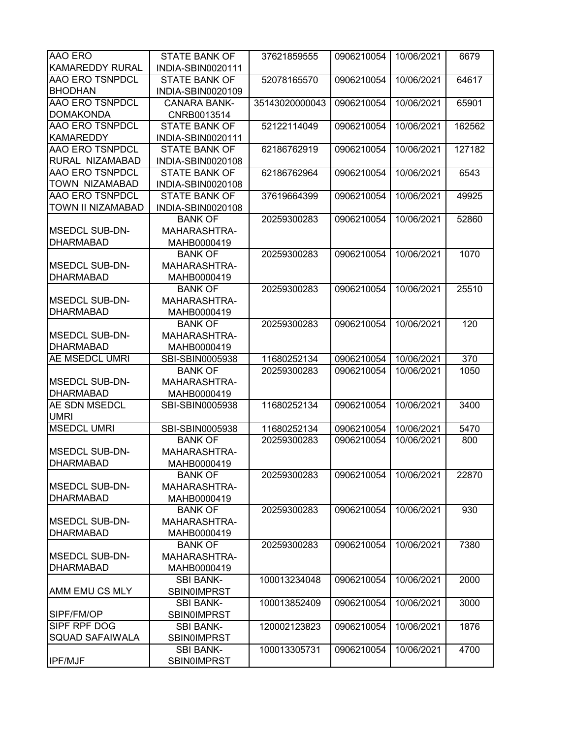| <b>AAO ERO</b>                    | <b>STATE BANK OF</b>              | 37621859555    | 0906210054 | 10/06/2021 | 6679   |
|-----------------------------------|-----------------------------------|----------------|------------|------------|--------|
| KAMAREDDY RURAL                   | INDIA-SBIN0020111                 |                |            |            |        |
| AAO ERO TSNPDCL                   | <b>STATE BANK OF</b>              | 52078165570    | 0906210054 | 10/06/2021 | 64617  |
| <b>BHODHAN</b>                    | INDIA-SBIN0020109                 |                |            |            |        |
| <b>AAO ERO TSNPDCL</b>            | <b>CANARA BANK-</b>               | 35143020000043 | 0906210054 | 10/06/2021 | 65901  |
| <b>DOMAKONDA</b>                  | CNRB0013514                       |                |            |            |        |
| AAO ERO TSNPDCL                   | <b>STATE BANK OF</b>              | 52122114049    | 0906210054 | 10/06/2021 | 162562 |
| <b>KAMAREDDY</b>                  | INDIA-SBIN0020111                 |                |            |            |        |
| <b>AAO ERO TSNPDCL</b>            | <b>STATE BANK OF</b>              | 62186762919    | 0906210054 | 10/06/2021 | 127182 |
| RURAL NIZAMABAD                   | INDIA-SBIN0020108                 |                |            |            |        |
| <b>AAO ERO TSNPDCL</b>            | <b>STATE BANK OF</b>              | 62186762964    | 0906210054 | 10/06/2021 | 6543   |
| TOWN NIZAMABAD                    | INDIA-SBIN0020108                 |                |            |            |        |
| AAO ERO TSNPDCL                   | <b>STATE BANK OF</b>              | 37619664399    | 0906210054 | 10/06/2021 | 49925  |
| TOWN II NIZAMABAD                 | INDIA-SBIN0020108                 |                |            |            |        |
|                                   | <b>BANK OF</b>                    | 20259300283    | 0906210054 | 10/06/2021 | 52860  |
| <b>MSEDCL SUB-DN-</b>             | <b>MAHARASHTRA-</b>               |                |            |            |        |
| <b>DHARMABAD</b>                  | MAHB0000419                       |                |            |            |        |
|                                   | <b>BANK OF</b>                    | 20259300283    | 0906210054 | 10/06/2021 | 1070   |
| <b>MSEDCL SUB-DN-</b>             | MAHARASHTRA-                      |                |            |            |        |
| <b>DHARMABAD</b>                  | MAHB0000419                       |                |            |            |        |
|                                   | <b>BANK OF</b>                    | 20259300283    | 0906210054 | 10/06/2021 | 25510  |
| <b>MSEDCL SUB-DN-</b>             | MAHARASHTRA-                      |                |            |            |        |
| <b>DHARMABAD</b>                  | MAHB0000419                       |                |            |            |        |
|                                   |                                   | 20259300283    | 0906210054 | 10/06/2021 | 120    |
| <b>MSEDCL SUB-DN-</b>             | <b>BANK OF</b><br>MAHARASHTRA-    |                |            |            |        |
| <b>DHARMABAD</b>                  |                                   |                |            |            |        |
| <b>AE MSEDCL UMRI</b>             | MAHB0000419                       |                |            |            |        |
|                                   | SBI-SBIN0005938<br><b>BANK OF</b> | 11680252134    | 0906210054 | 10/06/2021 | 370    |
| <b>MSEDCL SUB-DN-</b>             |                                   | 20259300283    | 0906210054 | 10/06/2021 | 1050   |
| <b>DHARMABAD</b>                  | MAHARASHTRA-                      |                |            |            |        |
| AE SDN MSEDCL                     | MAHB0000419                       |                |            |            |        |
|                                   | SBI-SBIN0005938                   | 11680252134    | 0906210054 | 10/06/2021 | 3400   |
| <b>UMRI</b><br><b>MSEDCL UMRI</b> |                                   |                |            |            |        |
|                                   | SBI-SBIN0005938                   | 11680252134    | 0906210054 | 10/06/2021 | 5470   |
| <b>MSEDCL SUB-DN-</b>             | <b>BANK OF</b>                    | 20259300283    | 0906210054 | 10/06/2021 | 800    |
|                                   | MAHARASHTRA-                      |                |            |            |        |
| <b>DHARMABAD</b>                  | MAHB0000419                       |                |            |            |        |
|                                   | <b>BANK OF</b>                    | 20259300283    | 0906210054 | 10/06/2021 | 22870  |
| <b>MSEDCL SUB-DN-</b>             | MAHARASHTRA-                      |                |            |            |        |
| <b>DHARMABAD</b>                  | MAHB0000419                       |                |            |            |        |
|                                   | <b>BANK OF</b>                    | 20259300283    | 0906210054 | 10/06/2021 | 930    |
| <b>MSEDCL SUB-DN-</b>             | MAHARASHTRA-                      |                |            |            |        |
| <b>DHARMABAD</b>                  | MAHB0000419                       |                |            |            |        |
|                                   | <b>BANK OF</b>                    | 20259300283    | 0906210054 | 10/06/2021 | 7380   |
| <b>MSEDCL SUB-DN-</b>             | MAHARASHTRA-                      |                |            |            |        |
| <b>DHARMABAD</b>                  | MAHB0000419                       |                |            |            |        |
|                                   | <b>SBI BANK-</b>                  | 100013234048   | 0906210054 | 10/06/2021 | 2000   |
| AMM EMU CS MLY                    | <b>SBIN0IMPRST</b>                |                |            |            |        |
|                                   | <b>SBI BANK-</b>                  | 100013852409   | 0906210054 | 10/06/2021 | 3000   |
| SIPF/FM/OP                        | <b>SBIN0IMPRST</b>                |                |            |            |        |
| SIPF RPF DOG                      | <b>SBI BANK-</b>                  | 120002123823   | 0906210054 | 10/06/2021 | 1876   |
| <b>SQUAD SAFAIWALA</b>            | <b>SBIN0IMPRST</b>                |                |            |            |        |
|                                   | <b>SBI BANK-</b>                  | 100013305731   | 0906210054 | 10/06/2021 | 4700   |
| <b>IPF/MJF</b>                    | <b>SBIN0IMPRST</b>                |                |            |            |        |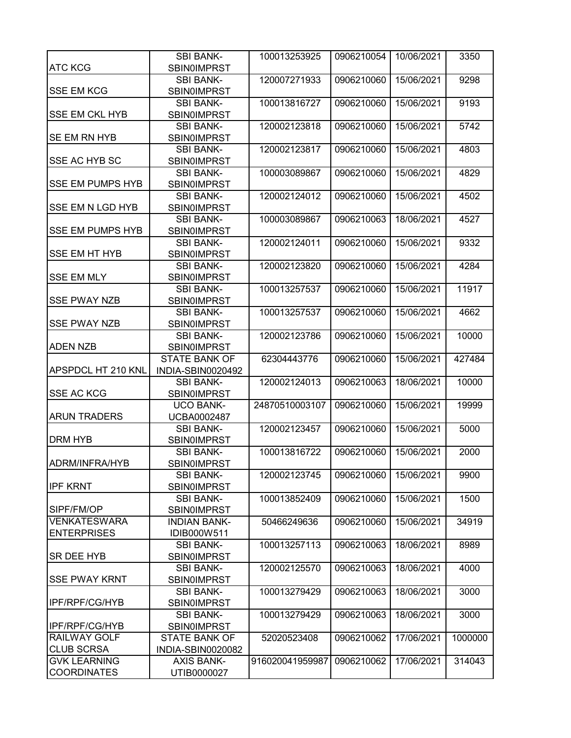|                                   | <b>SBI BANK-</b>                       | 100013253925    | 0906210054 | 10/06/2021 | 3350    |
|-----------------------------------|----------------------------------------|-----------------|------------|------------|---------|
| <b>ATC KCG</b>                    | <b>SBIN0IMPRST</b>                     |                 |            |            |         |
|                                   | <b>SBI BANK-</b>                       | 120007271933    | 0906210060 | 15/06/2021 | 9298    |
| <b>SSE EM KCG</b>                 | <b>SBIN0IMPRST</b>                     |                 |            |            |         |
|                                   | <b>SBI BANK-</b>                       | 100013816727    | 0906210060 | 15/06/2021 | 9193    |
| <b>SSE EM CKL HYB</b>             | <b>SBIN0IMPRST</b>                     |                 |            |            |         |
|                                   | <b>SBI BANK-</b>                       | 120002123818    | 0906210060 | 15/06/2021 | 5742    |
| SE EM RN HYB                      | <b>SBIN0IMPRST</b>                     |                 |            |            |         |
|                                   | <b>SBI BANK-</b>                       | 120002123817    | 0906210060 | 15/06/2021 | 4803    |
| SSE AC HYB SC                     | <b>SBIN0IMPRST</b>                     |                 |            |            |         |
|                                   | <b>SBI BANK-</b>                       | 100003089867    | 0906210060 | 15/06/2021 | 4829    |
| <b>SSE EM PUMPS HYB</b>           | <b>SBIN0IMPRST</b>                     |                 |            |            |         |
|                                   | <b>SBI BANK-</b>                       | 120002124012    | 0906210060 | 15/06/2021 | 4502    |
| SSE EM N LGD HYB                  | <b>SBIN0IMPRST</b>                     |                 |            |            |         |
| <b>SSE EM PUMPS HYB</b>           | <b>SBI BANK-</b>                       | 100003089867    | 0906210063 | 18/06/2021 | 4527    |
|                                   | <b>SBIN0IMPRST</b>                     |                 |            |            |         |
|                                   | <b>SBI BANK-</b>                       | 120002124011    | 0906210060 | 15/06/2021 | 9332    |
| <b>SSE EM HT HYB</b>              | <b>SBIN0IMPRST</b>                     |                 |            |            |         |
|                                   | <b>SBI BANK-</b>                       | 120002123820    | 0906210060 | 15/06/2021 | 4284    |
| <b>SSE EM MLY</b>                 | <b>SBIN0IMPRST</b>                     |                 |            |            |         |
|                                   | <b>SBI BANK-</b>                       | 100013257537    | 0906210060 | 15/06/2021 | 11917   |
| <b>SSE PWAY NZB</b>               | <b>SBIN0IMPRST</b>                     |                 |            |            |         |
|                                   | <b>SBI BANK-</b>                       | 100013257537    | 0906210060 | 15/06/2021 | 4662    |
| <b>SSE PWAY NZB</b>               | <b>SBINOIMPRST</b>                     |                 |            |            |         |
|                                   | <b>SBI BANK-</b>                       | 120002123786    | 0906210060 | 15/06/2021 | 10000   |
| <b>ADEN NZB</b>                   | <b>SBIN0IMPRST</b>                     |                 |            |            |         |
|                                   | STATE BANK OF                          | 62304443776     | 0906210060 | 15/06/2021 | 427484  |
| APSPDCL HT 210 KNL                | INDIA-SBIN0020492                      |                 |            |            |         |
|                                   | <b>SBI BANK-</b>                       | 120002124013    | 0906210063 | 18/06/2021 | 10000   |
| <b>SSE AC KCG</b>                 | <b>SBIN0IMPRST</b>                     |                 |            |            |         |
|                                   | <b>UCO BANK-</b>                       | 24870510003107  | 0906210060 | 15/06/2021 | 19999   |
| <b>ARUN TRADERS</b>               | UCBA0002487                            |                 |            |            |         |
|                                   | <b>SBI BANK-</b>                       | 120002123457    | 0906210060 | 15/06/2021 | 5000    |
| <b>DRM HYB</b>                    | <b>SBIN0IMPRST</b>                     |                 |            |            |         |
|                                   | <b>SBI BANK-</b>                       | 100013816722    | 0906210060 | 15/06/2021 | 2000    |
| IADRM/INFRA/HYB                   | <b>SBIN0IMPRST</b>                     |                 |            |            |         |
|                                   | <b>SBI BANK-</b>                       | 120002123745    | 0906210060 | 15/06/2021 | 9900    |
| <b>IPF KRNT</b>                   | <b>SBIN0IMPRST</b>                     |                 |            |            |         |
|                                   | <b>SBI BANK-</b>                       | 100013852409    | 0906210060 | 15/06/2021 | 1500    |
| SIPF/FM/OP<br><b>VENKATESWARA</b> | <b>SBIN0IMPRST</b>                     |                 |            |            |         |
| <b>ENTERPRISES</b>                | <b>INDIAN BANK-</b>                    | 50466249636     | 0906210060 | 15/06/2021 | 34919   |
|                                   | IDIB000W511                            |                 |            |            |         |
| SR DEE HYB                        | <b>SBI BANK-</b>                       | 100013257113    | 0906210063 | 18/06/2021 | 8989    |
|                                   | <b>SBIN0IMPRST</b>                     | 120002125570    |            |            |         |
| <b>SSE PWAY KRNT</b>              | <b>SBI BANK-</b>                       |                 | 0906210063 | 18/06/2021 | 4000    |
|                                   | <b>SBINOIMPRST</b>                     | 100013279429    | 0906210063 | 18/06/2021 |         |
| IPF/RPF/CG/HYB                    | <b>SBI BANK-</b><br><b>SBIN0IMPRST</b> |                 |            |            | 3000    |
|                                   |                                        | 100013279429    | 0906210063 | 18/06/2021 |         |
| IPF/RPF/CG/HYB                    | <b>SBI BANK-</b><br><b>SBIN0IMPRST</b> |                 |            |            | 3000    |
| RAILWAY GOLF                      | STATE BANK OF                          | 52020523408     | 0906210062 | 17/06/2021 | 1000000 |
| <b>CLUB SCRSA</b>                 | INDIA-SBIN0020082                      |                 |            |            |         |
| <b>GVK LEARNING</b>               | <b>AXIS BANK-</b>                      | 916020041959987 | 0906210062 | 17/06/2021 | 314043  |
| <b>COORDINATES</b>                | UTIB0000027                            |                 |            |            |         |
|                                   |                                        |                 |            |            |         |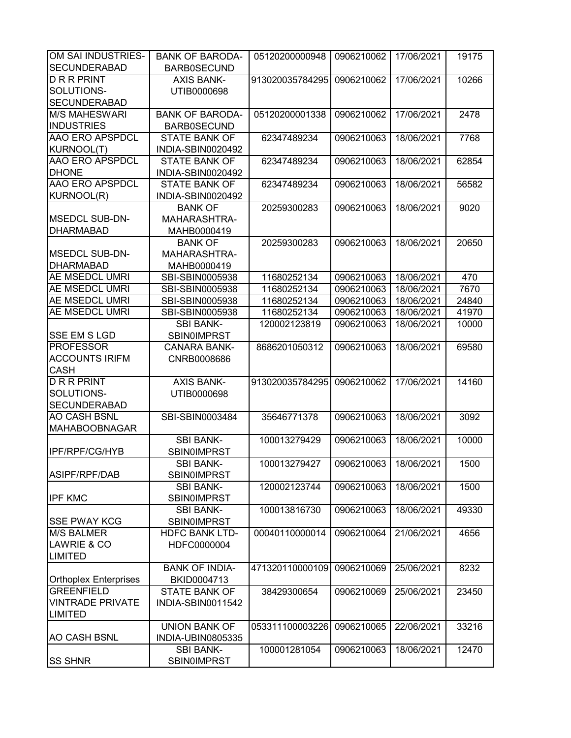| OM SAI INDUSTRIES-           | <b>BANK OF BARODA-</b> | 05120200000948  | 0906210062 | 17/06/2021 | 19175 |
|------------------------------|------------------------|-----------------|------------|------------|-------|
| <b>SECUNDERABAD</b>          | <b>BARB0SECUND</b>     |                 |            |            |       |
| <b>DRRPRINT</b>              | <b>AXIS BANK-</b>      | 913020035784295 | 0906210062 | 17/06/2021 | 10266 |
| SOLUTIONS-                   | UTIB0000698            |                 |            |            |       |
| <b>SECUNDERABAD</b>          |                        |                 |            |            |       |
| <b>M/S MAHESWARI</b>         | <b>BANK OF BARODA-</b> | 05120200001338  | 0906210062 | 17/06/2021 | 2478  |
| <b>INDUSTRIES</b>            | <b>BARB0SECUND</b>     |                 |            |            |       |
| <b>AAO ERO APSPDCL</b>       | <b>STATE BANK OF</b>   | 62347489234     | 0906210063 | 18/06/2021 | 7768  |
| <b>KURNOOL(T)</b>            | INDIA-SBIN0020492      |                 |            |            |       |
| <b>AAO ERO APSPDCL</b>       | <b>STATE BANK OF</b>   | 62347489234     | 0906210063 | 18/06/2021 | 62854 |
| <b>DHONE</b>                 | INDIA-SBIN0020492      |                 |            |            |       |
| <b>AAO ERO APSPDCL</b>       | <b>STATE BANK OF</b>   | 62347489234     | 0906210063 | 18/06/2021 | 56582 |
| KURNOOL(R)                   | INDIA-SBIN0020492      |                 |            |            |       |
|                              | <b>BANK OF</b>         | 20259300283     | 0906210063 | 18/06/2021 | 9020  |
| <b>MSEDCL SUB-DN-</b>        | MAHARASHTRA-           |                 |            |            |       |
| <b>DHARMABAD</b>             | MAHB0000419            |                 |            |            |       |
|                              | <b>BANK OF</b>         | 20259300283     | 0906210063 | 18/06/2021 | 20650 |
| <b>MSEDCL SUB-DN-</b>        | MAHARASHTRA-           |                 |            |            |       |
| <b>DHARMABAD</b>             | MAHB0000419            |                 |            |            |       |
| <b>AE MSEDCL UMRI</b>        | SBI-SBIN0005938        | 11680252134     | 0906210063 | 18/06/2021 | 470   |
| <b>AE MSEDCL UMRI</b>        | SBI-SBIN0005938        | 11680252134     | 0906210063 | 18/06/2021 | 7670  |
| <b>AE MSEDCL UMRI</b>        | SBI-SBIN0005938        | 11680252134     | 0906210063 | 18/06/2021 | 24840 |
| <b>AE MSEDCL UMRI</b>        | SBI-SBIN0005938        | 11680252134     | 0906210063 | 18/06/2021 | 41970 |
|                              | <b>SBI BANK-</b>       | 120002123819    | 0906210063 | 18/06/2021 | 10000 |
| <b>SSE EM S LGD</b>          | <b>SBIN0IMPRST</b>     |                 |            |            |       |
| <b>PROFESSOR</b>             | <b>CANARA BANK-</b>    | 8686201050312   | 0906210063 | 18/06/2021 | 69580 |
| <b>ACCOUNTS IRIFM</b>        | CNRB0008686            |                 |            |            |       |
| <b>CASH</b>                  |                        |                 |            |            |       |
| <b>DRRPRINT</b>              | <b>AXIS BANK-</b>      | 913020035784295 | 0906210062 | 17/06/2021 | 14160 |
| SOLUTIONS-                   | UTIB0000698            |                 |            |            |       |
| <b>SECUNDERABAD</b>          |                        |                 |            |            |       |
| <b>AO CASH BSNL</b>          | SBI-SBIN0003484        | 35646771378     | 0906210063 | 18/06/2021 | 3092  |
| <b>MAHABOOBNAGAR</b>         |                        |                 |            |            |       |
|                              | <b>SBI BANK-</b>       | 100013279429    | 0906210063 | 18/06/2021 | 10000 |
| <b>IPF/RPF/CG/HYB</b>        | <b>SBIN0IMPRST</b>     |                 |            |            |       |
|                              | SBI BANK-              | 100013279427    | 0906210063 | 18/06/2021 | 1500  |
| ASIPF/RPF/DAB                | <b>SBIN0IMPRST</b>     |                 |            |            |       |
|                              | <b>SBI BANK-</b>       | 120002123744    | 0906210063 | 18/06/2021 | 1500  |
| <b>IPF KMC</b>               | <b>SBIN0IMPRST</b>     |                 |            |            |       |
|                              | <b>SBI BANK-</b>       | 100013816730    | 0906210063 | 18/06/2021 | 49330 |
| <b>SSE PWAY KCG</b>          | <b>SBIN0IMPRST</b>     |                 |            |            |       |
| <b>M/S BALMER</b>            | <b>HDFC BANK LTD-</b>  | 00040110000014  | 0906210064 | 21/06/2021 | 4656  |
| LAWRIE & CO                  | HDFC0000004            |                 |            |            |       |
| <b>LIMITED</b>               |                        |                 |            |            |       |
|                              | <b>BANK OF INDIA-</b>  | 471320110000109 | 0906210069 | 25/06/2021 | 8232  |
| <b>Orthoplex Enterprises</b> | BKID0004713            |                 |            |            |       |
| <b>GREENFIELD</b>            | <b>STATE BANK OF</b>   | 38429300654     | 0906210069 | 25/06/2021 | 23450 |
| <b>VINTRADE PRIVATE</b>      | INDIA-SBIN0011542      |                 |            |            |       |
| <b>LIMITED</b>               |                        |                 |            |            |       |
|                              | <b>UNION BANK OF</b>   | 053311100003226 | 0906210065 | 22/06/2021 | 33216 |
| <b>AO CASH BSNL</b>          | INDIA-UBIN0805335      |                 |            |            |       |
|                              | <b>SBI BANK-</b>       | 100001281054    | 0906210063 | 18/06/2021 | 12470 |
| <b>SS SHNR</b>               | <b>SBIN0IMPRST</b>     |                 |            |            |       |
|                              |                        |                 |            |            |       |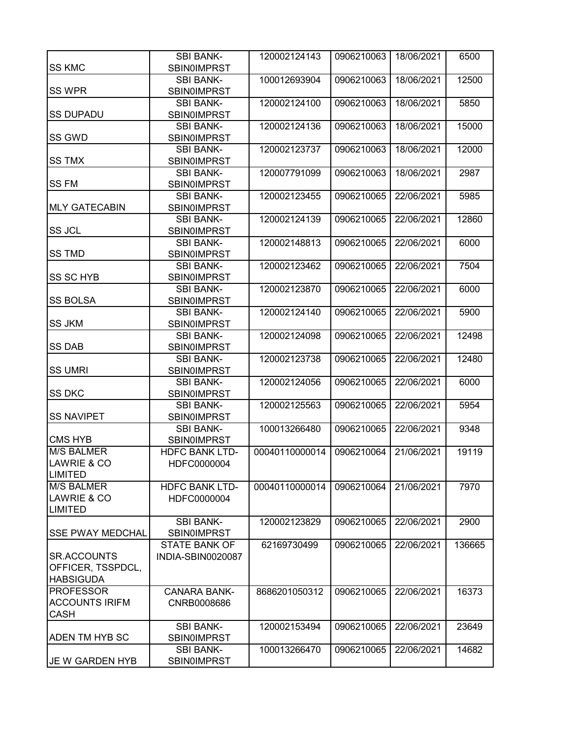|                         | <b>SBI BANK-</b>                       | 120002124143   | 0906210063 | 18/06/2021 | 6500   |
|-------------------------|----------------------------------------|----------------|------------|------------|--------|
| <b>SS KMC</b>           | <b>SBIN0IMPRST</b>                     |                |            |            |        |
| <b>SS WPR</b>           | <b>SBI BANK-</b><br><b>SBIN0IMPRST</b> | 100012693904   | 0906210063 | 18/06/2021 | 12500  |
|                         | <b>SBI BANK-</b>                       | 120002124100   | 0906210063 | 18/06/2021 | 5850   |
| <b>SS DUPADU</b>        | <b>SBIN0IMPRST</b>                     |                |            |            |        |
|                         | <b>SBI BANK-</b>                       | 120002124136   | 0906210063 | 18/06/2021 | 15000  |
| SS GWD                  | <b>SBIN0IMPRST</b>                     |                |            |            |        |
|                         | <b>SBI BANK-</b>                       | 120002123737   | 0906210063 | 18/06/2021 | 12000  |
| <b>SS TMX</b>           | <b>SBIN0IMPRST</b>                     |                |            |            |        |
|                         | <b>SBI BANK-</b>                       | 120007791099   | 0906210063 | 18/06/2021 | 2987   |
| <b>SS FM</b>            | <b>SBIN0IMPRST</b>                     |                |            |            |        |
|                         | <b>SBI BANK-</b>                       | 120002123455   | 0906210065 | 22/06/2021 | 5985   |
| <b>MLY GATECABIN</b>    | <b>SBIN0IMPRST</b>                     |                |            |            |        |
|                         | <b>SBI BANK-</b>                       | 120002124139   | 0906210065 | 22/06/2021 | 12860  |
| <b>SS JCL</b>           | <b>SBIN0IMPRST</b>                     |                |            |            |        |
|                         | <b>SBI BANK-</b>                       | 120002148813   | 0906210065 | 22/06/2021 | 6000   |
| <b>SS TMD</b>           | <b>SBIN0IMPRST</b>                     |                |            |            |        |
|                         | <b>SBI BANK-</b>                       | 120002123462   | 0906210065 | 22/06/2021 | 7504   |
| <b>SS SC HYB</b>        | <b>SBIN0IMPRST</b>                     |                |            |            |        |
|                         | <b>SBI BANK-</b>                       | 120002123870   | 0906210065 | 22/06/2021 | 6000   |
| <b>SS BOLSA</b>         | <b>SBIN0IMPRST</b>                     |                |            |            |        |
|                         | <b>SBI BANK-</b>                       | 120002124140   | 0906210065 | 22/06/2021 | 5900   |
| <b>SS JKM</b>           | <b>SBIN0IMPRST</b>                     |                |            |            |        |
|                         | <b>SBI BANK-</b>                       | 120002124098   | 0906210065 | 22/06/2021 | 12498  |
| <b>SS DAB</b>           | <b>SBIN0IMPRST</b>                     |                |            |            |        |
|                         | <b>SBI BANK-</b>                       | 120002123738   | 0906210065 | 22/06/2021 | 12480  |
| <b>SS UMRI</b>          | <b>SBIN0IMPRST</b>                     |                |            |            |        |
|                         | <b>SBI BANK-</b>                       | 120002124056   | 0906210065 | 22/06/2021 | 6000   |
| <b>SS DKC</b>           | <b>SBIN0IMPRST</b>                     |                |            |            |        |
|                         | <b>SBI BANK-</b>                       | 120002125563   | 0906210065 | 22/06/2021 | 5954   |
| <b>SS NAVIPET</b>       | SBIN0IMPRST                            |                |            |            |        |
|                         | <b>SBI BANK-</b>                       | 100013266480   | 0906210065 | 22/06/2021 | 9348   |
| <b>CMS HYB</b>          | <b>SBIN0IMPRST</b>                     |                |            |            |        |
| <b>M/S BALMER</b>       | <b>HDFC BANK LTD-</b>                  | 00040110000014 | 0906210064 | 21/06/2021 | 19119  |
| LAWRIE & CO             | HDFC0000004                            |                |            |            |        |
| <b>LIMITED</b>          |                                        |                |            |            |        |
| <b>M/S BALMER</b>       |                                        |                |            |            |        |
| LAWRIE & CO             | <b>HDFC BANK LTD-</b>                  | 00040110000014 | 0906210064 | 21/06/2021 | 7970   |
|                         | HDFC0000004                            |                |            |            |        |
| <b>LIMITED</b>          |                                        |                |            |            |        |
|                         | <b>SBI BANK-</b>                       | 120002123829   | 0906210065 | 22/06/2021 | 2900   |
| <b>SSE PWAY MEDCHAL</b> | <b>SBIN0IMPRST</b>                     |                |            |            |        |
|                         | <b>STATE BANK OF</b>                   | 62169730499    | 0906210065 | 22/06/2021 | 136665 |
| <b>SR.ACCOUNTS</b>      | INDIA-SBIN0020087                      |                |            |            |        |
| OFFICER, TSSPDCL,       |                                        |                |            |            |        |
| <b>HABSIGUDA</b>        |                                        |                |            |            |        |
| <b>PROFESSOR</b>        | <b>CANARA BANK-</b>                    | 8686201050312  | 0906210065 | 22/06/2021 | 16373  |
| <b>ACCOUNTS IRIFM</b>   | CNRB0008686                            |                |            |            |        |
| <b>CASH</b>             |                                        |                |            |            |        |
|                         | <b>SBI BANK-</b>                       | 120002153494   | 0906210065 | 22/06/2021 | 23649  |
| ADEN TM HYB SC          | <b>SBIN0IMPRST</b>                     |                |            |            |        |
|                         | <b>SBI BANK-</b>                       | 100013266470   | 0906210065 | 22/06/2021 | 14682  |
| <b>JE W GARDEN HYB</b>  | <b>SBIN0IMPRST</b>                     |                |            |            |        |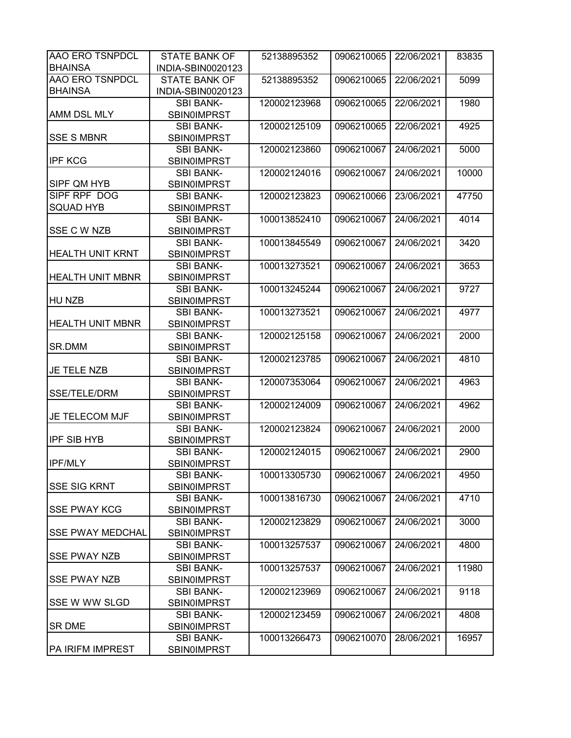| AAO ERO TSNPDCL         | <b>STATE BANK OF</b> | 52138895352  | 0906210065 | 22/06/2021 | 83835 |
|-------------------------|----------------------|--------------|------------|------------|-------|
| <b>BHAINSA</b>          | INDIA-SBIN0020123    |              |            |            |       |
| <b>AAO ERO TSNPDCL</b>  | <b>STATE BANK OF</b> | 52138895352  | 0906210065 | 22/06/2021 | 5099  |
| <b>BHAINSA</b>          | INDIA-SBIN0020123    |              |            |            |       |
|                         | <b>SBI BANK-</b>     | 120002123968 | 0906210065 | 22/06/2021 | 1980  |
| <b>AMM DSL MLY</b>      | <b>SBIN0IMPRST</b>   |              |            |            |       |
|                         | <b>SBI BANK-</b>     | 120002125109 | 0906210065 | 22/06/2021 | 4925  |
| <b>SSE S MBNR</b>       | <b>SBINOIMPRST</b>   |              |            |            |       |
|                         | <b>SBI BANK-</b>     | 120002123860 | 0906210067 | 24/06/2021 | 5000  |
| <b>IPF KCG</b>          | <b>SBIN0IMPRST</b>   |              |            |            |       |
|                         | <b>SBI BANK-</b>     | 120002124016 | 0906210067 | 24/06/2021 | 10000 |
| SIPF QM HYB             | <b>SBIN0IMPRST</b>   |              |            |            |       |
| SIPF RPF DOG            | <b>SBI BANK-</b>     | 120002123823 | 0906210066 | 23/06/2021 | 47750 |
| SQUAD HYB               | <b>SBIN0IMPRST</b>   |              |            |            |       |
|                         | <b>SBI BANK-</b>     | 100013852410 | 0906210067 | 24/06/2021 | 4014  |
| SSE C W NZB             | <b>SBIN0IMPRST</b>   |              |            |            |       |
|                         | <b>SBI BANK-</b>     | 100013845549 | 0906210067 | 24/06/2021 | 3420  |
| <b>HEALTH UNIT KRNT</b> | <b>SBIN0IMPRST</b>   |              |            |            |       |
|                         | <b>SBI BANK-</b>     | 100013273521 | 0906210067 | 24/06/2021 | 3653  |
| <b>HEALTH UNIT MBNR</b> | <b>SBIN0IMPRST</b>   |              |            |            |       |
|                         | <b>SBI BANK-</b>     | 100013245244 | 0906210067 | 24/06/2021 | 9727  |
| HU NZB                  | <b>SBIN0IMPRST</b>   |              |            |            |       |
|                         | <b>SBI BANK-</b>     | 100013273521 | 0906210067 | 24/06/2021 | 4977  |
| <b>HEALTH UNIT MBNR</b> | <b>SBIN0IMPRST</b>   |              |            |            |       |
|                         | <b>SBI BANK-</b>     | 120002125158 | 0906210067 | 24/06/2021 | 2000  |
| SR.DMM                  | <b>SBIN0IMPRST</b>   |              |            |            |       |
|                         | <b>SBI BANK-</b>     | 120002123785 | 0906210067 | 24/06/2021 | 4810  |
| <b>JE TELE NZB</b>      | SBIN0IMPRST          |              |            |            |       |
|                         | <b>SBI BANK-</b>     | 120007353064 | 0906210067 | 24/06/2021 | 4963  |
| <b>SSE/TELE/DRM</b>     | <b>SBIN0IMPRST</b>   |              |            |            |       |
|                         | <b>SBI BANK-</b>     | 120002124009 | 0906210067 | 24/06/2021 | 4962  |
| JE TELECOM MJF          | <b>SBIN0IMPRST</b>   |              |            |            |       |
|                         | <b>SBI BANK-</b>     | 120002123824 | 0906210067 | 24/06/2021 | 2000  |
| <b>IPF SIB HYB</b>      | <b>SBINOIMPRST</b>   |              |            |            |       |
|                         | <b>SBI BANK-</b>     | 120002124015 | 0906210067 | 24/06/2021 | 2900  |
| <b>IPF/MLY</b>          | <b>SBIN0IMPRST</b>   |              |            |            |       |
|                         | <b>SBI BANK-</b>     | 100013305730 | 0906210067 | 24/06/2021 | 4950  |
| <b>SSE SIG KRNT</b>     | <b>SBIN0IMPRST</b>   |              |            |            |       |
|                         | <b>SBI BANK-</b>     | 100013816730 | 0906210067 | 24/06/2021 | 4710  |
| <b>SSE PWAY KCG</b>     | <b>SBIN0IMPRST</b>   |              |            |            |       |
|                         | <b>SBI BANK-</b>     | 120002123829 | 0906210067 | 24/06/2021 | 3000  |
| <b>SSE PWAY MEDCHAL</b> | <b>SBIN0IMPRST</b>   |              |            |            |       |
|                         | <b>SBI BANK-</b>     | 100013257537 | 0906210067 | 24/06/2021 | 4800  |
| <b>SSE PWAY NZB</b>     | <b>SBIN0IMPRST</b>   |              |            |            |       |
|                         | <b>SBI BANK-</b>     | 100013257537 | 0906210067 | 24/06/2021 | 11980 |
| <b>SSE PWAY NZB</b>     | <b>SBIN0IMPRST</b>   |              |            |            |       |
|                         | <b>SBI BANK-</b>     | 120002123969 | 0906210067 | 24/06/2021 | 9118  |
| SSE W WW SLGD           | <b>SBIN0IMPRST</b>   |              |            |            |       |
|                         | <b>SBI BANK-</b>     | 120002123459 | 0906210067 | 24/06/2021 | 4808  |
| <b>SR DME</b>           | <b>SBIN0IMPRST</b>   |              |            |            |       |
|                         | <b>SBI BANK-</b>     | 100013266473 | 0906210070 | 28/06/2021 | 16957 |
| PA IRIFM IMPREST        | <b>SBIN0IMPRST</b>   |              |            |            |       |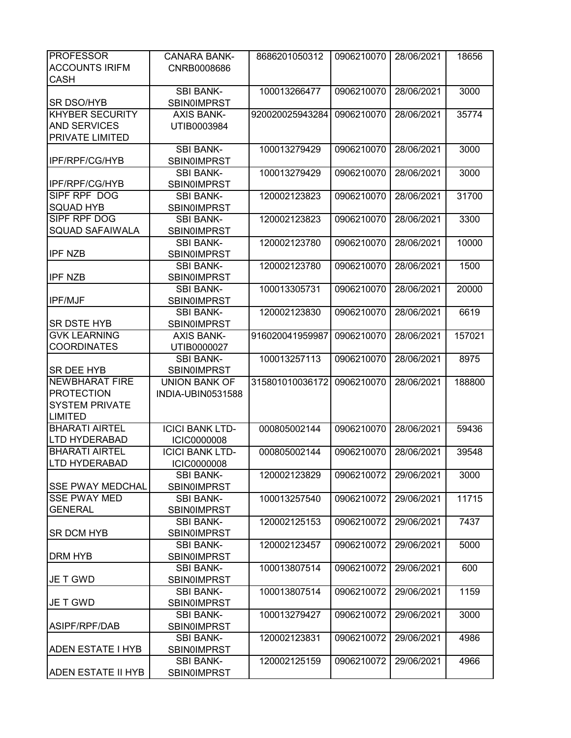| <b>PROFESSOR</b>          | <b>CANARA BANK-</b>    | 8686201050312   | 0906210070 | 28/06/2021 | 18656  |
|---------------------------|------------------------|-----------------|------------|------------|--------|
| <b>ACCOUNTS IRIFM</b>     | CNRB0008686            |                 |            |            |        |
| <b>CASH</b>               |                        |                 |            |            |        |
|                           | <b>SBI BANK-</b>       | 100013266477    | 0906210070 | 28/06/2021 | 3000   |
| SR DSO/HYB                | <b>SBIN0IMPRST</b>     |                 |            |            |        |
| <b>KHYBER SECURITY</b>    | <b>AXIS BANK-</b>      | 920020025943284 | 0906210070 | 28/06/2021 | 35774  |
| <b>AND SERVICES</b>       | UTIB0003984            |                 |            |            |        |
| PRIVATE LIMITED           |                        |                 |            |            |        |
|                           | <b>SBI BANK-</b>       | 100013279429    | 0906210070 | 28/06/2021 | 3000   |
| <b>IPF/RPF/CG/HYB</b>     | <b>SBIN0IMPRST</b>     |                 |            |            |        |
|                           | <b>SBI BANK-</b>       | 100013279429    | 0906210070 | 28/06/2021 | 3000   |
| IPF/RPF/CG/HYB            | <b>SBIN0IMPRST</b>     |                 |            |            |        |
| SIPF RPF DOG              |                        |                 | 0906210070 | 28/06/2021 | 31700  |
| <b>SQUAD HYB</b>          | <b>SBI BANK-</b>       | 120002123823    |            |            |        |
|                           | <b>SBIN0IMPRST</b>     |                 |            |            |        |
| <b>SIPF RPF DOG</b>       | <b>SBI BANK-</b>       | 120002123823    | 0906210070 | 28/06/2021 | 3300   |
| <b>SQUAD SAFAIWALA</b>    | <b>SBIN0IMPRST</b>     |                 |            |            |        |
|                           | <b>SBI BANK-</b>       | 120002123780    | 0906210070 | 28/06/2021 | 10000  |
| <b>IPF NZB</b>            | <b>SBIN0IMPRST</b>     |                 |            |            |        |
|                           | <b>SBI BANK-</b>       | 120002123780    | 0906210070 | 28/06/2021 | 1500   |
| <b>IPF NZB</b>            | <b>SBIN0IMPRST</b>     |                 |            |            |        |
|                           | <b>SBI BANK-</b>       | 100013305731    | 0906210070 | 28/06/2021 | 20000  |
| <b>IPF/MJF</b>            | <b>SBIN0IMPRST</b>     |                 |            |            |        |
|                           | <b>SBI BANK-</b>       | 120002123830    | 0906210070 | 28/06/2021 | 6619   |
| <b>SR DSTE HYB</b>        | <b>SBIN0IMPRST</b>     |                 |            |            |        |
| <b>GVK LEARNING</b>       | <b>AXIS BANK-</b>      | 916020041959987 | 0906210070 | 28/06/2021 | 157021 |
| <b>COORDINATES</b>        | UTIB0000027            |                 |            |            |        |
|                           | <b>SBI BANK-</b>       | 100013257113    | 0906210070 | 28/06/2021 | 8975   |
| <b>SR DEE HYB</b>         | SBIN0IMPRST            |                 |            |            |        |
| <b>NEWBHARAT FIRE</b>     | <b>UNION BANK OF</b>   | 315801010036172 | 0906210070 | 28/06/2021 | 188800 |
| <b>PROTECTION</b>         | INDIA-UBIN0531588      |                 |            |            |        |
| <b>SYSTEM PRIVATE</b>     |                        |                 |            |            |        |
| <b>LIMITED</b>            |                        |                 |            |            |        |
| <b>BHARATI AIRTEL</b>     | <b>ICICI BANK LTD-</b> | 000805002144    | 0906210070 | 28/06/2021 | 59436  |
| <b>LTD HYDERABAD</b>      | <b>ICIC0000008</b>     |                 |            |            |        |
| <b>BHARATI AIRTEL</b>     | <b>ICICI BANK LTD-</b> | 000805002144    | 0906210070 | 28/06/2021 | 39548  |
| <b>LTD HYDERABAD</b>      | <b>ICIC0000008</b>     |                 |            |            |        |
|                           | <b>SBI BANK-</b>       | 120002123829    | 0906210072 | 29/06/2021 | 3000   |
| <b>SSE PWAY MEDCHAL</b>   | <b>SBIN0IMPRST</b>     |                 |            |            |        |
| <b>SSE PWAY MED</b>       | <b>SBI BANK-</b>       | 100013257540    | 0906210072 | 29/06/2021 | 11715  |
| <b>GENERAL</b>            | <b>SBIN0IMPRST</b>     |                 |            |            |        |
|                           | <b>SBI BANK-</b>       | 120002125153    | 0906210072 | 29/06/2021 | 7437   |
|                           |                        |                 |            |            |        |
| SR DCM HYB                | <b>SBIN0IMPRST</b>     |                 |            |            |        |
|                           | <b>SBI BANK-</b>       | 120002123457    | 0906210072 | 29/06/2021 | 5000   |
| <b>DRM HYB</b>            | <b>SBINOIMPRST</b>     |                 |            |            |        |
|                           | <b>SBI BANK-</b>       | 100013807514    | 0906210072 | 29/06/2021 | 600    |
| JE T GWD                  | <b>SBINOIMPRST</b>     |                 |            |            |        |
|                           | <b>SBI BANK-</b>       | 100013807514    | 0906210072 | 29/06/2021 | 1159   |
| JE T GWD                  | <b>SBIN0IMPRST</b>     |                 |            |            |        |
|                           | <b>SBI BANK-</b>       | 100013279427    | 0906210072 | 29/06/2021 | 3000   |
| ASIPF/RPF/DAB             | <b>SBIN0IMPRST</b>     |                 |            |            |        |
|                           | <b>SBI BANK-</b>       | 120002123831    | 0906210072 | 29/06/2021 | 4986   |
| <b>ADEN ESTATE I HYB</b>  | <b>SBIN0IMPRST</b>     |                 |            |            |        |
|                           | <b>SBI BANK-</b>       | 120002125159    | 0906210072 | 29/06/2021 | 4966   |
| <b>ADEN ESTATE II HYB</b> | <b>SBINOIMPRST</b>     |                 |            |            |        |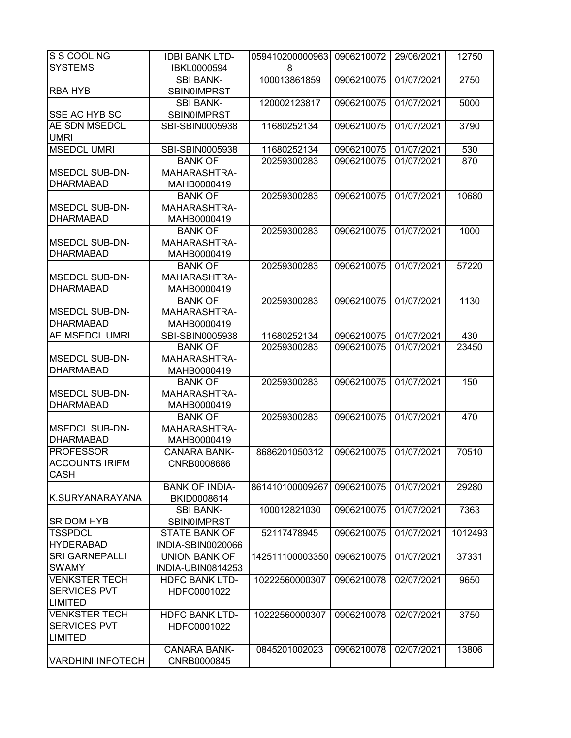| S S COOLING              | <b>IDBI BANK LTD-</b> | 059410200000963 | 0906210072 | 29/06/2021 | 12750   |
|--------------------------|-----------------------|-----------------|------------|------------|---------|
| <b>SYSTEMS</b>           | IBKL0000594           | 8               |            |            |         |
|                          | <b>SBI BANK-</b>      | 100013861859    | 0906210075 | 01/07/2021 | 2750    |
| <b>RBA HYB</b>           | <b>SBIN0IMPRST</b>    |                 |            |            |         |
|                          | <b>SBI BANK-</b>      | 120002123817    | 0906210075 | 01/07/2021 | 5000    |
| <b>SSE AC HYB SC</b>     | <b>SBIN0IMPRST</b>    |                 |            |            |         |
| <b>AE SDN MSEDCL</b>     | SBI-SBIN0005938       | 11680252134     | 0906210075 | 01/07/2021 | 3790    |
| <b>UMRI</b>              |                       |                 |            |            |         |
| <b>MSEDCL UMRI</b>       | SBI-SBIN0005938       | 11680252134     | 0906210075 | 01/07/2021 | 530     |
|                          | <b>BANK OF</b>        | 20259300283     | 0906210075 | 01/07/2021 | 870     |
| <b>MSEDCL SUB-DN-</b>    | <b>MAHARASHTRA-</b>   |                 |            |            |         |
| <b>DHARMABAD</b>         | MAHB0000419           |                 |            |            |         |
|                          | <b>BANK OF</b>        | 20259300283     | 0906210075 | 01/07/2021 | 10680   |
| <b>MSEDCL SUB-DN-</b>    | MAHARASHTRA-          |                 |            |            |         |
| <b>DHARMABAD</b>         | MAHB0000419           |                 |            |            |         |
|                          | <b>BANK OF</b>        | 20259300283     | 0906210075 | 01/07/2021 | 1000    |
| MSEDCL SUB-DN-           | MAHARASHTRA-          |                 |            |            |         |
| <b>DHARMABAD</b>         | MAHB0000419           |                 |            |            |         |
|                          | <b>BANK OF</b>        | 20259300283     | 0906210075 | 01/07/2021 | 57220   |
| <b>MSEDCL SUB-DN-</b>    | MAHARASHTRA-          |                 |            |            |         |
| <b>DHARMABAD</b>         | MAHB0000419           |                 |            |            |         |
|                          | <b>BANK OF</b>        | 20259300283     | 0906210075 | 01/07/2021 | 1130    |
| <b>MSEDCL SUB-DN-</b>    | MAHARASHTRA-          |                 |            |            |         |
| <b>DHARMABAD</b>         | MAHB0000419           |                 |            |            |         |
| <b>AE MSEDCL UMRI</b>    | SBI-SBIN0005938       | 11680252134     | 0906210075 | 01/07/2021 | 430     |
|                          | <b>BANK OF</b>        | 20259300283     | 0906210075 | 01/07/2021 | 23450   |
| <b>MSEDCL SUB-DN-</b>    | MAHARASHTRA-          |                 |            |            |         |
| <b>DHARMABAD</b>         | MAHB0000419           |                 |            |            |         |
|                          | <b>BANK OF</b>        | 20259300283     | 0906210075 | 01/07/2021 | 150     |
| MSEDCL SUB-DN-           | MAHARASHTRA-          |                 |            |            |         |
| <b>DHARMABAD</b>         | MAHB0000419           |                 |            |            |         |
|                          | <b>BANK OF</b>        | 20259300283     | 0906210075 | 01/07/2021 | 470     |
| <b>MSEDCL SUB-DN-</b>    | <b>MAHARASHTRA-</b>   |                 |            |            |         |
| <b>DHARMABAD</b>         | MAHB0000419           |                 |            |            |         |
| <b>PROFESSOR</b>         | <b>CANARA BANK-</b>   | 8686201050312   | 0906210075 | 01/07/2021 | 70510   |
| <b>ACCOUNTS IRIFM</b>    | CNRB0008686           |                 |            |            |         |
| <b>CASH</b>              |                       |                 |            |            |         |
|                          | <b>BANK OF INDIA-</b> | 861410100009267 | 0906210075 | 01/07/2021 | 29280   |
| K.SURYANARAYANA          | BKID0008614           |                 |            |            |         |
|                          | <b>SBI BANK-</b>      | 100012821030    | 0906210075 | 01/07/2021 | 7363    |
| <b>SR DOM HYB</b>        | <b>SBIN0IMPRST</b>    |                 |            |            |         |
| <b>TSSPDCL</b>           | <b>STATE BANK OF</b>  | 52117478945     | 0906210075 | 01/07/2021 | 1012493 |
| <b>HYDERABAD</b>         | INDIA-SBIN0020066     |                 |            |            |         |
| <b>SRI GARNEPALLI</b>    | <b>UNION BANK OF</b>  | 142511100003350 | 0906210075 | 01/07/2021 | 37331   |
| <b>SWAMY</b>             | INDIA-UBIN0814253     |                 |            |            |         |
| <b>VENKSTER TECH</b>     | <b>HDFC BANK LTD-</b> | 10222560000307  | 0906210078 | 02/07/2021 | 9650    |
| <b>SERVICES PVT</b>      | HDFC0001022           |                 |            |            |         |
| <b>LIMITED</b>           |                       |                 |            |            |         |
| <b>VENKSTER TECH</b>     | <b>HDFC BANK LTD-</b> | 10222560000307  | 0906210078 | 02/07/2021 | 3750    |
| <b>SERVICES PVT</b>      | HDFC0001022           |                 |            |            |         |
| <b>LIMITED</b>           |                       |                 |            |            |         |
|                          | <b>CANARA BANK-</b>   | 0845201002023   | 0906210078 | 02/07/2021 | 13806   |
| <b>VARDHINI INFOTECH</b> | CNRB0000845           |                 |            |            |         |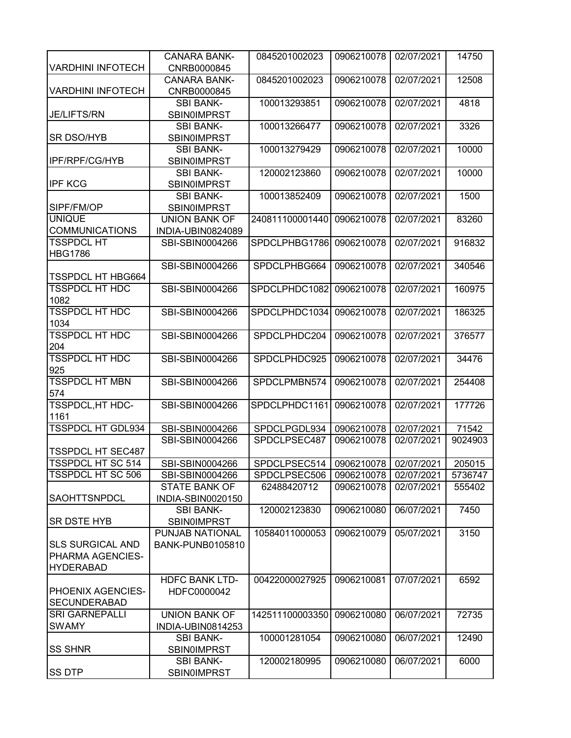| <b>VARDHINI INFOTECH</b>                                        | <b>CANARA BANK-</b><br>CNRB0000845         | 0845201002023                | 0906210078               | 02/07/2021               | 14750            |
|-----------------------------------------------------------------|--------------------------------------------|------------------------------|--------------------------|--------------------------|------------------|
| <b>VARDHINI INFOTECH</b>                                        | <b>CANARA BANK-</b><br>CNRB0000845         | 0845201002023                | 0906210078               | 02/07/2021               | 12508            |
| JE/LIFTS/RN                                                     | <b>SBI BANK-</b><br><b>SBIN0IMPRST</b>     | 100013293851                 | 0906210078               | 02/07/2021               | 4818             |
| <b>SR DSO/HYB</b>                                               | <b>SBI BANK-</b><br><b>SBINOIMPRST</b>     | 100013266477                 | 0906210078               | 02/07/2021               | 3326             |
| <b>IPF/RPF/CG/HYB</b>                                           | <b>SBI BANK-</b><br><b>SBIN0IMPRST</b>     | 100013279429                 | 0906210078               | 02/07/2021               | 10000            |
| <b>IPF KCG</b>                                                  | <b>SBI BANK-</b><br><b>SBIN0IMPRST</b>     | 120002123860                 | 0906210078               | 02/07/2021               | 10000            |
| SIPF/FM/OP                                                      | <b>SBI BANK-</b><br><b>SBIN0IMPRST</b>     | 100013852409                 | 0906210078               | 02/07/2021               | 1500             |
| <b>UNIQUE</b><br><b>COMMUNICATIONS</b>                          | <b>UNION BANK OF</b><br>INDIA-UBIN0824089  | 240811100001440              | 0906210078               | 02/07/2021               | 83260            |
| <b>TSSPDCL HT</b><br><b>HBG1786</b>                             | SBI-SBIN0004266                            | SPDCLPHBG1786                | 0906210078               | 02/07/2021               | 916832           |
| <b>TSSPDCL HT HBG664</b>                                        | SBI-SBIN0004266                            | SPDCLPHBG664                 | 0906210078               | 02/07/2021               | 340546           |
| <b>TSSPDCL HT HDC</b><br>1082                                   | SBI-SBIN0004266                            | SPDCLPHDC1082                | 0906210078               | 02/07/2021               | 160975           |
| <b>TSSPDCL HT HDC</b><br>1034                                   | SBI-SBIN0004266                            | SPDCLPHDC1034                | 0906210078               | 02/07/2021               | 186325           |
| <b>TSSPDCL HT HDC</b><br>204                                    | SBI-SBIN0004266                            | SPDCLPHDC204                 | 0906210078               | 02/07/2021               | 376577           |
| <b>TSSPDCL HT HDC</b><br>925                                    | SBI-SBIN0004266                            | SPDCLPHDC925                 | 0906210078               | 02/07/2021               | 34476            |
| <b>TSSPDCL HT MBN</b><br>574                                    | SBI-SBIN0004266                            | SPDCLPMBN574                 | 0906210078               | 02/07/2021               | 254408           |
| <b>TSSPDCL, HT HDC-</b><br>1161                                 | SBI-SBIN0004266                            | SPDCLPHDC1161                | 0906210078               | 02/07/2021               | 177726           |
| <b>TSSPDCL HT GDL934</b>                                        | SBI-SBIN0004266<br>SBI-SBIN0004266         | SPDCLPGDL934<br>SPDCLPSEC487 | 0906210078<br>0906210078 | 02/07/2021<br>02/07/2021 | 71542<br>9024903 |
| <b>TSSPDCL HT SEC487</b>                                        |                                            |                              |                          |                          |                  |
| <b>TSSPDCL HT SC 514</b>                                        | SBI-SBIN0004266                            | SPDCLPSEC514                 | 0906210078               | 02/07/2021               | 205015           |
| <b>TSSPDCL HT SC 506</b>                                        | SBI-SBIN0004266                            | SPDCLPSEC506                 | 0906210078               | 02/07/2021               | 5736747          |
| <b>SAOHTTSNPDCL</b>                                             | <b>STATE BANK OF</b><br>INDIA-SBIN0020150  | 62488420712                  | 0906210078               | 02/07/2021               | 555402           |
| <b>SR DSTE HYB</b>                                              | <b>SBI BANK-</b><br><b>SBIN0IMPRST</b>     | 120002123830                 | 0906210080               | 06/07/2021               | 7450             |
| <b>SLS SURGICAL AND</b><br>PHARMA AGENCIES-<br><b>HYDERABAD</b> | PUNJAB NATIONAL<br><b>BANK-PUNB0105810</b> | 10584011000053               | 0906210079               | 05/07/2021               | 3150             |
| <b>PHOENIX AGENCIES-</b><br><b>SECUNDERABAD</b>                 | <b>HDFC BANK LTD-</b><br>HDFC0000042       | 00422000027925               | 0906210081               | 07/07/2021               | 6592             |
| <b>SRI GARNEPALLI</b><br><b>SWAMY</b>                           | <b>UNION BANK OF</b><br>INDIA-UBIN0814253  | 142511100003350              | 0906210080               | 06/07/2021               | 72735            |
| <b>SS SHNR</b>                                                  | <b>SBI BANK-</b><br><b>SBIN0IMPRST</b>     | 100001281054                 | 0906210080               | 06/07/2021               | 12490            |
| <b>SS DTP</b>                                                   | <b>SBI BANK-</b><br><b>SBIN0IMPRST</b>     | 120002180995                 | 0906210080               | 06/07/2021               | 6000             |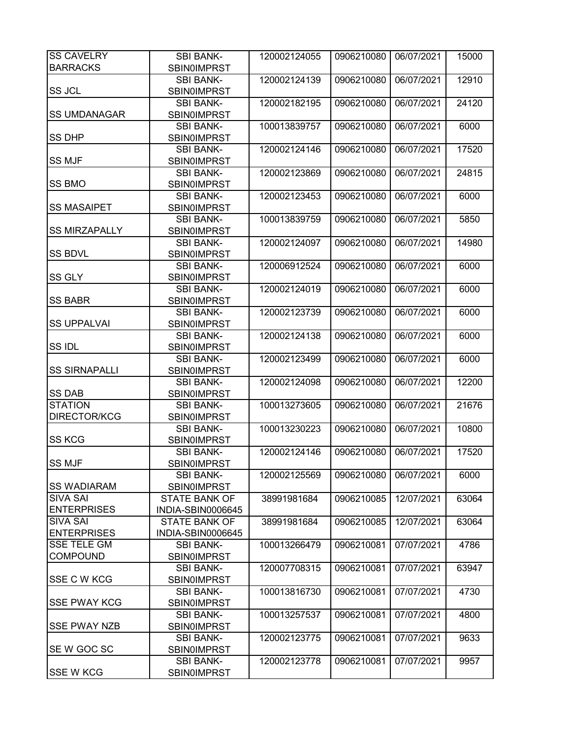| <b>SS CAVELRY</b>    | <b>SBI BANK-</b>                       | 120002124055 | 0906210080 | 06/07/2021 | 15000 |
|----------------------|----------------------------------------|--------------|------------|------------|-------|
| <b>BARRACKS</b>      | SBIN0IMPRST                            |              |            |            |       |
| <b>SS JCL</b>        | <b>SBI BANK-</b><br><b>SBIN0IMPRST</b> | 120002124139 | 0906210080 | 06/07/2021 | 12910 |
| <b>SS UMDANAGAR</b>  | <b>SBI BANK-</b><br><b>SBIN0IMPRST</b> | 120002182195 | 0906210080 | 06/07/2021 | 24120 |
| <b>SS DHP</b>        | <b>SBI BANK-</b>                       | 100013839757 | 0906210080 | 06/07/2021 | 6000  |
|                      | <b>SBINOIMPRST</b><br><b>SBI BANK-</b> | 120002124146 | 0906210080 | 06/07/2021 | 17520 |
| <b>SS MJF</b>        | <b>SBIN0IMPRST</b>                     |              |            |            |       |
|                      | <b>SBI BANK-</b>                       | 120002123869 | 0906210080 | 06/07/2021 | 24815 |
| <b>SS BMO</b>        | <b>SBIN0IMPRST</b>                     |              |            |            |       |
|                      | <b>SBI BANK-</b>                       | 120002123453 | 0906210080 | 06/07/2021 | 6000  |
| <b>SS MASAIPET</b>   | <b>SBIN0IMPRST</b>                     |              |            |            |       |
|                      | <b>SBI BANK-</b>                       | 100013839759 | 0906210080 | 06/07/2021 | 5850  |
| <b>SS MIRZAPALLY</b> | <b>SBIN0IMPRST</b>                     |              |            |            |       |
|                      | <b>SBI BANK-</b>                       | 120002124097 | 0906210080 | 06/07/2021 | 14980 |
| <b>SS BDVL</b>       | <b>SBIN0IMPRST</b>                     |              |            |            |       |
|                      | <b>SBI BANK-</b>                       | 120006912524 | 0906210080 | 06/07/2021 | 6000  |
| SS GLY               | <b>SBIN0IMPRST</b>                     |              |            |            |       |
|                      | <b>SBI BANK-</b>                       | 120002124019 | 0906210080 | 06/07/2021 | 6000  |
| <b>SS BABR</b>       | <b>SBIN0IMPRST</b>                     |              |            |            |       |
|                      | <b>SBI BANK-</b>                       | 120002123739 | 0906210080 | 06/07/2021 | 6000  |
| <b>SS UPPALVAI</b>   | <b>SBIN0IMPRST</b>                     |              |            |            |       |
|                      | <b>SBI BANK-</b>                       | 120002124138 | 0906210080 | 06/07/2021 | 6000  |
| SS IDL               | <b>SBIN0IMPRST</b>                     |              |            |            |       |
|                      | <b>SBI BANK-</b>                       | 120002123499 | 0906210080 | 06/07/2021 | 6000  |
| <b>SS SIRNAPALLI</b> |                                        |              |            |            |       |
|                      | <b>SBIN0IMPRST</b>                     | 120002124098 | 0906210080 | 06/07/2021 | 12200 |
| <b>SS DAB</b>        | <b>SBI BANK-</b>                       |              |            |            |       |
| <b>STATION</b>       | <b>SBIN0IMPRST</b>                     |              |            |            | 21676 |
| <b>DIRECTOR/KCG</b>  | <b>SBI BANK-</b>                       | 100013273605 | 0906210080 | 06/07/2021 |       |
|                      | <b>SBINOIMPRST</b><br><b>SBI BANK-</b> | 100013230223 | 0906210080 | 06/07/2021 | 10800 |
| <b>SS KCG</b>        |                                        |              |            |            |       |
|                      | <b>SBINOIMPRST</b><br><b>SBI BANK-</b> | 120002124146 | 0906210080 | 06/07/2021 | 17520 |
| <b>SS MJF</b>        | SBIN0IMPRST                            |              |            |            |       |
|                      | <b>SBI BANK-</b>                       | 120002125569 |            | 06/07/2021 | 6000  |
| <b>SS WADIARAM</b>   | <b>SBIN0IMPRST</b>                     |              | 0906210080 |            |       |
| <b>SIVA SAI</b>      | <b>STATE BANK OF</b>                   | 38991981684  | 0906210085 | 12/07/2021 | 63064 |
| <b>ENTERPRISES</b>   | INDIA-SBIN0006645                      |              |            |            |       |
| <b>SIVA SAI</b>      | <b>STATE BANK OF</b>                   | 38991981684  | 0906210085 | 12/07/2021 | 63064 |
| <b>ENTERPRISES</b>   | INDIA-SBIN0006645                      |              |            |            |       |
| <b>SSE TELE GM</b>   | <b>SBI BANK-</b>                       | 100013266479 | 0906210081 | 07/07/2021 | 4786  |
| <b>COMPOUND</b>      | <b>SBIN0IMPRST</b>                     |              |            |            |       |
|                      | <b>SBI BANK-</b>                       | 120007708315 | 0906210081 | 07/07/2021 | 63947 |
| <b>SSE C W KCG</b>   | <b>SBIN0IMPRST</b>                     |              |            |            |       |
|                      | <b>SBI BANK-</b>                       | 100013816730 | 0906210081 | 07/07/2021 | 4730  |
| <b>SSE PWAY KCG</b>  | <b>SBINOIMPRST</b>                     |              |            |            |       |
|                      |                                        | 100013257537 | 0906210081 | 07/07/2021 | 4800  |
| <b>SSE PWAY NZB</b>  | <b>SBI BANK-</b><br><b>SBIN0IMPRST</b> |              |            |            |       |
|                      |                                        |              |            |            |       |
|                      | <b>SBI BANK-</b>                       | 120002123775 | 0906210081 | 07/07/2021 | 9633  |
| SE W GOC SC          | <b>SBIN0IMPRST</b>                     |              |            |            |       |
|                      | <b>SBI BANK-</b>                       | 120002123778 | 0906210081 | 07/07/2021 | 9957  |
| <b>SSE W KCG</b>     | <b>SBIN0IMPRST</b>                     |              |            |            |       |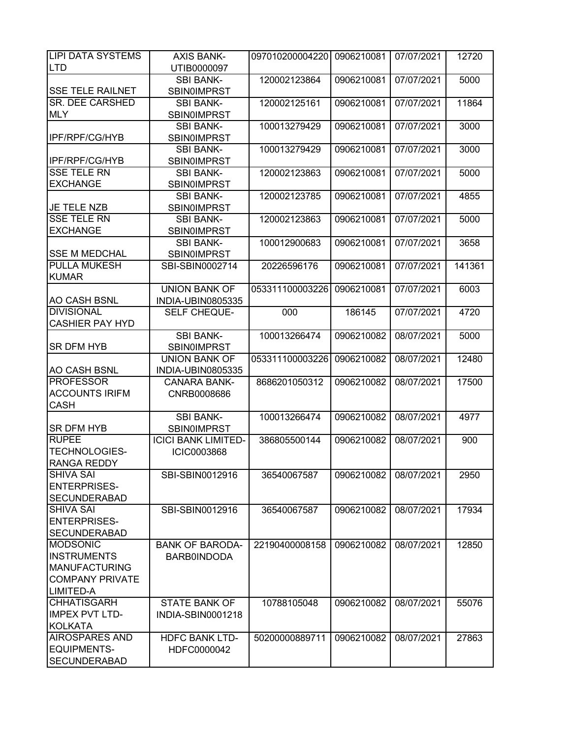| <b>LIPI DATA SYSTEMS</b>                    | <b>AXIS BANK-</b>          | 097010200004220 | 0906210081 | 07/07/2021 | 12720  |
|---------------------------------------------|----------------------------|-----------------|------------|------------|--------|
| <b>LTD</b>                                  | UTIB0000097                |                 |            |            |        |
|                                             | <b>SBI BANK-</b>           | 120002123864    | 0906210081 | 07/07/2021 | 5000   |
| <b>SSE TELE RAILNET</b>                     | <b>SBIN0IMPRST</b>         |                 |            |            |        |
| <b>SR. DEE CARSHED</b>                      | <b>SBI BANK-</b>           | 120002125161    | 0906210081 | 07/07/2021 | 11864  |
| <b>MLY</b>                                  | <b>SBIN0IMPRST</b>         |                 |            |            |        |
|                                             | <b>SBI BANK-</b>           | 100013279429    | 0906210081 | 07/07/2021 | 3000   |
| <b>IPF/RPF/CG/HYB</b>                       | <b>SBIN0IMPRST</b>         |                 |            |            |        |
|                                             | <b>SBI BANK-</b>           | 100013279429    | 0906210081 | 07/07/2021 | 3000   |
| IPF/RPF/CG/HYB                              | <b>SBIN0IMPRST</b>         |                 |            |            |        |
| <b>SSE TELE RN</b>                          | <b>SBI BANK-</b>           | 120002123863    | 0906210081 | 07/07/2021 | 5000   |
| <b>EXCHANGE</b>                             | <b>SBIN0IMPRST</b>         |                 |            |            |        |
|                                             | <b>SBI BANK-</b>           | 120002123785    | 0906210081 | 07/07/2021 | 4855   |
| <b>JE TELE NZB</b>                          | <b>SBIN0IMPRST</b>         |                 |            |            |        |
| <b>SSE TELE RN</b>                          | <b>SBI BANK-</b>           | 120002123863    | 0906210081 | 07/07/2021 | 5000   |
| <b>EXCHANGE</b>                             | <b>SBIN0IMPRST</b>         |                 |            |            |        |
|                                             | <b>SBI BANK-</b>           | 100012900683    | 0906210081 | 07/07/2021 | 3658   |
| <b>SSE M MEDCHAL</b><br><b>PULLA MUKESH</b> | <b>SBIN0IMPRST</b>         |                 |            |            |        |
|                                             | SBI-SBIN0002714            | 20226596176     | 0906210081 | 07/07/2021 | 141361 |
| <b>KUMAR</b>                                | <b>UNION BANK OF</b>       |                 |            |            |        |
| <b>AO CASH BSNL</b>                         | INDIA-UBIN0805335          | 053311100003226 | 0906210081 | 07/07/2021 | 6003   |
| <b>DIVISIONAL</b>                           | SELF CHEQUE-               | 000             | 186145     | 07/07/2021 | 4720   |
| <b>CASHIER PAY HYD</b>                      |                            |                 |            |            |        |
|                                             | <b>SBI BANK-</b>           | 100013266474    | 0906210082 | 08/07/2021 | 5000   |
| <b>SR DFM HYB</b>                           | <b>SBIN0IMPRST</b>         |                 |            |            |        |
|                                             | <b>UNION BANK OF</b>       | 053311100003226 | 0906210082 | 08/07/2021 | 12480  |
| <b>AO CASH BSNL</b>                         | INDIA-UBIN0805335          |                 |            |            |        |
| <b>PROFESSOR</b>                            | <b>CANARA BANK-</b>        | 8686201050312   | 0906210082 | 08/07/2021 | 17500  |
| <b>ACCOUNTS IRIFM</b>                       | CNRB0008686                |                 |            |            |        |
| <b>CASH</b>                                 |                            |                 |            |            |        |
|                                             | <b>SBI BANK-</b>           | 100013266474    | 0906210082 | 08/07/2021 | 4977   |
| <b>SR DFM HYB</b>                           | <b>SBIN0IMPRST</b>         |                 |            |            |        |
| <b>RUPEE</b>                                | <b>ICICI BANK LIMITED-</b> | 386805500144    | 0906210082 | 08/07/2021 | 900    |
| <b>TECHNOLOGIES-</b>                        | <b>ICIC0003868</b>         |                 |            |            |        |
| <b>RANGA REDDY</b>                          |                            |                 |            |            |        |
| <b>SHIVA SAI</b>                            | SBI-SBIN0012916            | 36540067587     | 0906210082 | 08/07/2021 | 2950   |
| <b>ENTERPRISES-</b>                         |                            |                 |            |            |        |
| <b>SECUNDERABAD</b>                         |                            |                 |            |            |        |
| <b>SHIVA SAI</b>                            | SBI-SBIN0012916            | 36540067587     | 0906210082 | 08/07/2021 | 17934  |
| <b>ENTERPRISES-</b>                         |                            |                 |            |            |        |
| <b>SECUNDERABAD</b>                         |                            |                 |            |            |        |
| <b>MODSONIC</b>                             | <b>BANK OF BARODA-</b>     | 22190400008158  | 0906210082 | 08/07/2021 | 12850  |
| <b>INSTRUMENTS</b>                          | <b>BARB0INDODA</b>         |                 |            |            |        |
| <b>MANUFACTURING</b>                        |                            |                 |            |            |        |
| <b>COMPANY PRIVATE</b>                      |                            |                 |            |            |        |
| LIMITED-A                                   |                            |                 |            |            |        |
| <b>CHHATISGARH</b>                          | <b>STATE BANK OF</b>       | 10788105048     | 0906210082 | 08/07/2021 | 55076  |
| <b>IMPEX PVT LTD-</b>                       | INDIA-SBIN0001218          |                 |            |            |        |
| <b>KOLKATA</b>                              |                            |                 |            |            |        |
| <b>AIROSPARES AND</b>                       | <b>HDFC BANK LTD-</b>      | 50200000889711  | 0906210082 | 08/07/2021 | 27863  |
| <b>EQUIPMENTS-</b>                          | HDFC0000042                |                 |            |            |        |
| <b>SECUNDERABAD</b>                         |                            |                 |            |            |        |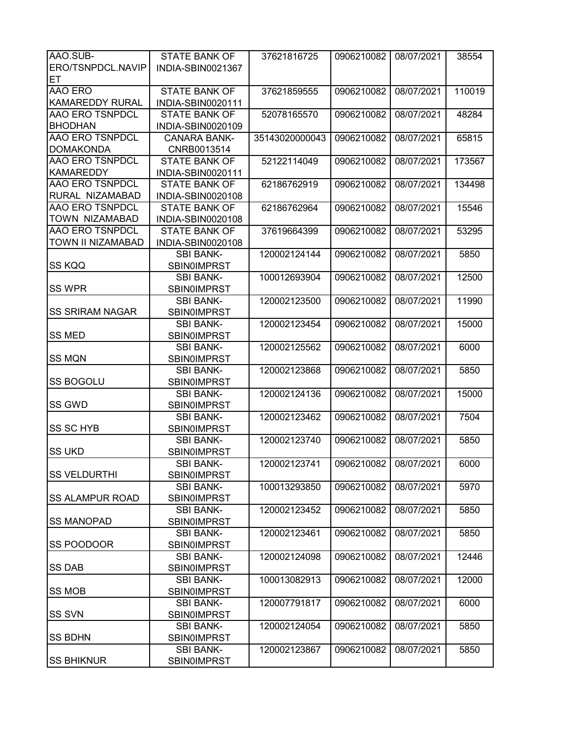| AAO.SUB-               | <b>STATE BANK OF</b> | 37621816725    | 0906210082 | 08/07/2021 | 38554  |
|------------------------|----------------------|----------------|------------|------------|--------|
| ERO/TSNPDCL.NAVIP      | INDIA-SBIN0021367    |                |            |            |        |
| ET                     |                      |                |            |            |        |
| AAO ERO                | <b>STATE BANK OF</b> | 37621859555    | 0906210082 | 08/07/2021 | 110019 |
| <b>KAMAREDDY RURAL</b> |                      |                |            |            |        |
| <b>AAO ERO TSNPDCL</b> | INDIA-SBIN0020111    |                |            |            |        |
|                        | <b>STATE BANK OF</b> | 52078165570    | 0906210082 | 08/07/2021 | 48284  |
| <b>BHODHAN</b>         | INDIA-SBIN0020109    |                |            |            |        |
| <b>AAO ERO TSNPDCL</b> | <b>CANARA BANK-</b>  | 35143020000043 | 0906210082 | 08/07/2021 | 65815  |
| <b>DOMAKONDA</b>       | CNRB0013514          |                |            |            |        |
| <b>AAO ERO TSNPDCL</b> | <b>STATE BANK OF</b> | 52122114049    | 0906210082 | 08/07/2021 | 173567 |
| <b>KAMAREDDY</b>       | INDIA-SBIN0020111    |                |            |            |        |
| <b>AAO ERO TSNPDCL</b> | <b>STATE BANK OF</b> | 62186762919    | 0906210082 | 08/07/2021 | 134498 |
| RURAL NIZAMABAD        | INDIA-SBIN0020108    |                |            |            |        |
| <b>AAO ERO TSNPDCL</b> | <b>STATE BANK OF</b> | 62186762964    | 0906210082 | 08/07/2021 | 15546  |
| <b>TOWN NIZAMABAD</b>  | INDIA-SBIN0020108    |                |            |            |        |
| <b>AAO ERO TSNPDCL</b> | <b>STATE BANK OF</b> | 37619664399    | 0906210082 | 08/07/2021 | 53295  |
| TOWN II NIZAMABAD      | INDIA-SBIN0020108    |                |            |            |        |
|                        | <b>SBI BANK-</b>     | 120002124144   | 0906210082 | 08/07/2021 | 5850   |
| SS KQQ                 | <b>SBIN0IMPRST</b>   |                |            |            |        |
|                        | <b>SBI BANK-</b>     | 100012693904   | 0906210082 | 08/07/2021 | 12500  |
| <b>SS WPR</b>          | <b>SBIN0IMPRST</b>   |                |            |            |        |
|                        | <b>SBI BANK-</b>     | 120002123500   | 0906210082 | 08/07/2021 | 11990  |
| <b>SS SRIRAM NAGAR</b> | <b>SBIN0IMPRST</b>   |                |            |            |        |
|                        | <b>SBI BANK-</b>     | 120002123454   | 0906210082 | 08/07/2021 | 15000  |
| <b>SS MED</b>          | <b>SBIN0IMPRST</b>   |                |            |            |        |
|                        |                      |                |            |            |        |
|                        | <b>SBI BANK-</b>     | 120002125562   | 0906210082 | 08/07/2021 | 6000   |
| <b>SS MQN</b>          | <b>SBIN0IMPRST</b>   |                |            |            |        |
|                        | <b>SBI BANK-</b>     | 120002123868   | 0906210082 | 08/07/2021 | 5850   |
| <b>SS BOGOLU</b>       | SBIN0IMPRST          |                |            |            |        |
|                        | <b>SBI BANK-</b>     | 120002124136   | 0906210082 | 08/07/2021 | 15000  |
| <b>SS GWD</b>          | <b>SBIN0IMPRST</b>   |                |            |            |        |
|                        | <b>SBI BANK-</b>     | 120002123462   | 0906210082 | 08/07/2021 | 7504   |
| <b>SS SC HYB</b>       | <b>SBIN0IMPRST</b>   |                |            |            |        |
|                        | <b>SBI BANK-</b>     | 120002123740   | 0906210082 | 08/07/2021 | 5850   |
| <b>SS UKD</b>          | <b>SBIN0IMPRST</b>   |                |            |            |        |
|                        | SBI BANK-            | 120002123741   | 0906210082 | 08/07/2021 | 6000   |
| <b>SS VELDURTHI</b>    | <b>SBIN0IMPRST</b>   |                |            |            |        |
|                        | <b>SBI BANK-</b>     | 100013293850   | 0906210082 | 08/07/2021 | 5970   |
| <b>SS ALAMPUR ROAD</b> | <b>SBIN0IMPRST</b>   |                |            |            |        |
|                        | <b>SBI BANK-</b>     | 120002123452   | 0906210082 | 08/07/2021 | 5850   |
| <b>SS MANOPAD</b>      | SBIN0IMPRST          |                |            |            |        |
|                        | <b>SBI BANK-</b>     | 120002123461   | 0906210082 | 08/07/2021 | 5850   |
| SS POODOOR             | <b>SBIN0IMPRST</b>   |                |            |            |        |
|                        | <b>SBI BANK-</b>     | 120002124098   | 0906210082 | 08/07/2021 | 12446  |
| <b>SS DAB</b>          | <b>SBIN0IMPRST</b>   |                |            |            |        |
|                        | <b>SBI BANK-</b>     | 100013082913   | 0906210082 | 08/07/2021 | 12000  |
| <b>SS MOB</b>          | <b>SBIN0IMPRST</b>   |                |            |            |        |
|                        |                      |                |            |            |        |
|                        | <b>SBI BANK-</b>     | 120007791817   | 0906210082 | 08/07/2021 | 6000   |
| <b>SS SVN</b>          | <b>SBIN0IMPRST</b>   |                |            |            |        |
|                        | <b>SBI BANK-</b>     | 120002124054   | 0906210082 | 08/07/2021 | 5850   |
| <b>SS BDHN</b>         | <b>SBIN0IMPRST</b>   |                |            |            |        |
|                        | <b>SBI BANK-</b>     | 120002123867   | 0906210082 | 08/07/2021 | 5850   |
| <b>SS BHIKNUR</b>      | <b>SBIN0IMPRST</b>   |                |            |            |        |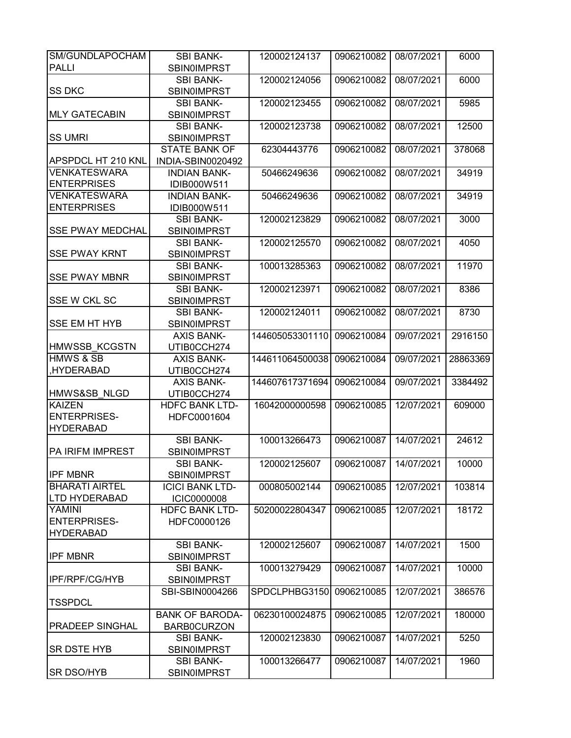| SM/GUNDLAPOCHAM         | <b>SBI BANK-</b>       | 120002124137    | 0906210082 | 08/07/2021 | 6000     |
|-------------------------|------------------------|-----------------|------------|------------|----------|
| <b>PALLI</b>            | SBIN0IMPRST            |                 |            |            |          |
|                         | <b>SBI BANK-</b>       | 120002124056    | 0906210082 | 08/07/2021 | 6000     |
| <b>SS DKC</b>           | <b>SBIN0IMPRST</b>     |                 |            |            |          |
|                         | <b>SBI BANK-</b>       | 120002123455    | 0906210082 | 08/07/2021 | 5985     |
|                         |                        |                 |            |            |          |
| <b>MLY GATECABIN</b>    | <b>SBIN0IMPRST</b>     |                 |            |            |          |
|                         | <b>SBI BANK-</b>       | 120002123738    | 0906210082 | 08/07/2021 | 12500    |
| <b>SS UMRI</b>          | <b>SBINOIMPRST</b>     |                 |            |            |          |
|                         | <b>STATE BANK OF</b>   | 62304443776     | 0906210082 | 08/07/2021 | 378068   |
| APSPDCL HT 210 KNL      | INDIA-SBIN0020492      |                 |            |            |          |
| <b>VENKATESWARA</b>     | <b>INDIAN BANK-</b>    | 50466249636     | 0906210082 | 08/07/2021 | 34919    |
| <b>ENTERPRISES</b>      | IDIB000W511            |                 |            |            |          |
| <b>VENKATESWARA</b>     | <b>INDIAN BANK-</b>    | 50466249636     | 0906210082 | 08/07/2021 | 34919    |
| <b>ENTERPRISES</b>      | IDIB000W511            |                 |            |            |          |
|                         | <b>SBI BANK-</b>       | 120002123829    | 0906210082 | 08/07/2021 | 3000     |
| <b>SSE PWAY MEDCHAL</b> | <b>SBIN0IMPRST</b>     |                 |            |            |          |
|                         | <b>SBI BANK-</b>       | 120002125570    | 0906210082 | 08/07/2021 | 4050     |
| <b>SSE PWAY KRNT</b>    | <b>SBIN0IMPRST</b>     |                 |            |            |          |
|                         | <b>SBI BANK-</b>       | 100013285363    | 0906210082 | 08/07/2021 | 11970    |
| <b>SSE PWAY MBNR</b>    | <b>SBINOIMPRST</b>     |                 |            |            |          |
|                         | <b>SBI BANK-</b>       | 120002123971    | 0906210082 | 08/07/2021 | 8386     |
| SSE W CKL SC            | <b>SBIN0IMPRST</b>     |                 |            |            |          |
|                         | <b>SBI BANK-</b>       | 120002124011    | 0906210082 | 08/07/2021 | 8730     |
| <b>SSE EM HT HYB</b>    | <b>SBIN0IMPRST</b>     |                 |            |            |          |
|                         | <b>AXIS BANK-</b>      | 144605053301110 | 0906210084 | 09/07/2021 | 2916150  |
| <b>HMWSSB KCGSTN</b>    | UTIB0CCH274            |                 |            |            |          |
| <b>HMWS &amp; SB</b>    | <b>AXIS BANK-</b>      | 144611064500038 | 0906210084 | 09/07/2021 | 28863369 |
| HYDERABAD,              | UTIB0CCH274            |                 |            |            |          |
|                         | <b>AXIS BANK-</b>      | 144607617371694 | 0906210084 | 09/07/2021 | 3384492  |
| HMWS&SB NLGD            | UTIB0CCH274            |                 |            |            |          |
| <b>KAIZEN</b>           | <b>HDFC BANK LTD-</b>  | 16042000000598  | 0906210085 | 12/07/2021 | 609000   |
| <b>ENTERPRISES-</b>     | HDFC0001604            |                 |            |            |          |
| <b>HYDERABAD</b>        |                        |                 |            |            |          |
|                         | <b>SBI BANK-</b>       |                 | 0906210087 |            | 24612    |
|                         |                        | 100013266473    |            | 14/07/2021 |          |
| <b>PA IRIFM IMPREST</b> | <b>SBIN0IMPRST</b>     |                 |            |            |          |
|                         | SBI BANK-              | 120002125607    | 0906210087 | 14/07/2021 | 10000    |
| <b>IPF MBNR</b>         | <b>SBIN0IMPRST</b>     |                 |            |            |          |
| <b>BHARATI AIRTEL</b>   | <b>ICICI BANK LTD-</b> | 000805002144    | 0906210085 | 12/07/2021 | 103814   |
| <b>LTD HYDERABAD</b>    | <b>ICIC0000008</b>     |                 |            |            |          |
| YAMINI                  | <b>HDFC BANK LTD-</b>  | 50200022804347  | 0906210085 | 12/07/2021 | 18172    |
| <b>ENTERPRISES-</b>     | HDFC0000126            |                 |            |            |          |
| <b>HYDERABAD</b>        |                        |                 |            |            |          |
|                         | <b>SBI BANK-</b>       | 120002125607    | 0906210087 | 14/07/2021 | 1500     |
| <b>IPF MBNR</b>         | <b>SBINOIMPRST</b>     |                 |            |            |          |
|                         | <b>SBI BANK-</b>       | 100013279429    | 0906210087 | 14/07/2021 | 10000    |
| <b>IPF/RPF/CG/HYB</b>   | <b>SBIN0IMPRST</b>     |                 |            |            |          |
|                         | SBI-SBIN0004266        | SPDCLPHBG3150   | 0906210085 | 12/07/2021 | 386576   |
| <b>TSSPDCL</b>          |                        |                 |            |            |          |
|                         | <b>BANK OF BARODA-</b> | 06230100024875  | 0906210085 | 12/07/2021 | 180000   |
| PRADEEP SINGHAL         | <b>BARB0CURZON</b>     |                 |            |            |          |
|                         | <b>SBI BANK-</b>       | 120002123830    | 0906210087 | 14/07/2021 | 5250     |
| <b>SR DSTE HYB</b>      | <b>SBIN0IMPRST</b>     |                 |            |            |          |
|                         | <b>SBI BANK-</b>       | 100013266477    | 0906210087 | 14/07/2021 | 1960     |
| <b>SR DSO/HYB</b>       | <b>SBINOIMPRST</b>     |                 |            |            |          |
|                         |                        |                 |            |            |          |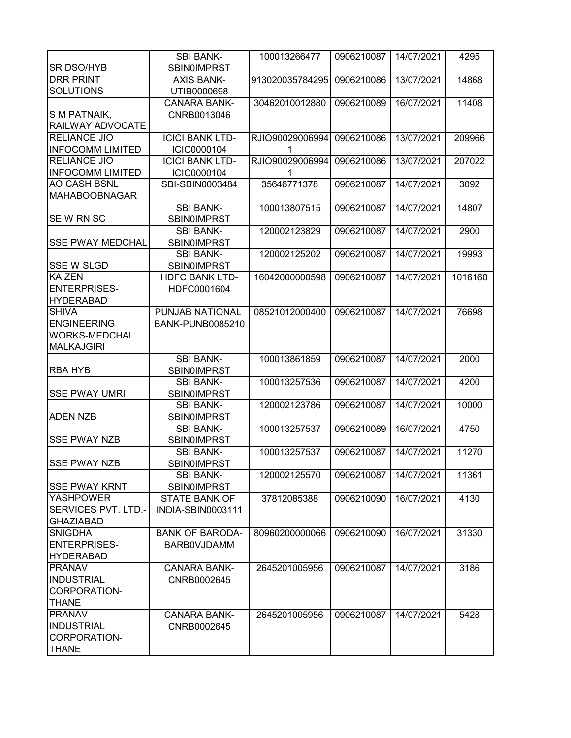|                              | <b>SBI BANK-</b>        | 100013266477    | 0906210087 | 14/07/2021 | 4295    |
|------------------------------|-------------------------|-----------------|------------|------------|---------|
| <b>SR DSO/HYB</b>            | <b>SBIN0IMPRST</b>      |                 |            |            |         |
| <b>DRR PRINT</b>             | <b>AXIS BANK-</b>       | 913020035784295 | 0906210086 | 13/07/2021 | 14868   |
| <b>SOLUTIONS</b>             | UTIB0000698             |                 |            |            |         |
|                              | <b>CANARA BANK-</b>     | 30462010012880  | 0906210089 | 16/07/2021 | 11408   |
| S M PATNAIK,                 | CNRB0013046             |                 |            |            |         |
| RAILWAY ADVOCATE             |                         |                 |            |            |         |
| <b>RELIANCE JIO</b>          | <b>ICICI BANK LTD-</b>  | RJIO90029006994 | 0906210086 | 13/07/2021 | 209966  |
| <b>INFOCOMM LIMITED</b>      | ICIC0000104             |                 |            |            |         |
| <b>RELIANCE JIO</b>          | <b>ICICI BANK LTD-</b>  | RJIO90029006994 | 0906210086 | 13/07/2021 | 207022  |
| <b>INFOCOMM LIMITED</b>      | ICIC0000104             |                 |            |            |         |
| <b>AO CASH BSNL</b>          | SBI-SBIN0003484         | 35646771378     | 0906210087 | 14/07/2021 | 3092    |
| <b>MAHABOOBNAGAR</b>         |                         |                 |            |            |         |
|                              | <b>SBI BANK-</b>        | 100013807515    | 0906210087 | 14/07/2021 | 14807   |
| SEW RN SC                    | <b>SBIN0IMPRST</b>      |                 |            |            |         |
|                              | <b>SBI BANK-</b>        | 120002123829    | 0906210087 | 14/07/2021 | 2900    |
| <b>SSE PWAY MEDCHAL</b>      | <b>SBIN0IMPRST</b>      |                 |            |            |         |
|                              | <b>SBI BANK-</b>        | 120002125202    | 0906210087 | 14/07/2021 | 19993   |
| <b>SSE W SLGD</b>            | <b>SBIN0IMPRST</b>      |                 |            |            |         |
| <b>KAIZEN</b>                | <b>HDFC BANK LTD-</b>   | 16042000000598  | 0906210087 | 14/07/2021 | 1016160 |
| <b>ENTERPRISES-</b>          | HDFC0001604             |                 |            |            |         |
| <b>HYDERABAD</b>             |                         |                 |            |            |         |
| <b>SHIVA</b>                 | PUNJAB NATIONAL         | 08521012000400  | 0906210087 | 14/07/2021 | 76698   |
| <b>ENGINEERING</b>           | <b>BANK-PUNB0085210</b> |                 |            |            |         |
| <b>WORKS-MEDCHAL</b>         |                         |                 |            |            |         |
| <b>MALKAJGIRI</b>            |                         |                 |            |            |         |
|                              |                         |                 |            |            |         |
|                              | <b>SBI BANK-</b>        | 100013861859    | 0906210087 | 14/07/2021 | 2000    |
| <b>RBA HYB</b>               | <b>SBIN0IMPRST</b>      |                 |            |            |         |
|                              | <b>SBI BANK-</b>        | 100013257536    | 0906210087 | 14/07/2021 | 4200    |
| <b>SSE PWAY UMRI</b>         | SBIN0IMPRST             |                 |            |            |         |
|                              | <b>SBI BANK-</b>        | 120002123786    | 0906210087 | 14/07/2021 | 10000   |
| <b>ADEN NZB</b>              | SBIN0IMPRST             |                 |            |            |         |
|                              | <b>SBI BANK-</b>        | 100013257537    | 0906210089 | 16/07/2021 | 4750    |
| <b>SSE PWAY NZB</b>          | <b>SBIN0IMPRST</b>      |                 |            |            |         |
|                              | <b>SBI BANK-</b>        | 100013257537    | 0906210087 | 14/07/2021 | 11270   |
| <b>SSE PWAY NZB</b>          | <b>SBIN0IMPRST</b>      |                 |            |            |         |
|                              | <b>SBI BANK-</b>        | 120002125570    | 0906210087 | 14/07/2021 | 11361   |
| <b>SSE PWAY KRNT</b>         | SBIN0IMPRST             |                 |            |            |         |
| <b>YASHPOWER</b>             | STATE BANK OF           | 37812085388     | 0906210090 | 16/07/2021 | 4130    |
| SERVICES PVT. LTD.-          | INDIA-SBIN0003111       |                 |            |            |         |
| <b>GHAZIABAD</b>             |                         |                 |            |            |         |
| <b>SNIGDHA</b>               | <b>BANK OF BARODA-</b>  | 80960200000066  | 0906210090 | 16/07/2021 | 31330   |
| <b>ENTERPRISES-</b>          | <b>BARBOVJDAMM</b>      |                 |            |            |         |
| <b>HYDERABAD</b>             |                         |                 |            |            |         |
| <b>PRANAV</b>                | <b>CANARA BANK-</b>     | 2645201005956   | 0906210087 | 14/07/2021 | 3186    |
| <b>INDUSTRIAL</b>            | CNRB0002645             |                 |            |            |         |
| CORPORATION-                 |                         |                 |            |            |         |
| <b>THANE</b>                 |                         |                 |            |            |         |
| <b>PRANAV</b>                | <b>CANARA BANK-</b>     | 2645201005956   | 0906210087 | 14/07/2021 | 5428    |
| <b>INDUSTRIAL</b>            | CNRB0002645             |                 |            |            |         |
| CORPORATION-<br><b>THANE</b> |                         |                 |            |            |         |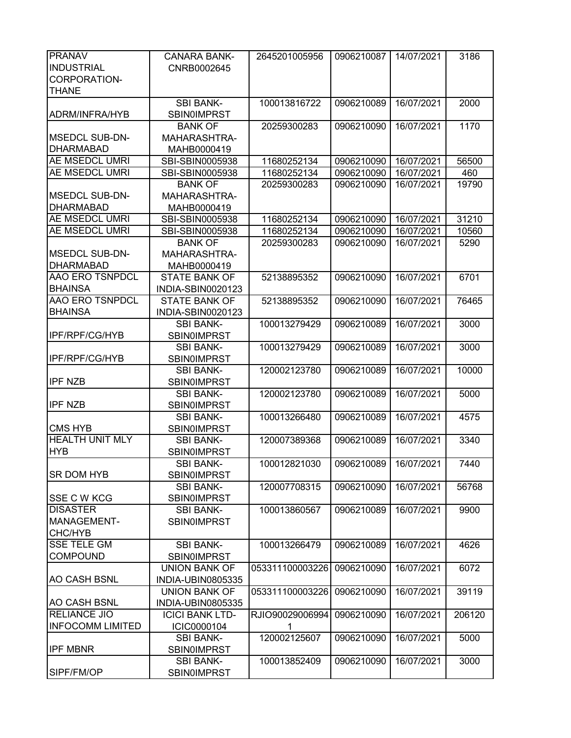| <b>PRANAV</b>           | <b>CANARA BANK-</b>    | 2645201005956   | 0906210087 | 14/07/2021 | 3186   |
|-------------------------|------------------------|-----------------|------------|------------|--------|
| <b>INDUSTRIAL</b>       | CNRB0002645            |                 |            |            |        |
| CORPORATION-            |                        |                 |            |            |        |
| <b>THANE</b>            |                        |                 |            |            |        |
|                         | <b>SBI BANK-</b>       | 100013816722    | 0906210089 | 16/07/2021 | 2000   |
| ADRM/INFRA/HYB          | <b>SBIN0IMPRST</b>     |                 |            |            |        |
|                         | <b>BANK OF</b>         | 20259300283     | 0906210090 | 16/07/2021 | 1170   |
| <b>MSEDCL SUB-DN-</b>   | MAHARASHTRA-           |                 |            |            |        |
| <b>DHARMABAD</b>        | MAHB0000419            |                 |            |            |        |
| <b>AE MSEDCL UMRI</b>   | SBI-SBIN0005938        | 11680252134     | 0906210090 | 16/07/2021 | 56500  |
| <b>AE MSEDCL UMRI</b>   | SBI-SBIN0005938        | 11680252134     | 0906210090 | 16/07/2021 | 460    |
|                         | <b>BANK OF</b>         | 20259300283     | 0906210090 | 16/07/2021 | 19790  |
| <b>MSEDCL SUB-DN-</b>   | MAHARASHTRA-           |                 |            |            |        |
| <b>DHARMABAD</b>        | MAHB0000419            |                 |            |            |        |
| <b>AE MSEDCL UMRI</b>   | SBI-SBIN0005938        | 11680252134     | 0906210090 | 16/07/2021 | 31210  |
| <b>AE MSEDCL UMRI</b>   | SBI-SBIN0005938        | 11680252134     | 0906210090 | 16/07/2021 | 10560  |
|                         | <b>BANK OF</b>         | 20259300283     | 0906210090 | 16/07/2021 | 5290   |
| <b>MSEDCL SUB-DN-</b>   | MAHARASHTRA-           |                 |            |            |        |
| <b>DHARMABAD</b>        | MAHB0000419            |                 |            |            |        |
| <b>AAO ERO TSNPDCL</b>  | <b>STATE BANK OF</b>   | 52138895352     | 0906210090 | 16/07/2021 | 6701   |
| <b>BHAINSA</b>          | INDIA-SBIN0020123      |                 |            |            |        |
| <b>AAO ERO TSNPDCL</b>  | <b>STATE BANK OF</b>   | 52138895352     | 0906210090 | 16/07/2021 | 76465  |
| <b>BHAINSA</b>          | INDIA-SBIN0020123      |                 |            |            |        |
|                         | <b>SBI BANK-</b>       | 100013279429    | 0906210089 | 16/07/2021 | 3000   |
| <b>IPF/RPF/CG/HYB</b>   | <b>SBIN0IMPRST</b>     |                 |            |            |        |
|                         | <b>SBI BANK-</b>       | 100013279429    | 0906210089 | 16/07/2021 | 3000   |
| IPF/RPF/CG/HYB          | <b>SBIN0IMPRST</b>     |                 |            |            |        |
|                         | <b>SBI BANK-</b>       | 120002123780    | 0906210089 | 16/07/2021 | 10000  |
| <b>IPF NZB</b>          | <b>SBIN0IMPRST</b>     |                 |            |            |        |
|                         | <b>SBI BANK-</b>       | 120002123780    | 0906210089 | 16/07/2021 | 5000   |
| <b>IPF NZB</b>          | <b>SBIN0IMPRST</b>     |                 |            |            |        |
|                         | <b>SBI BANK-</b>       | 100013266480    | 0906210089 | 16/07/2021 | 4575   |
| <b>CMS HYB</b>          | <b>SBIN0IMPRST</b>     |                 |            |            |        |
| <b>HEALTH UNIT MLY</b>  | <b>SBI BANK-</b>       | 120007389368    | 0906210089 | 16/07/2021 | 3340   |
| <b>HYB</b>              | <b>SBIN0IMPRST</b>     |                 |            |            |        |
|                         | SBI BANK-              | 100012821030    | 0906210089 | 16/07/2021 | 7440   |
| <b>SR DOM HYB</b>       | <b>SBIN0IMPRST</b>     |                 |            |            |        |
|                         | <b>SBI BANK-</b>       | 120007708315    | 0906210090 | 16/07/2021 | 56768  |
| <b>SSE C W KCG</b>      | <b>SBIN0IMPRST</b>     |                 |            |            |        |
| <b>DISASTER</b>         | <b>SBI BANK-</b>       | 100013860567    | 0906210089 | 16/07/2021 | 9900   |
| MANAGEMENT-             | <b>SBINOIMPRST</b>     |                 |            |            |        |
| CHC/HYB                 |                        |                 |            |            |        |
| <b>SSE TELE GM</b>      | <b>SBI BANK-</b>       | 100013266479    | 0906210089 | 16/07/2021 | 4626   |
| <b>COMPOUND</b>         | <b>SBIN0IMPRST</b>     |                 |            |            |        |
|                         | <b>UNION BANK OF</b>   | 053311100003226 | 0906210090 | 16/07/2021 | 6072   |
| <b>AO CASH BSNL</b>     | INDIA-UBIN0805335      |                 |            |            |        |
|                         | <b>UNION BANK OF</b>   | 053311100003226 | 0906210090 | 16/07/2021 | 39119  |
| <b>AO CASH BSNL</b>     | INDIA-UBIN0805335      |                 |            |            |        |
| <b>RELIANCE JIO</b>     | <b>ICICI BANK LTD-</b> | RJIO90029006994 | 0906210090 | 16/07/2021 | 206120 |
| <b>INFOCOMM LIMITED</b> | ICIC0000104            | 1               |            |            |        |
|                         | <b>SBI BANK-</b>       | 120002125607    | 0906210090 | 16/07/2021 | 5000   |
| <b>IPF MBNR</b>         | <b>SBINOIMPRST</b>     |                 |            |            |        |
|                         | <b>SBI BANK-</b>       | 100013852409    | 0906210090 | 16/07/2021 | 3000   |
| SIPF/FM/OP              | <b>SBINOIMPRST</b>     |                 |            |            |        |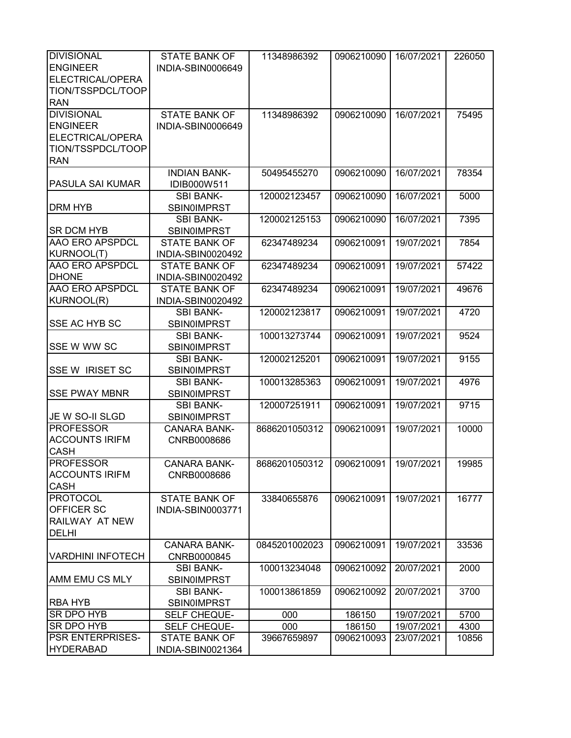| <b>DIVISIONAL</b>        | <b>STATE BANK OF</b> | 11348986392   | 0906210090              | 16/07/2021 | 226050 |
|--------------------------|----------------------|---------------|-------------------------|------------|--------|
| <b>ENGINEER</b>          | INDIA-SBIN0006649    |               |                         |            |        |
| ELECTRICAL/OPERA         |                      |               |                         |            |        |
| TION/TSSPDCL/TOOP        |                      |               |                         |            |        |
| <b>RAN</b>               |                      |               |                         |            |        |
|                          |                      |               |                         |            |        |
| <b>DIVISIONAL</b>        | <b>STATE BANK OF</b> | 11348986392   | 0906210090              | 16/07/2021 | 75495  |
| <b>ENGINEER</b>          | INDIA-SBIN0006649    |               |                         |            |        |
| ELECTRICAL/OPERA         |                      |               |                         |            |        |
| TION/TSSPDCL/TOOP        |                      |               |                         |            |        |
| <b>RAN</b>               |                      |               |                         |            |        |
|                          | <b>INDIAN BANK-</b>  | 50495455270   | 0906210090              | 16/07/2021 | 78354  |
| PASULA SAI KUMAR         | IDIB000W511          |               |                         |            |        |
|                          | <b>SBI BANK-</b>     | 120002123457  | 0906210090              | 16/07/2021 | 5000   |
| <b>DRM HYB</b>           | <b>SBIN0IMPRST</b>   |               |                         |            |        |
|                          | <b>SBI BANK-</b>     | 120002125153  | 0906210090              | 16/07/2021 | 7395   |
| <b>SR DCM HYB</b>        | <b>SBIN0IMPRST</b>   |               |                         |            |        |
| <b>AAO ERO APSPDCL</b>   | <b>STATE BANK OF</b> | 62347489234   | 0906210091              | 19/07/2021 | 7854   |
| KURNOOL(T)               |                      |               |                         |            |        |
|                          | INDIA-SBIN0020492    |               |                         |            |        |
| <b>AAO ERO APSPDCL</b>   | <b>STATE BANK OF</b> | 62347489234   | 0906210091              | 19/07/2021 | 57422  |
| <b>DHONE</b>             | INDIA-SBIN0020492    |               |                         |            |        |
| <b>AAO ERO APSPDCL</b>   | <b>STATE BANK OF</b> | 62347489234   | 0906210091              | 19/07/2021 | 49676  |
| KURNOOL(R)               | INDIA-SBIN0020492    |               |                         |            |        |
|                          | <b>SBI BANK-</b>     | 120002123817  | 0906210091              | 19/07/2021 | 4720   |
| SSE AC HYB SC            | <b>SBIN0IMPRST</b>   |               |                         |            |        |
|                          | <b>SBI BANK-</b>     | 100013273744  | 0906210091              | 19/07/2021 | 9524   |
| <b>SSE W WW SC</b>       | <b>SBIN0IMPRST</b>   |               |                         |            |        |
|                          | <b>SBI BANK-</b>     | 120002125201  | 0906210091              | 19/07/2021 | 9155   |
| <b>SSE W IRISET SC</b>   | SBIN0IMPRST          |               |                         |            |        |
|                          | <b>SBI BANK-</b>     | 100013285363  | 0906210091              | 19/07/2021 | 4976   |
| <b>SSE PWAY MBNR</b>     | <b>SBIN0IMPRST</b>   |               |                         |            |        |
|                          |                      | 120007251911  | 0906210091              | 19/07/2021 | 9715   |
|                          | <b>SBI BANK-</b>     |               |                         |            |        |
| JE W SO-II SLGD          | <b>SBIN0IMPRST</b>   |               |                         |            |        |
| <b>PROFESSOR</b>         | <b>CANARA BANK-</b>  | 8686201050312 | 0906210091              | 19/07/2021 | 10000  |
| <b>ACCOUNTS IRIFM</b>    | CNRB0008686          |               |                         |            |        |
| <b>CASH</b>              |                      |               |                         |            |        |
| <b>PROFESSOR</b>         | CANARA BANK-         | 8686201050312 | 0906210091   19/07/2021 |            | 19985  |
| <b>ACCOUNTS IRIFM</b>    | CNRB0008686          |               |                         |            |        |
| <b>CASH</b>              |                      |               |                         |            |        |
| <b>PROTOCOL</b>          | <b>STATE BANK OF</b> | 33840655876   | 0906210091              | 19/07/2021 | 16777  |
| OFFICER SC               | INDIA-SBIN0003771    |               |                         |            |        |
| RAILWAY AT NEW           |                      |               |                         |            |        |
| <b>DELHI</b>             |                      |               |                         |            |        |
|                          |                      |               |                         |            |        |
|                          | <b>CANARA BANK-</b>  | 0845201002023 | 0906210091              | 19/07/2021 | 33536  |
| <b>VARDHINI INFOTECH</b> | CNRB0000845          |               |                         |            |        |
|                          | <b>SBI BANK-</b>     | 100013234048  | 0906210092              | 20/07/2021 | 2000   |
| AMM EMU CS MLY           | <b>SBINOIMPRST</b>   |               |                         |            |        |
|                          | <b>SBI BANK-</b>     | 100013861859  | 0906210092              | 20/07/2021 | 3700   |
| <b>RBA HYB</b>           | <b>SBIN0IMPRST</b>   |               |                         |            |        |
| SR DPO HYB               | SELF CHEQUE-         | 000           | 186150                  | 19/07/2021 | 5700   |
| SR DPO HYB               | SELF CHEQUE-         | 000           | 186150                  | 19/07/2021 | 4300   |
| PSR ENTERPRISES-         | STATE BANK OF        | 39667659897   | 0906210093              | 23/07/2021 | 10856  |
| <b>HYDERABAD</b>         | INDIA-SBIN0021364    |               |                         |            |        |
|                          |                      |               |                         |            |        |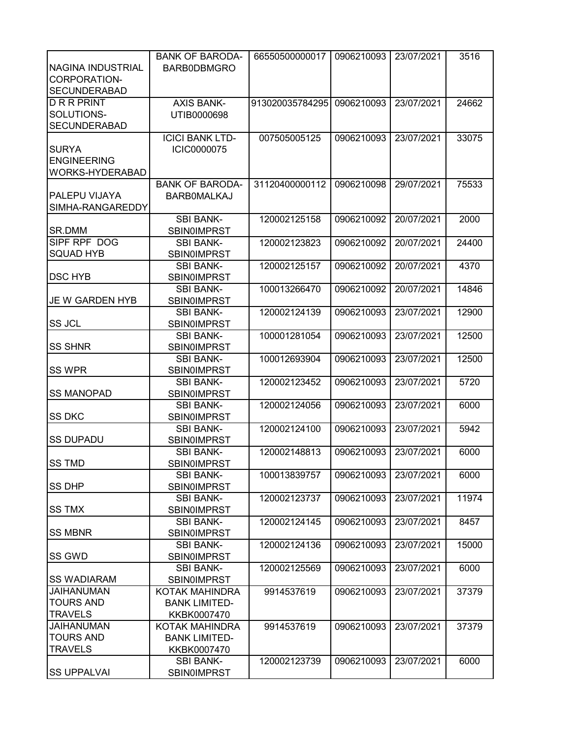|                        | <b>BANK OF BARODA-</b>                 | 66550500000017  | 0906210093 | 23/07/2021 | 3516  |
|------------------------|----------------------------------------|-----------------|------------|------------|-------|
| NAGINA INDUSTRIAL      | BARB0DBMGRO                            |                 |            |            |       |
| CORPORATION-           |                                        |                 |            |            |       |
| <b>SECUNDERABAD</b>    |                                        |                 |            |            |       |
| <b>DRRPRINT</b>        | <b>AXIS BANK-</b>                      | 913020035784295 | 0906210093 | 23/07/2021 | 24662 |
| SOLUTIONS-             | UTIB0000698                            |                 |            |            |       |
| <b>SECUNDERABAD</b>    |                                        |                 |            |            |       |
|                        | <b>ICICI BANK LTD-</b>                 | 007505005125    | 0906210093 | 23/07/2021 | 33075 |
| <b>SURYA</b>           | <b>ICIC0000075</b>                     |                 |            |            |       |
| <b>ENGINEERING</b>     |                                        |                 |            |            |       |
| WORKS-HYDERABAD        |                                        |                 |            |            |       |
|                        | <b>BANK OF BARODA-</b>                 | 31120400000112  | 0906210098 | 29/07/2021 | 75533 |
| PALEPU VIJAYA          | <b>BARBOMALKAJ</b>                     |                 |            |            |       |
| SIMHA-RANGAREDDY       |                                        |                 |            |            |       |
|                        | <b>SBI BANK-</b>                       | 120002125158    | 0906210092 | 20/07/2021 | 2000  |
| SR.DMM                 | <b>SBIN0IMPRST</b>                     |                 |            |            |       |
| SIPF RPF DOG           | <b>SBI BANK-</b>                       | 120002123823    | 0906210092 | 20/07/2021 | 24400 |
| <b>SQUAD HYB</b>       | <b>SBIN0IMPRST</b>                     |                 |            |            |       |
|                        | <b>SBI BANK-</b>                       | 120002125157    | 0906210092 | 20/07/2021 | 4370  |
| <b>DSC HYB</b>         | <b>SBIN0IMPRST</b>                     |                 |            |            |       |
|                        | <b>SBI BANK-</b>                       | 100013266470    | 0906210092 | 20/07/2021 | 14846 |
| <b>JE W GARDEN HYB</b> | <b>SBIN0IMPRST</b>                     |                 |            |            |       |
|                        | <b>SBI BANK-</b>                       | 120002124139    | 0906210093 | 23/07/2021 | 12900 |
| <b>SS JCL</b>          | <b>SBIN0IMPRST</b>                     |                 |            |            |       |
|                        | <b>SBI BANK-</b>                       | 100001281054    | 0906210093 | 23/07/2021 | 12500 |
| <b>SS SHNR</b>         | <b>SBIN0IMPRST</b>                     |                 |            |            |       |
|                        | <b>SBI BANK-</b>                       | 100012693904    | 0906210093 | 23/07/2021 | 12500 |
| <b>SS WPR</b>          | <b>SBIN0IMPRST</b>                     |                 |            |            |       |
|                        | <b>SBI BANK-</b>                       | 120002123452    | 0906210093 | 23/07/2021 | 5720  |
| <b>SS MANOPAD</b>      | <b>SBIN0IMPRST</b>                     |                 |            |            |       |
|                        | <b>SBI BANK-</b>                       | 120002124056    | 0906210093 | 23/07/2021 | 6000  |
| <b>SS DKC</b>          | <b>SBIN0IMPRST</b>                     |                 |            |            |       |
|                        | <b>SBI BANK-</b>                       | 120002124100    | 0906210093 | 23/07/2021 | 5942  |
| <b>SS DUPADU</b>       | <b>SBIN0IMPRST</b>                     |                 |            |            |       |
|                        | <b>SBI BANK-</b>                       | 120002148813    | 0906210093 | 23/07/2021 | 6000  |
| <b>ISS TMD</b>         | <b>SBIN0IMPRST</b>                     |                 |            |            |       |
|                        | <b>SBI BANK-</b>                       | 100013839757    | 0906210093 | 23/07/2021 | 6000  |
| <b>SS DHP</b>          | <b>SBIN0IMPRST</b>                     |                 |            |            |       |
|                        | <b>SBI BANK-</b>                       | 120002123737    | 0906210093 | 23/07/2021 | 11974 |
| <b>SS TMX</b>          | <b>SBIN0IMPRST</b>                     |                 |            |            |       |
|                        | <b>SBI BANK-</b>                       | 120002124145    | 0906210093 | 23/07/2021 | 8457  |
| <b>SS MBNR</b>         | <b>SBIN0IMPRST</b>                     |                 |            |            |       |
|                        | <b>SBI BANK-</b>                       | 120002124136    | 0906210093 | 23/07/2021 | 15000 |
| SS GWD                 | <b>SBIN0IMPRST</b>                     |                 |            |            |       |
| <b>SS WADIARAM</b>     | <b>SBI BANK-</b><br><b>SBINOIMPRST</b> | 120002125569    | 0906210093 | 23/07/2021 | 6000  |
| <b>JAIHANUMAN</b>      | KOTAK MAHINDRA                         | 9914537619      | 0906210093 | 23/07/2021 | 37379 |
| <b>TOURS AND</b>       | <b>BANK LIMITED-</b>                   |                 |            |            |       |
| <b>TRAVELS</b>         | KKBK0007470                            |                 |            |            |       |
| <b>JAIHANUMAN</b>      | KOTAK MAHINDRA                         | 9914537619      | 0906210093 | 23/07/2021 | 37379 |
| <b>TOURS AND</b>       | <b>BANK LIMITED-</b>                   |                 |            |            |       |
| <b>TRAVELS</b>         | KKBK0007470                            |                 |            |            |       |
|                        | <b>SBI BANK-</b>                       | 120002123739    | 0906210093 | 23/07/2021 | 6000  |
| <b>SS UPPALVAI</b>     | <b>SBIN0IMPRST</b>                     |                 |            |            |       |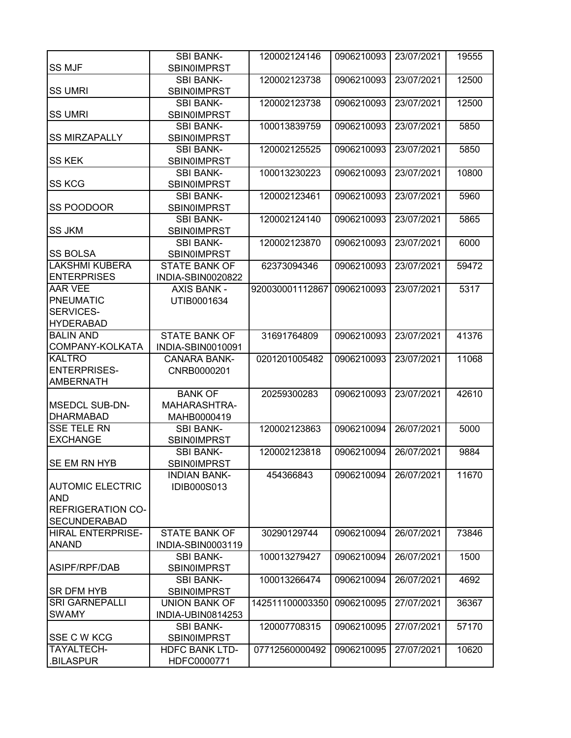|                                          | <b>SBI BANK-</b>                       | 120002124146    | 0906210093 | 23/07/2021 | 19555 |
|------------------------------------------|----------------------------------------|-----------------|------------|------------|-------|
| <b>SS MJF</b>                            | <b>SBIN0IMPRST</b>                     |                 |            |            |       |
| <b>SS UMRI</b>                           | <b>SBI BANK-</b><br><b>SBIN0IMPRST</b> | 120002123738    | 0906210093 | 23/07/2021 | 12500 |
|                                          | <b>SBI BANK-</b>                       | 120002123738    | 0906210093 | 23/07/2021 | 12500 |
| <b>SS UMRI</b>                           | <b>SBIN0IMPRST</b>                     |                 |            |            |       |
|                                          | <b>SBI BANK-</b>                       | 100013839759    | 0906210093 | 23/07/2021 | 5850  |
| <b>SS MIRZAPALLY</b>                     | <b>SBIN0IMPRST</b>                     |                 |            |            |       |
|                                          | <b>SBI BANK-</b>                       | 120002125525    | 0906210093 | 23/07/2021 | 5850  |
| <b>SS KEK</b>                            | <b>SBIN0IMPRST</b>                     |                 |            |            |       |
|                                          | <b>SBI BANK-</b>                       | 100013230223    | 0906210093 | 23/07/2021 | 10800 |
| <b>SS KCG</b>                            | <b>SBIN0IMPRST</b>                     |                 |            |            |       |
|                                          | <b>SBI BANK-</b>                       | 120002123461    | 0906210093 | 23/07/2021 | 5960  |
| SS POODOOR                               | <b>SBIN0IMPRST</b>                     |                 |            |            |       |
|                                          | <b>SBI BANK-</b>                       | 120002124140    | 0906210093 | 23/07/2021 | 5865  |
| <b>SS JKM</b>                            |                                        |                 |            |            |       |
|                                          | <b>SBIN0IMPRST</b>                     | 120002123870    |            |            |       |
|                                          | <b>SBI BANK-</b>                       |                 | 0906210093 | 23/07/2021 | 6000  |
| <b>SS BOLSA</b><br><b>LAKSHMI KUBERA</b> | <b>SBIN0IMPRST</b>                     |                 |            |            |       |
| <b>ENTERPRISES</b>                       | <b>STATE BANK OF</b>                   | 62373094346     | 0906210093 | 23/07/2021 | 59472 |
|                                          | INDIA-SBIN0020822                      |                 |            |            |       |
| <b>AAR VEE</b>                           | <b>AXIS BANK -</b>                     | 920030001112867 | 0906210093 | 23/07/2021 | 5317  |
| <b>PNEUMATIC</b>                         | UTIB0001634                            |                 |            |            |       |
| SERVICES-                                |                                        |                 |            |            |       |
| <b>HYDERABAD</b>                         |                                        |                 |            |            |       |
| <b>BALIN AND</b>                         | <b>STATE BANK OF</b>                   | 31691764809     | 0906210093 | 23/07/2021 | 41376 |
| COMPANY-KOLKATA                          | INDIA-SBIN0010091                      |                 |            |            |       |
| <b>KALTRO</b>                            | <b>CANARA BANK-</b>                    | 0201201005482   | 0906210093 | 23/07/2021 | 11068 |
| <b>ENTERPRISES-</b>                      | CNRB0000201                            |                 |            |            |       |
| <b>AMBERNATH</b>                         |                                        |                 |            |            |       |
|                                          | <b>BANK OF</b>                         | 20259300283     | 0906210093 | 23/07/2021 | 42610 |
| <b>MSEDCL SUB-DN-</b>                    | MAHARASHTRA-                           |                 |            |            |       |
| <b>DHARMABAD</b>                         | MAHB0000419                            |                 |            |            |       |
| <b>SSE TELE RN</b>                       | <b>SBI BANK-</b>                       | 120002123863    | 0906210094 | 26/07/2021 | 5000  |
| <b>EXCHANGE</b>                          | <b>SBIN0IMPRST</b>                     |                 |            |            |       |
|                                          | <b>SBI BANK-</b>                       | 120002123818    | 0906210094 | 26/07/2021 | 9884  |
| <b>SE EM RN HYB</b>                      | <b>SBIN0IMPRST</b>                     |                 |            |            |       |
|                                          | <b>INDIAN BANK-</b>                    | 454366843       | 0906210094 | 26/07/2021 | 11670 |
| <b>AUTOMIC ELECTRIC</b>                  | <b>IDIB000S013</b>                     |                 |            |            |       |
| <b>AND</b>                               |                                        |                 |            |            |       |
| <b>REFRIGERATION CO-</b>                 |                                        |                 |            |            |       |
| <b>SECUNDERABAD</b>                      |                                        |                 |            |            |       |
| <b>HIRAL ENTERPRISE-</b>                 | <b>STATE BANK OF</b>                   | 30290129744     | 0906210094 | 26/07/2021 | 73846 |
| <b>ANAND</b>                             | INDIA-SBIN0003119                      |                 |            |            |       |
|                                          | <b>SBI BANK-</b>                       | 100013279427    | 0906210094 | 26/07/2021 | 1500  |
| ASIPF/RPF/DAB                            | <b>SBIN0IMPRST</b>                     |                 |            |            |       |
|                                          | <b>SBI BANK-</b>                       | 100013266474    | 0906210094 | 26/07/2021 | 4692  |
| <b>SR DFM HYB</b>                        | <b>SBIN0IMPRST</b>                     |                 |            |            |       |
| <b>SRI GARNEPALLI</b>                    | <b>UNION BANK OF</b>                   | 142511100003350 | 0906210095 | 27/07/2021 | 36367 |
| <b>SWAMY</b>                             | INDIA-UBIN0814253                      |                 |            |            |       |
|                                          | <b>SBI BANK-</b>                       | 120007708315    | 0906210095 | 27/07/2021 | 57170 |
| SSE C W KCG                              | <b>SBIN0IMPRST</b>                     |                 |            |            |       |
| TAYALTECH-                               | <b>HDFC BANK LTD-</b>                  | 07712560000492  | 0906210095 | 27/07/2021 | 10620 |
| .BILASPUR                                | HDFC0000771                            |                 |            |            |       |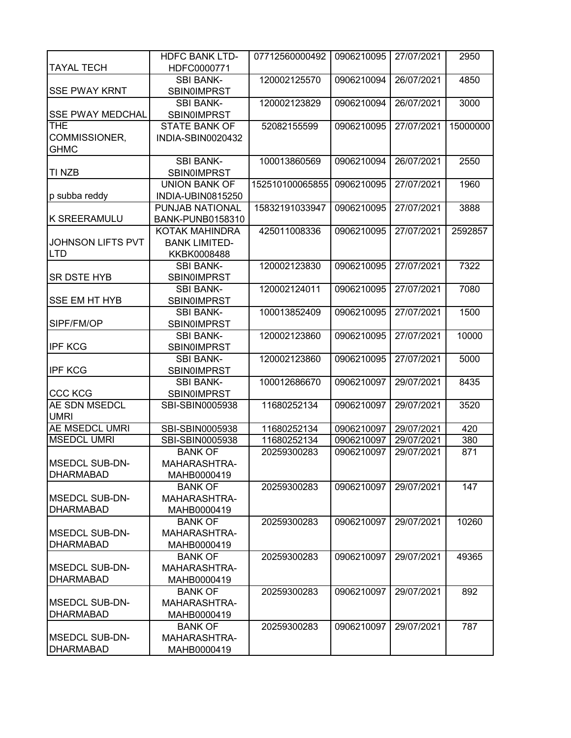|                          | <b>HDFC BANK LTD-</b>   | 07712560000492  | 0906210095 | 27/07/2021 | 2950     |
|--------------------------|-------------------------|-----------------|------------|------------|----------|
| <b>TAYAL TECH</b>        | HDFC0000771             |                 |            |            |          |
|                          | <b>SBI BANK-</b>        | 120002125570    | 0906210094 | 26/07/2021 | 4850     |
| <b>SSE PWAY KRNT</b>     | SBIN0IMPRST             |                 |            |            |          |
|                          | <b>SBI BANK-</b>        | 120002123829    | 0906210094 | 26/07/2021 | 3000     |
| <b>SSE PWAY MEDCHAL</b>  | <b>SBIN0IMPRST</b>      |                 |            |            |          |
| <b>THE</b>               | <b>STATE BANK OF</b>    | 52082155599     | 0906210095 | 27/07/2021 | 15000000 |
| COMMISSIONER,            | INDIA-SBIN0020432       |                 |            |            |          |
| <b>GHMC</b>              |                         |                 |            |            |          |
|                          | <b>SBI BANK-</b>        | 100013860569    | 0906210094 | 26/07/2021 | 2550     |
| <b>TI NZB</b>            | <b>SBIN0IMPRST</b>      |                 |            |            |          |
|                          | <b>UNION BANK OF</b>    | 152510100065855 | 0906210095 | 27/07/2021 | 1960     |
| p subba reddy            | INDIA-UBIN0815250       |                 |            |            |          |
|                          | PUNJAB NATIONAL         | 15832191033947  | 0906210095 | 27/07/2021 | 3888     |
| <b>K SREERAMULU</b>      | <b>BANK-PUNB0158310</b> |                 |            |            |          |
|                          | KOTAK MAHINDRA          | 425011008336    | 0906210095 | 27/07/2021 | 2592857  |
| <b>JOHNSON LIFTS PVT</b> | <b>BANK LIMITED-</b>    |                 |            |            |          |
| <b>LTD</b>               | KKBK0008488             |                 |            |            |          |
|                          | <b>SBI BANK-</b>        | 120002123830    | 0906210095 | 27/07/2021 | 7322     |
| <b>SR DSTE HYB</b>       | <b>SBIN0IMPRST</b>      |                 |            |            |          |
|                          | <b>SBI BANK-</b>        | 120002124011    | 0906210095 | 27/07/2021 | 7080     |
| <b>SSE EM HT HYB</b>     | <b>SBIN0IMPRST</b>      |                 |            |            |          |
|                          | <b>SBI BANK-</b>        | 100013852409    | 0906210095 | 27/07/2021 | 1500     |
| SIPF/FM/OP               | SBIN0IMPRST             |                 |            |            |          |
|                          | <b>SBI BANK-</b>        | 120002123860    | 0906210095 | 27/07/2021 | 10000    |
| <b>IPF KCG</b>           | <b>SBIN0IMPRST</b>      |                 |            |            |          |
|                          | <b>SBI BANK-</b>        | 120002123860    | 0906210095 | 27/07/2021 | 5000     |
| <b>IPF KCG</b>           | <b>SBIN0IMPRST</b>      |                 |            |            |          |
|                          | <b>SBI BANK-</b>        | 100012686670    | 0906210097 | 29/07/2021 | 8435     |
| <b>CCC KCG</b>           | <b>SBIN0IMPRST</b>      |                 |            |            |          |
| AE SDN MSEDCL            | SBI-SBIN0005938         | 11680252134     | 0906210097 | 29/07/2021 | 3520     |
| <b>UMRI</b>              |                         |                 |            |            |          |
| <b>AE MSEDCL UMRI</b>    | SBI-SBIN0005938         | 11680252134     | 0906210097 | 29/07/2021 | 420      |
| <b>MSEDCL UMRI</b>       | SBI-SBIN0005938         | 11680252134     | 0906210097 | 29/07/2021 | 380      |
|                          | <b>BANK OF</b>          | 20259300283     | 0906210097 | 29/07/2021 | 871      |
| IMSEDCL SUB-DN-          | MAHARASHTRA-            |                 |            |            |          |
| <b>DHARMABAD</b>         | MAHB0000419             |                 |            |            |          |
|                          | <b>BANK OF</b>          | 20259300283     | 0906210097 | 29/07/2021 | 147      |
| <b>MSEDCL SUB-DN-</b>    | MAHARASHTRA-            |                 |            |            |          |
| <b>DHARMABAD</b>         | MAHB0000419             |                 |            |            |          |
|                          | <b>BANK OF</b>          | 20259300283     | 0906210097 | 29/07/2021 | 10260    |
| <b>MSEDCL SUB-DN-</b>    | MAHARASHTRA-            |                 |            |            |          |
| <b>DHARMABAD</b>         | MAHB0000419             |                 |            |            |          |
|                          | <b>BANK OF</b>          | 20259300283     | 0906210097 | 29/07/2021 | 49365    |
| <b>MSEDCL SUB-DN-</b>    | <b>MAHARASHTRA-</b>     |                 |            |            |          |
| <b>DHARMABAD</b>         | MAHB0000419             |                 |            |            |          |
|                          | <b>BANK OF</b>          | 20259300283     | 0906210097 | 29/07/2021 | 892      |
| <b>MSEDCL SUB-DN-</b>    | MAHARASHTRA-            |                 |            |            |          |
| <b>DHARMABAD</b>         | MAHB0000419             |                 |            |            |          |
|                          | <b>BANK OF</b>          | 20259300283     | 0906210097 | 29/07/2021 | 787      |
| <b>MSEDCL SUB-DN-</b>    | MAHARASHTRA-            |                 |            |            |          |
| <b>DHARMABAD</b>         | MAHB0000419             |                 |            |            |          |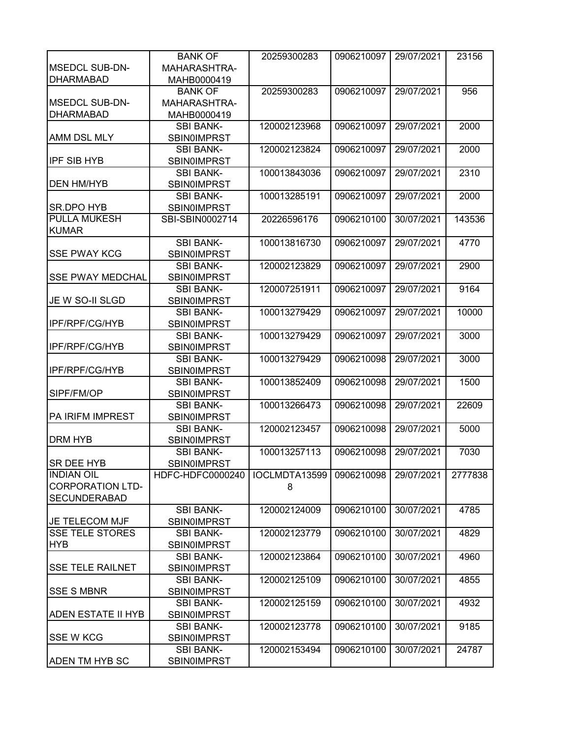|                           | <b>BANK OF</b>     | 20259300283   | 0906210097 | 29/07/2021 | 23156   |
|---------------------------|--------------------|---------------|------------|------------|---------|
| <b>MSEDCL SUB-DN-</b>     | MAHARASHTRA-       |               |            |            |         |
| <b>DHARMABAD</b>          | MAHB0000419        |               |            |            |         |
|                           | <b>BANK OF</b>     | 20259300283   | 0906210097 | 29/07/2021 | 956     |
| <b>MSEDCL SUB-DN-</b>     | MAHARASHTRA-       |               |            |            |         |
| <b>DHARMABAD</b>          | MAHB0000419        |               |            |            |         |
|                           | <b>SBI BANK-</b>   | 120002123968  | 0906210097 | 29/07/2021 | 2000    |
| AMM DSL MLY               | <b>SBIN0IMPRST</b> |               |            |            |         |
|                           | <b>SBI BANK-</b>   | 120002123824  | 0906210097 | 29/07/2021 | 2000    |
| <b>IPF SIB HYB</b>        | <b>SBIN0IMPRST</b> |               |            |            |         |
|                           |                    |               |            |            |         |
|                           | <b>SBI BANK-</b>   | 100013843036  | 0906210097 | 29/07/2021 | 2310    |
| <b>DEN HM/HYB</b>         | SBIN0IMPRST        |               |            |            |         |
|                           | <b>SBI BANK-</b>   | 100013285191  | 0906210097 | 29/07/2021 | 2000    |
| SR.DPO HYB                | <b>SBINOIMPRST</b> |               |            |            |         |
| <b>PULLA MUKESH</b>       | SBI-SBIN0002714    | 20226596176   | 0906210100 | 30/07/2021 | 143536  |
| <b>KUMAR</b>              |                    |               |            |            |         |
|                           | <b>SBI BANK-</b>   | 100013816730  | 0906210097 | 29/07/2021 | 4770    |
| <b>SSE PWAY KCG</b>       | SBIN0IMPRST        |               |            |            |         |
|                           | <b>SBI BANK-</b>   | 120002123829  | 0906210097 | 29/07/2021 | 2900    |
| <b>SSE PWAY MEDCHAL</b>   | <b>SBINOIMPRST</b> |               |            |            |         |
|                           | <b>SBI BANK-</b>   | 120007251911  | 0906210097 | 29/07/2021 | 9164    |
| JE W SO-II SLGD           | <b>SBINOIMPRST</b> |               |            |            |         |
|                           | <b>SBI BANK-</b>   | 100013279429  | 0906210097 | 29/07/2021 | 10000   |
| IPF/RPF/CG/HYB            | <b>SBINOIMPRST</b> |               |            |            |         |
|                           | <b>SBI BANK-</b>   | 100013279429  | 0906210097 | 29/07/2021 | 3000    |
| IPF/RPF/CG/HYB            |                    |               |            |            |         |
|                           | <b>SBINOIMPRST</b> |               |            |            |         |
|                           | <b>SBI BANK-</b>   | 100013279429  | 0906210098 | 29/07/2021 | 3000    |
| <b>IPF/RPF/CG/HYB</b>     | <b>SBINOIMPRST</b> |               |            |            |         |
|                           | <b>SBI BANK-</b>   | 100013852409  | 0906210098 | 29/07/2021 | 1500    |
| SIPF/FM/OP                | <b>SBIN0IMPRST</b> |               |            |            |         |
|                           | <b>SBI BANK-</b>   | 100013266473  | 0906210098 | 29/07/2021 | 22609   |
| PA IRIFM IMPREST          | <b>SBIN0IMPRST</b> |               |            |            |         |
|                           | <b>SBI BANK-</b>   | 120002123457  | 0906210098 | 29/07/2021 | 5000    |
| DRM HYB                   | SBIN0IMPRST        |               |            |            |         |
|                           | <b>SBI BANK-</b>   | 100013257113  | 0906210098 | 29/07/2021 | 7030    |
| <b>SR DEE HYB</b>         | <b>SBIN0IMPRST</b> |               |            |            |         |
| <b>INDIAN OIL</b>         | HDFC-HDFC0000240   | IOCLMDTA13599 | 0906210098 | 29/07/2021 | 2777838 |
| <b>CORPORATION LTD-</b>   |                    | 8             |            |            |         |
| <b>SECUNDERABAD</b>       |                    |               |            |            |         |
|                           | <b>SBI BANK-</b>   | 120002124009  | 0906210100 | 30/07/2021 | 4785    |
| JE TELECOM MJF            | SBIN0IMPRST        |               |            |            |         |
| <b>SSE TELE STORES</b>    | <b>SBI BANK-</b>   | 120002123779  | 0906210100 | 30/07/2021 | 4829    |
| <b>HYB</b>                | <b>SBIN0IMPRST</b> |               |            |            |         |
|                           | <b>SBI BANK-</b>   | 120002123864  | 0906210100 | 30/07/2021 | 4960    |
| <b>SSE TELE RAILNET</b>   | <b>SBIN0IMPRST</b> |               |            |            |         |
|                           |                    |               |            |            |         |
|                           | <b>SBI BANK-</b>   | 120002125109  | 0906210100 | 30/07/2021 | 4855    |
| <b>SSE S MBNR</b>         | <b>SBINOIMPRST</b> |               |            |            |         |
|                           | <b>SBI BANK-</b>   | 120002125159  | 0906210100 | 30/07/2021 | 4932    |
| <b>ADEN ESTATE II HYB</b> | <b>SBIN0IMPRST</b> |               |            |            |         |
|                           | <b>SBI BANK-</b>   | 120002123778  | 0906210100 | 30/07/2021 | 9185    |
| <b>SSE W KCG</b>          | <b>SBIN0IMPRST</b> |               |            |            |         |
|                           | <b>SBI BANK-</b>   | 120002153494  | 0906210100 | 30/07/2021 | 24787   |
| <b>ADEN TM HYB SC</b>     | <b>SBIN0IMPRST</b> |               |            |            |         |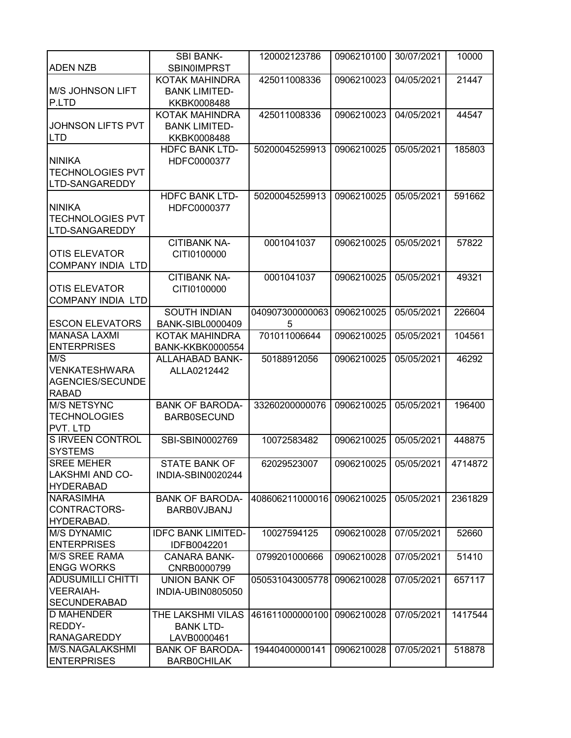|                           | <b>SBI BANK-</b>          | 120002123786    | 0906210100 | 30/07/2021 | 10000   |
|---------------------------|---------------------------|-----------------|------------|------------|---------|
| <b>ADEN NZB</b>           | <b>SBIN0IMPRST</b>        |                 |            |            |         |
|                           | KOTAK MAHINDRA            | 425011008336    | 0906210023 | 04/05/2021 | 21447   |
| <b>M/S JOHNSON LIFT</b>   | <b>BANK LIMITED-</b>      |                 |            |            |         |
| P.LTD                     | KKBK0008488               |                 |            |            |         |
|                           | KOTAK MAHINDRA            | 425011008336    | 0906210023 | 04/05/2021 | 44547   |
| JOHNSON LIFTS PVT         | <b>BANK LIMITED-</b>      |                 |            |            |         |
| <b>LTD</b>                | KKBK0008488               |                 |            |            |         |
|                           | <b>HDFC BANK LTD-</b>     | 50200045259913  | 0906210025 | 05/05/2021 | 185803  |
| <b>NINIKA</b>             | HDFC0000377               |                 |            |            |         |
| <b>TECHNOLOGIES PVT</b>   |                           |                 |            |            |         |
| LTD-SANGAREDDY            |                           |                 |            |            |         |
|                           | <b>HDFC BANK LTD-</b>     | 50200045259913  | 0906210025 | 05/05/2021 | 591662  |
| <b>NINIKA</b>             | HDFC0000377               |                 |            |            |         |
| <b>TECHNOLOGIES PVT</b>   |                           |                 |            |            |         |
| LTD-SANGAREDDY            |                           |                 |            |            |         |
|                           | <b>CITIBANK NA-</b>       | 0001041037      | 0906210025 | 05/05/2021 | 57822   |
| <b>OTIS ELEVATOR</b>      | CITI0100000               |                 |            |            |         |
| <b>COMPANY INDIA LTD</b>  |                           |                 |            |            |         |
|                           | <b>CITIBANK NA-</b>       | 0001041037      | 0906210025 | 05/05/2021 | 49321   |
| <b>OTIS ELEVATOR</b>      | CITI0100000               |                 |            |            |         |
| <b>COMPANY INDIA LTD</b>  |                           |                 |            |            |         |
|                           | <b>SOUTH INDIAN</b>       | 040907300000063 | 0906210025 | 05/05/2021 | 226604  |
| <b>ESCON ELEVATORS</b>    | <b>BANK-SIBL0000409</b>   | 5               |            |            |         |
| <b>MANASA LAXMI</b>       | KOTAK MAHINDRA            | 701011006644    | 0906210025 | 05/05/2021 | 104561  |
| <b>ENTERPRISES</b><br>M/S | <b>BANK-KKBK0000554</b>   |                 |            |            |         |
| <b>VENKATESHWARA</b>      | ALLAHABAD BANK-           | 50188912056     | 0906210025 | 05/05/2021 | 46292   |
| AGENCIES/SECUNDE          | ALLA0212442               |                 |            |            |         |
| <b>RABAD</b>              |                           |                 |            |            |         |
| <b>M/S NETSYNC</b>        | <b>BANK OF BARODA-</b>    | 33260200000076  | 0906210025 | 05/05/2021 | 196400  |
| <b>TECHNOLOGIES</b>       | <b>BARB0SECUND</b>        |                 |            |            |         |
| PVT. LTD                  |                           |                 |            |            |         |
| <b>S IRVEEN CONTROL</b>   | SBI-SBIN0002769           | 10072583482     | 0906210025 | 05/05/2021 | 448875  |
| <b>SYSTEMS</b>            |                           |                 |            |            |         |
| <b>SREE MEHER</b>         | <b>STATE BANK OF</b>      | 62029523007     | 0906210025 | 05/05/2021 | 4714872 |
| LAKSHMI AND CO-           | INDIA-SBIN0020244         |                 |            |            |         |
| <b>HYDERABAD</b>          |                           |                 |            |            |         |
| <b>NARASIMHA</b>          | <b>BANK OF BARODA-</b>    | 408606211000016 | 0906210025 | 05/05/2021 | 2361829 |
| CONTRACTORS-              | <b>BARBOVJBANJ</b>        |                 |            |            |         |
| HYDERABAD.                |                           |                 |            |            |         |
| <b>M/S DYNAMIC</b>        | <b>IDFC BANK LIMITED-</b> | 10027594125     | 0906210028 | 07/05/2021 | 52660   |
| <b>ENTERPRISES</b>        | IDFB0042201               |                 |            |            |         |
| <b>M/S SREE RAMA</b>      | <b>CANARA BANK-</b>       | 0799201000666   | 0906210028 | 07/05/2021 | 51410   |
| <b>ENGG WORKS</b>         | CNRB0000799               |                 |            |            |         |
| <b>ADUSUMILLI CHITTI</b>  | <b>UNION BANK OF</b>      | 050531043005778 | 0906210028 | 07/05/2021 | 657117  |
| <b>VEERAIAH-</b>          | INDIA-UBIN0805050         |                 |            |            |         |
| <b>SECUNDERABAD</b>       |                           |                 |            |            |         |
| <b>D MAHENDER</b>         | THE LAKSHMI VILAS         | 461611000000100 | 0906210028 | 07/05/2021 | 1417544 |
| REDDY-                    | <b>BANK LTD-</b>          |                 |            |            |         |
| <b>RANAGAREDDY</b>        | LAVB0000461               |                 |            |            |         |
| M/S.NAGALAKSHMI           | <b>BANK OF BARODA-</b>    | 19440400000141  | 0906210028 | 07/05/2021 | 518878  |
| <b>ENTERPRISES</b>        | <b>BARBOCHILAK</b>        |                 |            |            |         |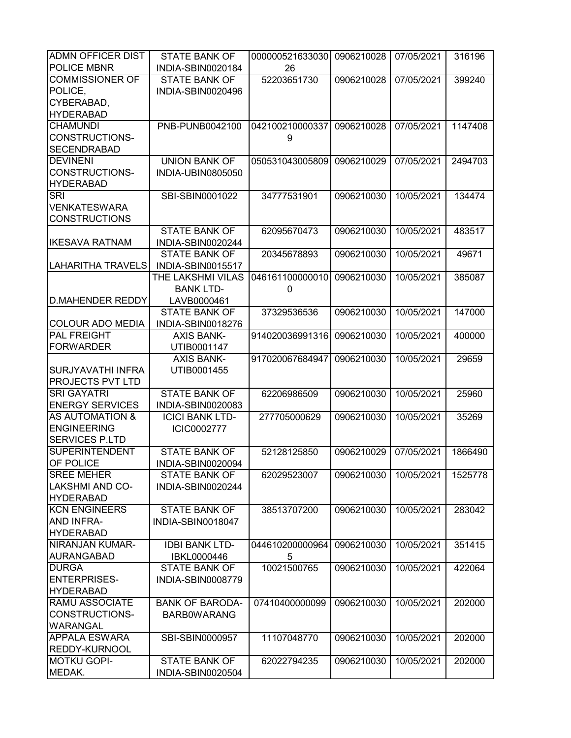| <b>ADMN OFFICER DIST</b>              | <b>STATE BANK OF</b>                      | 000000521633030 | 0906210028 | 07/05/2021 | 316196  |
|---------------------------------------|-------------------------------------------|-----------------|------------|------------|---------|
| POLICE MBNR                           | INDIA-SBIN0020184                         | 26              |            |            |         |
| <b>COMMISSIONER OF</b>                | <b>STATE BANK OF</b>                      | 52203651730     | 0906210028 | 07/05/2021 | 399240  |
| POLICE,                               | INDIA-SBIN0020496                         |                 |            |            |         |
| CYBERABAD,                            |                                           |                 |            |            |         |
| <b>HYDERABAD</b>                      |                                           |                 |            |            |         |
| <b>CHAMUNDI</b>                       | PNB-PUNB0042100                           | 042100210000337 | 0906210028 | 07/05/2021 | 1147408 |
| CONSTRUCTIONS-                        |                                           | 9               |            |            |         |
| <b>SECENDRABAD</b>                    |                                           |                 |            |            |         |
| <b>DEVINENI</b>                       | <b>UNION BANK OF</b>                      | 050531043005809 | 0906210029 | 07/05/2021 | 2494703 |
| CONSTRUCTIONS-                        | INDIA-UBIN0805050                         |                 |            |            |         |
| <b>HYDERABAD</b>                      |                                           |                 |            |            |         |
| <b>SRI</b>                            | SBI-SBIN0001022                           | 34777531901     | 0906210030 | 10/05/2021 | 134474  |
| <b>VENKATESWARA</b>                   |                                           |                 |            |            |         |
| <b>CONSTRUCTIONS</b>                  |                                           |                 |            |            |         |
|                                       | <b>STATE BANK OF</b>                      | 62095670473     | 0906210030 | 10/05/2021 | 483517  |
| <b>IKESAVA RATNAM</b>                 | INDIA-SBIN0020244                         |                 |            |            |         |
|                                       | <b>STATE BANK OF</b>                      | 20345678893     | 0906210030 | 10/05/2021 | 49671   |
| <b>LAHARITHA TRAVELS</b>              | INDIA-SBIN0015517                         |                 |            |            |         |
|                                       | THE LAKSHMI VILAS                         | 046161100000010 | 0906210030 | 10/05/2021 | 385087  |
|                                       | <b>BANK LTD-</b>                          | 0               |            |            |         |
| <b>D.MAHENDER REDDY</b>               | LAVB0000461                               |                 |            |            |         |
|                                       | <b>STATE BANK OF</b>                      | 37329536536     | 0906210030 | 10/05/2021 | 147000  |
| <b>COLOUR ADO MEDIA</b>               | INDIA-SBIN0018276                         |                 |            |            |         |
| <b>PAL FREIGHT</b>                    | <b>AXIS BANK-</b>                         | 914020036991316 | 0906210030 | 10/05/2021 | 400000  |
| <b>FORWARDER</b>                      | UTIB0001147                               |                 |            |            |         |
|                                       | <b>AXIS BANK-</b>                         | 917020067684947 | 0906210030 | 10/05/2021 | 29659   |
| SURJYAVATHI INFRA                     | UTIB0001455                               |                 |            |            |         |
| <b>PROJECTS PVT LTD</b>               |                                           |                 |            |            |         |
| <b>SRI GAYATRI</b>                    | <b>STATE BANK OF</b>                      | 62206986509     | 0906210030 | 10/05/2021 | 25960   |
| <b>ENERGY SERVICES</b>                | INDIA-SBIN0020083                         |                 |            |            |         |
| <b>AS AUTOMATION &amp;</b>            | <b>ICICI BANK LTD-</b>                    | 277705000629    | 0906210030 | 10/05/2021 | 35269   |
| <b>ENGINEERING</b>                    | ICIC0002777                               |                 |            |            |         |
| <b>SERVICES P.LTD</b>                 |                                           |                 |            |            |         |
| <b>SUPERINTENDENT</b>                 | <b>STATE BANK OF</b>                      | 52128125850     | 0906210029 | 07/05/2021 | 1866490 |
| <b>OF POLICE</b><br><b>SREE MEHER</b> | INDIA-SBIN0020094                         |                 |            |            |         |
| <b>LAKSHMI AND CO-</b>                | <b>STATE BANK OF</b><br>INDIA-SBIN0020244 | 62029523007     | 0906210030 | 10/05/2021 | 1525778 |
| <b>HYDERABAD</b>                      |                                           |                 |            |            |         |
| <b>KCN ENGINEERS</b>                  | <b>STATE BANK OF</b>                      | 38513707200     | 0906210030 | 10/05/2021 | 283042  |
| <b>AND INFRA-</b>                     | INDIA-SBIN0018047                         |                 |            |            |         |
| <b>HYDERABAD</b>                      |                                           |                 |            |            |         |
| <b>NIRANJAN KUMAR-</b>                | <b>IDBI BANK LTD-</b>                     | 044610200000964 | 0906210030 | 10/05/2021 | 351415  |
| <b>AURANGABAD</b>                     | IBKL0000446                               | 5               |            |            |         |
| <b>DURGA</b>                          | <b>STATE BANK OF</b>                      | 10021500765     | 0906210030 | 10/05/2021 | 422064  |
| <b>ENTERPRISES-</b>                   | INDIA-SBIN0008779                         |                 |            |            |         |
| <b>HYDERABAD</b>                      |                                           |                 |            |            |         |
| <b>RAMU ASSOCIATE</b>                 | <b>BANK OF BARODA-</b>                    | 07410400000099  | 0906210030 | 10/05/2021 | 202000  |
| <b>CONSTRUCTIONS-</b>                 | <b>BARBOWARANG</b>                        |                 |            |            |         |
| <b>WARANGAL</b>                       |                                           |                 |            |            |         |
| <b>APPALA ESWARA</b>                  | SBI-SBIN0000957                           | 11107048770     | 0906210030 | 10/05/2021 | 202000  |
| <b>REDDY-KURNOOL</b>                  |                                           |                 |            |            |         |
| <b>MOTKU GOPI-</b>                    | <b>STATE BANK OF</b>                      | 62022794235     | 0906210030 | 10/05/2021 | 202000  |
| MEDAK.                                | INDIA-SBIN0020504                         |                 |            |            |         |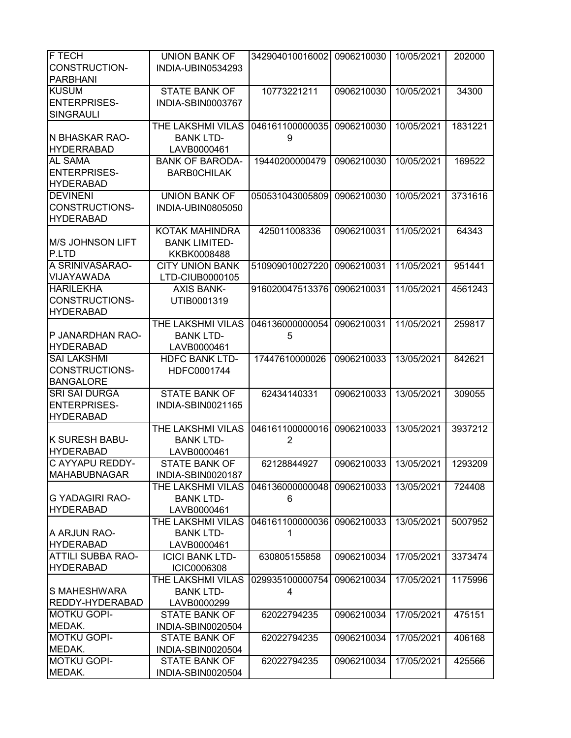| <b>F TECH</b>            | <b>UNION BANK OF</b>   | 342904010016002 | 0906210030 | 10/05/2021 | 202000  |
|--------------------------|------------------------|-----------------|------------|------------|---------|
| <b>CONSTRUCTION-</b>     | INDIA-UBIN0534293      |                 |            |            |         |
| <b>PARBHANI</b>          |                        |                 |            |            |         |
| <b>KUSUM</b>             | <b>STATE BANK OF</b>   | 10773221211     | 0906210030 | 10/05/2021 | 34300   |
| <b>ENTERPRISES-</b>      | INDIA-SBIN0003767      |                 |            |            |         |
| SINGRAULI                |                        |                 |            |            |         |
|                          |                        |                 |            |            |         |
|                          | THE LAKSHMI VILAS      | 046161100000035 | 0906210030 | 10/05/2021 | 1831221 |
| N BHASKAR RAO-           | <b>BANK LTD-</b>       | 9               |            |            |         |
| <b>HYDERRABAD</b>        | LAVB0000461            |                 |            |            |         |
| <b>AL SAMA</b>           | <b>BANK OF BARODA-</b> | 19440200000479  | 0906210030 | 10/05/2021 | 169522  |
| <b>ENTERPRISES-</b>      | <b>BARBOCHILAK</b>     |                 |            |            |         |
| <b>HYDERABAD</b>         |                        |                 |            |            |         |
| <b>DEVINENI</b>          | <b>UNION BANK OF</b>   | 050531043005809 | 0906210030 | 10/05/2021 | 3731616 |
| CONSTRUCTIONS-           | INDIA-UBIN0805050      |                 |            |            |         |
| <b>HYDERABAD</b>         |                        |                 |            |            |         |
|                          | KOTAK MAHINDRA         | 425011008336    | 0906210031 | 11/05/2021 | 64343   |
| M/S JOHNSON LIFT         | <b>BANK LIMITED-</b>   |                 |            |            |         |
| P.LTD                    | KKBK0008488            |                 |            |            |         |
| A SRINIVASARAO-          | <b>CITY UNION BANK</b> | 510909010027220 | 0906210031 | 11/05/2021 | 951441  |
| VIJAYAWADA               | LTD-CIUB0000105        |                 |            |            |         |
| <b>HARILEKHA</b>         | <b>AXIS BANK-</b>      | 916020047513376 | 0906210031 | 11/05/2021 | 4561243 |
| CONSTRUCTIONS-           | UTIB0001319            |                 |            |            |         |
| <b>HYDERABAD</b>         |                        |                 |            |            |         |
|                          | THE LAKSHMI VILAS      | 046136000000054 | 0906210031 | 11/05/2021 | 259817  |
| P JANARDHAN RAO-         | <b>BANK LTD-</b>       | 5               |            |            |         |
| <b>HYDERABAD</b>         |                        |                 |            |            |         |
|                          | LAVB0000461            |                 |            |            |         |
| <b>SAI LAKSHMI</b>       | <b>HDFC BANK LTD-</b>  | 17447610000026  | 0906210033 | 13/05/2021 | 842621  |
| CONSTRUCTIONS-           | HDFC0001744            |                 |            |            |         |
| <b>BANGALORE</b>         |                        |                 |            |            |         |
| <b>SRI SAI DURGA</b>     | <b>STATE BANK OF</b>   | 62434140331     | 0906210033 | 13/05/2021 | 309055  |
| <b>ENTERPRISES-</b>      | INDIA-SBIN0021165      |                 |            |            |         |
| <b>HYDERABAD</b>         |                        |                 |            |            |         |
|                          | THE LAKSHMI VILAS      | 046161100000016 | 0906210033 | 13/05/2021 | 3937212 |
| <b>K SURESH BABU-</b>    | <b>BANK LTD-</b>       | $\overline{2}$  |            |            |         |
| <b>HYDERABAD</b>         | LAVB0000461            |                 |            |            |         |
| C AYYAPU REDDY-          | STATE BANK OF          | 62128844927     | 0906210033 | 13/05/2021 | 1293209 |
| <b>MAHABUBNAGAR</b>      | INDIA-SBIN0020187      |                 |            |            |         |
|                          | THE LAKSHMI VILAS      | 046136000000048 | 0906210033 | 13/05/2021 | 724408  |
| <b>G YADAGIRI RAO-</b>   | <b>BANK LTD-</b>       | 6               |            |            |         |
| <b>HYDERABAD</b>         | LAVB0000461            |                 |            |            |         |
|                          | THE LAKSHMI VILAS      | 046161100000036 | 0906210033 | 13/05/2021 | 5007952 |
| A ARJUN RAO-             | <b>BANK LTD-</b>       | 1               |            |            |         |
| <b>HYDERABAD</b>         | LAVB0000461            |                 |            |            |         |
| <b>ATTILI SUBBA RAO-</b> | <b>ICICI BANK LTD-</b> | 630805155858    | 0906210034 | 17/05/2021 | 3373474 |
| <b>HYDERABAD</b>         | <b>ICIC0006308</b>     |                 |            |            |         |
|                          | THE LAKSHMI VILAS      | 029935100000754 | 0906210034 | 17/05/2021 | 1175996 |
| <b>S MAHESHWARA</b>      | <b>BANK LTD-</b>       | 4               |            |            |         |
| REDDY-HYDERABAD          | LAVB0000299            |                 |            |            |         |
| <b>MOTKU GOPI-</b>       | STATE BANK OF          | 62022794235     | 0906210034 | 17/05/2021 | 475151  |
| MEDAK.                   | INDIA-SBIN0020504      |                 |            |            |         |
| <b>MOTKU GOPI-</b>       |                        |                 |            |            |         |
|                          | <b>STATE BANK OF</b>   | 62022794235     | 0906210034 | 17/05/2021 | 406168  |
| MEDAK.                   | INDIA-SBIN0020504      |                 |            |            |         |
| <b>MOTKU GOPI-</b>       | <b>STATE BANK OF</b>   | 62022794235     | 0906210034 | 17/05/2021 | 425566  |
| MEDAK.                   | INDIA-SBIN0020504      |                 |            |            |         |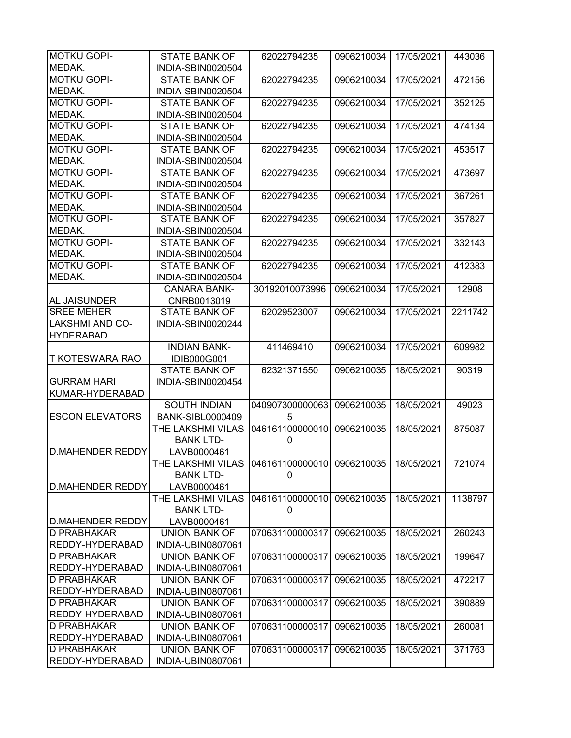| <b>MOTKU GOPI-</b>      | <b>STATE BANK OF</b>    | 62022794235                             | 0906210034 | 17/05/2021 | 443036  |
|-------------------------|-------------------------|-----------------------------------------|------------|------------|---------|
| MEDAK.                  | INDIA-SBIN0020504       |                                         |            |            |         |
| <b>MOTKU GOPI-</b>      | <b>STATE BANK OF</b>    | 62022794235                             | 0906210034 | 17/05/2021 | 472156  |
| MEDAK.                  | INDIA-SBIN0020504       |                                         |            |            |         |
| <b>MOTKU GOPI-</b>      | <b>STATE BANK OF</b>    | 62022794235                             | 0906210034 | 17/05/2021 | 352125  |
| MEDAK.                  | INDIA-SBIN0020504       |                                         |            |            |         |
| <b>MOTKU GOPI-</b>      | <b>STATE BANK OF</b>    | 62022794235                             | 0906210034 | 17/05/2021 | 474134  |
| MEDAK.                  | INDIA-SBIN0020504       |                                         |            |            |         |
| <b>MOTKU GOPI-</b>      | <b>STATE BANK OF</b>    | 62022794235                             | 0906210034 | 17/05/2021 | 453517  |
| MEDAK.                  | INDIA-SBIN0020504       |                                         |            |            |         |
| <b>MOTKU GOPI-</b>      | <b>STATE BANK OF</b>    | 62022794235                             | 0906210034 | 17/05/2021 | 473697  |
| MEDAK.                  | INDIA-SBIN0020504       |                                         |            |            |         |
| <b>MOTKU GOPI-</b>      | <b>STATE BANK OF</b>    | 62022794235                             | 0906210034 | 17/05/2021 | 367261  |
| MEDAK.                  | INDIA-SBIN0020504       |                                         |            |            |         |
| <b>MOTKU GOPI-</b>      | <b>STATE BANK OF</b>    | 62022794235                             | 0906210034 | 17/05/2021 | 357827  |
| MEDAK.                  | INDIA-SBIN0020504       |                                         |            |            |         |
| <b>MOTKU GOPI-</b>      | <b>STATE BANK OF</b>    | 62022794235                             | 0906210034 | 17/05/2021 | 332143  |
| MEDAK.                  | INDIA-SBIN0020504       |                                         |            |            |         |
| <b>MOTKU GOPI-</b>      | <b>STATE BANK OF</b>    | 62022794235                             | 0906210034 | 17/05/2021 | 412383  |
| MEDAK.                  | INDIA-SBIN0020504       |                                         |            |            |         |
|                         | <b>CANARA BANK-</b>     | 30192010073996                          | 0906210034 | 17/05/2021 | 12908   |
| <b>AL JAISUNDER</b>     | CNRB0013019             |                                         |            |            |         |
| <b>SREE MEHER</b>       | <b>STATE BANK OF</b>    | 62029523007                             | 0906210034 | 17/05/2021 | 2211742 |
| <b>LAKSHMI AND CO-</b>  | INDIA-SBIN0020244       |                                         |            |            |         |
| <b>HYDERABAD</b>        |                         |                                         |            |            |         |
|                         | <b>INDIAN BANK-</b>     | 411469410                               | 0906210034 | 17/05/2021 | 609982  |
| <b>T KOTESWARA RAO</b>  | IDIB000G001             |                                         |            |            |         |
|                         | <b>STATE BANK OF</b>    | 62321371550                             | 0906210035 | 18/05/2021 | 90319   |
| <b>GURRAM HARI</b>      | INDIA-SBIN0020454       |                                         |            |            |         |
| KUMAR-HYDERABAD         |                         |                                         |            |            |         |
|                         | <b>SOUTH INDIAN</b>     | 040907300000063                         | 0906210035 | 18/05/2021 | 49023   |
| <b>ESCON ELEVATORS</b>  | <b>BANK-SIBL0000409</b> | 5                                       |            |            |         |
|                         | THE LAKSHMI VILAS       | 046161100000010                         | 0906210035 | 18/05/2021 | 875087  |
|                         | <b>BANK LTD-</b>        | 0                                       |            |            |         |
| <b>D.MAHENDER REDDY</b> | LAVB0000461             |                                         |            |            |         |
|                         | THE LAKSHMI VILAS       | 046161100000010 0906210035   18/05/2021 |            |            | 721074  |
|                         | <b>BANK LTD-</b>        | 0                                       |            |            |         |
| <b>D.MAHENDER REDDY</b> | LAVB0000461             |                                         |            |            |         |
|                         | THE LAKSHMI VILAS       | 046161100000010                         | 0906210035 | 18/05/2021 | 1138797 |
|                         | <b>BANK LTD-</b>        | 0                                       |            |            |         |
| <b>D.MAHENDER REDDY</b> | LAVB0000461             |                                         |            |            |         |
| D PRABHAKAR             | UNION BANK OF           | 070631100000317                         | 0906210035 | 18/05/2021 | 260243  |
| REDDY-HYDERABAD         | INDIA-UBIN0807061       |                                         |            |            |         |
| D PRABHAKAR             | <b>UNION BANK OF</b>    | 070631100000317                         | 0906210035 | 18/05/2021 | 199647  |
| REDDY-HYDERABAD         | INDIA-UBIN0807061       |                                         |            |            |         |
| <b>D PRABHAKAR</b>      | <b>UNION BANK OF</b>    | 070631100000317                         | 0906210035 | 18/05/2021 | 472217  |
| REDDY-HYDERABAD         | INDIA-UBIN0807061       |                                         |            |            |         |
| D PRABHAKAR             | <b>UNION BANK OF</b>    | 070631100000317                         | 0906210035 | 18/05/2021 | 390889  |
| <b>REDDY-HYDERABAD</b>  | INDIA-UBIN0807061       |                                         |            |            |         |
| D PRABHAKAR             | <b>UNION BANK OF</b>    | 070631100000317                         | 0906210035 | 18/05/2021 | 260081  |
| <b>REDDY-HYDERABAD</b>  | INDIA-UBIN0807061       |                                         |            |            |         |
| <b>D PRABHAKAR</b>      | <b>UNION BANK OF</b>    | 070631100000317                         | 0906210035 | 18/05/2021 | 371763  |
| <b>REDDY-HYDERABAD</b>  | INDIA-UBIN0807061       |                                         |            |            |         |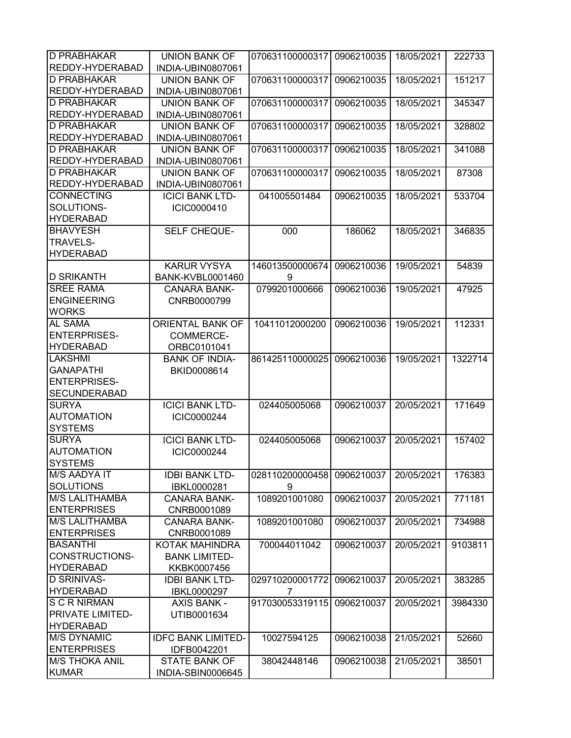| <b>D PRABHAKAR</b>                         | <b>UNION BANK OF</b>      | 070631100000317 | 0906210035 | 18/05/2021 | 222733  |
|--------------------------------------------|---------------------------|-----------------|------------|------------|---------|
| <b>REDDY-HYDERABAD</b>                     | INDIA-UBIN0807061         |                 |            |            |         |
| <b>D PRABHAKAR</b>                         | <b>UNION BANK OF</b>      | 070631100000317 | 0906210035 | 18/05/2021 | 151217  |
| <b>REDDY-HYDERABAD</b>                     | INDIA-UBIN0807061         |                 |            |            |         |
| <b>D PRABHAKAR</b>                         | <b>UNION BANK OF</b>      | 070631100000317 | 0906210035 | 18/05/2021 | 345347  |
| <b>REDDY-HYDERABAD</b>                     | INDIA-UBIN0807061         |                 |            |            |         |
| <b>D PRABHAKAR</b>                         | <b>UNION BANK OF</b>      | 070631100000317 | 0906210035 | 18/05/2021 | 328802  |
| REDDY-HYDERABAD                            | INDIA-UBIN0807061         |                 |            |            |         |
| <b>D PRABHAKAR</b>                         | <b>UNION BANK OF</b>      | 070631100000317 | 0906210035 | 18/05/2021 | 341088  |
| REDDY-HYDERABAD                            | INDIA-UBIN0807061         |                 |            |            |         |
| <b>D PRABHAKAR</b>                         | <b>UNION BANK OF</b>      | 070631100000317 | 0906210035 | 18/05/2021 | 87308   |
| REDDY-HYDERABAD                            | INDIA-UBIN0807061         |                 |            |            |         |
| <b>CONNECTING</b>                          | <b>ICICI BANK LTD-</b>    | 041005501484    | 0906210035 | 18/05/2021 | 533704  |
| SOLUTIONS-                                 | ICIC0000410               |                 |            |            |         |
| <b>HYDERABAD</b>                           |                           |                 |            |            |         |
| <b>BHAVYESH</b>                            | SELF CHEQUE-              | 000             | 186062     | 18/05/2021 | 346835  |
| <b>TRAVELS-</b>                            |                           |                 |            |            |         |
| <b>HYDERABAD</b>                           |                           |                 |            |            |         |
|                                            | <b>KARUR VYSYA</b>        | 146013500000674 | 0906210036 | 19/05/2021 | 54839   |
| <b>D SRIKANTH</b>                          | BANK-KVBL0001460          | 9               |            |            |         |
| <b>SREE RAMA</b>                           | <b>CANARA BANK-</b>       | 0799201000666   | 0906210036 | 19/05/2021 | 47925   |
| <b>ENGINEERING</b>                         | CNRB0000799               |                 |            |            |         |
| <b>WORKS</b>                               |                           |                 |            |            |         |
| AL SAMA                                    | ORIENTAL BANK OF          | 10411012000200  | 0906210036 | 19/05/2021 | 112331  |
| <b>ENTERPRISES-</b>                        | COMMERCE-                 |                 |            |            |         |
| <b>HYDERABAD</b>                           | ORBC0101041               |                 |            |            |         |
| LAKSHMI                                    | <b>BANK OF INDIA-</b>     | 861425110000025 | 0906210036 | 19/05/2021 | 1322714 |
| <b>GANAPATHI</b>                           | BKID0008614               |                 |            |            |         |
| <b>ENTERPRISES-</b><br><b>SECUNDERABAD</b> |                           |                 |            |            |         |
| <b>SURYA</b>                               | <b>ICICI BANK LTD-</b>    |                 |            |            | 171649  |
| <b>AUTOMATION</b>                          | ICIC0000244               | 024405005068    | 0906210037 | 20/05/2021 |         |
| <b>SYSTEMS</b>                             |                           |                 |            |            |         |
| <b>SURYA</b>                               | <b>ICICI BANK LTD-</b>    | 024405005068    | 0906210037 | 20/05/2021 | 157402  |
| <b>AUTOMATION</b>                          | ICIC0000244               |                 |            |            |         |
| <b>SYSTEMS</b>                             |                           |                 |            |            |         |
| M/S AADYA IT                               | <b>IDBI BANK LTD-</b>     | 028110200000458 | 0906210037 | 20/05/2021 | 176383  |
| <b>SOLUTIONS</b>                           | IBKL0000281               | 9               |            |            |         |
| <b>M/S LALITHAMBA</b>                      | <b>CANARA BANK-</b>       | 1089201001080   | 0906210037 | 20/05/2021 | 771181  |
| <b>ENTERPRISES</b>                         | CNRB0001089               |                 |            |            |         |
| <b>M/S LALITHAMBA</b>                      | <b>CANARA BANK-</b>       | 1089201001080   | 0906210037 | 20/05/2021 | 734988  |
| <b>ENTERPRISES</b>                         | CNRB0001089               |                 |            |            |         |
| <b>BASANTHI</b>                            | KOTAK MAHINDRA            | 700044011042    | 0906210037 | 20/05/2021 | 9103811 |
| CONSTRUCTIONS-                             | <b>BANK LIMITED-</b>      |                 |            |            |         |
| <b>HYDERABAD</b>                           | KKBK0007456               |                 |            |            |         |
| <b>D SRINIVAS-</b>                         | <b>IDBI BANK LTD-</b>     | 029710200001772 | 0906210037 | 20/05/2021 | 383285  |
| <b>HYDERABAD</b>                           | IBKL0000297               | 7               |            |            |         |
| <b>S C R NIRMAN</b>                        | <b>AXIS BANK -</b>        | 917030053319115 | 0906210037 | 20/05/2021 | 3984330 |
| <b>PRIVATE LIMITED-</b>                    | UTIB0001634               |                 |            |            |         |
| <b>HYDERABAD</b>                           |                           |                 |            |            |         |
| <b>M/S DYNAMIC</b>                         | <b>IDFC BANK LIMITED-</b> | 10027594125     | 0906210038 | 21/05/2021 | 52660   |
| <b>ENTERPRISES</b>                         | IDFB0042201               |                 |            |            |         |
| <b>M/S THOKA ANIL</b>                      | <b>STATE BANK OF</b>      | 38042448146     | 0906210038 | 21/05/2021 | 38501   |
| <b>KUMAR</b>                               | INDIA-SBIN0006645         |                 |            |            |         |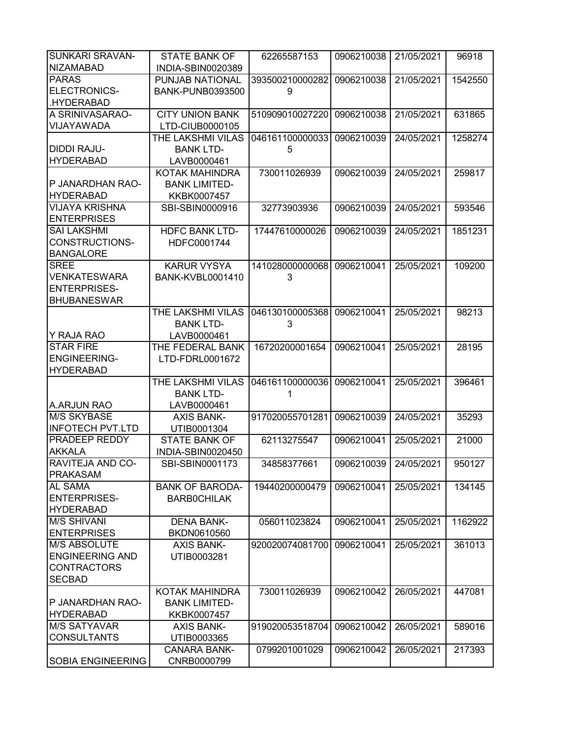| <b>SUNKARI SRAVAN-</b>   | <b>STATE BANK OF</b>    | 62265587153     | 0906210038 | 21/05/2021 | 96918   |
|--------------------------|-------------------------|-----------------|------------|------------|---------|
| <b>NIZAMABAD</b>         | INDIA-SBIN0020389       |                 |            |            |         |
| <b>PARAS</b>             | PUNJAB NATIONAL         | 393500210000282 | 0906210038 | 21/05/2021 | 1542550 |
| ELECTRONICS-             | <b>BANK-PUNB0393500</b> | 9               |            |            |         |
| .HYDERABAD               |                         |                 |            |            |         |
| A SRINIVASARAO-          | <b>CITY UNION BANK</b>  | 510909010027220 | 0906210038 | 21/05/2021 | 631865  |
| VIJAYAWADA               | LTD-CIUB0000105         |                 |            |            |         |
|                          | THE LAKSHMI VILAS       | 046161100000033 | 0906210039 | 24/05/2021 | 1258274 |
| <b>DIDDI RAJU-</b>       | <b>BANK LTD-</b>        |                 |            |            |         |
|                          |                         | 5               |            |            |         |
| <b>HYDERABAD</b>         | LAVB0000461             |                 |            |            |         |
|                          | KOTAK MAHINDRA          | 730011026939    | 0906210039 | 24/05/2021 | 259817  |
| P JANARDHAN RAO-         | <b>BANK LIMITED-</b>    |                 |            |            |         |
| <b>HYDERABAD</b>         | KKBK0007457             |                 |            |            |         |
| <b>VIJAYA KRISHNA</b>    | SBI-SBIN0000916         | 32773903936     | 0906210039 | 24/05/2021 | 593546  |
| <b>ENTERPRISES</b>       |                         |                 |            |            |         |
| <b>SAI LAKSHMI</b>       | <b>HDFC BANK LTD-</b>   | 17447610000026  | 0906210039 | 24/05/2021 | 1851231 |
| CONSTRUCTIONS-           | HDFC0001744             |                 |            |            |         |
| <b>BANGALORE</b>         |                         |                 |            |            |         |
| <b>SREE</b>              | <b>KARUR VYSYA</b>      | 141028000000068 | 0906210041 | 25/05/2021 | 109200  |
| <b>VENKATESWARA</b>      | <b>BANK-KVBL0001410</b> | 3               |            |            |         |
| <b>ENTERPRISES-</b>      |                         |                 |            |            |         |
| <b>BHUBANESWAR</b>       |                         |                 |            |            |         |
|                          | THE LAKSHMI VILAS       | 046130100005368 | 0906210041 | 25/05/2021 | 98213   |
|                          | <b>BANK LTD-</b>        | 3               |            |            |         |
|                          |                         |                 |            |            |         |
| Y RAJA RAO               | LAVB0000461             |                 |            |            |         |
| <b>STAR FIRE</b>         | THE FEDERAL BANK        | 16720200001654  | 0906210041 | 25/05/2021 | 28195   |
| <b>ENGINEERING-</b>      | LTD-FDRL0001672         |                 |            |            |         |
| <b>HYDERABAD</b>         |                         |                 |            |            |         |
|                          | THE LAKSHMI VILAS       | 046161100000036 | 0906210041 | 25/05/2021 | 396461  |
|                          | <b>BANK LTD-</b>        | 1               |            |            |         |
| A.ARJUN RAO              | LAVB0000461             |                 |            |            |         |
| <b>M/S SKYBASE</b>       | <b>AXIS BANK-</b>       | 917020055701281 | 0906210039 | 24/05/2021 | 35293   |
| <b>INFOTECH PVT.LTD</b>  | UTIB0001304             |                 |            |            |         |
| <b>PRADEEP REDDY</b>     | <b>STATE BANK OF</b>    | 62113275547     | 0906210041 | 25/05/2021 | 21000   |
| <b>AKKALA</b>            | INDIA-SBIN0020450       |                 |            |            |         |
| <b>RAVITEJA AND CO-</b>  | SBI-SBIN0001173         | 34858377661     | 0906210039 | 24/05/2021 | 950127  |
| <b>PRAKASAM</b>          |                         |                 |            |            |         |
| <b>AL SAMA</b>           | <b>BANK OF BARODA-</b>  | 19440200000479  | 0906210041 | 25/05/2021 | 134145  |
| <b>ENTERPRISES-</b>      | <b>BARBOCHILAK</b>      |                 |            |            |         |
| <b>HYDERABAD</b>         |                         |                 |            |            |         |
| <b>M/S SHIVANI</b>       | <b>DENA BANK-</b>       | 056011023824    | 0906210041 | 25/05/2021 | 1162922 |
| <b>ENTERPRISES</b>       | BKDN0610560             |                 |            |            |         |
| <b>M/S ABSOLUTE</b>      | <b>AXIS BANK-</b>       | 920020074081700 | 0906210041 | 25/05/2021 | 361013  |
| <b>ENGINEERING AND</b>   | UTIB0003281             |                 |            |            |         |
| <b>CONTRACTORS</b>       |                         |                 |            |            |         |
|                          |                         |                 |            |            |         |
| <b>SECBAD</b>            |                         |                 |            |            |         |
|                          | KOTAK MAHINDRA          | 730011026939    | 0906210042 | 26/05/2021 | 447081  |
| P JANARDHAN RAO-         | <b>BANK LIMITED-</b>    |                 |            |            |         |
| <b>HYDERABAD</b>         | KKBK0007457             |                 |            |            |         |
| <b>M/S SATYAVAR</b>      | <b>AXIS BANK-</b>       | 919020053518704 | 0906210042 | 26/05/2021 | 589016  |
| <b>CONSULTANTS</b>       | UTIB0003365             |                 |            |            |         |
|                          | <b>CANARA BANK-</b>     | 0799201001029   | 0906210042 | 26/05/2021 | 217393  |
| <b>SOBIA ENGINEERING</b> | CNRB0000799             |                 |            |            |         |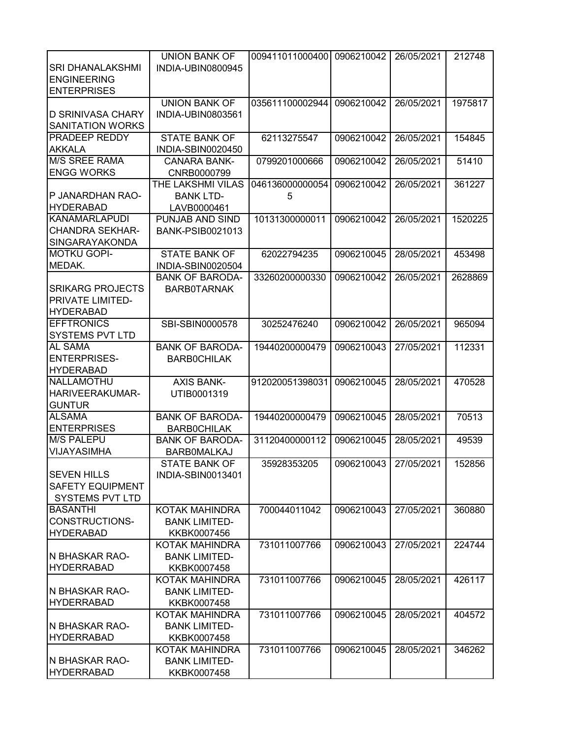|                          | <b>UNION BANK OF</b>    | 009411011000400 0906210042 |                       | 26/05/2021 | 212748  |
|--------------------------|-------------------------|----------------------------|-----------------------|------------|---------|
| <b>SRI DHANALAKSHMI</b>  | INDIA-UBIN0800945       |                            |                       |            |         |
| <b>ENGINEERING</b>       |                         |                            |                       |            |         |
| <b>ENTERPRISES</b>       |                         |                            |                       |            |         |
|                          | <b>UNION BANK OF</b>    | 035611100002944            | 0906210042            | 26/05/2021 | 1975817 |
| <b>D SRINIVASA CHARY</b> | INDIA-UBIN0803561       |                            |                       |            |         |
| <b>SANITATION WORKS</b>  |                         |                            |                       |            |         |
|                          |                         |                            |                       |            |         |
| <b>PRADEEP REDDY</b>     | <b>STATE BANK OF</b>    | 62113275547                | 0906210042            | 26/05/2021 | 154845  |
| <b>AKKALA</b>            | INDIA-SBIN0020450       |                            |                       |            |         |
| <b>M/S SREE RAMA</b>     | <b>CANARA BANK-</b>     | 0799201000666              | 0906210042            | 26/05/2021 | 51410   |
| <b>ENGG WORKS</b>        | CNRB0000799             |                            |                       |            |         |
|                          | THE LAKSHMI VILAS       | 046136000000054            | 0906210042            | 26/05/2021 | 361227  |
| P JANARDHAN RAO-         | <b>BANK LTD-</b>        | 5                          |                       |            |         |
| <b>HYDERABAD</b>         | LAVB0000461             |                            |                       |            |         |
| <b>KANAMARLAPUDI</b>     | PUNJAB AND SIND         | 10131300000011             | 0906210042            | 26/05/2021 | 1520225 |
| <b>CHANDRA SEKHAR-</b>   | <b>BANK-PSIB0021013</b> |                            |                       |            |         |
| <b>SINGARAYAKONDA</b>    |                         |                            |                       |            |         |
| <b>MOTKU GOPI-</b>       | <b>STATE BANK OF</b>    | 62022794235                | 0906210045            | 28/05/2021 | 453498  |
| MEDAK.                   | INDIA-SBIN0020504       |                            |                       |            |         |
|                          | <b>BANK OF BARODA-</b>  | 33260200000330             | 0906210042            | 26/05/2021 | 2628869 |
| <b>SRIKARG PROJECTS</b>  | <b>BARBOTARNAK</b>      |                            |                       |            |         |
| <b>PRIVATE LIMITED-</b>  |                         |                            |                       |            |         |
| <b>HYDERABAD</b>         |                         |                            |                       |            |         |
| <b>EFFTRONICS</b>        | SBI-SBIN0000578         | 30252476240                | 0906210042            | 26/05/2021 | 965094  |
| <b>SYSTEMS PVT LTD</b>   |                         |                            |                       |            |         |
| <b>AL SAMA</b>           |                         |                            |                       |            |         |
|                          | <b>BANK OF BARODA-</b>  | 19440200000479             | 0906210043            | 27/05/2021 | 112331  |
| <b>ENTERPRISES-</b>      | <b>BARBOCHILAK</b>      |                            |                       |            |         |
| <b>HYDERABAD</b>         |                         |                            |                       |            |         |
| NALLAMOTHU               | <b>AXIS BANK-</b>       | 912020051398031            | 0906210045            | 28/05/2021 | 470528  |
| HARIVEERAKUMAR-          | UTIB0001319             |                            |                       |            |         |
| <b>GUNTUR</b>            |                         |                            |                       |            |         |
| <b>ALSAMA</b>            | <b>BANK OF BARODA-</b>  | 19440200000479             | 0906210045            | 28/05/2021 | 70513   |
| <b>ENTERPRISES</b>       | <b>BARBOCHILAK</b>      |                            |                       |            |         |
| <b>M/S PALEPU</b>        | <b>BANK OF BARODA-</b>  | 31120400000112             | 0906210045            | 28/05/2021 | 49539   |
| VIJAYASIMHA              | <b>BARBOMALKAJ</b>      |                            |                       |            |         |
|                          | <b>STATE BANK OF</b>    | 35928353205                | 0906210043 27/05/2021 |            | 152856  |
| <b>SEVEN HILLS</b>       | INDIA-SBIN0013401       |                            |                       |            |         |
| <b>SAFETY EQUIPMENT</b>  |                         |                            |                       |            |         |
| <b>SYSTEMS PVT LTD</b>   |                         |                            |                       |            |         |
| <b>BASANTHI</b>          | <b>KOTAK MAHINDRA</b>   | 700044011042               | 0906210043            | 27/05/2021 | 360880  |
| CONSTRUCTIONS-           | <b>BANK LIMITED-</b>    |                            |                       |            |         |
| <b>HYDERABAD</b>         | KKBK0007456             |                            |                       |            |         |
|                          | KOTAK MAHINDRA          | 731011007766               | 0906210043            | 27/05/2021 | 224744  |
| N BHASKAR RAO-           | <b>BANK LIMITED-</b>    |                            |                       |            |         |
| <b>HYDERRABAD</b>        | KKBK0007458             |                            |                       |            |         |
|                          | KOTAK MAHINDRA          | 731011007766               | 0906210045            | 28/05/2021 | 426117  |
| IN BHASKAR RAO-          | <b>BANK LIMITED-</b>    |                            |                       |            |         |
| <b>HYDERRABAD</b>        |                         |                            |                       |            |         |
|                          | KKBK0007458             | 731011007766               | 0906210045            | 28/05/2021 | 404572  |
|                          | KOTAK MAHINDRA          |                            |                       |            |         |
| N BHASKAR RAO-           | <b>BANK LIMITED-</b>    |                            |                       |            |         |
| <b>HYDERRABAD</b>        | KKBK0007458             |                            |                       |            |         |
|                          | KOTAK MAHINDRA          | 731011007766               | 0906210045            | 28/05/2021 | 346262  |
| N BHASKAR RAO-           | <b>BANK LIMITED-</b>    |                            |                       |            |         |
| <b>HYDERRABAD</b>        | KKBK0007458             |                            |                       |            |         |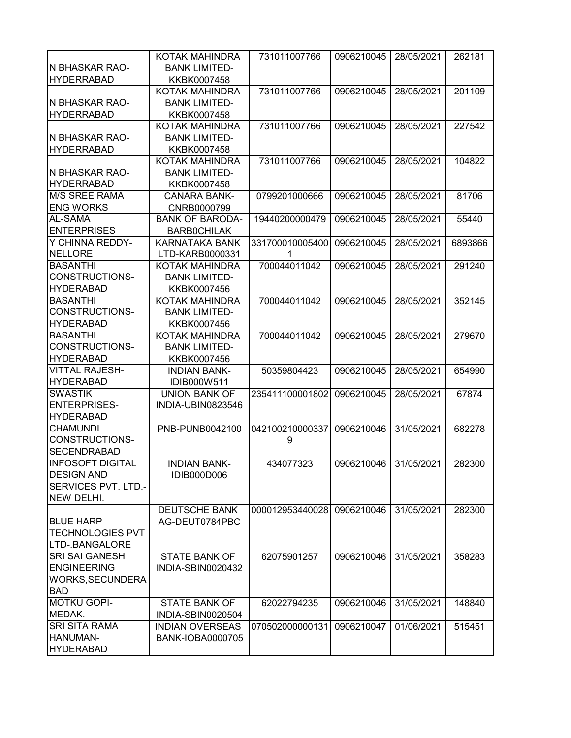|                                  | KOTAK MAHINDRA          | 731011007766    | 0906210045 | 28/05/2021 | 262181  |
|----------------------------------|-------------------------|-----------------|------------|------------|---------|
| N BHASKAR RAO-                   | <b>BANK LIMITED-</b>    |                 |            |            |         |
| <b>HYDERRABAD</b>                | KKBK0007458             |                 |            |            |         |
|                                  | KOTAK MAHINDRA          | 731011007766    | 0906210045 | 28/05/2021 | 201109  |
| N BHASKAR RAO-                   | <b>BANK LIMITED-</b>    |                 |            |            |         |
| <b>IHYDERRABAD</b>               | KKBK0007458             |                 |            |            |         |
|                                  | KOTAK MAHINDRA          | 731011007766    | 0906210045 | 28/05/2021 | 227542  |
| IN BHASKAR RAO-                  | <b>BANK LIMITED-</b>    |                 |            |            |         |
| <b>HYDERRABAD</b>                | KKBK0007458             |                 |            |            |         |
|                                  | KOTAK MAHINDRA          | 731011007766    | 0906210045 | 28/05/2021 | 104822  |
| N BHASKAR RAO-                   | <b>BANK LIMITED-</b>    |                 |            |            |         |
| <b>HYDERRABAD</b>                | KKBK0007458             |                 |            |            |         |
| <b>M/S SREE RAMA</b>             | <b>CANARA BANK-</b>     | 0799201000666   | 0906210045 | 28/05/2021 | 81706   |
| <b>ENG WORKS</b>                 | CNRB0000799             |                 |            |            |         |
| AL-SAMA                          | <b>BANK OF BARODA-</b>  | 19440200000479  | 0906210045 | 28/05/2021 | 55440   |
| <b>ENTERPRISES</b>               | <b>BARBOCHILAK</b>      |                 |            |            |         |
| Y CHINNA REDDY-                  | <b>KARNATAKA BANK</b>   | 331700010005400 | 0906210045 | 28/05/2021 | 6893866 |
| <b>NELLORE</b>                   | LTD-KARB0000331         | 1               |            |            |         |
| <b>BASANTHI</b>                  | KOTAK MAHINDRA          | 700044011042    | 0906210045 | 28/05/2021 | 291240  |
| <b>CONSTRUCTIONS-</b>            | <b>BANK LIMITED-</b>    |                 |            |            |         |
| <b>HYDERABAD</b>                 | KKBK0007456             |                 |            |            |         |
| <b>BASANTHI</b>                  | KOTAK MAHINDRA          | 700044011042    | 0906210045 | 28/05/2021 | 352145  |
| CONSTRUCTIONS-                   | <b>BANK LIMITED-</b>    |                 |            |            |         |
| <b>HYDERABAD</b>                 | KKBK0007456             |                 |            |            |         |
| <b>BASANTHI</b>                  | KOTAK MAHINDRA          | 700044011042    | 0906210045 | 28/05/2021 | 279670  |
| <b>CONSTRUCTIONS-</b>            | <b>BANK LIMITED-</b>    |                 |            |            |         |
| <b>HYDERABAD</b>                 | KKBK0007456             |                 |            |            |         |
| <b>VITTAL RAJESH-</b>            | <b>INDIAN BANK-</b>     | 50359804423     | 0906210045 | 28/05/2021 | 654990  |
| <b>HYDERABAD</b>                 | IDIB000W511             |                 |            |            |         |
| <b>SWASTIK</b>                   | <b>UNION BANK OF</b>    | 235411100001802 | 0906210045 | 28/05/2021 | 67874   |
| <b>ENTERPRISES-</b>              | INDIA-UBIN0823546       |                 |            |            |         |
| <b>HYDERABAD</b>                 |                         |                 |            |            |         |
| <b>CHAMUNDI</b>                  | PNB-PUNB0042100         | 042100210000337 | 0906210046 | 31/05/2021 | 682278  |
| CONSTRUCTIONS-                   |                         | 9               |            |            |         |
| <b>SECENDRABAD</b>               |                         |                 |            |            |         |
| <b>INFOSOFT DIGITAL</b>          | <b>INDIAN BANK-</b>     | 434077323       | 0906210046 | 31/05/2021 | 282300  |
| <b>DESIGN AND</b>                | IDIB000D006             |                 |            |            |         |
| <b>SERVICES PVT. LTD.-</b>       |                         |                 |            |            |         |
| NEW DELHI.                       |                         |                 |            |            |         |
|                                  | <b>DEUTSCHE BANK</b>    | 000012953440028 | 0906210046 | 31/05/2021 | 282300  |
| <b>BLUE HARP</b>                 | AG-DEUT0784PBC          |                 |            |            |         |
| <b>TECHNOLOGIES PVT</b>          |                         |                 |            |            |         |
| LTD-.BANGALORE                   |                         |                 |            |            |         |
| <b>SRI SAI GANESH</b>            | <b>STATE BANK OF</b>    | 62075901257     | 0906210046 | 31/05/2021 | 358283  |
| <b>ENGINEERING</b>               | INDIA-SBIN0020432       |                 |            |            |         |
| WORKS, SECUNDERA                 |                         |                 |            |            |         |
|                                  |                         |                 |            |            |         |
| <b>BAD</b><br><b>MOTKU GOPI-</b> |                         |                 |            |            |         |
|                                  | <b>STATE BANK OF</b>    | 62022794235     | 0906210046 | 31/05/2021 | 148840  |
| MEDAK.                           | INDIA-SBIN0020504       |                 |            |            |         |
| <b>SRI SITA RAMA</b>             | <b>INDIAN OVERSEAS</b>  | 070502000000131 | 0906210047 | 01/06/2021 | 515451  |
| HANUMAN-                         | <b>BANK-IOBA0000705</b> |                 |            |            |         |
| <b>HYDERABAD</b>                 |                         |                 |            |            |         |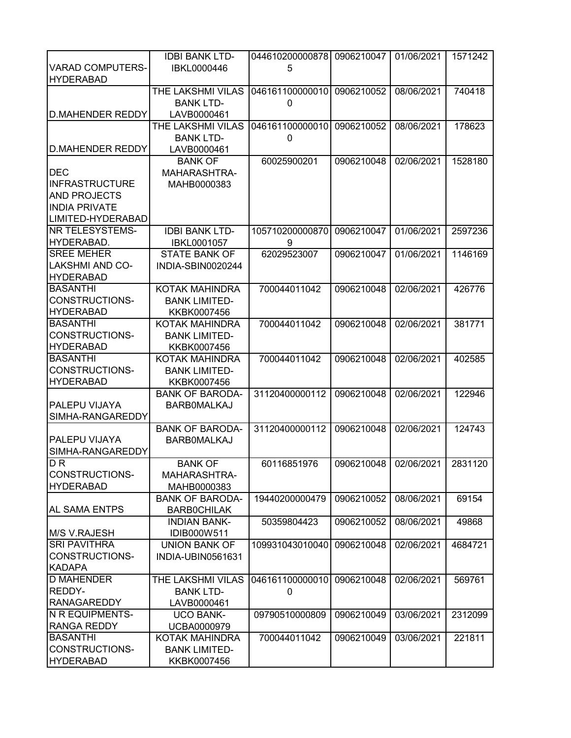|                         | <b>IDBI BANK LTD-</b>  | 044610200000878 | 0906210047 | 01/06/2021 | 1571242 |
|-------------------------|------------------------|-----------------|------------|------------|---------|
| <b>VARAD COMPUTERS-</b> | IBKL0000446            | 5               |            |            |         |
| <b>HYDERABAD</b>        |                        |                 |            |            |         |
|                         | THE LAKSHMI VILAS      | 046161100000010 | 0906210052 | 08/06/2021 | 740418  |
|                         | <b>BANK LTD-</b>       | 0               |            |            |         |
| D.MAHENDER REDDY        | LAVB0000461            |                 |            |            |         |
|                         | THE LAKSHMI VILAS      | 046161100000010 | 0906210052 | 08/06/2021 | 178623  |
|                         |                        |                 |            |            |         |
|                         | <b>BANK LTD-</b>       | 0               |            |            |         |
| <b>D.MAHENDER REDDY</b> | LAVB0000461            |                 |            |            |         |
|                         | <b>BANK OF</b>         | 60025900201     | 0906210048 | 02/06/2021 | 1528180 |
| <b>DEC</b>              | MAHARASHTRA-           |                 |            |            |         |
| <b>INFRASTRUCTURE</b>   | MAHB0000383            |                 |            |            |         |
| <b>AND PROJECTS</b>     |                        |                 |            |            |         |
| <b>INDIA PRIVATE</b>    |                        |                 |            |            |         |
| LIMITED-HYDERABAD       |                        |                 |            |            |         |
| <b>NR TELESYSTEMS-</b>  | <b>IDBI BANK LTD-</b>  | 105710200000870 | 0906210047 | 01/06/2021 | 2597236 |
| HYDERABAD.              | <b>IBKL0001057</b>     | 9               |            |            |         |
| <b>SREE MEHER</b>       | <b>STATE BANK OF</b>   | 62029523007     | 0906210047 | 01/06/2021 | 1146169 |
| <b>LAKSHMI AND CO-</b>  | INDIA-SBIN0020244      |                 |            |            |         |
| <b>HYDERABAD</b>        |                        |                 |            |            |         |
| <b>BASANTHI</b>         | KOTAK MAHINDRA         | 700044011042    | 0906210048 | 02/06/2021 | 426776  |
| <b>CONSTRUCTIONS-</b>   | <b>BANK LIMITED-</b>   |                 |            |            |         |
| <b>HYDERABAD</b>        | KKBK0007456            |                 |            |            |         |
| <b>BASANTHI</b>         | KOTAK MAHINDRA         | 700044011042    | 0906210048 | 02/06/2021 | 381771  |
| CONSTRUCTIONS-          | <b>BANK LIMITED-</b>   |                 |            |            |         |
| <b>HYDERABAD</b>        | KKBK0007456            |                 |            |            |         |
| <b>BASANTHI</b>         | KOTAK MAHINDRA         | 700044011042    | 0906210048 | 02/06/2021 | 402585  |
| CONSTRUCTIONS-          | <b>BANK LIMITED-</b>   |                 |            |            |         |
| <b>HYDERABAD</b>        |                        |                 |            |            |         |
|                         | KKBK0007456            |                 |            |            |         |
|                         | <b>BANK OF BARODA-</b> | 31120400000112  | 0906210048 | 02/06/2021 | 122946  |
| <b>PALEPU VIJAYA</b>    | <b>BARBOMALKAJ</b>     |                 |            |            |         |
| SIMHA-RANGAREDDY        |                        |                 |            |            |         |
|                         | <b>BANK OF BARODA-</b> | 31120400000112  | 0906210048 | 02/06/2021 | 124743  |
| PALEPU VIJAYA           | <b>BARBOMALKAJ</b>     |                 |            |            |         |
| SIMHA-RANGAREDDY        |                        |                 |            |            |         |
| $\overline{DR}$         | <b>BANK OF</b>         | 60116851976     | 0906210048 | 02/06/2021 | 2831120 |
| CONSTRUCTIONS-          | MAHARASHTRA-           |                 |            |            |         |
| <b>HYDERABAD</b>        | MAHB0000383            |                 |            |            |         |
|                         | <b>BANK OF BARODA-</b> | 19440200000479  | 0906210052 | 08/06/2021 | 69154   |
| <b>AL SAMA ENTPS</b>    | <b>BARBOCHILAK</b>     |                 |            |            |         |
|                         | <b>INDIAN BANK-</b>    | 50359804423     | 0906210052 | 08/06/2021 | 49868   |
| M/S V.RAJESH            | IDIB000W511            |                 |            |            |         |
| <b>SRI PAVITHRA</b>     | <b>UNION BANK OF</b>   | 109931043010040 | 0906210048 | 02/06/2021 | 4684721 |
| CONSTRUCTIONS-          | INDIA-UBIN0561631      |                 |            |            |         |
| <b>KADAPA</b>           |                        |                 |            |            |         |
| <b>D MAHENDER</b>       | THE LAKSHMI VILAS      | 046161100000010 | 0906210048 | 02/06/2021 | 569761  |
| REDDY-                  | <b>BANK LTD-</b>       | 0               |            |            |         |
| <b>RANAGAREDDY</b>      | LAVB0000461            |                 |            |            |         |
| <b>N R EQUIPMENTS-</b>  | <b>UCO BANK-</b>       | 09790510000809  | 0906210049 | 03/06/2021 | 2312099 |
| <b>RANGA REDDY</b>      | UCBA0000979            |                 |            |            |         |
| <b>BASANTHI</b>         | KOTAK MAHINDRA         | 700044011042    | 0906210049 | 03/06/2021 | 221811  |
| CONSTRUCTIONS-          | <b>BANK LIMITED-</b>   |                 |            |            |         |
|                         |                        |                 |            |            |         |
| <b>HYDERABAD</b>        | KKBK0007456            |                 |            |            |         |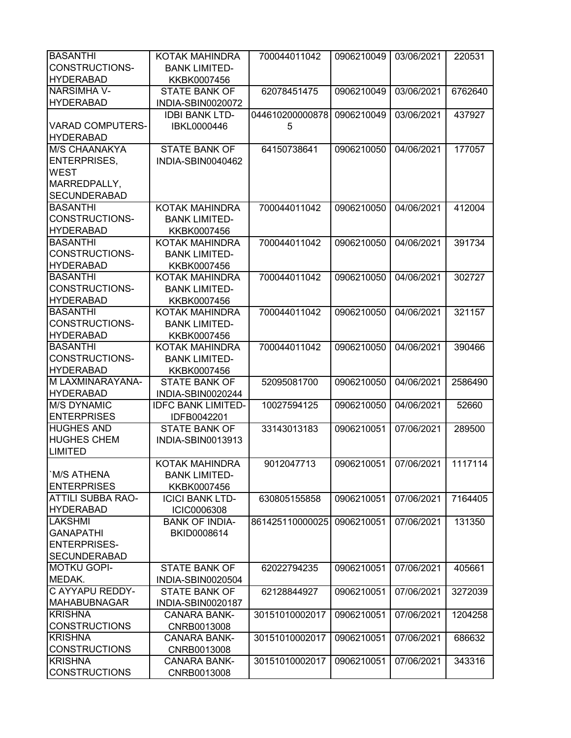| <b>BASANTHI</b>          | KOTAK MAHINDRA            | 700044011042    | 0906210049 | 03/06/2021 | 220531  |
|--------------------------|---------------------------|-----------------|------------|------------|---------|
| <b>CONSTRUCTIONS-</b>    | <b>BANK LIMITED-</b>      |                 |            |            |         |
| <b>HYDERABAD</b>         | KKBK0007456               |                 |            |            |         |
| <b>NARSIMHA V-</b>       | <b>STATE BANK OF</b>      | 62078451475     | 0906210049 | 03/06/2021 | 6762640 |
| <b>HYDERABAD</b>         | INDIA-SBIN0020072         |                 |            |            |         |
|                          | <b>IDBI BANK LTD-</b>     | 044610200000878 | 0906210049 | 03/06/2021 | 437927  |
| <b>VARAD COMPUTERS-</b>  | IBKL0000446               | 5               |            |            |         |
| <b>HYDERABAD</b>         |                           |                 |            |            |         |
| <b>M/S CHAANAKYA</b>     | <b>STATE BANK OF</b>      | 64150738641     | 0906210050 | 04/06/2021 | 177057  |
| <b>ENTERPRISES,</b>      | INDIA-SBIN0040462         |                 |            |            |         |
| <b>WEST</b>              |                           |                 |            |            |         |
| MARREDPALLY,             |                           |                 |            |            |         |
| <b>SECUNDERABAD</b>      |                           |                 |            |            |         |
| <b>BASANTHI</b>          | KOTAK MAHINDRA            | 700044011042    | 0906210050 | 04/06/2021 | 412004  |
| <b>CONSTRUCTIONS-</b>    |                           |                 |            |            |         |
|                          | <b>BANK LIMITED-</b>      |                 |            |            |         |
| <b>HYDERABAD</b>         | KKBK0007456               |                 |            |            |         |
| <b>BASANTHI</b>          | <b>KOTAK MAHINDRA</b>     | 700044011042    | 0906210050 | 04/06/2021 | 391734  |
| <b>CONSTRUCTIONS-</b>    | <b>BANK LIMITED-</b>      |                 |            |            |         |
| <b>HYDERABAD</b>         | KKBK0007456               |                 |            |            |         |
| <b>BASANTHI</b>          | KOTAK MAHINDRA            | 700044011042    | 0906210050 | 04/06/2021 | 302727  |
| CONSTRUCTIONS-           | <b>BANK LIMITED-</b>      |                 |            |            |         |
| <b>HYDERABAD</b>         | KKBK0007456               |                 |            |            |         |
| <b>BASANTHI</b>          | KOTAK MAHINDRA            | 700044011042    | 0906210050 | 04/06/2021 | 321157  |
| <b>CONSTRUCTIONS-</b>    | <b>BANK LIMITED-</b>      |                 |            |            |         |
| <b>HYDERABAD</b>         | KKBK0007456               |                 |            |            |         |
| <b>BASANTHI</b>          | KOTAK MAHINDRA            | 700044011042    | 0906210050 | 04/06/2021 | 390466  |
| <b>CONSTRUCTIONS-</b>    | <b>BANK LIMITED-</b>      |                 |            |            |         |
| <b>HYDERABAD</b>         | KKBK0007456               |                 |            |            |         |
| M LAXMINARAYANA-         | <b>STATE BANK OF</b>      | 52095081700     | 0906210050 | 04/06/2021 | 2586490 |
| <b>HYDERABAD</b>         | INDIA-SBIN0020244         |                 |            |            |         |
| <b>M/S DYNAMIC</b>       | <b>IDFC BANK LIMITED-</b> | 10027594125     | 0906210050 | 04/06/2021 | 52660   |
| <b>ENTERPRISES</b>       | IDFB0042201               |                 |            |            |         |
| <b>HUGHES AND</b>        | <b>STATE BANK OF</b>      | 33143013183     | 0906210051 | 07/06/2021 | 289500  |
| <b>HUGHES CHEM</b>       | INDIA-SBIN0013913         |                 |            |            |         |
| <b>LIMITED</b>           |                           |                 |            |            |         |
|                          | KOTAK MAHINDRA            | 9012047713      | 0906210051 | 07/06/2021 | 1117114 |
| <b>M/S ATHENA</b>        | <b>BANK LIMITED-</b>      |                 |            |            |         |
| <b>ENTERPRISES</b>       | KKBK0007456               |                 |            |            |         |
| <b>ATTILI SUBBA RAO-</b> | <b>ICICI BANK LTD-</b>    | 630805155858    | 0906210051 | 07/06/2021 | 7164405 |
| <b>HYDERABAD</b>         | ICIC0006308               |                 |            |            |         |
| <b>LAKSHMI</b>           | <b>BANK OF INDIA-</b>     | 861425110000025 | 0906210051 | 07/06/2021 | 131350  |
| <b>GANAPATHI</b>         | BKID0008614               |                 |            |            |         |
| <b>ENTERPRISES-</b>      |                           |                 |            |            |         |
| <b>SECUNDERABAD</b>      |                           |                 |            |            |         |
| <b>MOTKU GOPI-</b>       | <b>STATE BANK OF</b>      | 62022794235     | 0906210051 | 07/06/2021 | 405661  |
| MEDAK.                   | INDIA-SBIN0020504         |                 |            |            |         |
| C AYYAPU REDDY-          | <b>STATE BANK OF</b>      | 62128844927     | 0906210051 | 07/06/2021 | 3272039 |
| <b>MAHABUBNAGAR</b>      | INDIA-SBIN0020187         |                 |            |            |         |
| <b>KRISHNA</b>           | <b>CANARA BANK-</b>       | 30151010002017  | 0906210051 | 07/06/2021 | 1204258 |
| <b>CONSTRUCTIONS</b>     | CNRB0013008               |                 |            |            |         |
| <b>KRISHNA</b>           | <b>CANARA BANK-</b>       | 30151010002017  |            | 07/06/2021 |         |
| <b>CONSTRUCTIONS</b>     |                           |                 | 0906210051 |            | 686632  |
| <b>KRISHNA</b>           | CNRB0013008               |                 |            |            |         |
|                          | <b>CANARA BANK-</b>       | 30151010002017  | 0906210051 | 07/06/2021 | 343316  |
| <b>CONSTRUCTIONS</b>     | CNRB0013008               |                 |            |            |         |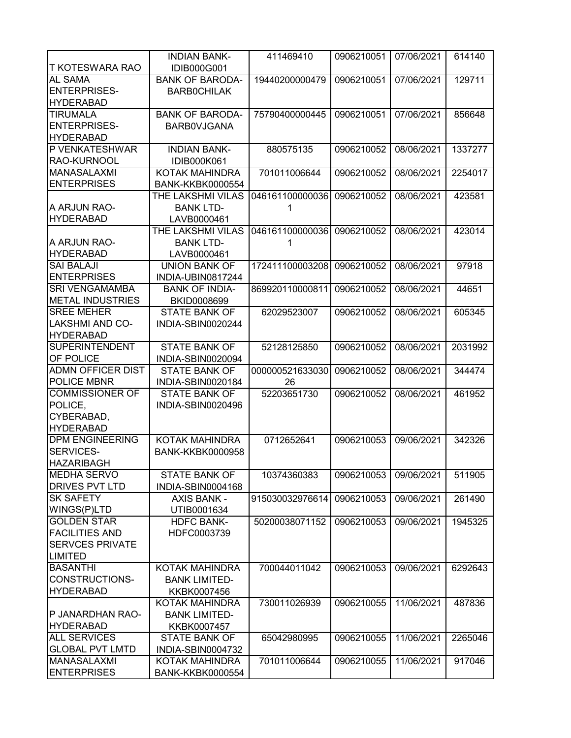|                          | <b>INDIAN BANK-</b>     | 411469410       | 0906210051 | 07/06/2021 | 614140  |
|--------------------------|-------------------------|-----------------|------------|------------|---------|
| T KOTESWARA RAO          | IDIB000G001             |                 |            |            |         |
| AL SAMA                  | <b>BANK OF BARODA-</b>  | 19440200000479  | 0906210051 | 07/06/2021 | 129711  |
| <b>ENTERPRISES-</b>      | <b>BARBOCHILAK</b>      |                 |            |            |         |
| <b>HYDERABAD</b>         |                         |                 |            |            |         |
| <b>TIRUMALA</b>          | <b>BANK OF BARODA-</b>  | 75790400000445  | 0906210051 | 07/06/2021 | 856648  |
| <b>ENTERPRISES-</b>      | <b>BARBOVJGANA</b>      |                 |            |            |         |
| <b>HYDERABAD</b>         |                         |                 |            |            |         |
| P VENKATESHWAR           | <b>INDIAN BANK-</b>     | 880575135       | 0906210052 | 08/06/2021 | 1337277 |
| RAO-KURNOOL              | IDIB000K061             |                 |            |            |         |
| MANASALAXMI              | <b>KOTAK MAHINDRA</b>   | 701011006644    | 0906210052 | 08/06/2021 | 2254017 |
| <b>ENTERPRISES</b>       | <b>BANK-KKBK0000554</b> |                 |            |            |         |
|                          | THE LAKSHMI VILAS       | 046161100000036 | 0906210052 | 08/06/2021 | 423581  |
| A ARJUN RAO-             | <b>BANK LTD-</b>        | 1               |            |            |         |
| <b>HYDERABAD</b>         | LAVB0000461             |                 |            |            |         |
|                          | THE LAKSHMI VILAS       | 046161100000036 | 0906210052 | 08/06/2021 | 423014  |
| A ARJUN RAO-             | <b>BANK LTD-</b>        | 1               |            |            |         |
| <b>HYDERABAD</b>         | LAVB0000461             |                 |            |            |         |
| <b>SAI BALAJI</b>        | <b>UNION BANK OF</b>    | 172411100003208 | 0906210052 | 08/06/2021 | 97918   |
| <b>ENTERPRISES</b>       | INDIA-UBIN0817244       |                 |            |            |         |
| <b>SRI VENGAMAMBA</b>    | <b>BANK OF INDIA-</b>   | 869920110000811 | 0906210052 | 08/06/2021 | 44651   |
| <b>METAL INDUSTRIES</b>  | <b>BKID0008699</b>      |                 |            |            |         |
| <b>SREE MEHER</b>        | <b>STATE BANK OF</b>    | 62029523007     | 0906210052 | 08/06/2021 | 605345  |
| <b>LAKSHMI AND CO-</b>   | INDIA-SBIN0020244       |                 |            |            |         |
| <b>HYDERABAD</b>         |                         |                 |            |            |         |
| <b>SUPERINTENDENT</b>    | <b>STATE BANK OF</b>    | 52128125850     | 0906210052 | 08/06/2021 | 2031992 |
| OF POLICE                | INDIA-SBIN0020094       |                 |            |            |         |
| <b>ADMN OFFICER DIST</b> | <b>STATE BANK OF</b>    | 000000521633030 | 0906210052 | 08/06/2021 | 344474  |
| <b>POLICE MBNR</b>       | INDIA-SBIN0020184       | 26              |            |            |         |
| <b>COMMISSIONER OF</b>   | <b>STATE BANK OF</b>    | 52203651730     | 0906210052 | 08/06/2021 | 461952  |
| POLICE,                  | INDIA-SBIN0020496       |                 |            |            |         |
| CYBERABAD,               |                         |                 |            |            |         |
| <b>HYDERABAD</b>         |                         |                 |            |            |         |
| <b>DPM ENGINEERING</b>   | KOTAK MAHINDRA          | 0712652641      | 0906210053 | 09/06/2021 | 342326  |
| SERVICES-                | <b>BANK-KKBK0000958</b> |                 |            |            |         |
| <b>HAZARIBAGH</b>        |                         |                 |            |            |         |
| <b>MEDHA SERVO</b>       | <b>STATE BANK OF</b>    | 10374360383     | 0906210053 | 09/06/2021 | 511905  |
| <b>DRIVES PVT LTD</b>    | INDIA-SBIN0004168       |                 |            |            |         |
| <b>SK SAFETY</b>         | <b>AXIS BANK -</b>      | 915030032976614 | 0906210053 | 09/06/2021 | 261490  |
| WINGS(P)LTD              | UTIB0001634             |                 |            |            |         |
| <b>GOLDEN STAR</b>       | <b>HDFC BANK-</b>       | 50200038071152  | 0906210053 | 09/06/2021 | 1945325 |
| <b>FACILITIES AND</b>    | HDFC0003739             |                 |            |            |         |
| <b>SERVCES PRIVATE</b>   |                         |                 |            |            |         |
| <b>LIMITED</b>           |                         |                 |            |            |         |
| <b>BASANTHI</b>          | KOTAK MAHINDRA          | 700044011042    | 0906210053 | 09/06/2021 | 6292643 |
| <b>CONSTRUCTIONS-</b>    | <b>BANK LIMITED-</b>    |                 |            |            |         |
| <b>HYDERABAD</b>         | KKBK0007456             |                 |            |            |         |
|                          | KOTAK MAHINDRA          | 730011026939    | 0906210055 | 11/06/2021 | 487836  |
| P JANARDHAN RAO-         | <b>BANK LIMITED-</b>    |                 |            |            |         |
| <b>HYDERABAD</b>         | KKBK0007457             |                 |            |            |         |
| <b>ALL SERVICES</b>      | <b>STATE BANK OF</b>    | 65042980995     | 0906210055 | 11/06/2021 | 2265046 |
| <b>GLOBAL PVT LMTD</b>   | INDIA-SBIN0004732       |                 |            |            |         |
| <b>MANASALAXMI</b>       | KOTAK MAHINDRA          | 701011006644    | 0906210055 | 11/06/2021 | 917046  |
| <b>ENTERPRISES</b>       | <b>BANK-KKBK0000554</b> |                 |            |            |         |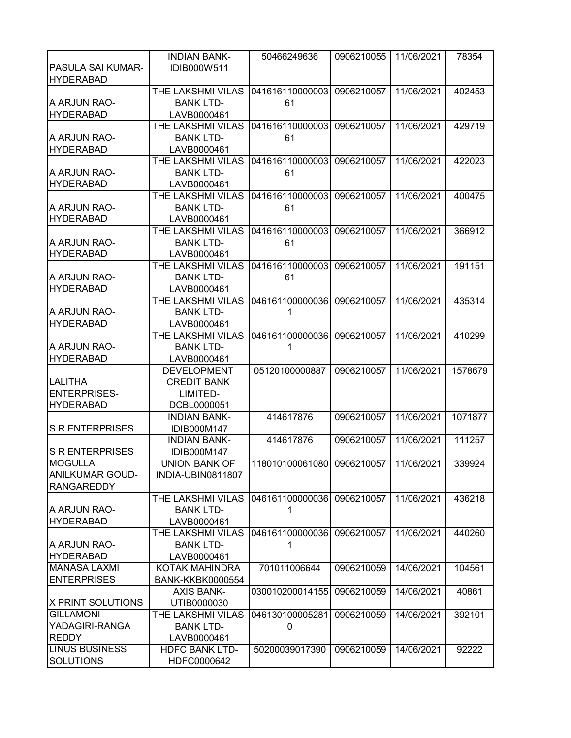|                          | <b>INDIAN BANK-</b>     | 50466249636                           | 0906210055 | 11/06/2021 | 78354   |
|--------------------------|-------------------------|---------------------------------------|------------|------------|---------|
| PASULA SAI KUMAR-        | IDIB000W511             |                                       |            |            |         |
| <b>HYDERABAD</b>         |                         |                                       |            |            |         |
|                          | THE LAKSHMI VILAS       | 041616110000003                       | 0906210057 | 11/06/2021 | 402453  |
| A ARJUN RAO-             | <b>BANK LTD-</b>        | 61                                    |            |            |         |
| <b>HYDERABAD</b>         | LAVB0000461             |                                       |            |            |         |
|                          | THE LAKSHMI VILAS       | 041616110000003                       | 0906210057 | 11/06/2021 | 429719  |
|                          |                         |                                       |            |            |         |
| A ARJUN RAO-             | <b>BANK LTD-</b>        | 61                                    |            |            |         |
| <b>HYDERABAD</b>         | LAVB0000461             |                                       |            |            |         |
|                          | THE LAKSHMI VILAS       | 041616110000003                       | 0906210057 | 11/06/2021 | 422023  |
| A ARJUN RAO-             | <b>BANK LTD-</b>        | 61                                    |            |            |         |
| <b>HYDERABAD</b>         | LAVB0000461             |                                       |            |            |         |
|                          | THE LAKSHMI VILAS       | 041616110000003                       | 0906210057 | 11/06/2021 | 400475  |
| A ARJUN RAO-             | <b>BANK LTD-</b>        | 61                                    |            |            |         |
| <b>HYDERABAD</b>         | LAVB0000461             |                                       |            |            |         |
|                          | THE LAKSHMI VILAS       | 041616110000003                       | 0906210057 | 11/06/2021 | 366912  |
| A ARJUN RAO-             | <b>BANK LTD-</b>        | 61                                    |            |            |         |
| <b>HYDERABAD</b>         | LAVB0000461             |                                       |            |            |         |
|                          | THE LAKSHMI VILAS       | 041616110000003                       | 0906210057 | 11/06/2021 | 191151  |
| A ARJUN RAO-             | <b>BANK LTD-</b>        | 61                                    |            |            |         |
| <b>HYDERABAD</b>         | LAVB0000461             |                                       |            |            |         |
|                          | THE LAKSHMI VILAS       | 046161100000036 0906210057            |            | 11/06/2021 | 435314  |
| A ARJUN RAO-             | <b>BANK LTD-</b>        |                                       |            |            |         |
| <b>HYDERABAD</b>         | LAVB0000461             |                                       |            |            |         |
|                          | THE LAKSHMI VILAS       | 046161100000036                       | 0906210057 | 11/06/2021 | 410299  |
| A ARJUN RAO-             | <b>BANK LTD-</b>        | 1                                     |            |            |         |
| <b>HYDERABAD</b>         |                         |                                       |            |            |         |
|                          | LAVB0000461             |                                       | 0906210057 | 11/06/2021 |         |
|                          | <b>DEVELOPMENT</b>      | 05120100000887                        |            |            | 1578679 |
| <b>LALITHA</b>           | <b>CREDIT BANK</b>      |                                       |            |            |         |
| <b>ENTERPRISES-</b>      | LIMITED-                |                                       |            |            |         |
| <b>HYDERABAD</b>         | DCBL0000051             |                                       |            |            |         |
|                          | <b>INDIAN BANK-</b>     | 414617876                             | 0906210057 | 11/06/2021 | 1071877 |
| <b>S R ENTERPRISES</b>   | IDIB000M147             |                                       |            |            |         |
|                          | <b>INDIAN BANK-</b>     | 414617876                             | 0906210057 | 11/06/2021 | 111257  |
| <b>S R ENTERPRISES</b>   | IDIB000M147             |                                       |            |            |         |
| <b>MOGULLA</b>           | <b>UNION BANK OF</b>    | 118010100061080 0906210057 11/06/2021 |            |            | 339924  |
| <b>ANILKUMAR GOUD-</b>   | INDIA-UBIN0811807       |                                       |            |            |         |
| <b>RANGAREDDY</b>        |                         |                                       |            |            |         |
|                          | THE LAKSHMI VILAS       | 046161100000036                       | 0906210057 | 11/06/2021 | 436218  |
| A ARJUN RAO-             | <b>BANK LTD-</b>        | 1                                     |            |            |         |
| <b>HYDERABAD</b>         | LAVB0000461             |                                       |            |            |         |
|                          | THE LAKSHMI VILAS       | 046161100000036                       | 0906210057 | 11/06/2021 | 440260  |
| A ARJUN RAO-             | <b>BANK LTD-</b>        | 1                                     |            |            |         |
| <b>HYDERABAD</b>         | LAVB0000461             |                                       |            |            |         |
| <b>MANASA LAXMI</b>      | KOTAK MAHINDRA          | 701011006644                          | 0906210059 | 14/06/2021 | 104561  |
| <b>ENTERPRISES</b>       | <b>BANK-KKBK0000554</b> |                                       |            |            |         |
|                          | <b>AXIS BANK-</b>       | 030010200014155                       | 0906210059 | 14/06/2021 | 40861   |
| <b>X PRINT SOLUTIONS</b> | UTIB0000030             |                                       |            |            |         |
| <b>GILLAMONI</b>         | THE LAKSHMI VILAS       | 046130100005281                       | 0906210059 | 14/06/2021 | 392101  |
| YADAGIRI-RANGA           |                         |                                       |            |            |         |
|                          | <b>BANK LTD-</b>        | 0                                     |            |            |         |
| <b>REDDY</b>             | LAVB0000461             |                                       |            |            |         |
| <b>LINUS BUSINESS</b>    | <b>HDFC BANK LTD-</b>   | 50200039017390                        | 0906210059 | 14/06/2021 | 92222   |
| <b>SOLUTIONS</b>         | HDFC0000642             |                                       |            |            |         |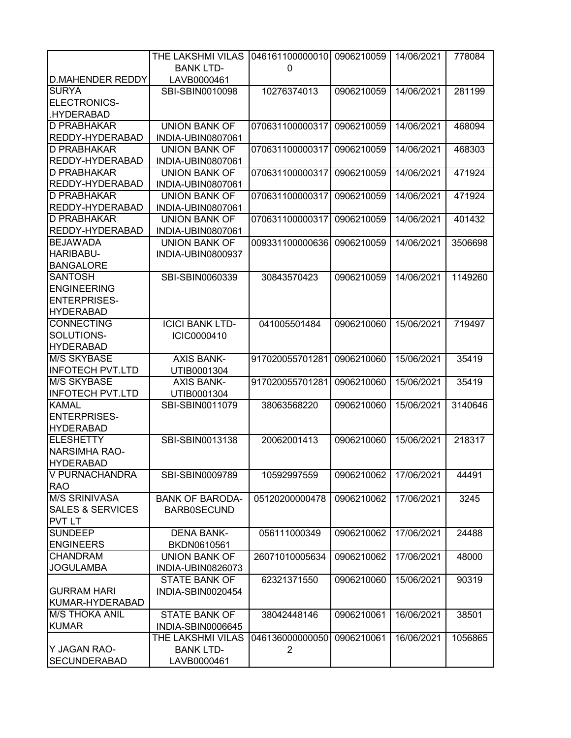|                             | THE LAKSHMI VILAS      | 046161100000010 | 0906210059 | 14/06/2021 | 778084  |
|-----------------------------|------------------------|-----------------|------------|------------|---------|
|                             | <b>BANK LTD-</b>       | 0               |            |            |         |
| <b>D.MAHENDER REDDY</b>     | LAVB0000461            |                 |            |            |         |
| <b>SURYA</b>                | SBI-SBIN0010098        | 10276374013     | 0906210059 | 14/06/2021 | 281199  |
| ELECTRONICS-                |                        |                 |            |            |         |
| .HYDERABAD                  |                        |                 |            |            |         |
| D PRABHAKAR                 | <b>UNION BANK OF</b>   | 070631100000317 | 0906210059 | 14/06/2021 | 468094  |
| REDDY-HYDERABAD             | INDIA-UBIN0807061      |                 |            |            |         |
| <b>D PRABHAKAR</b>          | <b>UNION BANK OF</b>   | 070631100000317 | 0906210059 | 14/06/2021 | 468303  |
| REDDY-HYDERABAD             | INDIA-UBIN0807061      |                 |            |            |         |
| D PRABHAKAR                 | <b>UNION BANK OF</b>   | 070631100000317 | 0906210059 | 14/06/2021 | 471924  |
| REDDY-HYDERABAD             | INDIA-UBIN0807061      |                 |            |            |         |
| D PRABHAKAR                 | <b>UNION BANK OF</b>   | 070631100000317 | 0906210059 | 14/06/2021 | 471924  |
| REDDY-HYDERABAD             | INDIA-UBIN0807061      |                 |            |            |         |
| D PRABHAKAR                 | <b>UNION BANK OF</b>   | 070631100000317 | 0906210059 | 14/06/2021 | 401432  |
| REDDY-HYDERABAD             | INDIA-UBIN0807061      |                 |            |            |         |
| <b>BEJAWADA</b>             | <b>UNION BANK OF</b>   | 009331100000636 | 0906210059 | 14/06/2021 | 3506698 |
| HARIBABU-                   | INDIA-UBIN0800937      |                 |            |            |         |
| <b>BANGALORE</b>            |                        |                 |            |            |         |
| <b>SANTOSH</b>              | SBI-SBIN0060339        | 30843570423     | 0906210059 | 14/06/2021 | 1149260 |
| <b>ENGINEERING</b>          |                        |                 |            |            |         |
| <b>ENTERPRISES-</b>         |                        |                 |            |            |         |
| <b>HYDERABAD</b>            |                        |                 |            |            |         |
| <b>CONNECTING</b>           | <b>ICICI BANK LTD-</b> | 041005501484    | 0906210060 | 15/06/2021 | 719497  |
| SOLUTIONS-                  | ICIC0000410            |                 |            |            |         |
| <b>HYDERABAD</b>            |                        |                 |            |            |         |
| <b>M/S SKYBASE</b>          | <b>AXIS BANK-</b>      | 917020055701281 | 0906210060 | 15/06/2021 | 35419   |
| <b>INFOTECH PVT.LTD</b>     | UTIB0001304            |                 |            |            |         |
| <b>M/S SKYBASE</b>          | <b>AXIS BANK-</b>      | 917020055701281 | 0906210060 | 15/06/2021 | 35419   |
| <b>INFOTECH PVT.LTD</b>     | UTIB0001304            |                 |            |            |         |
| <b>KAMAL</b>                | SBI-SBIN0011079        | 38063568220     | 0906210060 | 15/06/2021 | 3140646 |
| <b>ENTERPRISES-</b>         |                        |                 |            |            |         |
| <b>HYDERABAD</b>            |                        |                 |            |            |         |
| <b>ELESHETTY</b>            | SBI-SBIN0013138        | 20062001413     | 0906210060 | 15/06/2021 | 218317  |
| <b>NARSIMHA RAO-</b>        |                        |                 |            |            |         |
| <b>HYDERABAD</b>            |                        |                 |            |            |         |
| V PURNACHANDRA              | SBI-SBIN0009789        | 10592997559     | 0906210062 | 17/06/2021 | 44491   |
| <b>RAO</b>                  |                        |                 |            |            |         |
| <b>M/S SRINIVASA</b>        | <b>BANK OF BARODA-</b> | 05120200000478  | 0906210062 | 17/06/2021 | 3245    |
| <b>SALES &amp; SERVICES</b> | <b>BARB0SECUND</b>     |                 |            |            |         |
| <b>PVT LT</b>               |                        |                 |            |            |         |
| <b>SUNDEEP</b>              | <b>DENA BANK-</b>      | 056111000349    | 0906210062 | 17/06/2021 | 24488   |
| <b>ENGINEERS</b>            | BKDN0610561            |                 |            |            |         |
| <b>CHANDRAM</b>             | <b>UNION BANK OF</b>   | 26071010005634  | 0906210062 | 17/06/2021 | 48000   |
| <b>JOGULAMBA</b>            | INDIA-UBIN0826073      |                 |            |            |         |
|                             | STATE BANK OF          | 62321371550     | 0906210060 | 15/06/2021 | 90319   |
| <b>GURRAM HARI</b>          | INDIA-SBIN0020454      |                 |            |            |         |
| KUMAR-HYDERABAD             |                        |                 |            |            |         |
| <b>M/S THOKA ANIL</b>       | <b>STATE BANK OF</b>   | 38042448146     | 0906210061 | 16/06/2021 | 38501   |
| <b>KUMAR</b>                | INDIA-SBIN0006645      |                 |            |            |         |
|                             | THE LAKSHMI VILAS      | 046136000000050 | 0906210061 | 16/06/2021 | 1056865 |
| Y JAGAN RAO-                | <b>BANK LTD-</b>       | $\overline{2}$  |            |            |         |
| <b>SECUNDERABAD</b>         | LAVB0000461            |                 |            |            |         |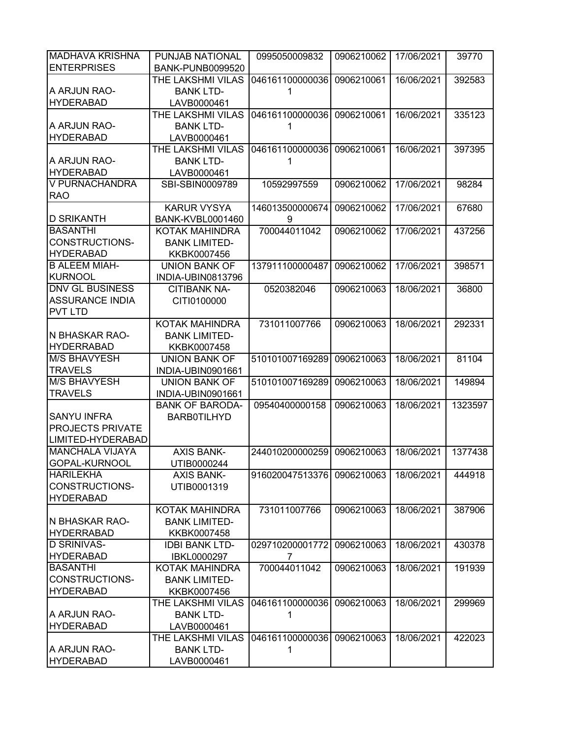| <b>MADHAVA KRISHNA</b>  | PUNJAB NATIONAL         | 0995050009832              | 0906210062 | 17/06/2021 | 39770   |
|-------------------------|-------------------------|----------------------------|------------|------------|---------|
| <b>ENTERPRISES</b>      | <b>BANK-PUNB0099520</b> |                            |            |            |         |
|                         | THE LAKSHMI VILAS       | 046161100000036            | 0906210061 | 16/06/2021 | 392583  |
| A ARJUN RAO-            | <b>BANK LTD-</b>        |                            |            |            |         |
| <b>HYDERABAD</b>        | LAVB0000461             |                            |            |            |         |
|                         | THE LAKSHMI VILAS       | 046161100000036            | 0906210061 | 16/06/2021 | 335123  |
| A ARJUN RAO-            | <b>BANK LTD-</b>        | 1                          |            |            |         |
| <b>HYDERABAD</b>        | LAVB0000461             |                            |            |            |         |
|                         | THE LAKSHMI VILAS       | 046161100000036            | 0906210061 | 16/06/2021 | 397395  |
| A ARJUN RAO-            | <b>BANK LTD-</b>        | 1                          |            |            |         |
| <b>HYDERABAD</b>        | LAVB0000461             |                            |            |            |         |
| V PURNACHANDRA          | SBI-SBIN0009789         | 10592997559                | 0906210062 | 17/06/2021 | 98284   |
| <b>RAO</b>              |                         |                            |            |            |         |
|                         | <b>KARUR VYSYA</b>      | 146013500000674            | 0906210062 | 17/06/2021 | 67680   |
| <b>D SRIKANTH</b>       | <b>BANK-KVBL0001460</b> | 9                          |            |            |         |
| <b>BASANTHI</b>         | KOTAK MAHINDRA          | 700044011042               | 0906210062 | 17/06/2021 | 437256  |
| <b>CONSTRUCTIONS-</b>   | <b>BANK LIMITED-</b>    |                            |            |            |         |
| <b>HYDERABAD</b>        | KKBK0007456             |                            |            |            |         |
| <b>B ALEEM MIAH-</b>    | <b>UNION BANK OF</b>    | 137911100000487            | 0906210062 | 17/06/2021 | 398571  |
| <b>KURNOOL</b>          | INDIA-UBIN0813796       |                            |            |            |         |
| <b>DNV GL BUSINESS</b>  | <b>CITIBANK NA-</b>     | 0520382046                 | 0906210063 | 18/06/2021 | 36800   |
| <b>ASSURANCE INDIA</b>  | CITI0100000             |                            |            |            |         |
| <b>PVT LTD</b>          |                         |                            |            |            |         |
|                         | KOTAK MAHINDRA          | 731011007766               | 0906210063 | 18/06/2021 | 292331  |
| N BHASKAR RAO-          | <b>BANK LIMITED-</b>    |                            |            |            |         |
| <b>HYDERRABAD</b>       | KKBK0007458             |                            |            |            |         |
| <b>M/S BHAVYESH</b>     | <b>UNION BANK OF</b>    | 510101007169289            | 0906210063 | 18/06/2021 | 81104   |
| <b>TRAVELS</b>          | INDIA-UBIN0901661       |                            |            |            |         |
| <b>M/S BHAVYESH</b>     | <b>UNION BANK OF</b>    | 510101007169289            | 0906210063 | 18/06/2021 | 149894  |
| <b>TRAVELS</b>          | INDIA-UBIN0901661       |                            |            |            |         |
|                         | <b>BANK OF BARODA-</b>  | 09540400000158             | 0906210063 | 18/06/2021 | 1323597 |
| <b>SANYU INFRA</b>      | <b>BARB0TILHYD</b>      |                            |            |            |         |
| <b>PROJECTS PRIVATE</b> |                         |                            |            |            |         |
| LIMITED-HYDERABAD       |                         |                            |            |            |         |
| <b>MANCHALA VIJAYA</b>  | <b>AXIS BANK-</b>       | 244010200000259            | 0906210063 | 18/06/2021 | 1377438 |
| GOPAL-KURNOOL           | UTIB0000244             |                            |            |            |         |
| <b>HARILEKHA</b>        | <b>AXIS BANK-</b>       | 916020047513376 0906210063 |            | 18/06/2021 | 444918  |
| CONSTRUCTIONS-          | UTIB0001319             |                            |            |            |         |
| <b>HYDERABAD</b>        |                         |                            |            |            |         |
|                         | <b>KOTAK MAHINDRA</b>   | 731011007766               | 0906210063 | 18/06/2021 | 387906  |
| N BHASKAR RAO-          | <b>BANK LIMITED-</b>    |                            |            |            |         |
| <b>HYDERRABAD</b>       | KKBK0007458             |                            |            |            |         |
| <b>D SRINIVAS-</b>      | <b>IDBI BANK LTD-</b>   | 029710200001772            | 0906210063 | 18/06/2021 | 430378  |
| <b>HYDERABAD</b>        | IBKL0000297             | 7                          |            |            |         |
| <b>BASANTHI</b>         | KOTAK MAHINDRA          | 700044011042               | 0906210063 | 18/06/2021 | 191939  |
| CONSTRUCTIONS-          | <b>BANK LIMITED-</b>    |                            |            |            |         |
| <b>HYDERABAD</b>        | KKBK0007456             |                            |            |            |         |
|                         | THE LAKSHMI VILAS       | 046161100000036            | 0906210063 | 18/06/2021 | 299969  |
| A ARJUN RAO-            | <b>BANK LTD-</b>        | 1                          |            |            |         |
| <b>HYDERABAD</b>        | LAVB0000461             |                            |            |            |         |
|                         | THE LAKSHMI VILAS       | 046161100000036            | 0906210063 | 18/06/2021 | 422023  |
| A ARJUN RAO-            | <b>BANK LTD-</b>        | 1                          |            |            |         |
| <b>HYDERABAD</b>        | LAVB0000461             |                            |            |            |         |
|                         |                         |                            |            |            |         |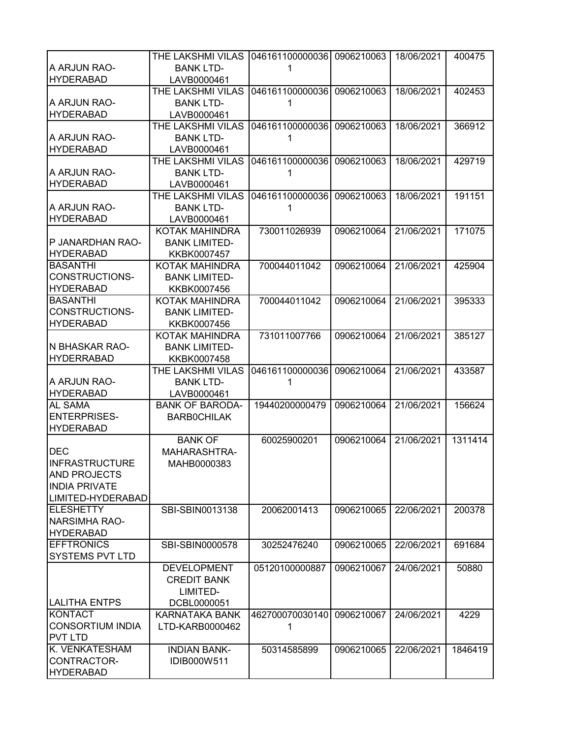|                         | THE LAKSHMI VILAS      | 046161100000036 0906210063 |            | 18/06/2021 | 400475  |
|-------------------------|------------------------|----------------------------|------------|------------|---------|
| A ARJUN RAO-            | <b>BANK LTD-</b>       |                            |            |            |         |
| <b>HYDERABAD</b>        | LAVB0000461            |                            |            |            |         |
|                         | THE LAKSHMI VILAS      | 046161100000036 0906210063 |            | 18/06/2021 | 402453  |
| A ARJUN RAO-            |                        |                            |            |            |         |
|                         | <b>BANK LTD-</b>       | 1                          |            |            |         |
| <b>HYDERABAD</b>        | LAVB0000461            |                            |            |            |         |
|                         | THE LAKSHMI VILAS      | 046161100000036 0906210063 |            | 18/06/2021 | 366912  |
| A ARJUN RAO-            | <b>BANK LTD-</b>       | 1                          |            |            |         |
| <b>HYDERABAD</b>        | LAVB0000461            |                            |            |            |         |
|                         | THE LAKSHMI VILAS      | 046161100000036 0906210063 |            | 18/06/2021 | 429719  |
| A ARJUN RAO-            | <b>BANK LTD-</b>       | 1                          |            |            |         |
| <b>HYDERABAD</b>        | LAVB0000461            |                            |            |            |         |
|                         | THE LAKSHMI VILAS      | 046161100000036            | 0906210063 | 18/06/2021 | 191151  |
| A ARJUN RAO-            | <b>BANK LTD-</b>       | 1                          |            |            |         |
| <b>HYDERABAD</b>        | LAVB0000461            |                            |            |            |         |
|                         | <b>KOTAK MAHINDRA</b>  | 730011026939               | 0906210064 | 21/06/2021 | 171075  |
| P JANARDHAN RAO-        | <b>BANK LIMITED-</b>   |                            |            |            |         |
| <b>HYDERABAD</b>        | KKBK0007457            |                            |            |            |         |
| <b>BASANTHI</b>         | KOTAK MAHINDRA         | 700044011042               | 0906210064 | 21/06/2021 | 425904  |
| <b>CONSTRUCTIONS-</b>   | <b>BANK LIMITED-</b>   |                            |            |            |         |
| <b>HYDERABAD</b>        | KKBK0007456            |                            |            |            |         |
| <b>BASANTHI</b>         | <b>KOTAK MAHINDRA</b>  | 700044011042               | 0906210064 | 21/06/2021 | 395333  |
| CONSTRUCTIONS-          | <b>BANK LIMITED-</b>   |                            |            |            |         |
|                         |                        |                            |            |            |         |
| <b>HYDERABAD</b>        | KKBK0007456            |                            |            |            |         |
|                         | KOTAK MAHINDRA         | 731011007766               | 0906210064 | 21/06/2021 | 385127  |
| N BHASKAR RAO-          | <b>BANK LIMITED-</b>   |                            |            |            |         |
| <b>HYDERRABAD</b>       | KKBK0007458            |                            |            |            |         |
|                         | THE LAKSHMI VILAS      | 046161100000036            | 0906210064 | 21/06/2021 | 433587  |
| A ARJUN RAO-            | <b>BANK LTD-</b>       | 1                          |            |            |         |
| <b>HYDERABAD</b>        | LAVB0000461            |                            |            |            |         |
| <b>AL SAMA</b>          | <b>BANK OF BARODA-</b> | 19440200000479             | 0906210064 | 21/06/2021 | 156624  |
| <b>ENTERPRISES-</b>     | <b>BARBOCHILAK</b>     |                            |            |            |         |
| <b>HYDERABAD</b>        |                        |                            |            |            |         |
|                         | <b>BANK OF</b>         | 60025900201                | 0906210064 | 21/06/2021 | 1311414 |
| <b>DEC</b>              | MAHARASHTRA-           |                            |            |            |         |
| INFRASTRUCTURE          | MAHB0000383            |                            |            |            |         |
| <b>AND PROJECTS</b>     |                        |                            |            |            |         |
| <b>INDIA PRIVATE</b>    |                        |                            |            |            |         |
| LIMITED-HYDERABAD       |                        |                            |            |            |         |
| <b>ELESHETTY</b>        | SBI-SBIN0013138        | 20062001413                | 0906210065 | 22/06/2021 | 200378  |
| <b>NARSIMHA RAO-</b>    |                        |                            |            |            |         |
| <b>HYDERABAD</b>        |                        |                            |            |            |         |
| <b>EFFTRONICS</b>       | SBI-SBIN0000578        | 30252476240                | 0906210065 | 22/06/2021 | 691684  |
| <b>SYSTEMS PVT LTD</b>  |                        |                            |            |            |         |
|                         | <b>DEVELOPMENT</b>     | 05120100000887             | 0906210067 | 24/06/2021 | 50880   |
|                         |                        |                            |            |            |         |
|                         | <b>CREDIT BANK</b>     |                            |            |            |         |
|                         | LIMITED-               |                            |            |            |         |
| <b>LALITHA ENTPS</b>    | DCBL0000051            |                            |            |            |         |
| <b>KONTACT</b>          | KARNATAKA BANK         | 462700070030140            | 0906210067 | 24/06/2021 | 4229    |
| <b>CONSORTIUM INDIA</b> | LTD-KARB0000462        | 1                          |            |            |         |
| <b>PVT LTD</b>          |                        |                            |            |            |         |
| K. VENKATESHAM          | <b>INDIAN BANK-</b>    | 50314585899                | 0906210065 | 22/06/2021 | 1846419 |
| CONTRACTOR-             | IDIB000W511            |                            |            |            |         |
| <b>HYDERABAD</b>        |                        |                            |            |            |         |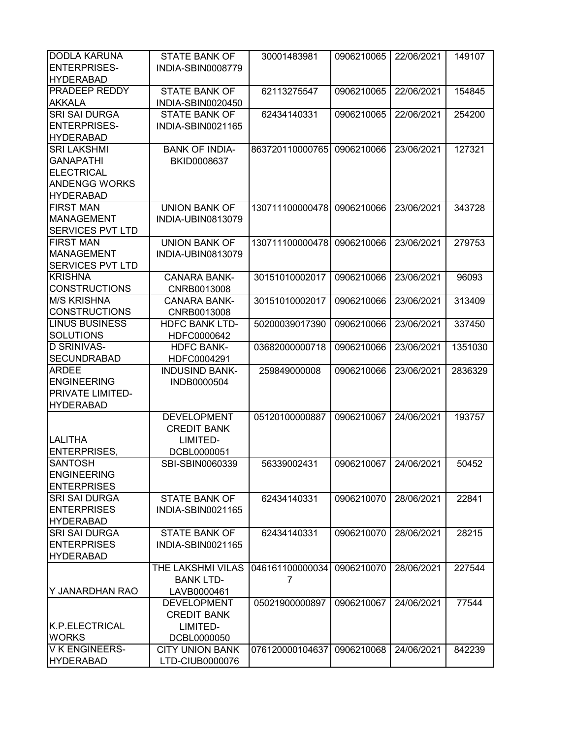| <b>DODLA KARUNA</b>     | <b>STATE BANK OF</b>     | 30001483981     | 0906210065 | 22/06/2021 | 149107  |
|-------------------------|--------------------------|-----------------|------------|------------|---------|
| <b>ENTERPRISES-</b>     | INDIA-SBIN0008779        |                 |            |            |         |
| <b>HYDERABAD</b>        |                          |                 |            |            |         |
| <b>PRADEEP REDDY</b>    | <b>STATE BANK OF</b>     | 62113275547     | 0906210065 | 22/06/2021 | 154845  |
| <b>AKKALA</b>           | INDIA-SBIN0020450        |                 |            |            |         |
| <b>SRI SAI DURGA</b>    | <b>STATE BANK OF</b>     | 62434140331     | 0906210065 | 22/06/2021 | 254200  |
| <b>ENTERPRISES-</b>     | INDIA-SBIN0021165        |                 |            |            |         |
| <b>HYDERABAD</b>        |                          |                 |            |            |         |
| <b>SRI LAKSHMI</b>      | <b>BANK OF INDIA-</b>    | 863720110000765 | 0906210066 | 23/06/2021 | 127321  |
| <b>GANAPATHI</b>        | BKID0008637              |                 |            |            |         |
| <b>ELECTRICAL</b>       |                          |                 |            |            |         |
| <b>ANDENGG WORKS</b>    |                          |                 |            |            |         |
| <b>HYDERABAD</b>        |                          |                 |            |            |         |
| <b>FIRST MAN</b>        | <b>UNION BANK OF</b>     | 130711100000478 | 0906210066 | 23/06/2021 | 343728  |
| <b>MANAGEMENT</b>       | INDIA-UBIN0813079        |                 |            |            |         |
| <b>SERVICES PVT LTD</b> |                          |                 |            |            |         |
| <b>FIRST MAN</b>        | <b>UNION BANK OF</b>     | 130711100000478 | 0906210066 | 23/06/2021 | 279753  |
| <b>MANAGEMENT</b>       | <b>INDIA-UBIN0813079</b> |                 |            |            |         |
| <b>SERVICES PVT LTD</b> |                          |                 |            |            |         |
| <b>KRISHNA</b>          | <b>CANARA BANK-</b>      | 30151010002017  | 0906210066 | 23/06/2021 | 96093   |
| <b>CONSTRUCTIONS</b>    | CNRB0013008              |                 |            |            |         |
| <b>M/S KRISHNA</b>      | <b>CANARA BANK-</b>      | 30151010002017  | 0906210066 | 23/06/2021 | 313409  |
| <b>CONSTRUCTIONS</b>    | CNRB0013008              |                 |            |            |         |
| <b>LINUS BUSINESS</b>   | <b>HDFC BANK LTD-</b>    | 50200039017390  | 0906210066 | 23/06/2021 | 337450  |
| <b>SOLUTIONS</b>        | HDFC0000642              |                 |            |            |         |
| <b>D SRINIVAS-</b>      | <b>HDFC BANK-</b>        | 03682000000718  | 0906210066 | 23/06/2021 | 1351030 |
| <b>SECUNDRABAD</b>      | HDFC0004291              |                 |            |            |         |
| <b>ARDEE</b>            | <b>INDUSIND BANK-</b>    | 259849000008    | 0906210066 | 23/06/2021 | 2836329 |
| <b>ENGINEERING</b>      | INDB0000504              |                 |            |            |         |
| <b>PRIVATE LIMITED-</b> |                          |                 |            |            |         |
| <b>HYDERABAD</b>        |                          |                 |            |            |         |
|                         | <b>DEVELOPMENT</b>       | 05120100000887  | 0906210067 | 24/06/2021 | 193757  |
|                         | <b>CREDIT BANK</b>       |                 |            |            |         |
| <b>LALITHA</b>          | LIMITED-                 |                 |            |            |         |
| <b>ENTERPRISES,</b>     | DCBL0000051              |                 |            |            |         |
| <b>SANTOSH</b>          | SBI-SBIN0060339          | 56339002431     | 0906210067 | 24/06/2021 | 50452   |
| <b>ENGINEERING</b>      |                          |                 |            |            |         |
| <b>ENTERPRISES</b>      |                          |                 |            |            |         |
| <b>SRI SAI DURGA</b>    | <b>STATE BANK OF</b>     | 62434140331     | 0906210070 | 28/06/2021 | 22841   |
| <b>ENTERPRISES</b>      | INDIA-SBIN0021165        |                 |            |            |         |
| <b>HYDERABAD</b>        |                          |                 |            |            |         |
| <b>SRI SAI DURGA</b>    | <b>STATE BANK OF</b>     | 62434140331     | 0906210070 | 28/06/2021 | 28215   |
| <b>ENTERPRISES</b>      | INDIA-SBIN0021165        |                 |            |            |         |
| <b>HYDERABAD</b>        |                          |                 |            |            |         |
|                         | THE LAKSHMI VILAS        | 046161100000034 | 0906210070 | 28/06/2021 | 227544  |
|                         | <b>BANK LTD-</b>         | 7               |            |            |         |
| Y JANARDHAN RAO         | LAVB0000461              |                 |            |            |         |
|                         | <b>DEVELOPMENT</b>       | 05021900000897  | 0906210067 | 24/06/2021 | 77544   |
|                         | <b>CREDIT BANK</b>       |                 |            |            |         |
| K.P.ELECTRICAL          | LIMITED-                 |                 |            |            |         |
| <b>WORKS</b>            | DCBL0000050              |                 |            |            |         |
| V K ENGINEERS-          | <b>CITY UNION BANK</b>   | 076120000104637 | 0906210068 | 24/06/2021 | 842239  |
| <b>HYDERABAD</b>        | LTD-CIUB0000076          |                 |            |            |         |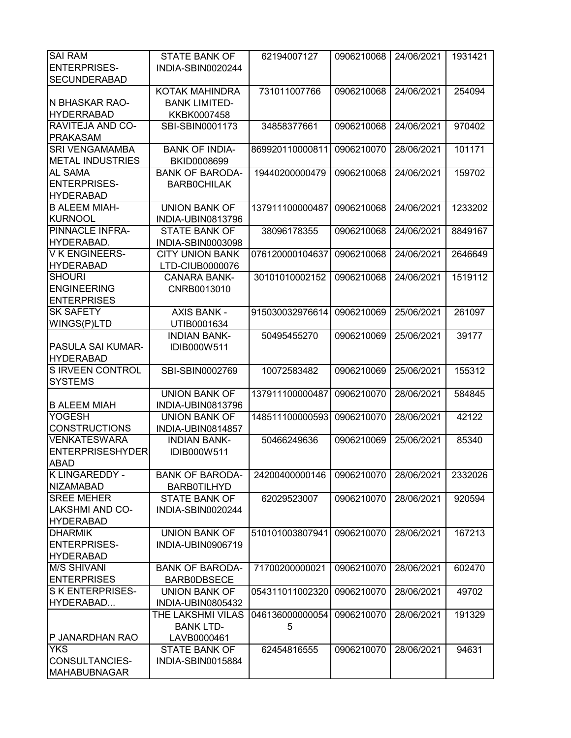| <b>SAI RAM</b>                        | <b>STATE BANK OF</b>                       | 62194007127     | 0906210068 | 24/06/2021 | 1931421 |
|---------------------------------------|--------------------------------------------|-----------------|------------|------------|---------|
| <b>ENTERPRISES-</b>                   | INDIA-SBIN0020244                          |                 |            |            |         |
| <b>SECUNDERABAD</b>                   |                                            |                 |            |            |         |
|                                       | KOTAK MAHINDRA                             | 731011007766    | 0906210068 | 24/06/2021 | 254094  |
| N BHASKAR RAO-                        | <b>BANK LIMITED-</b>                       |                 |            |            |         |
| <b>HYDERRABAD</b>                     | KKBK0007458                                |                 |            |            |         |
| RAVITEJA AND CO-                      | SBI-SBIN0001173                            | 34858377661     | 0906210068 | 24/06/2021 | 970402  |
| <b>PRAKASAM</b>                       |                                            |                 |            |            |         |
| <b>SRI VENGAMAMBA</b>                 | <b>BANK OF INDIA-</b>                      | 869920110000811 | 0906210070 | 28/06/2021 | 101171  |
| <b>METAL INDUSTRIES</b>               | BKID0008699                                |                 |            |            |         |
| <b>AL SAMA</b>                        | <b>BANK OF BARODA-</b>                     | 19440200000479  | 0906210068 | 24/06/2021 | 159702  |
| <b>ENTERPRISES-</b>                   | <b>BARBOCHILAK</b>                         |                 |            |            |         |
| <b>HYDERABAD</b>                      |                                            |                 |            |            |         |
| <b>B ALEEM MIAH-</b>                  | <b>UNION BANK OF</b>                       | 137911100000487 | 0906210068 | 24/06/2021 | 1233202 |
| <b>KURNOOL</b>                        | INDIA-UBIN0813796                          |                 |            |            |         |
| <b>PINNACLE INFRA-</b>                | <b>STATE BANK OF</b>                       | 38096178355     | 0906210068 | 24/06/2021 | 8849167 |
| HYDERABAD.                            | INDIA-SBIN0003098                          |                 |            |            |         |
| <b>VK ENGINEERS-</b>                  | <b>CITY UNION BANK</b>                     | 076120000104637 | 0906210068 | 24/06/2021 | 2646649 |
| <b>HYDERABAD</b>                      | LTD-CIUB0000076                            |                 |            |            |         |
| <b>SHOURI</b>                         | <b>CANARA BANK-</b>                        | 30101010002152  | 0906210068 | 24/06/2021 | 1519112 |
| <b>ENGINEERING</b>                    | CNRB0013010                                |                 |            |            |         |
| <b>ENTERPRISES</b>                    |                                            |                 |            |            |         |
| <b>SK SAFETY</b>                      | <b>AXIS BANK -</b>                         | 915030032976614 | 0906210069 | 25/06/2021 | 261097  |
| WINGS(P)LTD                           | UTIB0001634                                |                 |            |            |         |
|                                       | <b>INDIAN BANK-</b>                        | 50495455270     | 0906210069 | 25/06/2021 | 39177   |
| PASULA SAI KUMAR-                     | IDIB000W511                                |                 |            |            |         |
| <b>HYDERABAD</b>                      |                                            |                 |            |            |         |
| S IRVEEN CONTROL                      | SBI-SBIN0002769                            | 10072583482     | 0906210069 | 25/06/2021 | 155312  |
| <b>SYSTEMS</b>                        |                                            |                 |            |            |         |
|                                       | <b>UNION BANK OF</b>                       | 137911100000487 | 0906210070 | 28/06/2021 | 584845  |
| <b>B ALEEM MIAH</b>                   | INDIA-UBIN0813796                          |                 |            |            |         |
| <b>YOGESH</b>                         | <b>UNION BANK OF</b>                       | 148511100000593 | 0906210070 | 28/06/2021 | 42122   |
| <b>CONSTRUCTIONS</b>                  | INDIA-UBIN0814857                          |                 |            |            |         |
| <b>VENKATESWARA</b>                   | <b>INDIAN BANK-</b>                        | 50466249636     | 0906210069 | 25/06/2021 | 85340   |
| <b>ENTERPRISESHYDER</b>               | IDIB000W511                                |                 |            |            |         |
| <b>ABAD</b>                           |                                            |                 |            |            |         |
| <b>K LINGAREDDY -</b>                 | <b>BANK OF BARODA-</b>                     | 24200400000146  | 0906210070 | 28/06/2021 | 2332026 |
| <b>NIZAMABAD</b><br><b>SREE MEHER</b> | <b>BARB0TILHYD</b><br><b>STATE BANK OF</b> |                 |            | 28/06/2021 |         |
| <b>LAKSHMI AND CO-</b>                | INDIA-SBIN0020244                          | 62029523007     | 0906210070 |            | 920594  |
| <b>HYDERABAD</b>                      |                                            |                 |            |            |         |
| <b>DHARMIK</b>                        | <b>UNION BANK OF</b>                       | 510101003807941 | 0906210070 | 28/06/2021 | 167213  |
| <b>ENTERPRISES-</b>                   | INDIA-UBIN0906719                          |                 |            |            |         |
| <b>HYDERABAD</b>                      |                                            |                 |            |            |         |
| <b>M/S SHIVANI</b>                    | <b>BANK OF BARODA-</b>                     | 71700200000021  | 0906210070 | 28/06/2021 | 602470  |
| <b>ENTERPRISES</b>                    | <b>BARBODBSECE</b>                         |                 |            |            |         |
| S K ENTERPRISES-                      | <b>UNION BANK OF</b>                       | 054311011002320 | 0906210070 | 28/06/2021 | 49702   |
| HYDERABAD                             | INDIA-UBIN0805432                          |                 |            |            |         |
|                                       | THE LAKSHMI VILAS                          | 046136000000054 | 0906210070 | 28/06/2021 | 191329  |
|                                       | <b>BANK LTD-</b>                           | 5               |            |            |         |
| P JANARDHAN RAO                       | LAVB0000461                                |                 |            |            |         |
| <b>YKS</b>                            | <b>STATE BANK OF</b>                       | 62454816555     | 0906210070 | 28/06/2021 | 94631   |
| CONSULTANCIES-                        | INDIA-SBIN0015884                          |                 |            |            |         |
| <b>MAHABUBNAGAR</b>                   |                                            |                 |            |            |         |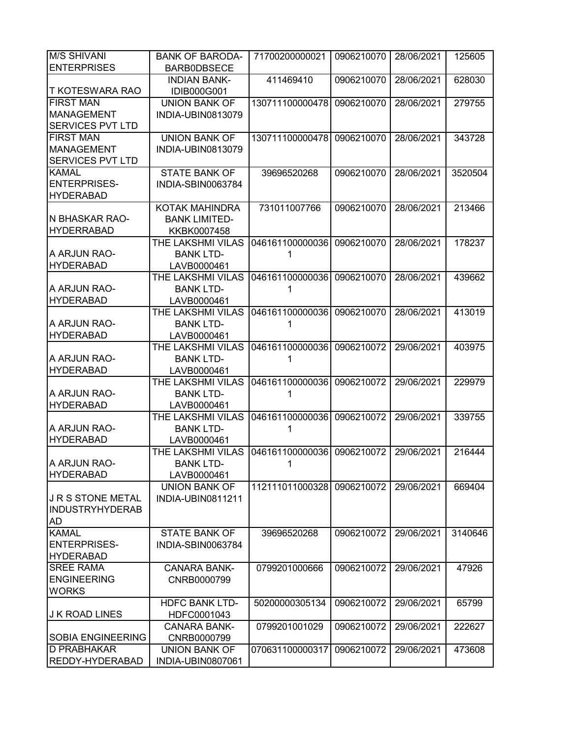| <b>M/S SHIVANI</b>       | <b>BANK OF BARODA-</b> | 71700200000021  | 0906210070 | 28/06/2021 | 125605  |
|--------------------------|------------------------|-----------------|------------|------------|---------|
| <b>ENTERPRISES</b>       | <b>BARBODBSECE</b>     |                 |            |            |         |
|                          | <b>INDIAN BANK-</b>    | 411469410       | 0906210070 | 28/06/2021 | 628030  |
| <b>T KOTESWARA RAO</b>   | <b>IDIB000G001</b>     |                 |            |            |         |
| <b>FIRST MAN</b>         | <b>UNION BANK OF</b>   | 130711100000478 | 0906210070 | 28/06/2021 | 279755  |
| <b>MANAGEMENT</b>        | INDIA-UBIN0813079      |                 |            |            |         |
| <b>SERVICES PVT LTD</b>  |                        |                 |            |            |         |
| <b>FIRST MAN</b>         | <b>UNION BANK OF</b>   | 130711100000478 | 0906210070 | 28/06/2021 | 343728  |
| <b>MANAGEMENT</b>        | INDIA-UBIN0813079      |                 |            |            |         |
| SERVICES PVT LTD         |                        |                 |            |            |         |
| <b>KAMAL</b>             | <b>STATE BANK OF</b>   | 39696520268     | 0906210070 | 28/06/2021 | 3520504 |
| <b>ENTERPRISES-</b>      | INDIA-SBIN0063784      |                 |            |            |         |
| <b>HYDERABAD</b>         |                        |                 |            |            |         |
|                          | KOTAK MAHINDRA         | 731011007766    | 0906210070 | 28/06/2021 | 213466  |
| N BHASKAR RAO-           | <b>BANK LIMITED-</b>   |                 |            |            |         |
| <b>HYDERRABAD</b>        | KKBK0007458            |                 |            |            |         |
|                          | THE LAKSHMI VILAS      | 046161100000036 | 0906210070 | 28/06/2021 | 178237  |
| A ARJUN RAO-             | <b>BANK LTD-</b>       | 1               |            |            |         |
| <b>HYDERABAD</b>         | LAVB0000461            |                 |            |            |         |
|                          | THE LAKSHMI VILAS      | 046161100000036 | 0906210070 | 28/06/2021 | 439662  |
| A ARJUN RAO-             | <b>BANK LTD-</b>       |                 |            |            |         |
| <b>HYDERABAD</b>         | LAVB0000461            |                 |            |            |         |
|                          | THE LAKSHMI VILAS      | 046161100000036 | 0906210070 | 28/06/2021 | 413019  |
| A ARJUN RAO-             | <b>BANK LTD-</b>       |                 |            |            |         |
| <b>HYDERABAD</b>         | LAVB0000461            |                 |            |            |         |
|                          | THE LAKSHMI VILAS      | 046161100000036 | 0906210072 | 29/06/2021 | 403975  |
| A ARJUN RAO-             | <b>BANK LTD-</b>       |                 |            |            |         |
| <b>HYDERABAD</b>         | LAVB0000461            |                 |            |            |         |
|                          | THE LAKSHMI VILAS      | 046161100000036 | 0906210072 | 29/06/2021 | 229979  |
| A ARJUN RAO-             | <b>BANK LTD-</b>       | 1               |            |            |         |
| <b>HYDERABAD</b>         | LAVB0000461            |                 |            |            |         |
|                          | THE LAKSHMI VILAS      | 046161100000036 | 0906210072 | 29/06/2021 | 339755  |
| A ARJUN RAO-             | <b>BANK LTD-</b>       | 1               |            |            |         |
| <b>HYDERABAD</b>         | LAVB0000461            |                 |            |            |         |
|                          | THE LAKSHMI VILAS      | 046161100000036 | 0906210072 | 29/06/2021 | 216444  |
| A ARJUN RAO-             | <b>BANK LTD-</b>       | 1               |            |            |         |
| <b>HYDERABAD</b>         | LAVB0000461            |                 |            |            |         |
|                          | UNION BANK OF          | 112111011000328 | 0906210072 | 29/06/2021 | 669404  |
| JRS STONE METAL          | INDIA-UBIN0811211      |                 |            |            |         |
| <b>INDUSTRYHYDERAB</b>   |                        |                 |            |            |         |
| AD                       |                        |                 |            |            |         |
| <b>KAMAL</b>             | <b>STATE BANK OF</b>   | 39696520268     | 0906210072 | 29/06/2021 | 3140646 |
| <b>ENTERPRISES-</b>      | INDIA-SBIN0063784      |                 |            |            |         |
| <b>HYDERABAD</b>         |                        |                 |            |            |         |
| <b>SREE RAMA</b>         | <b>CANARA BANK-</b>    | 0799201000666   | 0906210072 | 29/06/2021 | 47926   |
| <b>ENGINEERING</b>       | CNRB0000799            |                 |            |            |         |
| <b>WORKS</b>             |                        |                 |            |            |         |
|                          | <b>HDFC BANK LTD-</b>  | 50200000305134  | 0906210072 | 29/06/2021 | 65799   |
| <b>J K ROAD LINES</b>    | HDFC0001043            |                 |            |            |         |
|                          | <b>CANARA BANK-</b>    | 0799201001029   | 0906210072 | 29/06/2021 | 222627  |
| <b>SOBIA ENGINEERING</b> | CNRB0000799            |                 |            |            |         |
| <b>D PRABHAKAR</b>       | <b>UNION BANK OF</b>   | 070631100000317 | 0906210072 | 29/06/2021 | 473608  |
| <b>REDDY-HYDERABAD</b>   | INDIA-UBIN0807061      |                 |            |            |         |
|                          |                        |                 |            |            |         |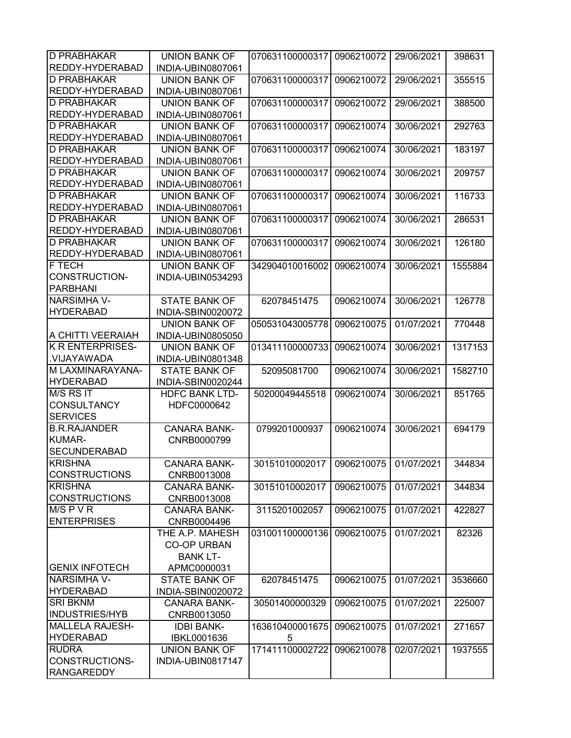| ID PRABHAKAR                                 | <b>UNION BANK OF</b>  | 070631100000317                          | 0906210072 | 29/06/2021 | 398631  |
|----------------------------------------------|-----------------------|------------------------------------------|------------|------------|---------|
| <b>REDDY-HYDERABAD</b>                       | INDIA-UBIN0807061     |                                          |            |            |         |
| <b>D PRABHAKAR</b>                           | <b>UNION BANK OF</b>  | 070631100000317                          | 0906210072 | 29/06/2021 | 355515  |
| REDDY-HYDERABAD                              | INDIA-UBIN0807061     |                                          |            |            |         |
| <b>D PRABHAKAR</b>                           | <b>UNION BANK OF</b>  | 070631100000317                          | 0906210072 | 29/06/2021 | 388500  |
| REDDY-HYDERABAD                              | INDIA-UBIN0807061     |                                          |            |            |         |
| <b>D PRABHAKAR</b>                           | <b>UNION BANK OF</b>  | 070631100000317                          | 0906210074 | 30/06/2021 | 292763  |
| REDDY-HYDERABAD                              | INDIA-UBIN0807061     |                                          |            |            |         |
| <b>D PRABHAKAR</b>                           | <b>UNION BANK OF</b>  | 070631100000317                          | 0906210074 | 30/06/2021 | 183197  |
| REDDY-HYDERABAD                              | INDIA-UBIN0807061     |                                          |            |            |         |
| <b>D PRABHAKAR</b>                           | <b>UNION BANK OF</b>  | 070631100000317                          | 0906210074 | 30/06/2021 | 209757  |
| REDDY-HYDERABAD                              | INDIA-UBIN0807061     |                                          |            |            |         |
| <b>D PRABHAKAR</b>                           | <b>UNION BANK OF</b>  | 070631100000317                          | 0906210074 | 30/06/2021 | 116733  |
| REDDY-HYDERABAD                              | INDIA-UBIN0807061     |                                          |            |            |         |
| <b>D PRABHAKAR</b>                           | <b>UNION BANK OF</b>  | 070631100000317                          | 0906210074 | 30/06/2021 | 286531  |
| REDDY-HYDERABAD                              | INDIA-UBIN0807061     |                                          |            |            |         |
| <b>D PRABHAKAR</b>                           | <b>UNION BANK OF</b>  | 070631100000317                          | 0906210074 | 30/06/2021 | 126180  |
| REDDY-HYDERABAD                              | INDIA-UBIN0807061     |                                          |            |            |         |
| F TECH                                       | <b>UNION BANK OF</b>  | 342904010016002                          | 0906210074 | 30/06/2021 | 1555884 |
| CONSTRUCTION-                                | INDIA-UBIN0534293     |                                          |            |            |         |
| <b>PARBHANI</b>                              |                       |                                          |            |            |         |
| <b>NARSIMHA V-</b>                           | <b>STATE BANK OF</b>  | 62078451475                              | 0906210074 | 30/06/2021 | 126778  |
| <b>HYDERABAD</b>                             | INDIA-SBIN0020072     |                                          |            |            |         |
|                                              | <b>UNION BANK OF</b>  | 050531043005778                          | 0906210075 | 01/07/2021 | 770448  |
| A CHITTI VEERAIAH<br><b>K R ENTERPRISES-</b> | INDIA-UBIN0805050     |                                          |            |            |         |
| .VIJAYAWADA                                  | <b>UNION BANK OF</b>  | 013411100000733                          | 0906210074 | 30/06/2021 | 1317153 |
| M LAXMINARAYANA-                             | INDIA-UBIN0801348     |                                          |            |            |         |
| <b>HYDERABAD</b>                             | <b>STATE BANK OF</b>  | 52095081700                              | 0906210074 | 30/06/2021 | 1582710 |
| M/S RS IT                                    | INDIA-SBIN0020244     |                                          |            |            | 851765  |
| <b>CONSULTANCY</b>                           | <b>HDFC BANK LTD-</b> | 50200049445518                           | 0906210074 | 30/06/2021 |         |
| <b>SERVICES</b>                              | HDFC0000642           |                                          |            |            |         |
| <b>B.R.RAJANDER</b>                          | <b>CANARA BANK-</b>   | 0799201000937                            | 0906210074 | 30/06/2021 | 694179  |
| <b>KUMAR-</b>                                | CNRB0000799           |                                          |            |            |         |
| <b>SECUNDERABAD</b>                          |                       |                                          |            |            |         |
| <b>KRISHNA</b>                               | CANARA BANK-          | 30151010002017   0906210075   01/07/2021 |            |            | 344834  |
| <b>CONSTRUCTIONS</b>                         | CNRB0013008           |                                          |            |            |         |
| <b>KRISHNA</b>                               | <b>CANARA BANK-</b>   | 30151010002017                           | 0906210075 | 01/07/2021 | 344834  |
| <b>CONSTRUCTIONS</b>                         | CNRB0013008           |                                          |            |            |         |
| $M/S$ P V R                                  | <b>CANARA BANK-</b>   | 3115201002057                            | 0906210075 | 01/07/2021 | 422827  |
| <b>ENTERPRISES</b>                           | CNRB0004496           |                                          |            |            |         |
|                                              | THE A.P. MAHESH       | 031001100000136                          | 0906210075 | 01/07/2021 | 82326   |
|                                              | <b>CO-OP URBAN</b>    |                                          |            |            |         |
|                                              | <b>BANK LT-</b>       |                                          |            |            |         |
| <b>GENIX INFOTECH</b>                        | APMC0000031           |                                          |            |            |         |
| <b>NARSIMHA V-</b>                           | <b>STATE BANK OF</b>  | 62078451475                              | 0906210075 | 01/07/2021 | 3536660 |
| <b>HYDERABAD</b>                             | INDIA-SBIN0020072     |                                          |            |            |         |
| <b>SRI BKNM</b>                              | <b>CANARA BANK-</b>   | 30501400000329                           | 0906210075 | 01/07/2021 | 225007  |
| <b>INDUSTRIES/HYB</b>                        | CNRB0013050           |                                          |            |            |         |
| <b>MALLELA RAJESH-</b>                       | <b>IDBI BANK-</b>     | 163610400001675                          | 0906210075 | 01/07/2021 | 271657  |
| <b>HYDERABAD</b>                             | IBKL0001636           | 5                                        |            |            |         |
| <b>RUDRA</b>                                 | <b>UNION BANK OF</b>  | 171411100002722                          | 0906210078 | 02/07/2021 | 1937555 |
| CONSTRUCTIONS-                               | INDIA-UBIN0817147     |                                          |            |            |         |
|                                              |                       |                                          |            |            |         |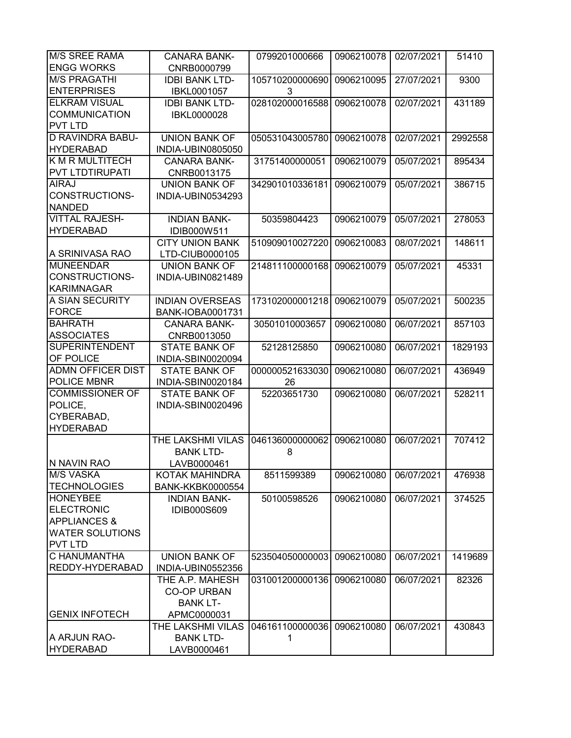| <b>M/S SREE RAMA</b>     | <b>CANARA BANK-</b>      | 0799201000666   | 0906210078 | 02/07/2021 | 51410   |
|--------------------------|--------------------------|-----------------|------------|------------|---------|
| <b>ENGG WORKS</b>        | CNRB0000799              |                 |            |            |         |
| <b>M/S PRAGATHI</b>      | <b>IDBI BANK LTD-</b>    | 105710200000690 | 0906210095 | 27/07/2021 | 9300    |
| <b>ENTERPRISES</b>       | IBKL0001057              | 3               |            |            |         |
| <b>ELKRAM VISUAL</b>     | <b>IDBI BANK LTD-</b>    | 028102000016588 | 0906210078 | 02/07/2021 | 431189  |
| <b>COMMUNICATION</b>     | IBKL0000028              |                 |            |            |         |
| <b>PVT LTD</b>           |                          |                 |            |            |         |
| <b>D RAVINDRA BABU-</b>  | <b>UNION BANK OF</b>     | 050531043005780 | 0906210078 | 02/07/2021 | 2992558 |
| <b>HYDERABAD</b>         | INDIA-UBIN0805050        |                 |            |            |         |
| <b>K M R MULTITECH</b>   | <b>CANARA BANK-</b>      | 31751400000051  | 0906210079 | 05/07/2021 | 895434  |
| <b>PVT LTDTIRUPATI</b>   | CNRB0013175              |                 |            |            |         |
| <b>AIRAJ</b>             | UNION BANK OF            | 342901010336181 | 0906210079 | 05/07/2021 | 386715  |
| <b>CONSTRUCTIONS-</b>    | INDIA-UBIN0534293        |                 |            |            |         |
| <b>NANDED</b>            |                          |                 |            |            |         |
| <b>VITTAL RAJESH-</b>    | <b>INDIAN BANK-</b>      | 50359804423     | 0906210079 | 05/07/2021 | 278053  |
| <b>HYDERABAD</b>         | IDIB000W511              |                 |            |            |         |
|                          | <b>CITY UNION BANK</b>   | 510909010027220 | 0906210083 | 08/07/2021 | 148611  |
| A SRINIVASA RAO          | LTD-CIUB0000105          |                 |            |            |         |
| <b>MUNEENDAR</b>         | <b>UNION BANK OF</b>     | 214811100000168 | 0906210079 | 05/07/2021 | 45331   |
| <b>CONSTRUCTIONS-</b>    | <b>INDIA-UBIN0821489</b> |                 |            |            |         |
| <b>KARIMNAGAR</b>        |                          |                 |            |            |         |
| A SIAN SECURITY          | <b>INDIAN OVERSEAS</b>   | 173102000001218 | 0906210079 | 05/07/2021 | 500235  |
| <b>FORCE</b>             | BANK-IOBA0001731         |                 |            |            |         |
| <b>BAHRATH</b>           | <b>CANARA BANK-</b>      | 30501010003657  | 0906210080 | 06/07/2021 | 857103  |
| <b>ASSOCIATES</b>        | CNRB0013050              |                 |            |            |         |
| <b>SUPERINTENDENT</b>    | <b>STATE BANK OF</b>     | 52128125850     | 0906210080 | 06/07/2021 | 1829193 |
| <b>OF POLICE</b>         | INDIA-SBIN0020094        |                 |            |            |         |
| <b>ADMN OFFICER DIST</b> | <b>STATE BANK OF</b>     | 000000521633030 | 0906210080 | 06/07/2021 | 436949  |
| POLICE MBNR              | INDIA-SBIN0020184        | 26              |            |            |         |
| <b>COMMISSIONER OF</b>   | <b>STATE BANK OF</b>     | 52203651730     | 0906210080 | 06/07/2021 | 528211  |
| POLICE,                  | INDIA-SBIN0020496        |                 |            |            |         |
| CYBERABAD,               |                          |                 |            |            |         |
| <b>HYDERABAD</b>         |                          |                 |            |            |         |
|                          | THE LAKSHMI VILAS        | 046136000000062 | 0906210080 | 06/07/2021 | 707412  |
|                          | <b>BANK LTD-</b>         | 8               |            |            |         |
| IN NAVIN RAO             | LAVB0000461              |                 |            |            |         |
| <b>M/S VASKA</b>         | KOTAK MAHINDRA           | 8511599389      | 0906210080 | 06/07/2021 | 476938  |
| <b>TECHNOLOGIES</b>      | <b>BANK-KKBK0000554</b>  |                 |            |            |         |
| <b>HONEYBEE</b>          | <b>INDIAN BANK-</b>      | 50100598526     | 0906210080 | 06/07/2021 | 374525  |
| <b>ELECTRONIC</b>        | <b>IDIB000S609</b>       |                 |            |            |         |
| <b>APPLIANCES &amp;</b>  |                          |                 |            |            |         |
| <b>WATER SOLUTIONS</b>   |                          |                 |            |            |         |
| <b>PVT LTD</b>           |                          |                 |            |            |         |
| C HANUMANTHA             | <b>UNION BANK OF</b>     | 523504050000003 | 0906210080 | 06/07/2021 | 1419689 |
| REDDY-HYDERABAD          | INDIA-UBIN0552356        |                 |            |            |         |
|                          | THE A.P. MAHESH          | 031001200000136 | 0906210080 | 06/07/2021 | 82326   |
|                          | <b>CO-OP URBAN</b>       |                 |            |            |         |
|                          | <b>BANK LT-</b>          |                 |            |            |         |
| <b>GENIX INFOTECH</b>    | APMC0000031              |                 |            |            |         |
|                          | THE LAKSHMI VILAS        | 046161100000036 | 0906210080 | 06/07/2021 | 430843  |
| A ARJUN RAO-             | <b>BANK LTD-</b>         | 1               |            |            |         |
| <b>HYDERABAD</b>         | LAVB0000461              |                 |            |            |         |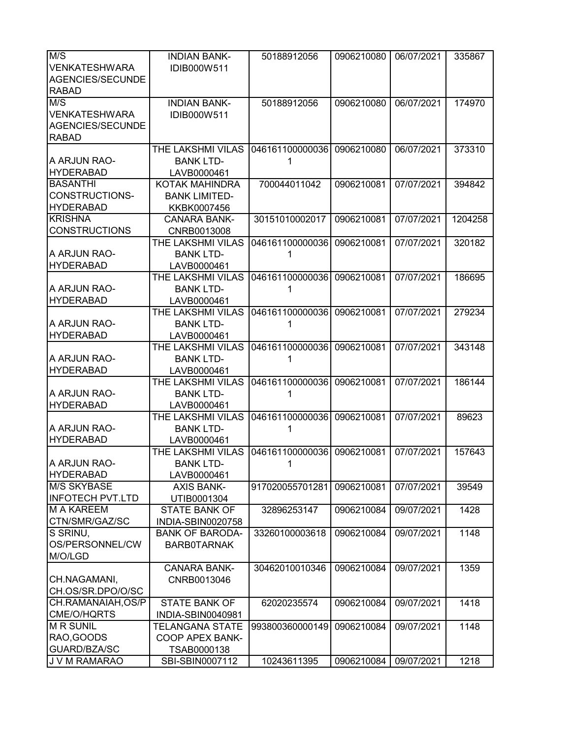| M/S                     | <b>INDIAN BANK-</b>    | 50188912056     | 0906210080 | 06/07/2021 | 335867  |
|-------------------------|------------------------|-----------------|------------|------------|---------|
| <b>VENKATESHWARA</b>    | IDIB000W511            |                 |            |            |         |
| AGENCIES/SECUNDE        |                        |                 |            |            |         |
| <b>RABAD</b>            |                        |                 |            |            |         |
| M/S                     | <b>INDIAN BANK-</b>    | 50188912056     | 0906210080 | 06/07/2021 | 174970  |
| VENKATESHWARA           | IDIB000W511            |                 |            |            |         |
|                         |                        |                 |            |            |         |
| AGENCIES/SECUNDE        |                        |                 |            |            |         |
| <b>RABAD</b>            |                        |                 |            |            |         |
|                         | THE LAKSHMI VILAS      | 046161100000036 | 0906210080 | 06/07/2021 | 373310  |
| A ARJUN RAO-            | <b>BANK LTD-</b>       | 1               |            |            |         |
| <b>HYDERABAD</b>        | LAVB0000461            |                 |            |            |         |
| <b>BASANTHI</b>         | KOTAK MAHINDRA         | 700044011042    | 0906210081 | 07/07/2021 | 394842  |
| CONSTRUCTIONS-          | <b>BANK LIMITED-</b>   |                 |            |            |         |
| <b>HYDERABAD</b>        | KKBK0007456            |                 |            |            |         |
| <b>KRISHNA</b>          | <b>CANARA BANK-</b>    | 30151010002017  | 0906210081 | 07/07/2021 | 1204258 |
| <b>CONSTRUCTIONS</b>    | CNRB0013008            |                 |            |            |         |
|                         | THE LAKSHMI VILAS      | 046161100000036 | 0906210081 | 07/07/2021 | 320182  |
| A ARJUN RAO-            | <b>BANK LTD-</b>       |                 |            |            |         |
| <b>HYDERABAD</b>        | LAVB0000461            |                 |            |            |         |
|                         | THE LAKSHMI VILAS      | 046161100000036 | 0906210081 | 07/07/2021 | 186695  |
| A ARJUN RAO-            | <b>BANK LTD-</b>       |                 |            |            |         |
| <b>HYDERABAD</b>        | LAVB0000461            |                 |            |            |         |
|                         | THE LAKSHMI VILAS      | 046161100000036 | 0906210081 | 07/07/2021 | 279234  |
| A ARJUN RAO-            | <b>BANK LTD-</b>       |                 |            |            |         |
| <b>HYDERABAD</b>        |                        |                 |            |            |         |
|                         | LAVB0000461            |                 |            |            |         |
|                         | THE LAKSHMI VILAS      | 046161100000036 | 0906210081 | 07/07/2021 | 343148  |
| A ARJUN RAO-            | <b>BANK LTD-</b>       | 1               |            |            |         |
| <b>HYDERABAD</b>        | LAVB0000461            |                 |            |            |         |
|                         | THE LAKSHMI VILAS      | 046161100000036 | 0906210081 | 07/07/2021 | 186144  |
| A ARJUN RAO-            | <b>BANK LTD-</b>       | 1               |            |            |         |
| <b>HYDERABAD</b>        | LAVB0000461            |                 |            |            |         |
|                         | THE LAKSHMI VILAS      | 046161100000036 | 0906210081 | 07/07/2021 | 89623   |
| A ARJUN RAO-            | <b>BANK LTD-</b>       | 1               |            |            |         |
| <b>HYDERABAD</b>        | LAVB0000461            |                 |            |            |         |
|                         | THE LAKSHMI VILAS      | 046161100000036 | 0906210081 | 07/07/2021 | 157643  |
| A ARJUN RAO-            | <b>BANK LTD-</b>       | 1               |            |            |         |
| <b>HYDERABAD</b>        | LAVB0000461            |                 |            |            |         |
| <b>M/S SKYBASE</b>      | <b>AXIS BANK-</b>      | 917020055701281 | 0906210081 | 07/07/2021 | 39549   |
| <b>INFOTECH PVT.LTD</b> | UTIB0001304            |                 |            |            |         |
| <b>M A KAREEM</b>       | <b>STATE BANK OF</b>   | 32896253147     | 0906210084 | 09/07/2021 | 1428    |
| CTN/SMR/GAZ/SC          | INDIA-SBIN0020758      |                 |            |            |         |
| S SRINU,                | <b>BANK OF BARODA-</b> | 33260100003618  | 0906210084 | 09/07/2021 | 1148    |
| OS/PERSONNEL/CW         | <b>BARBOTARNAK</b>     |                 |            |            |         |
| M/O/LGD                 |                        |                 |            |            |         |
|                         | <b>CANARA BANK-</b>    | 30462010010346  | 0906210084 | 09/07/2021 | 1359    |
| CH.NAGAMANI,            | CNRB0013046            |                 |            |            |         |
| CH.OS/SR.DPO/O/SC       |                        |                 |            |            |         |
|                         |                        |                 |            |            |         |
| CH.RAMANAIAH, OS/P      | <b>STATE BANK OF</b>   | 62020235574     | 0906210084 | 09/07/2021 | 1418    |
| CME/O/HQRTS             | INDIA-SBIN0040981      |                 |            |            |         |
| <b>MR SUNIL</b>         | TELANGANA STATE        | 993800360000149 | 0906210084 | 09/07/2021 | 1148    |
| RAO, GOODS              | COOP APEX BANK-        |                 |            |            |         |
| GUARD/BZA/SC            | TSAB0000138            |                 |            |            |         |
| J V M RAMARAO           | SBI-SBIN0007112        | 10243611395     | 0906210084 | 09/07/2021 | 1218    |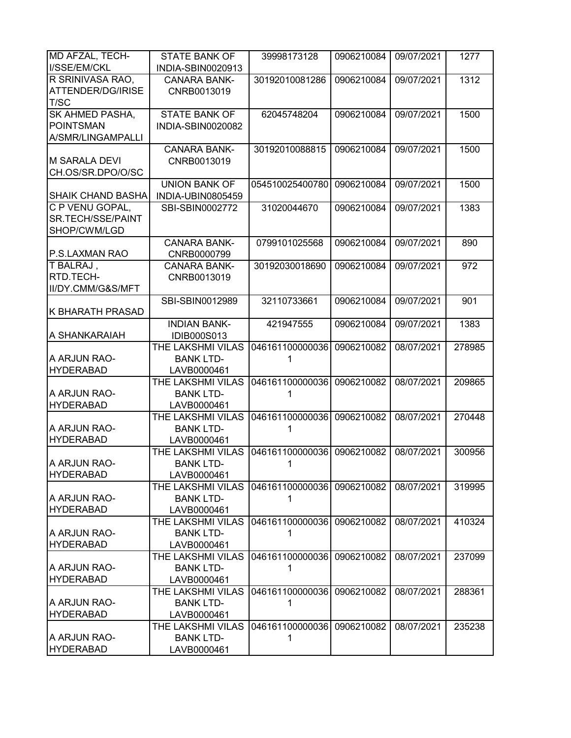| <b>MD AFZAL, TECH-</b><br>I/SSE/EM/CKL | <b>STATE BANK OF</b><br>INDIA-SBIN0020913 | 39998173128                | 0906210084 | 09/07/2021 | 1277   |
|----------------------------------------|-------------------------------------------|----------------------------|------------|------------|--------|
| R SRINIVASA RAO,                       | <b>CANARA BANK-</b>                       | 30192010081286             | 0906210084 | 09/07/2021 | 1312   |
| ATTENDER/DG/IRISE                      | CNRB0013019                               |                            |            |            |        |
| T/SC                                   |                                           |                            |            |            |        |
|                                        |                                           |                            |            |            |        |
| <b>SK AHMED PASHA,</b>                 | <b>STATE BANK OF</b>                      | 62045748204                | 0906210084 | 09/07/2021 | 1500   |
| <b>POINTSMAN</b>                       | INDIA-SBIN0020082                         |                            |            |            |        |
| A/SMR/LINGAMPALLI                      |                                           |                            |            |            |        |
|                                        | <b>CANARA BANK-</b>                       | 30192010088815             | 0906210084 | 09/07/2021 | 1500   |
| <b>M SARALA DEVI</b>                   | CNRB0013019                               |                            |            |            |        |
| CH.OS/SR.DPO/O/SC                      |                                           |                            |            |            |        |
|                                        | <b>UNION BANK OF</b>                      | 054510025400780            | 0906210084 | 09/07/2021 | 1500   |
| <b>SHAIK CHAND BASHA</b>               | INDIA-UBIN0805459                         |                            |            |            |        |
| C P VENU GOPAL,                        | SBI-SBIN0002772                           | 31020044670                | 0906210084 | 09/07/2021 | 1383   |
| SR.TECH/SSE/PAINT                      |                                           |                            |            |            |        |
| SHOP/CWM/LGD                           |                                           |                            |            |            |        |
|                                        | <b>CANARA BANK-</b>                       | 0799101025568              | 0906210084 | 09/07/2021 | 890    |
| P.S.LAXMAN RAO                         |                                           |                            |            |            |        |
|                                        | CNRB0000799                               |                            |            |            |        |
| T BALRAJ,                              | <b>CANARA BANK-</b>                       | 30192030018690             | 0906210084 | 09/07/2021 | 972    |
| RTD.TECH-                              | CNRB0013019                               |                            |            |            |        |
| II/DY.CMM/G&S/MFT                      |                                           |                            |            |            |        |
|                                        | SBI-SBIN0012989                           | 32110733661                | 0906210084 | 09/07/2021 | 901    |
| <b>K BHARATH PRASAD</b>                |                                           |                            |            |            |        |
|                                        | <b>INDIAN BANK-</b>                       | 421947555                  | 0906210084 | 09/07/2021 | 1383   |
| A SHANKARAIAH                          | <b>IDIB000S013</b>                        |                            |            |            |        |
|                                        | THE LAKSHMI VILAS                         | 046161100000036            | 0906210082 | 08/07/2021 | 278985 |
| A ARJUN RAO-                           | <b>BANK LTD-</b>                          | 1                          |            |            |        |
| <b>HYDERABAD</b>                       | LAVB0000461                               |                            |            |            |        |
|                                        | THE LAKSHMI VILAS                         | 046161100000036            | 0906210082 | 08/07/2021 | 209865 |
| A ARJUN RAO-                           | <b>BANK LTD-</b>                          | 1                          |            |            |        |
| <b>HYDERABAD</b>                       | LAVB0000461                               |                            |            |            |        |
|                                        | THE LAKSHMI VILAS                         | 046161100000036            | 0906210082 | 08/07/2021 | 270448 |
| A ARJUN RAO-                           | <b>BANK LTD-</b>                          |                            |            |            |        |
|                                        |                                           | 1                          |            |            |        |
| <b>HYDERABAD</b>                       | LAVB0000461                               |                            |            |            |        |
|                                        | THE LAKSHMI VILAS                         | 046161100000036            | 0906210082 | 08/07/2021 | 300956 |
| A ARJUN RAO-                           | <b>BANK LTD-</b>                          | 1                          |            |            |        |
| <b>HYDERABAD</b>                       | LAVB0000461                               |                            |            |            |        |
|                                        | THE LAKSHMI VILAS                         | 046161100000036 0906210082 |            | 08/07/2021 | 319995 |
| A ARJUN RAO-                           | <b>BANK LTD-</b>                          | 1                          |            |            |        |
| <b>HYDERABAD</b>                       | LAVB0000461                               |                            |            |            |        |
|                                        | THE LAKSHMI VILAS                         | 046161100000036 0906210082 |            | 08/07/2021 | 410324 |
| A ARJUN RAO-                           | <b>BANK LTD-</b>                          | 1                          |            |            |        |
| <b>HYDERABAD</b>                       | LAVB0000461                               |                            |            |            |        |
|                                        | THE LAKSHMI VILAS                         | 046161100000036 0906210082 |            | 08/07/2021 | 237099 |
| A ARJUN RAO-                           | <b>BANK LTD-</b>                          | 1                          |            |            |        |
| <b>HYDERABAD</b>                       | LAVB0000461                               |                            |            |            |        |
|                                        | THE LAKSHMI VILAS                         | 046161100000036            | 0906210082 | 08/07/2021 | 288361 |
| A ARJUN RAO-                           |                                           |                            |            |            |        |
|                                        | <b>BANK LTD-</b>                          | 1                          |            |            |        |
| <b>HYDERABAD</b>                       | LAVB0000461                               |                            |            |            |        |
|                                        | THE LAKSHMI VILAS                         | 046161100000036            | 0906210082 | 08/07/2021 | 235238 |
| A ARJUN RAO-                           | <b>BANK LTD-</b>                          | 1                          |            |            |        |
| <b>HYDERABAD</b>                       | LAVB0000461                               |                            |            |            |        |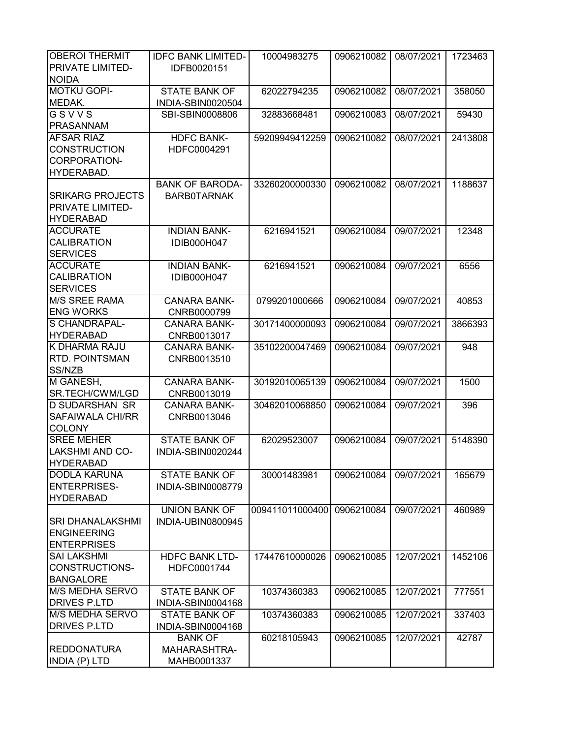| <b>OBEROI THERMIT</b>   | <b>IDFC BANK LIMITED-</b> | 10004983275     | 0906210082 | 08/07/2021 | 1723463 |
|-------------------------|---------------------------|-----------------|------------|------------|---------|
| PRIVATE LIMITED-        | IDFB0020151               |                 |            |            |         |
| <b>NOIDA</b>            |                           |                 |            |            |         |
| <b>MOTKU GOPI-</b>      | <b>STATE BANK OF</b>      | 62022794235     | 0906210082 | 08/07/2021 | 358050  |
| MEDAK.                  | INDIA-SBIN0020504         |                 |            |            |         |
| GSVVS                   | SBI-SBIN0008806           | 32883668481     | 0906210083 | 08/07/2021 | 59430   |
| <b>PRASANNAM</b>        |                           |                 |            |            |         |
| <b>AFSAR RIAZ</b>       | <b>HDFC BANK-</b>         | 59209949412259  | 0906210082 | 08/07/2021 | 2413808 |
| <b>CONSTRUCTION</b>     | HDFC0004291               |                 |            |            |         |
| <b>CORPORATION-</b>     |                           |                 |            |            |         |
|                         |                           |                 |            |            |         |
| HYDERABAD.              |                           |                 |            |            |         |
|                         | <b>BANK OF BARODA-</b>    | 33260200000330  | 0906210082 | 08/07/2021 | 1188637 |
| <b>SRIKARG PROJECTS</b> | <b>BARBOTARNAK</b>        |                 |            |            |         |
| PRIVATE LIMITED-        |                           |                 |            |            |         |
| <b>HYDERABAD</b>        |                           |                 |            |            |         |
| <b>ACCURATE</b>         | <b>INDIAN BANK-</b>       | 6216941521      | 0906210084 | 09/07/2021 | 12348   |
| <b>CALIBRATION</b>      | IDIB000H047               |                 |            |            |         |
| <b>SERVICES</b>         |                           |                 |            |            |         |
| <b>ACCURATE</b>         | <b>INDIAN BANK-</b>       | 6216941521      | 0906210084 | 09/07/2021 | 6556    |
| <b>CALIBRATION</b>      | IDIB000H047               |                 |            |            |         |
| <b>SERVICES</b>         |                           |                 |            |            |         |
| <b>M/S SREE RAMA</b>    | <b>CANARA BANK-</b>       | 0799201000666   | 0906210084 | 09/07/2021 | 40853   |
| <b>ENG WORKS</b>        | CNRB0000799               |                 |            |            |         |
| S CHANDRAPAL-           | <b>CANARA BANK-</b>       | 30171400000093  | 0906210084 | 09/07/2021 | 3866393 |
| <b>HYDERABAD</b>        | CNRB0013017               |                 |            |            |         |
| K DHARMA RAJU           |                           |                 |            |            |         |
|                         | CANARA BANK-              | 35102200047469  | 0906210084 | 09/07/2021 | 948     |
| RTD. POINTSMAN          | CNRB0013510               |                 |            |            |         |
| SS/NZB                  |                           |                 |            |            |         |
| M GANESH,               | <b>CANARA BANK-</b>       | 30192010065139  | 0906210084 | 09/07/2021 | 1500    |
| SR.TECH/CWM/LGD         | CNRB0013019               |                 |            |            |         |
| <b>D SUDARSHAN SR</b>   | <b>CANARA BANK-</b>       | 30462010068850  | 0906210084 | 09/07/2021 | 396     |
| <b>SAFAIWALA CHI/RR</b> | CNRB0013046               |                 |            |            |         |
| <b>COLONY</b>           |                           |                 |            |            |         |
| <b>SREE MEHER</b>       | <b>STATE BANK OF</b>      | 62029523007     | 0906210084 | 09/07/2021 | 5148390 |
| <b>LAKSHMI AND CO-</b>  | INDIA-SBIN0020244         |                 |            |            |         |
| <b>HYDERABAD</b>        |                           |                 |            |            |         |
| <b>DODLA KARUNA</b>     | <b>STATE BANK OF</b>      | 30001483981     | 0906210084 | 09/07/2021 | 165679  |
| <b>ENTERPRISES-</b>     | INDIA-SBIN0008779         |                 |            |            |         |
| <b>HYDERABAD</b>        |                           |                 |            |            |         |
|                         | <b>UNION BANK OF</b>      | 009411011000400 | 0906210084 | 09/07/2021 | 460989  |
| <b>SRI DHANALAKSHMI</b> | INDIA-UBIN0800945         |                 |            |            |         |
| <b>ENGINEERING</b>      |                           |                 |            |            |         |
| <b>ENTERPRISES</b>      |                           |                 |            |            |         |
| <b>SAI LAKSHMI</b>      | <b>HDFC BANK LTD-</b>     | 17447610000026  | 0906210085 | 12/07/2021 | 1452106 |
|                         |                           |                 |            |            |         |
| CONSTRUCTIONS-          | HDFC0001744               |                 |            |            |         |
| <b>BANGALORE</b>        |                           |                 |            |            |         |
| <b>M/S MEDHA SERVO</b>  | <b>STATE BANK OF</b>      | 10374360383     | 0906210085 | 12/07/2021 | 777551  |
| <b>DRIVES P.LTD</b>     | INDIA-SBIN0004168         |                 |            |            |         |
| <b>M/S MEDHA SERVO</b>  | <b>STATE BANK OF</b>      | 10374360383     | 0906210085 | 12/07/2021 | 337403  |
| <b>DRIVES P.LTD</b>     | INDIA-SBIN0004168         |                 |            |            |         |
|                         | <b>BANK OF</b>            | 60218105943     | 0906210085 | 12/07/2021 | 42787   |
| <b>REDDONATURA</b>      | MAHARASHTRA-              |                 |            |            |         |
| <b>INDIA (P) LTD</b>    | MAHB0001337               |                 |            |            |         |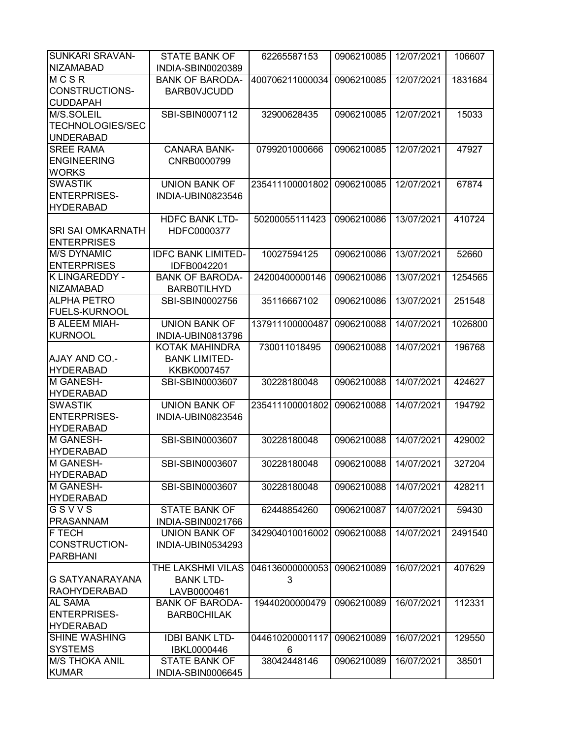| <b>SUNKARI SRAVAN-</b>   | <b>STATE BANK OF</b>      | 62265587153     | 0906210085 | 12/07/2021 | 106607  |
|--------------------------|---------------------------|-----------------|------------|------------|---------|
| <b>NIZAMABAD</b>         | INDIA-SBIN0020389         |                 |            |            |         |
| MCSR                     | <b>BANK OF BARODA-</b>    | 400706211000034 | 0906210085 | 12/07/2021 | 1831684 |
| <b>CONSTRUCTIONS-</b>    | <b>BARBOVJCUDD</b>        |                 |            |            |         |
| <b>CUDDAPAH</b>          |                           |                 |            |            |         |
| M/S.SOLEIL               | SBI-SBIN0007112           | 32900628435     | 0906210085 | 12/07/2021 | 15033   |
| <b>TECHNOLOGIES/SEC</b>  |                           |                 |            |            |         |
| <b>UNDERABAD</b>         |                           |                 |            |            |         |
| <b>SREE RAMA</b>         | <b>CANARA BANK-</b>       | 0799201000666   | 0906210085 | 12/07/2021 | 47927   |
| <b>ENGINEERING</b>       | CNRB0000799               |                 |            |            |         |
| <b>WORKS</b>             |                           |                 |            |            |         |
| <b>SWASTIK</b>           | <b>UNION BANK OF</b>      | 235411100001802 | 0906210085 | 12/07/2021 | 67874   |
| <b>ENTERPRISES-</b>      | INDIA-UBIN0823546         |                 |            |            |         |
| <b>HYDERABAD</b>         |                           |                 |            |            |         |
|                          | <b>HDFC BANK LTD-</b>     | 50200055111423  | 0906210086 | 13/07/2021 | 410724  |
| <b>SRI SAI OMKARNATH</b> | HDFC0000377               |                 |            |            |         |
| <b>ENTERPRISES</b>       |                           |                 |            |            |         |
| <b>M/S DYNAMIC</b>       | <b>IDFC BANK LIMITED-</b> | 10027594125     | 0906210086 | 13/07/2021 | 52660   |
| <b>ENTERPRISES</b>       | IDFB0042201               |                 |            |            |         |
| <b>K LINGAREDDY -</b>    | <b>BANK OF BARODA-</b>    | 24200400000146  | 0906210086 | 13/07/2021 | 1254565 |
| <b>NIZAMABAD</b>         | <b>BARB0TILHYD</b>        |                 |            |            |         |
| <b>ALPHA PETRO</b>       | SBI-SBIN0002756           | 35116667102     | 0906210086 | 13/07/2021 | 251548  |
| <b>FUELS-KURNOOL</b>     |                           |                 |            |            |         |
| <b>B ALEEM MIAH-</b>     | <b>UNION BANK OF</b>      | 137911100000487 | 0906210088 | 14/07/2021 | 1026800 |
| <b>KURNOOL</b>           |                           |                 |            |            |         |
|                          | INDIA-UBIN0813796         |                 |            |            |         |
|                          | KOTAK MAHINDRA            | 730011018495    | 0906210088 | 14/07/2021 | 196768  |
| <b>AJAY AND CO.-</b>     | <b>BANK LIMITED-</b>      |                 |            |            |         |
| <b>HYDERABAD</b>         | KKBK0007457               |                 |            |            |         |
| <b>M GANESH-</b>         | SBI-SBIN0003607           | 30228180048     | 0906210088 | 14/07/2021 | 424627  |
| <b>HYDERABAD</b>         |                           |                 |            |            |         |
| <b>SWASTIK</b>           | <b>UNION BANK OF</b>      | 235411100001802 | 0906210088 | 14/07/2021 | 194792  |
| <b>ENTERPRISES-</b>      | INDIA-UBIN0823546         |                 |            |            |         |
| <b>HYDERABAD</b>         |                           |                 |            |            |         |
| M GANESH-                | SBI-SBIN0003607           | 30228180048     | 0906210088 | 14/07/2021 | 429002  |
| <b>HYDERABAD</b>         |                           |                 |            |            |         |
| M GANESH-                | SBI-SBIN0003607           | 30228180048     | 0906210088 | 14/07/2021 | 327204  |
| <b>HYDERABAD</b>         |                           |                 |            |            |         |
| M GANESH-                | SBI-SBIN0003607           | 30228180048     | 0906210088 | 14/07/2021 | 428211  |
| <b>HYDERABAD</b>         |                           |                 |            |            |         |
| GSVVS                    | <b>STATE BANK OF</b>      | 62448854260     | 0906210087 | 14/07/2021 | 59430   |
| <b>PRASANNAM</b>         | INDIA-SBIN0021766         |                 |            |            |         |
| F TECH                   | <b>UNION BANK OF</b>      | 342904010016002 | 0906210088 | 14/07/2021 | 2491540 |
| CONSTRUCTION-            | INDIA-UBIN0534293         |                 |            |            |         |
| <b>PARBHANI</b>          |                           |                 |            |            |         |
|                          | THE LAKSHMI VILAS         | 046136000000053 | 0906210089 | 16/07/2021 | 407629  |
| G SATYANARAYANA          | <b>BANK LTD-</b>          | 3               |            |            |         |
| RAOHYDERABAD             | LAVB0000461               |                 |            |            |         |
| <b>AL SAMA</b>           | <b>BANK OF BARODA-</b>    | 19440200000479  | 0906210089 | 16/07/2021 | 112331  |
| <b>ENTERPRISES-</b>      | <b>BARBOCHILAK</b>        |                 |            |            |         |
| <b>HYDERABAD</b>         |                           |                 |            |            |         |
| <b>SHINE WASHING</b>     | <b>IDBI BANK LTD-</b>     | 044610200001117 | 0906210089 | 16/07/2021 | 129550  |
| <b>SYSTEMS</b>           | IBKL0000446               | 6               |            |            |         |
| <b>M/S THOKA ANIL</b>    | <b>STATE BANK OF</b>      | 38042448146     | 0906210089 | 16/07/2021 | 38501   |
| <b>KUMAR</b>             | INDIA-SBIN0006645         |                 |            |            |         |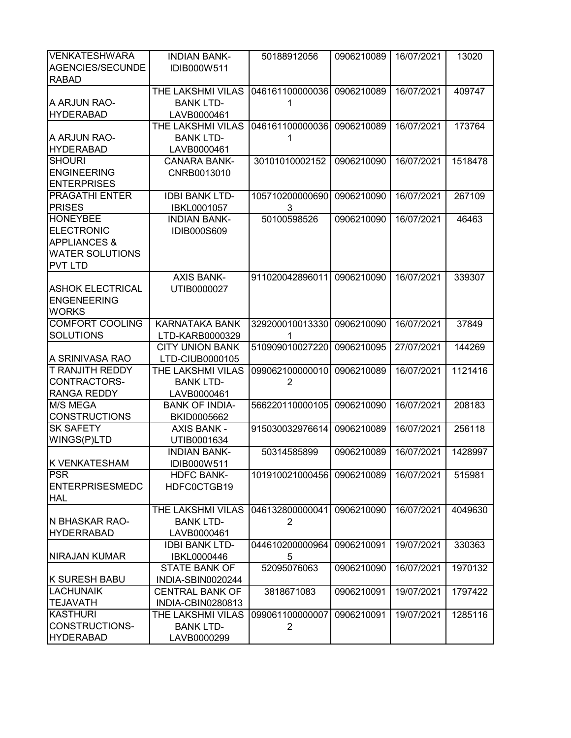| <b>VENKATESHWARA</b>             | <b>INDIAN BANK-</b>    | 50188912056                | 0906210089 | 16/07/2021 | 13020   |
|----------------------------------|------------------------|----------------------------|------------|------------|---------|
| AGENCIES/SECUNDE<br><b>RABAD</b> | IDIB000W511            |                            |            |            |         |
|                                  | THE LAKSHMI VILAS      | 046161100000036            | 0906210089 | 16/07/2021 | 409747  |
| A ARJUN RAO-                     | <b>BANK LTD-</b>       | 1                          |            |            |         |
| <b>HYDERABAD</b>                 | LAVB0000461            |                            |            |            |         |
|                                  | THE LAKSHMI VILAS      | 046161100000036            | 0906210089 | 16/07/2021 | 173764  |
| A ARJUN RAO-                     | <b>BANK LTD-</b>       | 1                          |            |            |         |
| <b>HYDERABAD</b>                 | LAVB0000461            |                            |            |            |         |
| <b>SHOURI</b>                    | <b>CANARA BANK-</b>    | 30101010002152             | 0906210090 | 16/07/2021 | 1518478 |
| <b>ENGINEERING</b>               | CNRB0013010            |                            |            |            |         |
| <b>ENTERPRISES</b>               |                        |                            |            |            |         |
| <b>PRAGATHI ENTER</b>            | <b>IDBI BANK LTD-</b>  | 105710200000690            | 0906210090 | 16/07/2021 | 267109  |
| <b>PRISES</b>                    | <b>IBKL0001057</b>     | 3                          |            |            |         |
| <b>HONEYBEE</b>                  | <b>INDIAN BANK-</b>    | 50100598526                | 0906210090 | 16/07/2021 | 46463   |
| <b>ELECTRONIC</b>                | <b>IDIB000S609</b>     |                            |            |            |         |
| <b>APPLIANCES &amp;</b>          |                        |                            |            |            |         |
| <b>WATER SOLUTIONS</b>           |                        |                            |            |            |         |
| <b>PVT LTD</b>                   |                        |                            |            |            |         |
|                                  | <b>AXIS BANK-</b>      | 911020042896011            | 0906210090 | 16/07/2021 | 339307  |
| <b>ASHOK ELECTRICAL</b>          | UTIB0000027            |                            |            |            |         |
| <b>ENGENEERING</b>               |                        |                            |            |            |         |
| <b>WORKS</b>                     |                        |                            |            |            |         |
| <b>COMFORT COOLING</b>           | <b>KARNATAKA BANK</b>  | 329200010013330            | 0906210090 | 16/07/2021 | 37849   |
| <b>SOLUTIONS</b>                 | LTD-KARB0000329        |                            |            |            |         |
|                                  | <b>CITY UNION BANK</b> | 510909010027220            | 0906210095 | 27/07/2021 | 144269  |
| A SRINIVASA RAO                  | LTD-CIUB0000105        |                            |            |            |         |
| <b>T RANJITH REDDY</b>           | THE LAKSHMI VILAS      | 099062100000010            | 0906210089 | 16/07/2021 | 1121416 |
| CONTRACTORS-                     | <b>BANK LTD-</b>       | 2                          |            |            |         |
| <b>RANGA REDDY</b>               | LAVB0000461            |                            |            |            |         |
| <b>M/S MEGA</b>                  | <b>BANK OF INDIA-</b>  | 566220110000105            | 0906210090 | 16/07/2021 | 208183  |
| <b>CONSTRUCTIONS</b>             | BKID0005662            |                            |            |            |         |
| <b>SK SAFETY</b>                 | <b>AXIS BANK -</b>     | 915030032976614            | 0906210089 | 16/07/2021 | 256118  |
| WINGS(P)LTD                      | UTIB0001634            |                            |            |            |         |
|                                  | <b>INDIAN BANK-</b>    | 50314585899                | 0906210089 | 16/07/2021 | 1428997 |
| K VENKATESHAM                    | IDIB000W511            |                            |            |            |         |
| <b>PSR</b>                       | <b>HDFC BANK-</b>      | 101910021000456 0906210089 |            | 16/07/2021 | 515981  |
| <b>ENTERPRISESMEDC</b>           | HDFC0CTGB19            |                            |            |            |         |
| <b>HAL</b>                       |                        |                            |            |            |         |
|                                  | THE LAKSHMI VILAS      | 046132800000041            | 0906210090 | 16/07/2021 | 4049630 |
| IN BHASKAR RAO-                  |                        |                            |            |            |         |
|                                  | <b>BANK LTD-</b>       | 2                          |            |            |         |
| <b>HYDERRABAD</b>                | LAVB0000461            |                            |            |            |         |
|                                  | <b>IDBI BANK LTD-</b>  | 044610200000964            | 0906210091 | 19/07/2021 | 330363  |
| <b>NIRAJAN KUMAR</b>             | IBKL0000446            | 5                          |            |            |         |
|                                  | <b>STATE BANK OF</b>   | 52095076063                | 0906210090 | 16/07/2021 | 1970132 |
| K SURESH BABU                    | INDIA-SBIN0020244      |                            |            |            |         |
| <b>LACHUNAIK</b>                 | <b>CENTRAL BANK OF</b> | 3818671083                 | 0906210091 | 19/07/2021 | 1797422 |
| <b>TEJAVATH</b>                  | INDIA-CBIN0280813      |                            |            |            |         |
| <b>KASTHURI</b>                  | THE LAKSHMI VILAS      | 099061100000007            | 0906210091 | 19/07/2021 | 1285116 |
| CONSTRUCTIONS-                   | <b>BANK LTD-</b>       | $\overline{2}$             |            |            |         |
| <b>HYDERABAD</b>                 | LAVB0000299            |                            |            |            |         |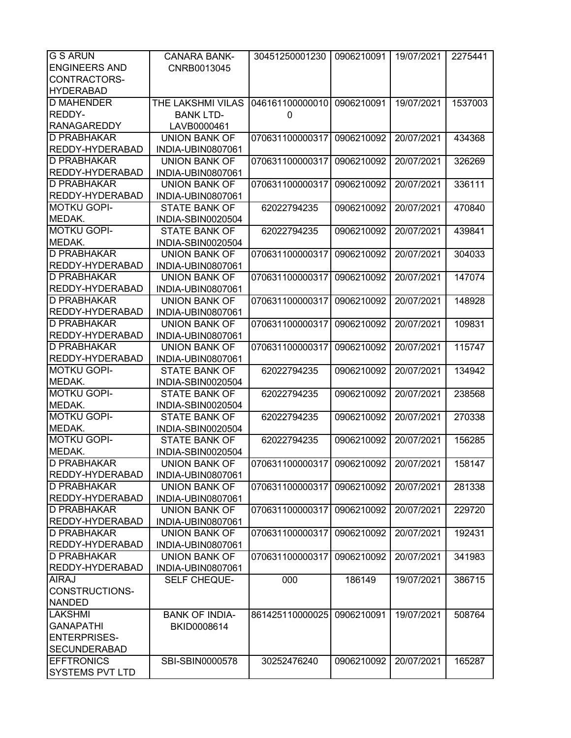| <b>G S ARUN</b>        | <b>CANARA BANK-</b>   | 30451250001230             | 0906210091 | 19/07/2021 | 2275441 |
|------------------------|-----------------------|----------------------------|------------|------------|---------|
| <b>ENGINEERS AND</b>   | CNRB0013045           |                            |            |            |         |
| CONTRACTORS-           |                       |                            |            |            |         |
| <b>HYDERABAD</b>       |                       |                            |            |            |         |
| <b>D MAHENDER</b>      | THE LAKSHMI VILAS     | 046161100000010            | 0906210091 | 19/07/2021 | 1537003 |
| REDDY-                 | <b>BANK LTD-</b>      | 0                          |            |            |         |
| <b>RANAGAREDDY</b>     | LAVB0000461           |                            |            |            |         |
| <b>D PRABHAKAR</b>     | <b>UNION BANK OF</b>  | 070631100000317            | 0906210092 | 20/07/2021 | 434368  |
| REDDY-HYDERABAD        | INDIA-UBIN0807061     |                            |            |            |         |
| <b>D PRABHAKAR</b>     | <b>UNION BANK OF</b>  | 070631100000317            | 0906210092 | 20/07/2021 | 326269  |
| REDDY-HYDERABAD        | INDIA-UBIN0807061     |                            |            |            |         |
| <b>D PRABHAKAR</b>     | <b>UNION BANK OF</b>  | 070631100000317            | 0906210092 | 20/07/2021 | 336111  |
| <b>REDDY-HYDERABAD</b> | INDIA-UBIN0807061     |                            |            |            |         |
| <b>MOTKU GOPI-</b>     | <b>STATE BANK OF</b>  | 62022794235                | 0906210092 | 20/07/2021 | 470840  |
| MEDAK.                 | INDIA-SBIN0020504     |                            |            |            |         |
| <b>MOTKU GOPI-</b>     | <b>STATE BANK OF</b>  | 62022794235                | 0906210092 | 20/07/2021 | 439841  |
| MEDAK.                 | INDIA-SBIN0020504     |                            |            |            |         |
| <b>D PRABHAKAR</b>     | <b>UNION BANK OF</b>  | 070631100000317            | 0906210092 | 20/07/2021 | 304033  |
| <b>REDDY-HYDERABAD</b> | INDIA-UBIN0807061     |                            |            |            |         |
| <b>D PRABHAKAR</b>     | <b>UNION BANK OF</b>  | 070631100000317            | 0906210092 | 20/07/2021 | 147074  |
| REDDY-HYDERABAD        | INDIA-UBIN0807061     |                            |            |            |         |
| <b>D PRABHAKAR</b>     | <b>UNION BANK OF</b>  | 070631100000317            | 0906210092 | 20/07/2021 | 148928  |
| <b>REDDY-HYDERABAD</b> | INDIA-UBIN0807061     |                            |            |            |         |
| <b>D PRABHAKAR</b>     | <b>UNION BANK OF</b>  | 070631100000317            | 0906210092 | 20/07/2021 | 109831  |
| REDDY-HYDERABAD        | INDIA-UBIN0807061     |                            |            |            |         |
| D PRABHAKAR            | UNION BANK OF         | 070631100000317            | 0906210092 | 20/07/2021 | 115747  |
| <b>REDDY-HYDERABAD</b> | INDIA-UBIN0807061     |                            |            |            |         |
| <b>MOTKU GOPI-</b>     | <b>STATE BANK OF</b>  | 62022794235                | 0906210092 | 20/07/2021 | 134942  |
| MEDAK.                 | INDIA-SBIN0020504     |                            |            |            |         |
| <b>MOTKU GOPI-</b>     | <b>STATE BANK OF</b>  | 62022794235                | 0906210092 | 20/07/2021 | 238568  |
| MEDAK.                 | INDIA-SBIN0020504     |                            |            |            |         |
| <b>MOTKU GOPI-</b>     | <b>STATE BANK OF</b>  | 62022794235                | 0906210092 | 20/07/2021 | 270338  |
| MEDAK.                 | INDIA-SBIN0020504     |                            |            |            |         |
| <b>MOTKU GOPI-</b>     | <b>STATE BANK OF</b>  | 62022794235                | 0906210092 | 20/07/2021 | 156285  |
| MEDAK.                 | INDIA-SBIN0020504     |                            |            |            |         |
| <b>D PRABHAKAR</b>     | <b>UNION BANK OF</b>  | 070631100000317 0906210092 |            | 20/07/2021 | 158147  |
| <b>REDDY-HYDERABAD</b> | INDIA-UBIN0807061     |                            |            |            |         |
| <b>D PRABHAKAR</b>     | UNION BANK OF         | 070631100000317            | 0906210092 | 20/07/2021 | 281338  |
| <b>REDDY-HYDERABAD</b> | INDIA-UBIN0807061     |                            |            |            |         |
| <b>D PRABHAKAR</b>     | <b>UNION BANK OF</b>  | 070631100000317            | 0906210092 | 20/07/2021 | 229720  |
| <b>REDDY-HYDERABAD</b> | INDIA-UBIN0807061     |                            |            |            |         |
| <b>D PRABHAKAR</b>     | <b>UNION BANK OF</b>  | 070631100000317            | 0906210092 | 20/07/2021 | 192431  |
| REDDY-HYDERABAD        | INDIA-UBIN0807061     |                            |            |            |         |
| <b>D PRABHAKAR</b>     | <b>UNION BANK OF</b>  | 070631100000317            | 0906210092 | 20/07/2021 | 341983  |
| REDDY-HYDERABAD        | INDIA-UBIN0807061     |                            |            |            |         |
| <b>AIRAJ</b>           | SELF CHEQUE-          | 000                        | 186149     | 19/07/2021 | 386715  |
| CONSTRUCTIONS-         |                       |                            |            |            |         |
| <b>NANDED</b>          |                       |                            |            |            |         |
| <b>LAKSHMI</b>         | <b>BANK OF INDIA-</b> | 861425110000025            | 0906210091 | 19/07/2021 | 508764  |
| <b>GANAPATHI</b>       | BKID0008614           |                            |            |            |         |
| <b>ENTERPRISES-</b>    |                       |                            |            |            |         |
| <b>SECUNDERABAD</b>    |                       |                            |            |            |         |
| <b>EFFTRONICS</b>      | SBI-SBIN0000578       | 30252476240                | 0906210092 | 20/07/2021 | 165287  |
| <b>SYSTEMS PVT LTD</b> |                       |                            |            |            |         |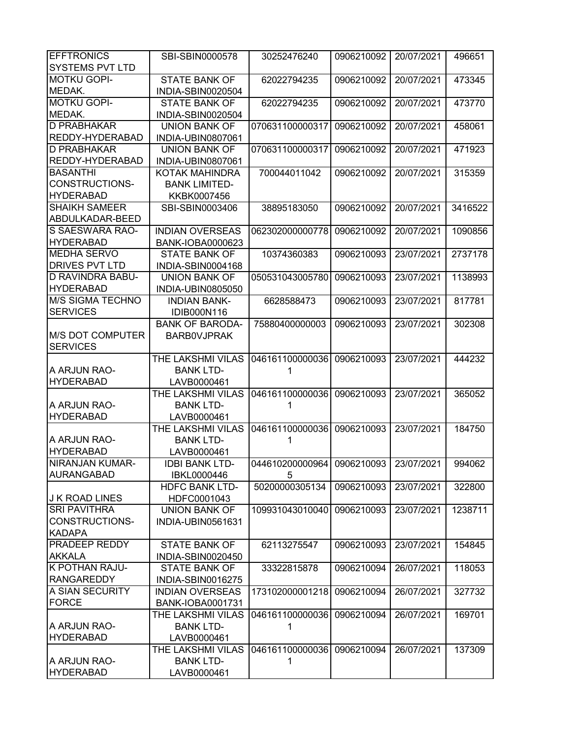| <b>EFFTRONICS</b>       | SBI-SBIN0000578                       | 30252476240                           | 0906210092 | 20/07/2021 | 496651  |
|-------------------------|---------------------------------------|---------------------------------------|------------|------------|---------|
| <b>SYSTEMS PVT LTD</b>  |                                       |                                       |            |            |         |
| <b>MOTKU GOPI-</b>      | <b>STATE BANK OF</b>                  | 62022794235                           | 0906210092 | 20/07/2021 | 473345  |
| MEDAK.                  | INDIA-SBIN0020504                     |                                       |            |            |         |
| <b>MOTKU GOPI-</b>      | <b>STATE BANK OF</b>                  | 62022794235                           | 0906210092 | 20/07/2021 | 473770  |
| MEDAK.                  | INDIA-SBIN0020504                     |                                       |            |            |         |
| <b>D PRABHAKAR</b>      | <b>UNION BANK OF</b>                  | 070631100000317                       | 0906210092 | 20/07/2021 | 458061  |
| REDDY-HYDERABAD         | INDIA-UBIN0807061                     |                                       |            |            |         |
| <b>D PRABHAKAR</b>      | <b>UNION BANK OF</b>                  | 070631100000317                       | 0906210092 | 20/07/2021 | 471923  |
| REDDY-HYDERABAD         | INDIA-UBIN0807061                     |                                       |            |            |         |
| <b>BASANTHI</b>         | KOTAK MAHINDRA                        | 700044011042                          | 0906210092 | 20/07/2021 | 315359  |
| <b>CONSTRUCTIONS-</b>   | <b>BANK LIMITED-</b>                  |                                       |            |            |         |
| <b>HYDERABAD</b>        | KKBK0007456                           |                                       |            |            |         |
| <b>SHAIKH SAMEER</b>    | SBI-SBIN0003406                       | 38895183050                           | 0906210092 | 20/07/2021 | 3416522 |
| ABDULKADAR-BEED         |                                       |                                       |            |            |         |
| S SAESWARA RAO-         | <b>INDIAN OVERSEAS</b>                | 062302000000778                       | 0906210092 | 20/07/2021 | 1090856 |
| <b>HYDERABAD</b>        | <b>BANK-IOBA0000623</b>               |                                       |            |            |         |
| <b>MEDHA SERVO</b>      | <b>STATE BANK OF</b>                  | 10374360383                           | 0906210093 | 23/07/2021 | 2737178 |
| <b>DRIVES PVT LTD</b>   | INDIA-SBIN0004168                     |                                       |            |            |         |
| <b>D RAVINDRA BABU-</b> | <b>UNION BANK OF</b>                  | 050531043005780                       | 0906210093 | 23/07/2021 | 1138993 |
| <b>HYDERABAD</b>        | INDIA-UBIN0805050                     |                                       |            |            |         |
| <b>M/S SIGMA TECHNO</b> | <b>INDIAN BANK-</b>                   | 6628588473                            | 0906210093 | 23/07/2021 | 817781  |
| <b>SERVICES</b>         | IDIB000N116                           |                                       |            |            |         |
|                         | <b>BANK OF BARODA-</b>                | 75880400000003                        | 0906210093 | 23/07/2021 | 302308  |
| <b>M/S DOT COMPUTER</b> | <b>BARBOVJPRAK</b>                    |                                       |            |            |         |
| <b>SERVICES</b>         |                                       |                                       |            |            |         |
|                         | THE LAKSHMI VILAS                     | 046161100000036                       | 0906210093 | 23/07/2021 | 444232  |
| A ARJUN RAO-            |                                       | 1                                     |            |            |         |
| <b>HYDERABAD</b>        | <b>BANK LTD-</b><br>LAVB0000461       |                                       |            |            |         |
|                         |                                       | 046161100000036                       | 0906210093 | 23/07/2021 | 365052  |
| A ARJUN RAO-            | THE LAKSHMI VILAS<br><b>BANK LTD-</b> | 1                                     |            |            |         |
| <b>HYDERABAD</b>        |                                       |                                       |            |            |         |
|                         | LAVB0000461<br>THE LAKSHMI VILAS      | 046161100000036                       | 0906210093 | 23/07/2021 | 184750  |
| A ARJUN RAO-            | <b>BANK LTD-</b>                      | 1                                     |            |            |         |
| <b>HYDERABAD</b>        |                                       |                                       |            |            |         |
| <b>NIRANJAN KUMAR-</b>  | LAVB0000461                           |                                       |            |            | 994062  |
| <b>AURANGABAD</b>       | <b>IDBI BANK LTD-</b>                 | 044610200000964 0906210093 23/07/2021 |            |            |         |
|                         | IBKL0000446                           | 5<br>50200000305134                   |            |            |         |
| <b>J K ROAD LINES</b>   | <b>HDFC BANK LTD-</b>                 |                                       | 0906210093 | 23/07/2021 | 322800  |
| <b>SRI PAVITHRA</b>     | HDFC0001043                           |                                       |            |            | 1238711 |
| CONSTRUCTIONS-          | <b>UNION BANK OF</b>                  | 109931043010040                       | 0906210093 | 23/07/2021 |         |
|                         | INDIA-UBIN0561631                     |                                       |            |            |         |
| <b>KADAPA</b>           |                                       |                                       |            |            |         |
| <b>PRADEEP REDDY</b>    | <b>STATE BANK OF</b>                  | 62113275547                           | 0906210093 | 23/07/2021 | 154845  |
| <b>AKKALA</b>           | INDIA-SBIN0020450                     |                                       |            |            |         |
| <b>K POTHAN RAJU-</b>   | <b>STATE BANK OF</b>                  | 33322815878                           | 0906210094 | 26/07/2021 | 118053  |
| <b>RANGAREDDY</b>       | INDIA-SBIN0016275                     |                                       |            |            |         |
| A SIAN SECURITY         | <b>INDIAN OVERSEAS</b>                | 173102000001218                       | 0906210094 | 26/07/2021 | 327732  |
| <b>FORCE</b>            | BANK-IOBA0001731                      |                                       |            |            |         |
|                         | THE LAKSHMI VILAS                     | 046161100000036                       | 0906210094 | 26/07/2021 | 169701  |
| A ARJUN RAO-            | <b>BANK LTD-</b>                      | 1                                     |            |            |         |
| <b>HYDERABAD</b>        | LAVB0000461                           |                                       |            |            |         |
|                         | THE LAKSHMI VILAS                     | 046161100000036                       | 0906210094 | 26/07/2021 | 137309  |
| A ARJUN RAO-            | <b>BANK LTD-</b>                      | 1                                     |            |            |         |
| <b>HYDERABAD</b>        | LAVB0000461                           |                                       |            |            |         |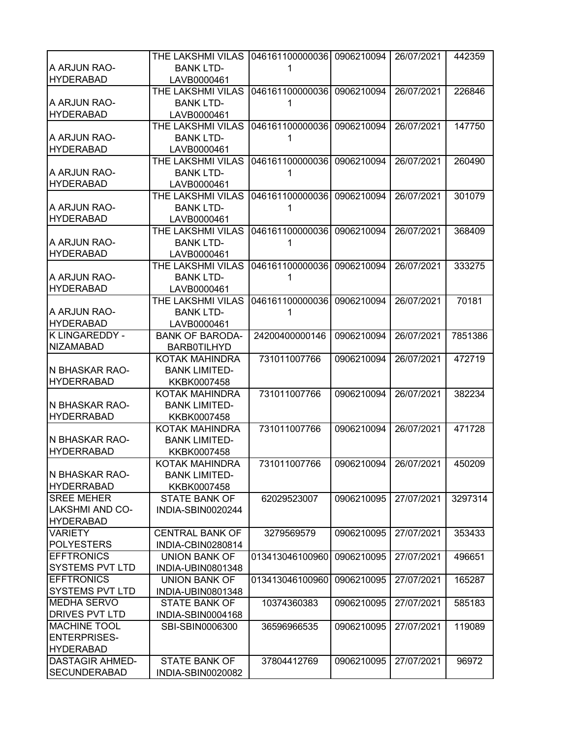|                        | THE LAKSHMI VILAS      | 046161100000036            | 0906210094 | 26/07/2021 | 442359  |
|------------------------|------------------------|----------------------------|------------|------------|---------|
| A ARJUN RAO-           | <b>BANK LTD-</b>       |                            |            |            |         |
| <b>HYDERABAD</b>       | LAVB0000461            |                            |            |            |         |
|                        | THE LAKSHMI VILAS      | 046161100000036 0906210094 |            | 26/07/2021 | 226846  |
| A ARJUN RAO-           | <b>BANK LTD-</b>       |                            |            |            |         |
| <b>HYDERABAD</b>       | LAVB0000461            |                            |            |            |         |
|                        | THE LAKSHMI VILAS      | 046161100000036            | 0906210094 | 26/07/2021 | 147750  |
| A ARJUN RAO-           | <b>BANK LTD-</b>       |                            |            |            |         |
| <b>HYDERABAD</b>       |                        |                            |            |            |         |
|                        | LAVB0000461            |                            |            |            |         |
|                        | THE LAKSHMI VILAS      | 046161100000036 0906210094 |            | 26/07/2021 | 260490  |
| A ARJUN RAO-           | <b>BANK LTD-</b>       | 1                          |            |            |         |
| <b>HYDERABAD</b>       | LAVB0000461            |                            |            |            |         |
|                        | THE LAKSHMI VILAS      | 046161100000036            | 0906210094 | 26/07/2021 | 301079  |
| A ARJUN RAO-           | <b>BANK LTD-</b>       |                            |            |            |         |
| <b>HYDERABAD</b>       | LAVB0000461            |                            |            |            |         |
|                        | THE LAKSHMI VILAS      | 046161100000036            | 0906210094 | 26/07/2021 | 368409  |
| A ARJUN RAO-           | <b>BANK LTD-</b>       | 1                          |            |            |         |
| <b>HYDERABAD</b>       | LAVB0000461            |                            |            |            |         |
|                        | THE LAKSHMI VILAS      | 046161100000036            | 0906210094 | 26/07/2021 | 333275  |
| A ARJUN RAO-           | <b>BANK LTD-</b>       |                            |            |            |         |
| <b>HYDERABAD</b>       | LAVB0000461            |                            |            |            |         |
|                        | THE LAKSHMI VILAS      | 046161100000036            | 0906210094 | 26/07/2021 | 70181   |
| A ARJUN RAO-           | <b>BANK LTD-</b>       |                            |            |            |         |
| <b>HYDERABAD</b>       | LAVB0000461            |                            |            |            |         |
| K LINGAREDDY -         | <b>BANK OF BARODA-</b> | 24200400000146             | 0906210094 | 26/07/2021 | 7851386 |
| <b>NIZAMABAD</b>       | <b>BARBOTILHYD</b>     |                            |            |            |         |
|                        | KOTAK MAHINDRA         | 731011007766               | 0906210094 | 26/07/2021 | 472719  |
| N BHASKAR RAO-         | <b>BANK LIMITED-</b>   |                            |            |            |         |
| <b>HYDERRABAD</b>      | KKBK0007458            |                            |            |            |         |
|                        | KOTAK MAHINDRA         | 731011007766               | 0906210094 | 26/07/2021 | 382234  |
| N BHASKAR RAO-         | <b>BANK LIMITED-</b>   |                            |            |            |         |
|                        |                        |                            |            |            |         |
| <b>HYDERRABAD</b>      | KKBK0007458            |                            |            |            |         |
|                        | KOTAK MAHINDRA         | 731011007766               | 0906210094 | 26/07/2021 | 471728  |
| N BHASKAR RAO-         | <b>BANK LIMITED-</b>   |                            |            |            |         |
| <b>HYDERRABAD</b>      | KKBK0007458            |                            |            |            |         |
|                        | <b>KOTAK MAHINDRA</b>  | 731011007766               | 0906210094 | 26/07/2021 | 450209  |
| N BHASKAR RAO-         | <b>BANK LIMITED-</b>   |                            |            |            |         |
| <b>HYDERRABAD</b>      | KKBK0007458            |                            |            |            |         |
| <b>SREE MEHER</b>      | STATE BANK OF          | 62029523007                | 0906210095 | 27/07/2021 | 3297314 |
| LAKSHMI AND CO-        | INDIA-SBIN0020244      |                            |            |            |         |
| <b>HYDERABAD</b>       |                        |                            |            |            |         |
| <b>VARIETY</b>         | <b>CENTRAL BANK OF</b> | 3279569579                 | 0906210095 | 27/07/2021 | 353433  |
| <b>POLYESTERS</b>      | INDIA-CBIN0280814      |                            |            |            |         |
| <b>EFFTRONICS</b>      | <b>UNION BANK OF</b>   | 013413046100960            | 0906210095 | 27/07/2021 | 496651  |
| <b>SYSTEMS PVT LTD</b> | INDIA-UBIN0801348      |                            |            |            |         |
| <b>EFFTRONICS</b>      | UNION BANK OF          | 013413046100960            | 0906210095 | 27/07/2021 | 165287  |
| SYSTEMS PVT LTD        | INDIA-UBIN0801348      |                            |            |            |         |
| MEDHA SERVO            | <b>STATE BANK OF</b>   | 10374360383                | 0906210095 | 27/07/2021 | 585183  |
| DRIVES PVT LTD         | INDIA-SBIN0004168      |                            |            |            |         |
| <b>MACHINE TOOL</b>    | SBI-SBIN0006300        | 36596966535                | 0906210095 | 27/07/2021 | 119089  |
| <b>ENTERPRISES-</b>    |                        |                            |            |            |         |
| <b>HYDERABAD</b>       |                        |                            |            |            |         |
| <b>DASTAGIR AHMED-</b> | <b>STATE BANK OF</b>   |                            | 0906210095 | 27/07/2021 | 96972   |
|                        |                        | 37804412769                |            |            |         |
| <b>SECUNDERABAD</b>    | INDIA-SBIN0020082      |                            |            |            |         |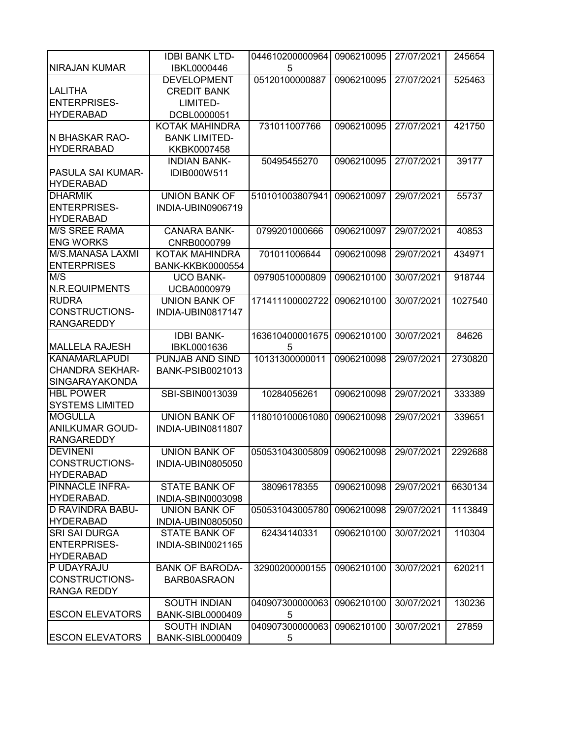|                          | <b>IDBI BANK LTD-</b>   | 044610200000964 | 0906210095 | 27/07/2021 | 245654  |
|--------------------------|-------------------------|-----------------|------------|------------|---------|
| NIRAJAN KUMAR            | IBKL0000446             | 5               |            |            |         |
|                          |                         |                 |            | 27/07/2021 |         |
|                          | <b>DEVELOPMENT</b>      | 05120100000887  | 0906210095 |            | 525463  |
| <b>LALITHA</b>           | <b>CREDIT BANK</b>      |                 |            |            |         |
| <b>ENTERPRISES-</b>      | LIMITED-                |                 |            |            |         |
| <b>HYDERABAD</b>         | DCBL0000051             |                 |            |            |         |
|                          | KOTAK MAHINDRA          | 731011007766    | 0906210095 | 27/07/2021 | 421750  |
| IN BHASKAR RAO-          | <b>BANK LIMITED-</b>    |                 |            |            |         |
| <b>HYDERRABAD</b>        | KKBK0007458             |                 |            |            |         |
|                          | <b>INDIAN BANK-</b>     | 50495455270     | 0906210095 | 27/07/2021 | 39177   |
| <b>PASULA SAI KUMAR-</b> | IDIB000W511             |                 |            |            |         |
| <b>HYDERABAD</b>         |                         |                 |            |            |         |
| <b>DHARMIK</b>           | <b>UNION BANK OF</b>    | 510101003807941 | 0906210097 | 29/07/2021 | 55737   |
| <b>ENTERPRISES-</b>      | INDIA-UBIN0906719       |                 |            |            |         |
| <b>HYDERABAD</b>         |                         |                 |            |            |         |
| <b>M/S SREE RAMA</b>     | <b>CANARA BANK-</b>     | 0799201000666   |            |            |         |
|                          |                         |                 | 0906210097 | 29/07/2021 | 40853   |
| <b>ENG WORKS</b>         | CNRB0000799             |                 |            |            |         |
| M/S.MANASA LAXMI         | <b>KOTAK MAHINDRA</b>   | 701011006644    | 0906210098 | 29/07/2021 | 434971  |
| <b>ENTERPRISES</b>       | <b>BANK-KKBK0000554</b> |                 |            |            |         |
| $M/\overline{S}$         | <b>UCO BANK-</b>        | 09790510000809  | 0906210100 | 30/07/2021 | 918744  |
| N.R.EQUIPMENTS           | <b>UCBA0000979</b>      |                 |            |            |         |
| <b>RUDRA</b>             | <b>UNION BANK OF</b>    | 171411100002722 | 0906210100 | 30/07/2021 | 1027540 |
| <b>CONSTRUCTIONS-</b>    | INDIA-UBIN0817147       |                 |            |            |         |
| <b>RANGAREDDY</b>        |                         |                 |            |            |         |
|                          | <b>IDBI BANK-</b>       | 163610400001675 | 0906210100 | 30/07/2021 | 84626   |
| <b>MALLELA RAJESH</b>    | IBKL0001636             | 5               |            |            |         |
| <b>KANAMARLAPUDI</b>     | PUNJAB AND SIND         | 10131300000011  | 0906210098 | 29/07/2021 | 2730820 |
| <b>CHANDRA SEKHAR-</b>   | <b>BANK-PSIB0021013</b> |                 |            |            |         |
| <b>SINGARAYAKONDA</b>    |                         |                 |            |            |         |
| <b>HBL POWER</b>         | SBI-SBIN0013039         | 10284056261     | 0906210098 | 29/07/2021 | 333389  |
| <b>SYSTEMS LIMITED</b>   |                         |                 |            |            |         |
|                          |                         |                 |            |            |         |
| <b>MOGULLA</b>           | <b>UNION BANK OF</b>    | 118010100061080 | 0906210098 | 29/07/2021 | 339651  |
| <b>ANILKUMAR GOUD-</b>   | INDIA-UBIN0811807       |                 |            |            |         |
| <b>RANGAREDDY</b>        |                         |                 |            |            |         |
| <b>DEVINENI</b>          | <b>UNION BANK OF</b>    | 050531043005809 | 0906210098 | 29/07/2021 | 2292688 |
| CONSTRUCTIONS-           | INDIA-UBIN0805050       |                 |            |            |         |
| <b>HYDERABAD</b>         |                         |                 |            |            |         |
| PINNACLE INFRA-          | <b>STATE BANK OF</b>    | 38096178355     | 0906210098 | 29/07/2021 | 6630134 |
| HYDERABAD.               | INDIA-SBIN0003098       |                 |            |            |         |
| <b>D RAVINDRA BABU-</b>  | <b>UNION BANK OF</b>    | 050531043005780 | 0906210098 | 29/07/2021 | 1113849 |
| <b>HYDERABAD</b>         | INDIA-UBIN0805050       |                 |            |            |         |
| <b>SRI SAI DURGA</b>     | <b>STATE BANK OF</b>    | 62434140331     | 0906210100 | 30/07/2021 | 110304  |
| <b>ENTERPRISES-</b>      | INDIA-SBIN0021165       |                 |            |            |         |
| <b>HYDERABAD</b>         |                         |                 |            |            |         |
| P UDAYRAJU               | <b>BANK OF BARODA-</b>  | 32900200000155  | 0906210100 | 30/07/2021 | 620211  |
| CONSTRUCTIONS-           | <b>BARB0ASRAON</b>      |                 |            |            |         |
|                          |                         |                 |            |            |         |
| <b>RANGA REDDY</b>       |                         |                 |            |            |         |
|                          | <b>SOUTH INDIAN</b>     | 040907300000063 | 0906210100 | 30/07/2021 | 130236  |
| <b>ESCON ELEVATORS</b>   | <b>BANK-SIBL0000409</b> | 5               |            |            |         |
|                          | SOUTH INDIAN            | 040907300000063 | 0906210100 | 30/07/2021 | 27859   |
| <b>ESCON ELEVATORS</b>   | <b>BANK-SIBL0000409</b> | 5               |            |            |         |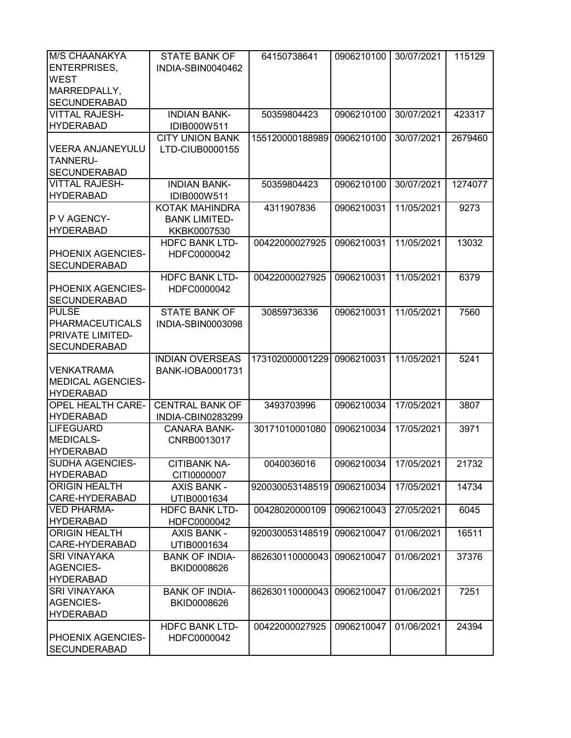| <b>M/S CHAANAKYA</b>     | <b>STATE BANK OF</b>   | 64150738641     | 0906210100 | 30/07/2021 | 115129  |
|--------------------------|------------------------|-----------------|------------|------------|---------|
| <b>ENTERPRISES,</b>      | INDIA-SBIN0040462      |                 |            |            |         |
| <b>WEST</b>              |                        |                 |            |            |         |
| MARREDPALLY,             |                        |                 |            |            |         |
| <b>SECUNDERABAD</b>      |                        |                 |            |            |         |
| <b>VITTAL RAJESH-</b>    | <b>INDIAN BANK-</b>    | 50359804423     | 0906210100 | 30/07/2021 | 423317  |
| <b>HYDERABAD</b>         | IDIB000W511            |                 |            |            |         |
|                          | <b>CITY UNION BANK</b> | 155120000188989 | 0906210100 | 30/07/2021 | 2679460 |
| <b>VEERA ANJANEYULU</b>  | LTD-CIUB0000155        |                 |            |            |         |
| <b>TANNERU-</b>          |                        |                 |            |            |         |
| <b>SECUNDERABAD</b>      |                        |                 |            |            |         |
| <b>VITTAL RAJESH-</b>    | <b>INDIAN BANK-</b>    | 50359804423     | 0906210100 | 30/07/2021 | 1274077 |
| <b>HYDERABAD</b>         | IDIB000W511            |                 |            |            |         |
|                          | KOTAK MAHINDRA         | 4311907836      | 0906210031 | 11/05/2021 | 9273    |
| P V AGENCY-              | <b>BANK LIMITED-</b>   |                 |            |            |         |
| <b>HYDERABAD</b>         | KKBK0007530            |                 |            |            |         |
|                          | <b>HDFC BANK LTD-</b>  | 00422000027925  | 0906210031 | 11/05/2021 | 13032   |
| PHOENIX AGENCIES-        | HDFC0000042            |                 |            |            |         |
| <b>SECUNDERABAD</b>      |                        |                 |            |            |         |
|                          | <b>HDFC BANK LTD-</b>  | 00422000027925  | 0906210031 | 11/05/2021 | 6379    |
| <b>PHOENIX AGENCIES-</b> | HDFC0000042            |                 |            |            |         |
| <b>SECUNDERABAD</b>      |                        |                 |            |            |         |
| <b>PULSE</b>             | <b>STATE BANK OF</b>   | 30859736336     | 0906210031 | 11/05/2021 | 7560    |
| <b>PHARMACEUTICALS</b>   | INDIA-SBIN0003098      |                 |            |            |         |
| <b>PRIVATE LIMITED-</b>  |                        |                 |            |            |         |
| <b>SECUNDERABAD</b>      |                        |                 |            |            |         |
|                          | <b>INDIAN OVERSEAS</b> | 173102000001229 | 0906210031 | 11/05/2021 | 5241    |
| <b>VENKATRAMA</b>        | BANK-IOBA0001731       |                 |            |            |         |
| <b>MEDICAL AGENCIES-</b> |                        |                 |            |            |         |
| <b>HYDERABAD</b>         |                        |                 |            |            |         |
| <b>OPEL HEALTH CARE-</b> | <b>CENTRAL BANK OF</b> | 3493703996      | 0906210034 | 17/05/2021 | 3807    |
| <b>HYDERABAD</b>         | INDIA-CBIN0283299      |                 |            |            |         |
| <b>LIFEGUARD</b>         | <b>CANARA BANK-</b>    | 30171010001080  | 0906210034 | 17/05/2021 | 3971    |
| MEDICALS-                | CNRB0013017            |                 |            |            |         |
| <b>HYDERABAD</b>         |                        |                 |            |            |         |
| <b>SUDHA AGENCIES-</b>   | CITIBANK NA-           | 0040036016      | 0906210034 | 17/05/2021 | 21732   |
| <b>HYDERABAD</b>         | CITI0000007            |                 |            |            |         |
| <b>ORIGIN HEALTH</b>     | AXIS BANK -            | 920030053148519 | 0906210034 | 17/05/2021 | 14734   |
| CARE-HYDERABAD           | UTIB0001634            |                 |            |            |         |
| <b>VED PHARMA-</b>       | <b>HDFC BANK LTD-</b>  | 00428020000109  | 0906210043 | 27/05/2021 | 6045    |
| <b>HYDERABAD</b>         | HDFC0000042            |                 |            |            |         |
| <b>ORIGIN HEALTH</b>     | <b>AXIS BANK -</b>     | 920030053148519 | 0906210047 | 01/06/2021 | 16511   |
| CARE-HYDERABAD           | UTIB0001634            |                 |            |            |         |
| <b>SRI VINAYAKA</b>      | <b>BANK OF INDIA-</b>  | 862630110000043 | 0906210047 | 01/06/2021 | 37376   |
| <b>AGENCIES-</b>         | BKID0008626            |                 |            |            |         |
| <b>HYDERABAD</b>         |                        |                 |            |            |         |
| <b>SRI VINAYAKA</b>      | <b>BANK OF INDIA-</b>  | 862630110000043 | 0906210047 | 01/06/2021 | 7251    |
| <b>AGENCIES-</b>         | BKID0008626            |                 |            |            |         |
| <b>HYDERABAD</b>         |                        |                 |            |            |         |
|                          | <b>HDFC BANK LTD-</b>  | 00422000027925  | 0906210047 | 01/06/2021 | 24394   |
| PHOENIX AGENCIES-        | HDFC0000042            |                 |            |            |         |
| <b>SECUNDERABAD</b>      |                        |                 |            |            |         |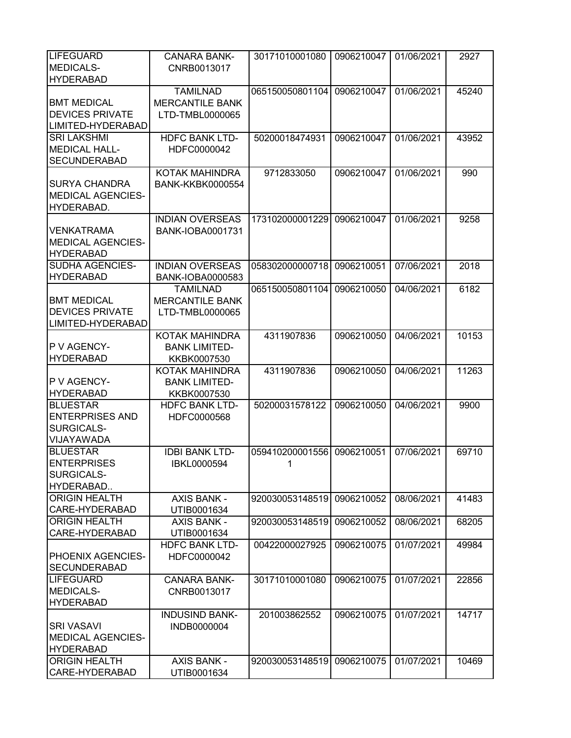| <b>LIFEGUARD</b>                       | <b>CANARA BANK-</b>               | 30171010001080  | 0906210047 | 01/06/2021 | 2927  |
|----------------------------------------|-----------------------------------|-----------------|------------|------------|-------|
| <b>MEDICALS-</b>                       | CNRB0013017                       |                 |            |            |       |
| <b>HYDERABAD</b>                       |                                   |                 |            |            |       |
|                                        | <b>TAMILNAD</b>                   | 065150050801104 | 0906210047 | 01/06/2021 | 45240 |
| <b>BMT MEDICAL</b>                     | <b>MERCANTILE BANK</b>            |                 |            |            |       |
| <b>DEVICES PRIVATE</b>                 |                                   |                 |            |            |       |
|                                        | LTD-TMBL0000065                   |                 |            |            |       |
| LIMITED-HYDERABAD                      |                                   |                 |            |            |       |
| <b>SRI LAKSHMI</b>                     | <b>HDFC BANK LTD-</b>             | 50200018474931  | 0906210047 | 01/06/2021 | 43952 |
| <b>MEDICAL HALL-</b>                   | HDFC0000042                       |                 |            |            |       |
| <b>SECUNDERABAD</b>                    |                                   |                 |            |            |       |
|                                        | KOTAK MAHINDRA                    | 9712833050      | 0906210047 | 01/06/2021 | 990   |
| <b>SURYA CHANDRA</b>                   | <b>BANK-KKBK0000554</b>           |                 |            |            |       |
| <b>MEDICAL AGENCIES-</b>               |                                   |                 |            |            |       |
| HYDERABAD.                             |                                   |                 |            |            |       |
|                                        | <b>INDIAN OVERSEAS</b>            | 173102000001229 | 0906210047 | 01/06/2021 | 9258  |
| <b>VENKATRAMA</b>                      | <b>BANK-IOBA0001731</b>           |                 |            |            |       |
|                                        |                                   |                 |            |            |       |
| <b>MEDICAL AGENCIES-</b>               |                                   |                 |            |            |       |
| <b>HYDERABAD</b>                       |                                   |                 |            |            |       |
| <b>SUDHA AGENCIES-</b>                 | <b>INDIAN OVERSEAS</b>            | 058302000000718 | 0906210051 | 07/06/2021 | 2018  |
| <b>HYDERABAD</b>                       | BANK-IOBA0000583                  |                 |            |            |       |
|                                        | <b>TAMILNAD</b>                   | 065150050801104 | 0906210050 | 04/06/2021 | 6182  |
| <b>BMT MEDICAL</b>                     | <b>MERCANTILE BANK</b>            |                 |            |            |       |
| <b>DEVICES PRIVATE</b>                 | LTD-TMBL0000065                   |                 |            |            |       |
| LIMITED-HYDERABAD                      |                                   |                 |            |            |       |
|                                        | KOTAK MAHINDRA                    | 4311907836      | 0906210050 | 04/06/2021 | 10153 |
| P V AGENCY-                            | <b>BANK LIMITED-</b>              |                 |            |            |       |
|                                        |                                   |                 |            |            |       |
| <b>HYDERABAD</b>                       | KKBK0007530                       |                 |            |            |       |
|                                        |                                   |                 |            |            |       |
|                                        | KOTAK MAHINDRA                    | 4311907836      | 0906210050 | 04/06/2021 | 11263 |
| P V AGENCY-                            | <b>BANK LIMITED-</b>              |                 |            |            |       |
| <b>HYDERABAD</b>                       | KKBK0007530                       |                 |            |            |       |
| <b>BLUESTAR</b>                        | <b>HDFC BANK LTD-</b>             | 50200031578122  | 0906210050 | 04/06/2021 | 9900  |
| <b>ENTERPRISES AND</b>                 | HDFC0000568                       |                 |            |            |       |
| SURGICALS-                             |                                   |                 |            |            |       |
| VIJAYAWADA                             |                                   |                 |            |            |       |
| <b>BLUESTAR</b>                        | <b>IDBI BANK LTD-</b>             | 059410200001556 | 0906210051 | 07/06/2021 | 69710 |
|                                        |                                   | 1               |            |            |       |
| <b>ENTERPRISES</b>                     | IBKL0000594                       |                 |            |            |       |
| SURGICALS-                             |                                   |                 |            |            |       |
| HYDERABAD                              |                                   |                 |            |            |       |
| <b>ORIGIN HEALTH</b>                   | <b>AXIS BANK -</b>                | 920030053148519 | 0906210052 | 08/06/2021 | 41483 |
| CARE-HYDERABAD                         | UTIB0001634                       |                 |            |            |       |
| <b>ORIGIN HEALTH</b>                   | <b>AXIS BANK -</b>                | 920030053148519 | 0906210052 | 08/06/2021 | 68205 |
| CARE-HYDERABAD                         | UTIB0001634                       |                 |            |            |       |
|                                        | <b>HDFC BANK LTD-</b>             | 00422000027925  | 0906210075 | 01/07/2021 | 49984 |
| PHOENIX AGENCIES-                      | HDFC0000042                       |                 |            |            |       |
| <b>SECUNDERABAD</b>                    |                                   |                 |            |            |       |
| <b>LIFEGUARD</b>                       | <b>CANARA BANK-</b>               | 30171010001080  | 0906210075 | 01/07/2021 | 22856 |
| <b>MEDICALS-</b>                       |                                   |                 |            |            |       |
|                                        | CNRB0013017                       |                 |            |            |       |
| <b>HYDERABAD</b>                       |                                   |                 |            |            |       |
|                                        | <b>INDUSIND BANK-</b>             | 201003862552    | 0906210075 | 01/07/2021 | 14717 |
| <b>SRI VASAVI</b>                      | INDB0000004                       |                 |            |            |       |
| <b>MEDICAL AGENCIES-</b>               |                                   |                 |            |            |       |
| <b>HYDERABAD</b>                       |                                   |                 |            |            |       |
| <b>ORIGIN HEALTH</b><br>CARE-HYDERABAD | <b>AXIS BANK -</b><br>UTIB0001634 | 920030053148519 | 0906210075 | 01/07/2021 | 10469 |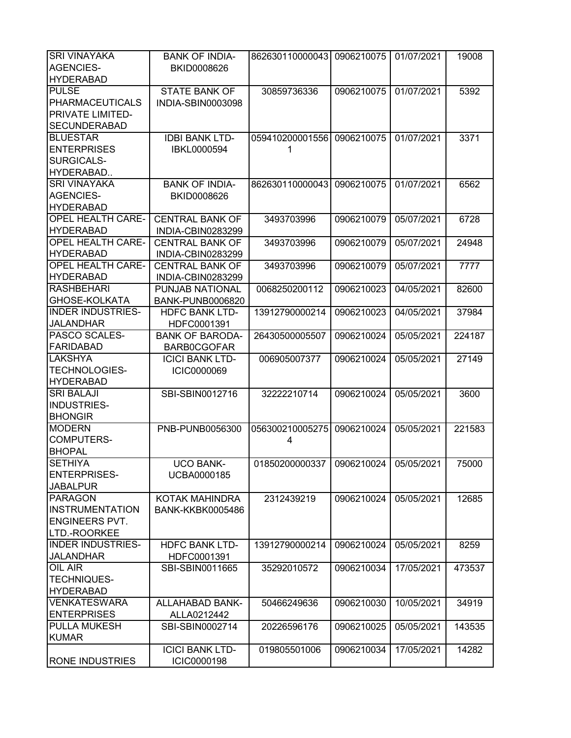| <b>SRI VINAYAKA</b>      | <b>BANK OF INDIA-</b>   | 862630110000043 0906210075 |            | 01/07/2021 | 19008  |
|--------------------------|-------------------------|----------------------------|------------|------------|--------|
| <b>AGENCIES-</b>         | BKID0008626             |                            |            |            |        |
| <b>HYDERABAD</b>         |                         |                            |            |            |        |
| <b>PULSE</b>             | <b>STATE BANK OF</b>    | 30859736336                | 0906210075 | 01/07/2021 | 5392   |
| <b>PHARMACEUTICALS</b>   | INDIA-SBIN0003098       |                            |            |            |        |
| PRIVATE LIMITED-         |                         |                            |            |            |        |
| <b>SECUNDERABAD</b>      |                         |                            |            |            |        |
| <b>BLUESTAR</b>          | <b>IDBI BANK LTD-</b>   | 059410200001556            | 0906210075 | 01/07/2021 | 3371   |
| <b>ENTERPRISES</b>       | IBKL0000594             | 1                          |            |            |        |
| SURGICALS-               |                         |                            |            |            |        |
| HYDERABAD                |                         |                            |            |            |        |
| <b>SRI VINAYAKA</b>      | <b>BANK OF INDIA-</b>   | 862630110000043            | 0906210075 | 01/07/2021 | 6562   |
| <b>AGENCIES-</b>         | BKID0008626             |                            |            |            |        |
| <b>HYDERABAD</b>         |                         |                            |            |            |        |
| <b>OPEL HEALTH CARE-</b> | <b>CENTRAL BANK OF</b>  | 3493703996                 | 0906210079 | 05/07/2021 | 6728   |
| <b>HYDERABAD</b>         |                         |                            |            |            |        |
|                          | INDIA-CBIN0283299       |                            |            |            |        |
| <b>OPEL HEALTH CARE-</b> | <b>CENTRAL BANK OF</b>  | 3493703996                 | 0906210079 | 05/07/2021 | 24948  |
| <b>HYDERABAD</b>         | INDIA-CBIN0283299       |                            |            |            |        |
| <b>OPEL HEALTH CARE-</b> | <b>CENTRAL BANK OF</b>  | 3493703996                 | 0906210079 | 05/07/2021 | 7777   |
| <b>HYDERABAD</b>         | INDIA-CBIN0283299       |                            |            |            |        |
| <b>RASHBEHARI</b>        | PUNJAB NATIONAL         | 0068250200112              | 0906210023 | 04/05/2021 | 82600  |
| GHOSE-KOLKATA            | <b>BANK-PUNB0006820</b> |                            |            |            |        |
| <b>INDER INDUSTRIES-</b> | <b>HDFC BANK LTD-</b>   | 13912790000214             | 0906210023 | 04/05/2021 | 37984  |
| <b>JALANDHAR</b>         | HDFC0001391             |                            |            |            |        |
| PASCO SCALES-            | <b>BANK OF BARODA-</b>  | 26430500005507             | 0906210024 | 05/05/2021 | 224187 |
| <b>FARIDABAD</b>         | <b>BARB0CGOFAR</b>      |                            |            |            |        |
| <b>LAKSHYA</b>           | <b>ICICI BANK LTD-</b>  | 006905007377               | 0906210024 | 05/05/2021 | 27149  |
| <b>TECHNOLOGIES-</b>     | ICIC0000069             |                            |            |            |        |
| <b>HYDERABAD</b>         |                         |                            |            |            |        |
| <b>SRI BALAJI</b>        | SBI-SBIN0012716         | 32222210714                | 0906210024 | 05/05/2021 | 3600   |
| INDUSTRIES-              |                         |                            |            |            |        |
| <b>BHONGIR</b>           |                         |                            |            |            |        |
| <b>MODERN</b>            | PNB-PUNB0056300         | 056300210005275            | 0906210024 | 05/05/2021 | 221583 |
| <b>COMPUTERS-</b>        |                         | 4                          |            |            |        |
| <b>BHOPAL</b>            |                         |                            |            |            |        |
| <b>SETHIYA</b>           | <b>UCO BANK-</b>        | 01850200000337             | 0906210024 | 05/05/2021 | 75000  |
| <b>ENTERPRISES-</b>      | UCBA0000185             |                            |            |            |        |
| <b>JABALPUR</b>          |                         |                            |            |            |        |
| <b>PARAGON</b>           | KOTAK MAHINDRA          | 2312439219                 | 0906210024 | 05/05/2021 | 12685  |
| <b>INSTRUMENTATION</b>   | <b>BANK-KKBK0005486</b> |                            |            |            |        |
| <b>ENGINEERS PVT.</b>    |                         |                            |            |            |        |
| LTD.-ROORKEE             |                         |                            |            |            |        |
| <b>INDER INDUSTRIES-</b> | <b>HDFC BANK LTD-</b>   | 13912790000214             | 0906210024 | 05/05/2021 | 8259   |
| <b>JALANDHAR</b>         | HDFC0001391             |                            |            |            |        |
| OIL AIR                  | SBI-SBIN0011665         | 35292010572                | 0906210034 | 17/05/2021 | 473537 |
| <b>TECHNIQUES-</b>       |                         |                            |            |            |        |
| <b>HYDERABAD</b>         |                         |                            |            |            |        |
| <b>VENKATESWARA</b>      |                         |                            |            |            |        |
|                          | ALLAHABAD BANK-         | 50466249636                | 0906210030 | 10/05/2021 | 34919  |
| <b>ENTERPRISES</b>       | ALLA0212442             |                            |            |            |        |
| <b>PULLA MUKESH</b>      | SBI-SBIN0002714         | 20226596176                | 0906210025 | 05/05/2021 | 143535 |
| <b>KUMAR</b>             |                         |                            |            |            |        |
|                          | <b>ICICI BANK LTD-</b>  | 019805501006               | 0906210034 | 17/05/2021 | 14282  |
| <b>RONE INDUSTRIES</b>   | ICIC0000198             |                            |            |            |        |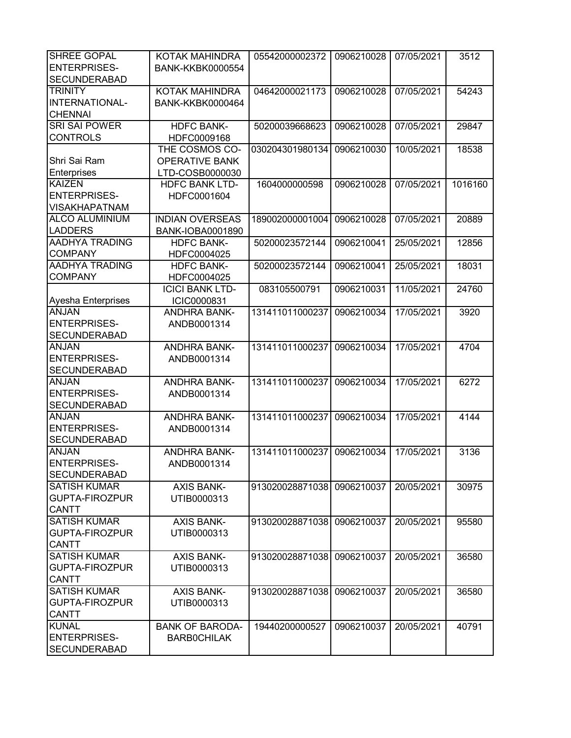| SHREE GOPAL           | KOTAK MAHINDRA          | 05542000002372  | 0906210028 | 07/05/2021 | 3512    |
|-----------------------|-------------------------|-----------------|------------|------------|---------|
| <b>ENTERPRISES-</b>   | <b>BANK-KKBK0000554</b> |                 |            |            |         |
| <b>SECUNDERABAD</b>   |                         |                 |            |            |         |
| <b>TRINITY</b>        | KOTAK MAHINDRA          | 04642000021173  | 0906210028 | 07/05/2021 | 54243   |
| INTERNATIONAL-        |                         |                 |            |            |         |
|                       | <b>BANK-KKBK0000464</b> |                 |            |            |         |
| <b>CHENNAI</b>        |                         |                 |            |            |         |
| <b>SRI SAI POWER</b>  | <b>HDFC BANK-</b>       | 50200039668623  | 0906210028 | 07/05/2021 | 29847   |
| <b>CONTROLS</b>       | HDFC0009168             |                 |            |            |         |
|                       | THE COSMOS CO-          | 030204301980134 | 0906210030 | 10/05/2021 | 18538   |
| Shri Sai Ram          | <b>OPERATIVE BANK</b>   |                 |            |            |         |
| Enterprises           | LTD-COSB0000030         |                 |            |            |         |
| <b>KAIZEN</b>         | <b>HDFC BANK LTD-</b>   | 1604000000598   | 0906210028 | 07/05/2021 | 1016160 |
| <b>ENTERPRISES-</b>   | HDFC0001604             |                 |            |            |         |
| <b>VISAKHAPATNAM</b>  |                         |                 |            |            |         |
| <b>ALCO ALUMINIUM</b> | <b>INDIAN OVERSEAS</b>  | 189002000001004 | 0906210028 | 07/05/2021 | 20889   |
| <b>LADDERS</b>        | <b>BANK-IOBA0001890</b> |                 |            |            |         |
| <b>AADHYA TRADING</b> | <b>HDFC BANK-</b>       | 50200023572144  | 0906210041 | 25/05/2021 | 12856   |
| <b>COMPANY</b>        | HDFC0004025             |                 |            |            |         |
| <b>AADHYA TRADING</b> | <b>HDFC BANK-</b>       |                 | 0906210041 |            |         |
|                       |                         | 50200023572144  |            | 25/05/2021 | 18031   |
| <b>COMPANY</b>        | HDFC0004025             |                 |            |            |         |
|                       | <b>ICICI BANK LTD-</b>  | 083105500791    | 0906210031 | 11/05/2021 | 24760   |
| Ayesha Enterprises    | ICIC0000831             |                 |            |            |         |
| <b>ANJAN</b>          | <b>ANDHRA BANK-</b>     | 131411011000237 | 0906210034 | 17/05/2021 | 3920    |
| <b>ENTERPRISES-</b>   | ANDB0001314             |                 |            |            |         |
| <b>SECUNDERABAD</b>   |                         |                 |            |            |         |
| <b>ANJAN</b>          | <b>ANDHRA BANK-</b>     | 131411011000237 | 0906210034 | 17/05/2021 | 4704    |
| <b>ENTERPRISES-</b>   | ANDB0001314             |                 |            |            |         |
| <b>SECUNDERABAD</b>   |                         |                 |            |            |         |
| <b>ANJAN</b>          | <b>ANDHRA BANK-</b>     | 131411011000237 | 0906210034 | 17/05/2021 | 6272    |
| <b>ENTERPRISES-</b>   | ANDB0001314             |                 |            |            |         |
| <b>SECUNDERABAD</b>   |                         |                 |            |            |         |
| <b>ANJAN</b>          | <b>ANDHRA BANK-</b>     | 131411011000237 | 0906210034 | 17/05/2021 | 4144    |
| <b>ENTERPRISES-</b>   | ANDB0001314             |                 |            |            |         |
| <b>SECUNDERABAD</b>   |                         |                 |            |            |         |
| <b>ANJAN</b>          | <b>ANDHRA BANK-</b>     | 131411011000237 |            | 17/05/2021 | 3136    |
|                       |                         |                 | 0906210034 |            |         |
| <b>ENTERPRISES-</b>   | ANDB0001314             |                 |            |            |         |
| <b>SECUNDERABAD</b>   |                         |                 |            |            |         |
| <b>SATISH KUMAR</b>   | <b>AXIS BANK-</b>       | 913020028871038 | 0906210037 | 20/05/2021 | 30975   |
| <b>GUPTA-FIROZPUR</b> | UTIB0000313             |                 |            |            |         |
| <b>CANTT</b>          |                         |                 |            |            |         |
| <b>SATISH KUMAR</b>   | <b>AXIS BANK-</b>       | 913020028871038 | 0906210037 | 20/05/2021 | 95580   |
| <b>GUPTA-FIROZPUR</b> | UTIB0000313             |                 |            |            |         |
| <b>CANTT</b>          |                         |                 |            |            |         |
| <b>SATISH KUMAR</b>   | <b>AXIS BANK-</b>       | 913020028871038 | 0906210037 | 20/05/2021 | 36580   |
| <b>GUPTA-FIROZPUR</b> | UTIB0000313             |                 |            |            |         |
| <b>CANTT</b>          |                         |                 |            |            |         |
| <b>SATISH KUMAR</b>   | <b>AXIS BANK-</b>       | 913020028871038 | 0906210037 | 20/05/2021 | 36580   |
| GUPTA-FIROZPUR        | UTIB0000313             |                 |            |            |         |
| <b>CANTT</b>          |                         |                 |            |            |         |
| <b>KUNAL</b>          | <b>BANK OF BARODA-</b>  | 19440200000527  | 0906210037 | 20/05/2021 | 40791   |
| <b>ENTERPRISES-</b>   |                         |                 |            |            |         |
|                       | <b>BARBOCHILAK</b>      |                 |            |            |         |
| <b>SECUNDERABAD</b>   |                         |                 |            |            |         |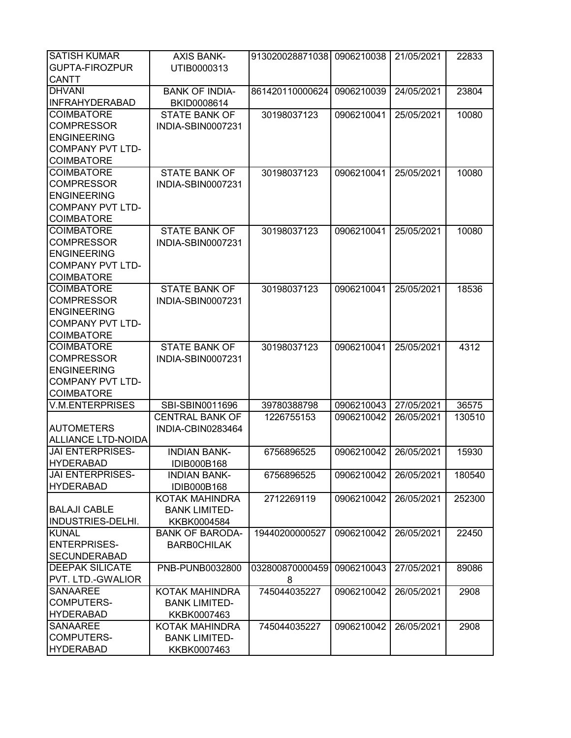| <b>GUPTA-FIROZPUR</b><br>UTIB0000313<br><b>CANTT</b><br><b>DHVANI</b><br>861420110000624<br>0906210039<br><b>BANK OF INDIA-</b><br>24/05/2021<br>23804<br><b>INFRAHYDERABAD</b><br>BKID0008614<br><b>COIMBATORE</b><br><b>STATE BANK OF</b><br>0906210041<br>10080<br>30198037123<br>25/05/2021<br><b>COMPRESSOR</b><br>INDIA-SBIN0007231<br><b>ENGINEERING</b><br><b>COMPANY PVT LTD-</b><br><b>COIMBATORE</b><br><b>COIMBATORE</b><br><b>STATE BANK OF</b><br>10080<br>30198037123<br>0906210041<br>25/05/2021<br><b>COMPRESSOR</b><br>INDIA-SBIN0007231<br><b>ENGINEERING</b><br><b>COMPANY PVT LTD-</b><br><b>COIMBATORE</b><br><b>COIMBATORE</b><br><b>STATE BANK OF</b><br>30198037123<br>0906210041<br>10080<br>25/05/2021<br><b>COMPRESSOR</b><br><b>INDIA-SBIN0007231</b><br><b>ENGINEERING</b><br><b>COMPANY PVT LTD-</b><br><b>COIMBATORE</b><br><b>COIMBATORE</b><br><b>STATE BANK OF</b><br>18536<br>30198037123<br>0906210041<br>25/05/2021<br><b>COMPRESSOR</b><br>INDIA-SBIN0007231<br><b>ENGINEERING</b><br><b>COMPANY PVT LTD-</b><br><b>COIMBATORE</b><br><b>COIMBATORE</b><br><b>STATE BANK OF</b><br>30198037123<br>0906210041<br>25/05/2021<br>4312<br><b>COMPRESSOR</b><br>INDIA-SBIN0007231<br><b>ENGINEERING</b><br><b>COMPANY PVT LTD-</b><br><b>COIMBATORE</b><br><b>V.M.ENTERPRISES</b><br>0906210043<br>SBI-SBIN0011696<br>39780388798<br>27/05/2021<br>36575<br><b>CENTRAL BANK OF</b><br>1226755153<br>0906210042<br>26/05/2021<br>130510<br><b>AUTOMETERS</b><br>INDIA-CBIN0283464<br><b>ALLIANCE LTD-NOIDA</b><br><b>JAI ENTERPRISES-</b><br><b>INDIAN BANK-</b><br>15930<br>6756896525<br>0906210042<br>26/05/2021<br><b>HYDERABAD</b><br>IDIB000B168<br><b>JAI ENTERPRISES-</b><br><b>INDIAN BANK-</b><br>6756896525<br>0906210042<br>26/05/2021<br>180540<br><b>HYDERABAD</b><br>IDIB000B168<br>KOTAK MAHINDRA<br>2712269119<br>0906210042<br>26/05/2021<br>252300<br><b>BALAJI CABLE</b><br><b>BANK LIMITED-</b><br><b>INDUSTRIES-DELHI.</b><br>KKBK0004584<br><b>KUNAL</b><br>0906210042<br>26/05/2021<br>22450<br><b>BANK OF BARODA-</b><br>19440200000527<br><b>ENTERPRISES-</b><br><b>BARBOCHILAK</b><br><b>SECUNDERABAD</b><br><b>DEEPAK SILICATE</b><br>032800870000459<br>0906210043<br>27/05/2021<br>89086<br>PNB-PUNB0032800<br>PVT. LTD.-GWALIOR<br>8<br><b>SANAAREE</b><br>2908<br>KOTAK MAHINDRA<br>745044035227<br>0906210042<br>26/05/2021<br>COMPUTERS-<br><b>BANK LIMITED-</b><br><b>HYDERABAD</b><br>KKBK0007463<br>2908<br><b>SANAAREE</b><br>0906210042<br>26/05/2021<br>KOTAK MAHINDRA<br>745044035227<br>COMPUTERS-<br><b>BANK LIMITED-</b> | <b>SATISH KUMAR</b> | <b>AXIS BANK-</b> | 913020028871038 0906210038 | 21/05/2021 | 22833 |
|-------------------------------------------------------------------------------------------------------------------------------------------------------------------------------------------------------------------------------------------------------------------------------------------------------------------------------------------------------------------------------------------------------------------------------------------------------------------------------------------------------------------------------------------------------------------------------------------------------------------------------------------------------------------------------------------------------------------------------------------------------------------------------------------------------------------------------------------------------------------------------------------------------------------------------------------------------------------------------------------------------------------------------------------------------------------------------------------------------------------------------------------------------------------------------------------------------------------------------------------------------------------------------------------------------------------------------------------------------------------------------------------------------------------------------------------------------------------------------------------------------------------------------------------------------------------------------------------------------------------------------------------------------------------------------------------------------------------------------------------------------------------------------------------------------------------------------------------------------------------------------------------------------------------------------------------------------------------------------------------------------------------------------------------------------------------------------------------------------------------------------------------------------------------------------------------------------------------------------------------------------------------------------------------------------------------------------------------------------------------------------------------------------------------------------------------------------------------------------------------------------------------------------------------------------------------------------------------------------|---------------------|-------------------|----------------------------|------------|-------|
|                                                                                                                                                                                                                                                                                                                                                                                                                                                                                                                                                                                                                                                                                                                                                                                                                                                                                                                                                                                                                                                                                                                                                                                                                                                                                                                                                                                                                                                                                                                                                                                                                                                                                                                                                                                                                                                                                                                                                                                                                                                                                                                                                                                                                                                                                                                                                                                                                                                                                                                                                                                                       |                     |                   |                            |            |       |
|                                                                                                                                                                                                                                                                                                                                                                                                                                                                                                                                                                                                                                                                                                                                                                                                                                                                                                                                                                                                                                                                                                                                                                                                                                                                                                                                                                                                                                                                                                                                                                                                                                                                                                                                                                                                                                                                                                                                                                                                                                                                                                                                                                                                                                                                                                                                                                                                                                                                                                                                                                                                       |                     |                   |                            |            |       |
|                                                                                                                                                                                                                                                                                                                                                                                                                                                                                                                                                                                                                                                                                                                                                                                                                                                                                                                                                                                                                                                                                                                                                                                                                                                                                                                                                                                                                                                                                                                                                                                                                                                                                                                                                                                                                                                                                                                                                                                                                                                                                                                                                                                                                                                                                                                                                                                                                                                                                                                                                                                                       |                     |                   |                            |            |       |
|                                                                                                                                                                                                                                                                                                                                                                                                                                                                                                                                                                                                                                                                                                                                                                                                                                                                                                                                                                                                                                                                                                                                                                                                                                                                                                                                                                                                                                                                                                                                                                                                                                                                                                                                                                                                                                                                                                                                                                                                                                                                                                                                                                                                                                                                                                                                                                                                                                                                                                                                                                                                       |                     |                   |                            |            |       |
|                                                                                                                                                                                                                                                                                                                                                                                                                                                                                                                                                                                                                                                                                                                                                                                                                                                                                                                                                                                                                                                                                                                                                                                                                                                                                                                                                                                                                                                                                                                                                                                                                                                                                                                                                                                                                                                                                                                                                                                                                                                                                                                                                                                                                                                                                                                                                                                                                                                                                                                                                                                                       |                     |                   |                            |            |       |
|                                                                                                                                                                                                                                                                                                                                                                                                                                                                                                                                                                                                                                                                                                                                                                                                                                                                                                                                                                                                                                                                                                                                                                                                                                                                                                                                                                                                                                                                                                                                                                                                                                                                                                                                                                                                                                                                                                                                                                                                                                                                                                                                                                                                                                                                                                                                                                                                                                                                                                                                                                                                       |                     |                   |                            |            |       |
|                                                                                                                                                                                                                                                                                                                                                                                                                                                                                                                                                                                                                                                                                                                                                                                                                                                                                                                                                                                                                                                                                                                                                                                                                                                                                                                                                                                                                                                                                                                                                                                                                                                                                                                                                                                                                                                                                                                                                                                                                                                                                                                                                                                                                                                                                                                                                                                                                                                                                                                                                                                                       |                     |                   |                            |            |       |
|                                                                                                                                                                                                                                                                                                                                                                                                                                                                                                                                                                                                                                                                                                                                                                                                                                                                                                                                                                                                                                                                                                                                                                                                                                                                                                                                                                                                                                                                                                                                                                                                                                                                                                                                                                                                                                                                                                                                                                                                                                                                                                                                                                                                                                                                                                                                                                                                                                                                                                                                                                                                       |                     |                   |                            |            |       |
|                                                                                                                                                                                                                                                                                                                                                                                                                                                                                                                                                                                                                                                                                                                                                                                                                                                                                                                                                                                                                                                                                                                                                                                                                                                                                                                                                                                                                                                                                                                                                                                                                                                                                                                                                                                                                                                                                                                                                                                                                                                                                                                                                                                                                                                                                                                                                                                                                                                                                                                                                                                                       |                     |                   |                            |            |       |
|                                                                                                                                                                                                                                                                                                                                                                                                                                                                                                                                                                                                                                                                                                                                                                                                                                                                                                                                                                                                                                                                                                                                                                                                                                                                                                                                                                                                                                                                                                                                                                                                                                                                                                                                                                                                                                                                                                                                                                                                                                                                                                                                                                                                                                                                                                                                                                                                                                                                                                                                                                                                       |                     |                   |                            |            |       |
|                                                                                                                                                                                                                                                                                                                                                                                                                                                                                                                                                                                                                                                                                                                                                                                                                                                                                                                                                                                                                                                                                                                                                                                                                                                                                                                                                                                                                                                                                                                                                                                                                                                                                                                                                                                                                                                                                                                                                                                                                                                                                                                                                                                                                                                                                                                                                                                                                                                                                                                                                                                                       |                     |                   |                            |            |       |
|                                                                                                                                                                                                                                                                                                                                                                                                                                                                                                                                                                                                                                                                                                                                                                                                                                                                                                                                                                                                                                                                                                                                                                                                                                                                                                                                                                                                                                                                                                                                                                                                                                                                                                                                                                                                                                                                                                                                                                                                                                                                                                                                                                                                                                                                                                                                                                                                                                                                                                                                                                                                       |                     |                   |                            |            |       |
|                                                                                                                                                                                                                                                                                                                                                                                                                                                                                                                                                                                                                                                                                                                                                                                                                                                                                                                                                                                                                                                                                                                                                                                                                                                                                                                                                                                                                                                                                                                                                                                                                                                                                                                                                                                                                                                                                                                                                                                                                                                                                                                                                                                                                                                                                                                                                                                                                                                                                                                                                                                                       |                     |                   |                            |            |       |
|                                                                                                                                                                                                                                                                                                                                                                                                                                                                                                                                                                                                                                                                                                                                                                                                                                                                                                                                                                                                                                                                                                                                                                                                                                                                                                                                                                                                                                                                                                                                                                                                                                                                                                                                                                                                                                                                                                                                                                                                                                                                                                                                                                                                                                                                                                                                                                                                                                                                                                                                                                                                       |                     |                   |                            |            |       |
|                                                                                                                                                                                                                                                                                                                                                                                                                                                                                                                                                                                                                                                                                                                                                                                                                                                                                                                                                                                                                                                                                                                                                                                                                                                                                                                                                                                                                                                                                                                                                                                                                                                                                                                                                                                                                                                                                                                                                                                                                                                                                                                                                                                                                                                                                                                                                                                                                                                                                                                                                                                                       |                     |                   |                            |            |       |
|                                                                                                                                                                                                                                                                                                                                                                                                                                                                                                                                                                                                                                                                                                                                                                                                                                                                                                                                                                                                                                                                                                                                                                                                                                                                                                                                                                                                                                                                                                                                                                                                                                                                                                                                                                                                                                                                                                                                                                                                                                                                                                                                                                                                                                                                                                                                                                                                                                                                                                                                                                                                       |                     |                   |                            |            |       |
|                                                                                                                                                                                                                                                                                                                                                                                                                                                                                                                                                                                                                                                                                                                                                                                                                                                                                                                                                                                                                                                                                                                                                                                                                                                                                                                                                                                                                                                                                                                                                                                                                                                                                                                                                                                                                                                                                                                                                                                                                                                                                                                                                                                                                                                                                                                                                                                                                                                                                                                                                                                                       |                     |                   |                            |            |       |
|                                                                                                                                                                                                                                                                                                                                                                                                                                                                                                                                                                                                                                                                                                                                                                                                                                                                                                                                                                                                                                                                                                                                                                                                                                                                                                                                                                                                                                                                                                                                                                                                                                                                                                                                                                                                                                                                                                                                                                                                                                                                                                                                                                                                                                                                                                                                                                                                                                                                                                                                                                                                       |                     |                   |                            |            |       |
|                                                                                                                                                                                                                                                                                                                                                                                                                                                                                                                                                                                                                                                                                                                                                                                                                                                                                                                                                                                                                                                                                                                                                                                                                                                                                                                                                                                                                                                                                                                                                                                                                                                                                                                                                                                                                                                                                                                                                                                                                                                                                                                                                                                                                                                                                                                                                                                                                                                                                                                                                                                                       |                     |                   |                            |            |       |
|                                                                                                                                                                                                                                                                                                                                                                                                                                                                                                                                                                                                                                                                                                                                                                                                                                                                                                                                                                                                                                                                                                                                                                                                                                                                                                                                                                                                                                                                                                                                                                                                                                                                                                                                                                                                                                                                                                                                                                                                                                                                                                                                                                                                                                                                                                                                                                                                                                                                                                                                                                                                       |                     |                   |                            |            |       |
|                                                                                                                                                                                                                                                                                                                                                                                                                                                                                                                                                                                                                                                                                                                                                                                                                                                                                                                                                                                                                                                                                                                                                                                                                                                                                                                                                                                                                                                                                                                                                                                                                                                                                                                                                                                                                                                                                                                                                                                                                                                                                                                                                                                                                                                                                                                                                                                                                                                                                                                                                                                                       |                     |                   |                            |            |       |
|                                                                                                                                                                                                                                                                                                                                                                                                                                                                                                                                                                                                                                                                                                                                                                                                                                                                                                                                                                                                                                                                                                                                                                                                                                                                                                                                                                                                                                                                                                                                                                                                                                                                                                                                                                                                                                                                                                                                                                                                                                                                                                                                                                                                                                                                                                                                                                                                                                                                                                                                                                                                       |                     |                   |                            |            |       |
|                                                                                                                                                                                                                                                                                                                                                                                                                                                                                                                                                                                                                                                                                                                                                                                                                                                                                                                                                                                                                                                                                                                                                                                                                                                                                                                                                                                                                                                                                                                                                                                                                                                                                                                                                                                                                                                                                                                                                                                                                                                                                                                                                                                                                                                                                                                                                                                                                                                                                                                                                                                                       |                     |                   |                            |            |       |
|                                                                                                                                                                                                                                                                                                                                                                                                                                                                                                                                                                                                                                                                                                                                                                                                                                                                                                                                                                                                                                                                                                                                                                                                                                                                                                                                                                                                                                                                                                                                                                                                                                                                                                                                                                                                                                                                                                                                                                                                                                                                                                                                                                                                                                                                                                                                                                                                                                                                                                                                                                                                       |                     |                   |                            |            |       |
|                                                                                                                                                                                                                                                                                                                                                                                                                                                                                                                                                                                                                                                                                                                                                                                                                                                                                                                                                                                                                                                                                                                                                                                                                                                                                                                                                                                                                                                                                                                                                                                                                                                                                                                                                                                                                                                                                                                                                                                                                                                                                                                                                                                                                                                                                                                                                                                                                                                                                                                                                                                                       |                     |                   |                            |            |       |
|                                                                                                                                                                                                                                                                                                                                                                                                                                                                                                                                                                                                                                                                                                                                                                                                                                                                                                                                                                                                                                                                                                                                                                                                                                                                                                                                                                                                                                                                                                                                                                                                                                                                                                                                                                                                                                                                                                                                                                                                                                                                                                                                                                                                                                                                                                                                                                                                                                                                                                                                                                                                       |                     |                   |                            |            |       |
|                                                                                                                                                                                                                                                                                                                                                                                                                                                                                                                                                                                                                                                                                                                                                                                                                                                                                                                                                                                                                                                                                                                                                                                                                                                                                                                                                                                                                                                                                                                                                                                                                                                                                                                                                                                                                                                                                                                                                                                                                                                                                                                                                                                                                                                                                                                                                                                                                                                                                                                                                                                                       |                     |                   |                            |            |       |
|                                                                                                                                                                                                                                                                                                                                                                                                                                                                                                                                                                                                                                                                                                                                                                                                                                                                                                                                                                                                                                                                                                                                                                                                                                                                                                                                                                                                                                                                                                                                                                                                                                                                                                                                                                                                                                                                                                                                                                                                                                                                                                                                                                                                                                                                                                                                                                                                                                                                                                                                                                                                       |                     |                   |                            |            |       |
|                                                                                                                                                                                                                                                                                                                                                                                                                                                                                                                                                                                                                                                                                                                                                                                                                                                                                                                                                                                                                                                                                                                                                                                                                                                                                                                                                                                                                                                                                                                                                                                                                                                                                                                                                                                                                                                                                                                                                                                                                                                                                                                                                                                                                                                                                                                                                                                                                                                                                                                                                                                                       |                     |                   |                            |            |       |
|                                                                                                                                                                                                                                                                                                                                                                                                                                                                                                                                                                                                                                                                                                                                                                                                                                                                                                                                                                                                                                                                                                                                                                                                                                                                                                                                                                                                                                                                                                                                                                                                                                                                                                                                                                                                                                                                                                                                                                                                                                                                                                                                                                                                                                                                                                                                                                                                                                                                                                                                                                                                       |                     |                   |                            |            |       |
|                                                                                                                                                                                                                                                                                                                                                                                                                                                                                                                                                                                                                                                                                                                                                                                                                                                                                                                                                                                                                                                                                                                                                                                                                                                                                                                                                                                                                                                                                                                                                                                                                                                                                                                                                                                                                                                                                                                                                                                                                                                                                                                                                                                                                                                                                                                                                                                                                                                                                                                                                                                                       |                     |                   |                            |            |       |
|                                                                                                                                                                                                                                                                                                                                                                                                                                                                                                                                                                                                                                                                                                                                                                                                                                                                                                                                                                                                                                                                                                                                                                                                                                                                                                                                                                                                                                                                                                                                                                                                                                                                                                                                                                                                                                                                                                                                                                                                                                                                                                                                                                                                                                                                                                                                                                                                                                                                                                                                                                                                       |                     |                   |                            |            |       |
|                                                                                                                                                                                                                                                                                                                                                                                                                                                                                                                                                                                                                                                                                                                                                                                                                                                                                                                                                                                                                                                                                                                                                                                                                                                                                                                                                                                                                                                                                                                                                                                                                                                                                                                                                                                                                                                                                                                                                                                                                                                                                                                                                                                                                                                                                                                                                                                                                                                                                                                                                                                                       |                     |                   |                            |            |       |
|                                                                                                                                                                                                                                                                                                                                                                                                                                                                                                                                                                                                                                                                                                                                                                                                                                                                                                                                                                                                                                                                                                                                                                                                                                                                                                                                                                                                                                                                                                                                                                                                                                                                                                                                                                                                                                                                                                                                                                                                                                                                                                                                                                                                                                                                                                                                                                                                                                                                                                                                                                                                       |                     |                   |                            |            |       |
|                                                                                                                                                                                                                                                                                                                                                                                                                                                                                                                                                                                                                                                                                                                                                                                                                                                                                                                                                                                                                                                                                                                                                                                                                                                                                                                                                                                                                                                                                                                                                                                                                                                                                                                                                                                                                                                                                                                                                                                                                                                                                                                                                                                                                                                                                                                                                                                                                                                                                                                                                                                                       |                     |                   |                            |            |       |
|                                                                                                                                                                                                                                                                                                                                                                                                                                                                                                                                                                                                                                                                                                                                                                                                                                                                                                                                                                                                                                                                                                                                                                                                                                                                                                                                                                                                                                                                                                                                                                                                                                                                                                                                                                                                                                                                                                                                                                                                                                                                                                                                                                                                                                                                                                                                                                                                                                                                                                                                                                                                       |                     |                   |                            |            |       |
|                                                                                                                                                                                                                                                                                                                                                                                                                                                                                                                                                                                                                                                                                                                                                                                                                                                                                                                                                                                                                                                                                                                                                                                                                                                                                                                                                                                                                                                                                                                                                                                                                                                                                                                                                                                                                                                                                                                                                                                                                                                                                                                                                                                                                                                                                                                                                                                                                                                                                                                                                                                                       |                     |                   |                            |            |       |
|                                                                                                                                                                                                                                                                                                                                                                                                                                                                                                                                                                                                                                                                                                                                                                                                                                                                                                                                                                                                                                                                                                                                                                                                                                                                                                                                                                                                                                                                                                                                                                                                                                                                                                                                                                                                                                                                                                                                                                                                                                                                                                                                                                                                                                                                                                                                                                                                                                                                                                                                                                                                       |                     |                   |                            |            |       |
|                                                                                                                                                                                                                                                                                                                                                                                                                                                                                                                                                                                                                                                                                                                                                                                                                                                                                                                                                                                                                                                                                                                                                                                                                                                                                                                                                                                                                                                                                                                                                                                                                                                                                                                                                                                                                                                                                                                                                                                                                                                                                                                                                                                                                                                                                                                                                                                                                                                                                                                                                                                                       |                     |                   |                            |            |       |
|                                                                                                                                                                                                                                                                                                                                                                                                                                                                                                                                                                                                                                                                                                                                                                                                                                                                                                                                                                                                                                                                                                                                                                                                                                                                                                                                                                                                                                                                                                                                                                                                                                                                                                                                                                                                                                                                                                                                                                                                                                                                                                                                                                                                                                                                                                                                                                                                                                                                                                                                                                                                       |                     |                   |                            |            |       |
|                                                                                                                                                                                                                                                                                                                                                                                                                                                                                                                                                                                                                                                                                                                                                                                                                                                                                                                                                                                                                                                                                                                                                                                                                                                                                                                                                                                                                                                                                                                                                                                                                                                                                                                                                                                                                                                                                                                                                                                                                                                                                                                                                                                                                                                                                                                                                                                                                                                                                                                                                                                                       |                     |                   |                            |            |       |
|                                                                                                                                                                                                                                                                                                                                                                                                                                                                                                                                                                                                                                                                                                                                                                                                                                                                                                                                                                                                                                                                                                                                                                                                                                                                                                                                                                                                                                                                                                                                                                                                                                                                                                                                                                                                                                                                                                                                                                                                                                                                                                                                                                                                                                                                                                                                                                                                                                                                                                                                                                                                       |                     |                   |                            |            |       |
|                                                                                                                                                                                                                                                                                                                                                                                                                                                                                                                                                                                                                                                                                                                                                                                                                                                                                                                                                                                                                                                                                                                                                                                                                                                                                                                                                                                                                                                                                                                                                                                                                                                                                                                                                                                                                                                                                                                                                                                                                                                                                                                                                                                                                                                                                                                                                                                                                                                                                                                                                                                                       |                     |                   |                            |            |       |
|                                                                                                                                                                                                                                                                                                                                                                                                                                                                                                                                                                                                                                                                                                                                                                                                                                                                                                                                                                                                                                                                                                                                                                                                                                                                                                                                                                                                                                                                                                                                                                                                                                                                                                                                                                                                                                                                                                                                                                                                                                                                                                                                                                                                                                                                                                                                                                                                                                                                                                                                                                                                       |                     |                   |                            |            |       |
|                                                                                                                                                                                                                                                                                                                                                                                                                                                                                                                                                                                                                                                                                                                                                                                                                                                                                                                                                                                                                                                                                                                                                                                                                                                                                                                                                                                                                                                                                                                                                                                                                                                                                                                                                                                                                                                                                                                                                                                                                                                                                                                                                                                                                                                                                                                                                                                                                                                                                                                                                                                                       |                     |                   |                            |            |       |
|                                                                                                                                                                                                                                                                                                                                                                                                                                                                                                                                                                                                                                                                                                                                                                                                                                                                                                                                                                                                                                                                                                                                                                                                                                                                                                                                                                                                                                                                                                                                                                                                                                                                                                                                                                                                                                                                                                                                                                                                                                                                                                                                                                                                                                                                                                                                                                                                                                                                                                                                                                                                       |                     |                   |                            |            |       |
|                                                                                                                                                                                                                                                                                                                                                                                                                                                                                                                                                                                                                                                                                                                                                                                                                                                                                                                                                                                                                                                                                                                                                                                                                                                                                                                                                                                                                                                                                                                                                                                                                                                                                                                                                                                                                                                                                                                                                                                                                                                                                                                                                                                                                                                                                                                                                                                                                                                                                                                                                                                                       |                     |                   |                            |            |       |
|                                                                                                                                                                                                                                                                                                                                                                                                                                                                                                                                                                                                                                                                                                                                                                                                                                                                                                                                                                                                                                                                                                                                                                                                                                                                                                                                                                                                                                                                                                                                                                                                                                                                                                                                                                                                                                                                                                                                                                                                                                                                                                                                                                                                                                                                                                                                                                                                                                                                                                                                                                                                       |                     |                   |                            |            |       |
|                                                                                                                                                                                                                                                                                                                                                                                                                                                                                                                                                                                                                                                                                                                                                                                                                                                                                                                                                                                                                                                                                                                                                                                                                                                                                                                                                                                                                                                                                                                                                                                                                                                                                                                                                                                                                                                                                                                                                                                                                                                                                                                                                                                                                                                                                                                                                                                                                                                                                                                                                                                                       |                     |                   |                            |            |       |
|                                                                                                                                                                                                                                                                                                                                                                                                                                                                                                                                                                                                                                                                                                                                                                                                                                                                                                                                                                                                                                                                                                                                                                                                                                                                                                                                                                                                                                                                                                                                                                                                                                                                                                                                                                                                                                                                                                                                                                                                                                                                                                                                                                                                                                                                                                                                                                                                                                                                                                                                                                                                       |                     |                   |                            |            |       |
|                                                                                                                                                                                                                                                                                                                                                                                                                                                                                                                                                                                                                                                                                                                                                                                                                                                                                                                                                                                                                                                                                                                                                                                                                                                                                                                                                                                                                                                                                                                                                                                                                                                                                                                                                                                                                                                                                                                                                                                                                                                                                                                                                                                                                                                                                                                                                                                                                                                                                                                                                                                                       |                     |                   |                            |            |       |
|                                                                                                                                                                                                                                                                                                                                                                                                                                                                                                                                                                                                                                                                                                                                                                                                                                                                                                                                                                                                                                                                                                                                                                                                                                                                                                                                                                                                                                                                                                                                                                                                                                                                                                                                                                                                                                                                                                                                                                                                                                                                                                                                                                                                                                                                                                                                                                                                                                                                                                                                                                                                       |                     |                   |                            |            |       |
|                                                                                                                                                                                                                                                                                                                                                                                                                                                                                                                                                                                                                                                                                                                                                                                                                                                                                                                                                                                                                                                                                                                                                                                                                                                                                                                                                                                                                                                                                                                                                                                                                                                                                                                                                                                                                                                                                                                                                                                                                                                                                                                                                                                                                                                                                                                                                                                                                                                                                                                                                                                                       | <b>HYDERABAD</b>    | KKBK0007463       |                            |            |       |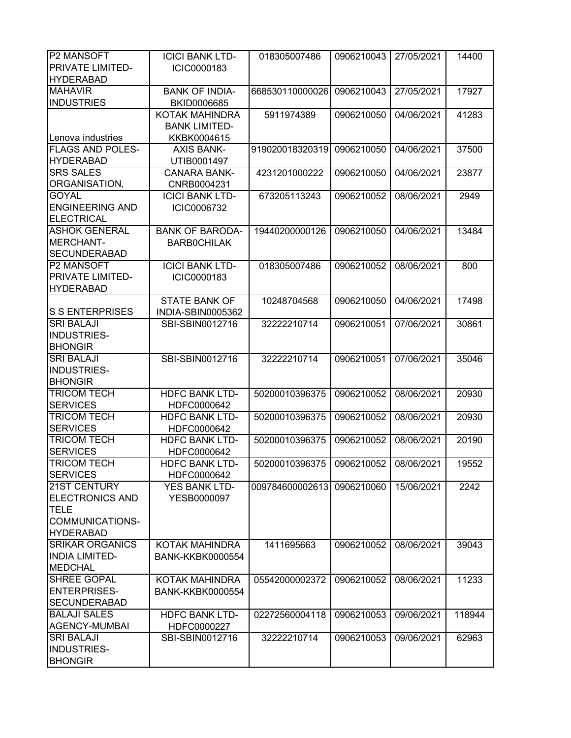| <b>P2 MANSOFT</b>                     | <b>ICICI BANK LTD-</b>               | 018305007486    | 0906210043 | 27/05/2021 | 14400  |
|---------------------------------------|--------------------------------------|-----------------|------------|------------|--------|
| <b>PRIVATE LIMITED-</b>               | ICIC0000183                          |                 |            |            |        |
| <b>HYDERABAD</b>                      |                                      |                 |            |            |        |
| <b>MAHAVIR</b><br><b>INDUSTRIES</b>   | <b>BANK OF INDIA-</b><br>BKID0006685 | 668530110000026 | 0906210043 | 27/05/2021 | 17927  |
|                                       | <b>KOTAK MAHINDRA</b>                | 5911974389      | 0906210050 | 04/06/2021 | 41283  |
|                                       | <b>BANK LIMITED-</b>                 |                 |            |            |        |
| Lenova industries                     | KKBK0004615                          |                 |            |            |        |
| <b>FLAGS AND POLES-</b>               | <b>AXIS BANK-</b>                    | 919020018320319 | 0906210050 | 04/06/2021 | 37500  |
| <b>HYDERABAD</b>                      | UTIB0001497                          |                 |            |            |        |
| <b>SRS SALES</b>                      | <b>CANARA BANK-</b>                  | 4231201000222   | 0906210050 | 04/06/2021 | 23877  |
| ORGANISATION,                         | CNRB0004231                          |                 |            |            |        |
| <b>GOYAL</b>                          | <b>ICICI BANK LTD-</b>               | 673205113243    | 0906210052 | 08/06/2021 | 2949   |
| <b>ENGINEERING AND</b>                | ICIC0006732                          |                 |            |            |        |
| <b>ELECTRICAL</b>                     |                                      |                 |            |            |        |
| <b>ASHOK GENERAL</b>                  | <b>BANK OF BARODA-</b>               | 19440200000126  | 0906210050 | 04/06/2021 | 13484  |
| MERCHANT-<br><b>SECUNDERABAD</b>      | <b>BARBOCHILAK</b>                   |                 |            |            |        |
| <b>P2 MANSOFT</b>                     | <b>ICICI BANK LTD-</b>               | 018305007486    | 0906210052 | 08/06/2021 | 800    |
| <b>PRIVATE LIMITED-</b>               | ICIC0000183                          |                 |            |            |        |
| <b>HYDERABAD</b>                      |                                      |                 |            |            |        |
|                                       | <b>STATE BANK OF</b>                 | 10248704568     | 0906210050 | 04/06/2021 | 17498  |
| <b>S S ENTERPRISES</b>                | INDIA-SBIN0005362                    |                 |            |            |        |
| <b>SRI BALAJI</b>                     | SBI-SBIN0012716                      | 32222210714     | 0906210051 | 07/06/2021 | 30861  |
| <b>INDUSTRIES-</b>                    |                                      |                 |            |            |        |
| <b>BHONGIR</b>                        |                                      |                 |            |            |        |
| <b>SRI BALAJI</b>                     | SBI-SBIN0012716                      | 32222210714     | 0906210051 | 07/06/2021 | 35046  |
| INDUSTRIES-                           |                                      |                 |            |            |        |
| <b>BHONGIR</b>                        |                                      |                 |            |            |        |
| <b>TRICOM TECH</b>                    | <b>HDFC BANK LTD-</b>                | 50200010396375  | 0906210052 | 08/06/2021 | 20930  |
| <b>SERVICES</b>                       | HDFC0000642                          |                 |            |            |        |
| <b>TRICOM TECH</b>                    | <b>HDFC BANK LTD-</b>                | 50200010396375  | 0906210052 | 08/06/2021 | 20930  |
| <b>SERVICES</b>                       | HDFC0000642                          |                 |            |            |        |
| <b>TRICOM TECH</b>                    | <b>HDFC BANK LTD-</b>                | 50200010396375  | 0906210052 | 08/06/2021 | 20190  |
| <b>SERVICES</b>                       | HDFC0000642                          |                 |            |            |        |
| <b>TRICOM TECH</b>                    | <b>HDFC BANK LTD-</b>                | 50200010396375  | 0906210052 | 08/06/2021 | 19552  |
| <b>SERVICES</b>                       | HDFC0000642                          |                 |            |            |        |
| <b>21ST CENTURY</b>                   | <b>YES BANK LTD-</b>                 | 009784600002613 | 0906210060 | 15/06/2021 | 2242   |
| <b>ELECTRONICS AND</b><br><b>TELE</b> | YESB0000097                          |                 |            |            |        |
| COMMUNICATIONS-                       |                                      |                 |            |            |        |
| <b>HYDERABAD</b>                      |                                      |                 |            |            |        |
| <b>SRIKAR ORGANICS</b>                | KOTAK MAHINDRA                       | 1411695663      | 0906210052 | 08/06/2021 | 39043  |
| <b>INDIA LIMITED-</b>                 | <b>BANK-KKBK0000554</b>              |                 |            |            |        |
| <b>MEDCHAL</b>                        |                                      |                 |            |            |        |
| SHREE GOPAL                           | KOTAK MAHINDRA                       | 05542000002372  | 0906210052 | 08/06/2021 | 11233  |
| <b>ENTERPRISES-</b>                   | <b>BANK-KKBK0000554</b>              |                 |            |            |        |
| <b>SECUNDERABAD</b>                   |                                      |                 |            |            |        |
| <b>BALAJI SALES</b>                   | <b>HDFC BANK LTD-</b>                | 02272560004118  | 0906210053 | 09/06/2021 | 118944 |
| AGENCY-MUMBAI                         | HDFC0000227                          |                 |            |            |        |
| <b>SRI BALAJI</b>                     | SBI-SBIN0012716                      | 32222210714     | 0906210053 | 09/06/2021 | 62963  |
| INDUSTRIES-                           |                                      |                 |            |            |        |
| <b>BHONGIR</b>                        |                                      |                 |            |            |        |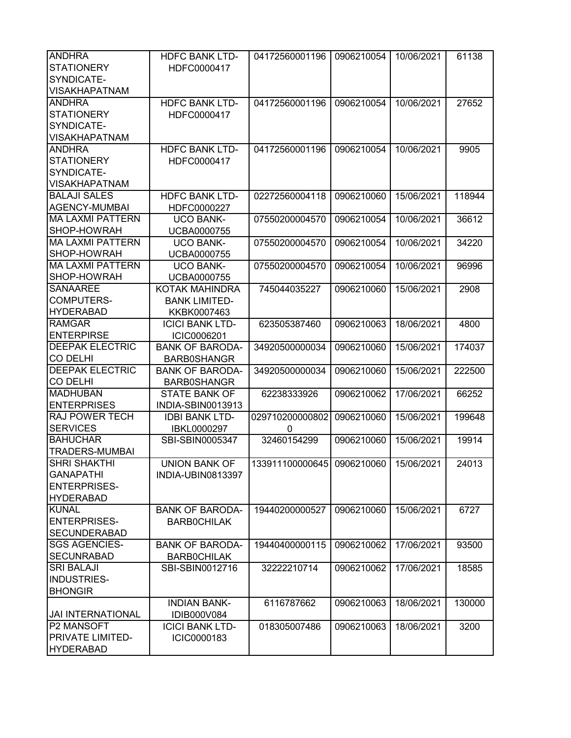| <b>ANDHRA</b>                      | <b>HDFC BANK LTD-</b>                     | 04172560001196                        | 0906210054 | 10/06/2021 | 61138  |
|------------------------------------|-------------------------------------------|---------------------------------------|------------|------------|--------|
| <b>STATIONERY</b>                  | HDFC0000417                               |                                       |            |            |        |
| SYNDICATE-                         |                                           |                                       |            |            |        |
| <b>VISAKHAPATNAM</b>               |                                           |                                       |            |            |        |
| <b>ANDHRA</b>                      | <b>HDFC BANK LTD-</b>                     | 04172560001196                        | 0906210054 | 10/06/2021 | 27652  |
| <b>STATIONERY</b>                  | HDFC0000417                               |                                       |            |            |        |
| SYNDICATE-                         |                                           |                                       |            |            |        |
| <b>VISAKHAPATNAM</b>               |                                           |                                       |            |            |        |
| <b>ANDHRA</b>                      | <b>HDFC BANK LTD-</b>                     | 04172560001196                        | 0906210054 | 10/06/2021 | 9905   |
| <b>STATIONERY</b>                  | HDFC0000417                               |                                       |            |            |        |
| SYNDICATE-                         |                                           |                                       |            |            |        |
| <b>VISAKHAPATNAM</b>               |                                           |                                       |            |            |        |
| <b>BALAJI SALES</b>                | <b>HDFC BANK LTD-</b>                     | 02272560004118                        | 0906210060 | 15/06/2021 | 118944 |
| <b>AGENCY-MUMBAI</b>               | HDFC0000227                               |                                       |            |            |        |
| <b>MA LAXMI PATTERN</b>            | <b>UCO BANK-</b>                          | 07550200004570                        | 0906210054 | 10/06/2021 | 36612  |
| SHOP-HOWRAH                        | UCBA0000755                               |                                       |            |            |        |
| <b>MA LAXMI PATTERN</b>            | <b>UCO BANK-</b>                          | 07550200004570                        | 0906210054 | 10/06/2021 | 34220  |
| SHOP-HOWRAH                        | <b>UCBA0000755</b>                        |                                       |            |            |        |
| <b>MA LAXMI PATTERN</b>            | <b>UCO BANK-</b>                          | 07550200004570                        | 0906210054 | 10/06/2021 | 96996  |
| SHOP-HOWRAH                        | <b>UCBA0000755</b>                        |                                       |            |            |        |
| <b>SANAAREE</b>                    | KOTAK MAHINDRA                            | 745044035227                          | 0906210060 | 15/06/2021 | 2908   |
| <b>COMPUTERS-</b>                  | <b>BANK LIMITED-</b>                      |                                       |            |            |        |
| <b>HYDERABAD</b>                   | KKBK0007463                               |                                       |            |            |        |
| <b>RAMGAR</b>                      | <b>ICICI BANK LTD-</b>                    | 623505387460                          | 0906210063 | 18/06/2021 | 4800   |
| <b>ENTERPIRSE</b>                  | ICIC0006201                               |                                       |            |            |        |
| <b>DEEPAK ELECTRIC</b>             | <b>BANK OF BARODA-</b>                    | 34920500000034                        | 0906210060 | 15/06/2021 | 174037 |
| <b>CO DELHI</b>                    | <b>BARB0SHANGR</b>                        |                                       |            |            |        |
| <b>DEEPAK ELECTRIC</b>             | <b>BANK OF BARODA-</b>                    | 34920500000034                        | 0906210060 | 15/06/2021 | 222500 |
| <b>CO DELHI</b><br><b>MADHUBAN</b> | <b>BARB0SHANGR</b>                        |                                       | 0906210062 | 17/06/2021 | 66252  |
| <b>ENTERPRISES</b>                 | <b>STATE BANK OF</b><br>INDIA-SBIN0013913 | 62238333926                           |            |            |        |
| <b>RAJ POWER TECH</b>              | <b>IDBI BANK LTD-</b>                     | 029710200000802                       | 0906210060 | 15/06/2021 | 199648 |
| <b>SERVICES</b>                    | IBKL0000297                               | 0                                     |            |            |        |
| <b>BAHUCHAR</b>                    | SBI-SBIN0005347                           | 32460154299                           | 0906210060 | 15/06/2021 | 19914  |
| <b>TRADERS-MUMBAI</b>              |                                           |                                       |            |            |        |
| <b>SHRI SHAKTHI</b>                | <b>UNION BANK OF</b>                      | 133911100000645 0906210060 15/06/2021 |            |            | 24013  |
| <b>GANAPATHI</b>                   | INDIA-UBIN0813397                         |                                       |            |            |        |
| <b>ENTERPRISES-</b>                |                                           |                                       |            |            |        |
| <b>HYDERABAD</b>                   |                                           |                                       |            |            |        |
| <b>KUNAL</b>                       | <b>BANK OF BARODA-</b>                    | 19440200000527                        | 0906210060 | 15/06/2021 | 6727   |
| <b>ENTERPRISES-</b>                | <b>BARBOCHILAK</b>                        |                                       |            |            |        |
| <b>SECUNDERABAD</b>                |                                           |                                       |            |            |        |
| <b>SGS AGENCIES-</b>               | <b>BANK OF BARODA-</b>                    | 19440400000115                        | 0906210062 | 17/06/2021 | 93500  |
| <b>SECUNRABAD</b>                  | <b>BARBOCHILAK</b>                        |                                       |            |            |        |
| <b>SRI BALAJI</b>                  | SBI-SBIN0012716                           | 32222210714                           | 0906210062 | 17/06/2021 | 18585  |
| INDUSTRIES-                        |                                           |                                       |            |            |        |
| <b>BHONGIR</b>                     |                                           |                                       |            |            |        |
|                                    | <b>INDIAN BANK-</b>                       | 6116787662                            | 0906210063 | 18/06/2021 | 130000 |
| <b>JAI INTERNATIONAL</b>           | IDIB000V084                               |                                       |            |            |        |
| P2 MANSOFT                         | <b>ICICI BANK LTD-</b>                    | 018305007486                          | 0906210063 | 18/06/2021 | 3200   |
| PRIVATE LIMITED-                   | ICIC0000183                               |                                       |            |            |        |
| <b>HYDERABAD</b>                   |                                           |                                       |            |            |        |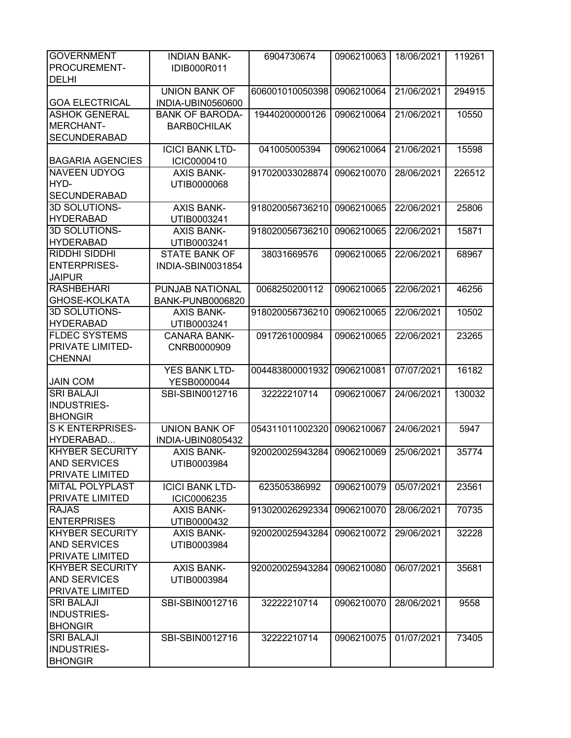| <b>GOVERNMENT</b>       | <b>INDIAN BANK-</b>    | 6904730674      | 0906210063 | 18/06/2021 | 119261 |
|-------------------------|------------------------|-----------------|------------|------------|--------|
| PROCUREMENT-            | <b>IDIB000R011</b>     |                 |            |            |        |
| <b>DELHI</b>            |                        |                 |            |            |        |
|                         | <b>UNION BANK OF</b>   | 606001010050398 | 0906210064 | 21/06/2021 | 294915 |
| <b>GOA ELECTRICAL</b>   | INDIA-UBIN0560600      |                 |            |            |        |
| <b>ASHOK GENERAL</b>    | <b>BANK OF BARODA-</b> | 19440200000126  | 0906210064 | 21/06/2021 | 10550  |
| MERCHANT-               | <b>BARBOCHILAK</b>     |                 |            |            |        |
| <b>SECUNDERABAD</b>     |                        |                 |            |            |        |
|                         |                        |                 |            |            |        |
|                         | <b>ICICI BANK LTD-</b> | 041005005394    | 0906210064 | 21/06/2021 | 15598  |
| <b>BAGARIA AGENCIES</b> | ICIC0000410            |                 |            |            |        |
| <b>NAVEEN UDYOG</b>     | <b>AXIS BANK-</b>      | 917020033028874 | 0906210070 | 28/06/2021 | 226512 |
| HYD-                    | UTIB0000068            |                 |            |            |        |
| <b>SECUNDERABAD</b>     |                        |                 |            |            |        |
| 3D SOLUTIONS-           | <b>AXIS BANK-</b>      | 918020056736210 | 0906210065 | 22/06/2021 | 25806  |
| <b>HYDERABAD</b>        | UTIB0003241            |                 |            |            |        |
| 3D SOLUTIONS-           | <b>AXIS BANK-</b>      | 918020056736210 | 0906210065 | 22/06/2021 | 15871  |
| <b>HYDERABAD</b>        | UTIB0003241            |                 |            |            |        |
| <b>RIDDHI SIDDHI</b>    | <b>STATE BANK OF</b>   | 38031669576     | 0906210065 | 22/06/2021 | 68967  |
| <b>ENTERPRISES-</b>     | INDIA-SBIN0031854      |                 |            |            |        |
| <b>JAIPUR</b>           |                        |                 |            |            |        |
| <b>RASHBEHARI</b>       | PUNJAB NATIONAL        | 0068250200112   | 0906210065 | 22/06/2021 | 46256  |
| GHOSE-KOLKATA           | BANK-PUNB0006820       |                 |            |            |        |
| 3D SOLUTIONS-           | <b>AXIS BANK-</b>      | 918020056736210 | 0906210065 | 22/06/2021 | 10502  |
| <b>HYDERABAD</b>        | UTIB0003241            |                 |            |            |        |
| <b>FLDEC SYSTEMS</b>    | <b>CANARA BANK-</b>    | 0917261000984   | 0906210065 | 22/06/2021 | 23265  |
| PRIVATE LIMITED-        |                        |                 |            |            |        |
|                         | CNRB0000909            |                 |            |            |        |
| <b>CHENNAI</b>          |                        |                 |            |            |        |
|                         | <b>YES BANK LTD-</b>   | 004483800001932 | 0906210081 | 07/07/2021 | 16182  |
| <b>JAIN COM</b>         | YESB0000044            |                 |            |            |        |
| <b>SRI BALAJI</b>       | SBI-SBIN0012716        | 32222210714     | 0906210067 | 24/06/2021 | 130032 |
| <b>INDUSTRIES-</b>      |                        |                 |            |            |        |
| <b>BHONGIR</b>          |                        |                 |            |            |        |
| <b>SKENTERPRISES-</b>   | <b>UNION BANK OF</b>   | 054311011002320 | 0906210067 | 24/06/2021 | 5947   |
| HYDERABAD               | INDIA-UBIN0805432      |                 |            |            |        |
| <b>KHYBER SECURITY</b>  | <b>AXIS BANK-</b>      | 920020025943284 | 0906210069 | 25/06/2021 | 35774  |
| <b>AND SERVICES</b>     | UTIB0003984            |                 |            |            |        |
| <b>PRIVATE LIMITED</b>  |                        |                 |            |            |        |
| <b>MITAL POLYPLAST</b>  | <b>ICICI BANK LTD-</b> | 623505386992    | 0906210079 | 05/07/2021 | 23561  |
| <b>PRIVATE LIMITED</b>  | ICIC0006235            |                 |            |            |        |
| <b>RAJAS</b>            | <b>AXIS BANK-</b>      | 913020026292334 | 0906210070 | 28/06/2021 | 70735  |
| <b>ENTERPRISES</b>      | UTIB0000432            |                 |            |            |        |
| <b>KHYBER SECURITY</b>  | <b>AXIS BANK-</b>      | 920020025943284 | 0906210072 | 29/06/2021 | 32228  |
| <b>AND SERVICES</b>     | UTIB0003984            |                 |            |            |        |
| <b>PRIVATE LIMITED</b>  |                        |                 |            |            |        |
| <b>KHYBER SECURITY</b>  | <b>AXIS BANK-</b>      | 920020025943284 | 0906210080 | 06/07/2021 | 35681  |
| <b>AND SERVICES</b>     | UTIB0003984            |                 |            |            |        |
| <b>PRIVATE LIMITED</b>  |                        |                 |            |            |        |
|                         |                        |                 |            |            |        |
| <b>SRI BALAJI</b>       | SBI-SBIN0012716        | 32222210714     | 0906210070 | 28/06/2021 | 9558   |
| INDUSTRIES-             |                        |                 |            |            |        |
| <b>BHONGIR</b>          |                        |                 |            |            |        |
| <b>SRI BALAJI</b>       | SBI-SBIN0012716        | 32222210714     | 0906210075 | 01/07/2021 | 73405  |
| INDUSTRIES-             |                        |                 |            |            |        |
| <b>BHONGIR</b>          |                        |                 |            |            |        |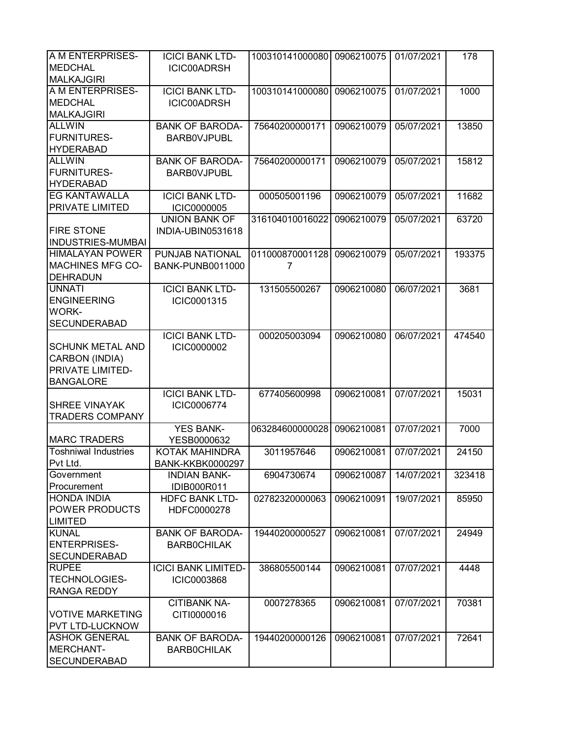| A M ENTERPRISES-            | <b>ICICI BANK LTD-</b>     | 100310141000080 | 0906210075 | 01/07/2021 | 178    |
|-----------------------------|----------------------------|-----------------|------------|------------|--------|
| <b>MEDCHAL</b>              | ICIC00ADRSH                |                 |            |            |        |
| <b>MALKAJGIRI</b>           |                            |                 |            |            |        |
| A M ENTERPRISES-            | <b>ICICI BANK LTD-</b>     | 100310141000080 | 0906210075 | 01/07/2021 | 1000   |
| <b>MEDCHAL</b>              | ICIC00ADRSH                |                 |            |            |        |
| <b>MALKAJGIRI</b>           |                            |                 |            |            |        |
| <b>ALLWIN</b>               | <b>BANK OF BARODA-</b>     | 75640200000171  | 0906210079 | 05/07/2021 | 13850  |
| <b>FURNITURES-</b>          |                            |                 |            |            |        |
|                             | <b>BARBOVJPUBL</b>         |                 |            |            |        |
| <b>HYDERABAD</b>            |                            |                 |            |            |        |
| <b>ALLWIN</b>               | <b>BANK OF BARODA-</b>     | 75640200000171  | 0906210079 | 05/07/2021 | 15812  |
| <b>FURNITURES-</b>          | <b>BARBOVJPUBL</b>         |                 |            |            |        |
| <b>HYDERABAD</b>            |                            |                 |            |            |        |
| <b>EG KANTAWALLA</b>        | <b>ICICI BANK LTD-</b>     | 000505001196    | 0906210079 | 05/07/2021 | 11682  |
| PRIVATE LIMITED             | <b>ICIC0000005</b>         |                 |            |            |        |
|                             | <b>UNION BANK OF</b>       | 316104010016022 | 0906210079 | 05/07/2021 | 63720  |
| <b>FIRE STONE</b>           | INDIA-UBIN0531618          |                 |            |            |        |
| <b>INDUSTRIES-MUMBAI</b>    |                            |                 |            |            |        |
| <b>HIMALAYAN POWER</b>      | <b>PUNJAB NATIONAL</b>     | 011000870001128 | 0906210079 | 05/07/2021 | 193375 |
| <b>MACHINES MFG CO-</b>     | <b>BANK-PUNB0011000</b>    | 7               |            |            |        |
| <b>DEHRADUN</b>             |                            |                 |            |            |        |
| <b>UNNATI</b>               | <b>ICICI BANK LTD-</b>     | 131505500267    | 0906210080 | 06/07/2021 | 3681   |
| <b>ENGINEERING</b>          |                            |                 |            |            |        |
|                             | ICIC0001315                |                 |            |            |        |
| <b>WORK-</b>                |                            |                 |            |            |        |
| <b>SECUNDERABAD</b>         |                            |                 |            |            |        |
|                             | <b>ICICI BANK LTD-</b>     | 000205003094    | 0906210080 | 06/07/2021 | 474540 |
| <b>SCHUNK METAL AND</b>     | ICIC0000002                |                 |            |            |        |
| CARBON (INDIA)              |                            |                 |            |            |        |
| PRIVATE LIMITED-            |                            |                 |            |            |        |
| <b>BANGALORE</b>            |                            |                 |            |            |        |
|                             | <b>ICICI BANK LTD-</b>     | 677405600998    | 0906210081 | 07/07/2021 | 15031  |
| <b>SHREE VINAYAK</b>        | ICIC0006774                |                 |            |            |        |
| <b>TRADERS COMPANY</b>      |                            |                 |            |            |        |
|                             | <b>YES BANK-</b>           | 063284600000028 | 0906210081 | 07/07/2021 | 7000   |
| <b>MARC TRADERS</b>         | YESB0000632                |                 |            |            |        |
| <b>Toshniwal Industries</b> | KOTAK MAHINDRA             | 3011957646      | 0906210081 | 07/07/2021 | 24150  |
| Pvt Ltd.                    | <b>BANK-KKBK0000297</b>    |                 |            |            |        |
|                             |                            |                 |            |            |        |
| Government                  | <b>INDIAN BANK-</b>        | 6904730674      | 0906210087 | 14/07/2021 | 323418 |
| Procurement                 | IDIB000R011                |                 |            |            |        |
| <b>HONDA INDIA</b>          | <b>HDFC BANK LTD-</b>      | 02782320000063  | 0906210091 | 19/07/2021 | 85950  |
| POWER PRODUCTS              | HDFC0000278                |                 |            |            |        |
| <b>LIMITED</b>              |                            |                 |            |            |        |
| <b>KUNAL</b>                | <b>BANK OF BARODA-</b>     | 19440200000527  | 0906210081 | 07/07/2021 | 24949  |
| <b>ENTERPRISES-</b>         | <b>BARBOCHILAK</b>         |                 |            |            |        |
| <b>SECUNDERABAD</b>         |                            |                 |            |            |        |
| <b>RUPEE</b>                | <b>ICICI BANK LIMITED-</b> | 386805500144    | 0906210081 | 07/07/2021 | 4448   |
| <b>TECHNOLOGIES-</b>        | <b>ICIC0003868</b>         |                 |            |            |        |
| <b>RANGA REDDY</b>          |                            |                 |            |            |        |
|                             | <b>CITIBANK NA-</b>        | 0007278365      | 0906210081 | 07/07/2021 | 70381  |
| <b>VOTIVE MARKETING</b>     | CITI0000016                |                 |            |            |        |
| <b>PVT LTD-LUCKNOW</b>      |                            |                 |            |            |        |
| <b>ASHOK GENERAL</b>        |                            |                 |            |            |        |
|                             | <b>BANK OF BARODA-</b>     | 19440200000126  | 0906210081 | 07/07/2021 | 72641  |
| MERCHANT-                   | <b>BARBOCHILAK</b>         |                 |            |            |        |
| <b>SECUNDERABAD</b>         |                            |                 |            |            |        |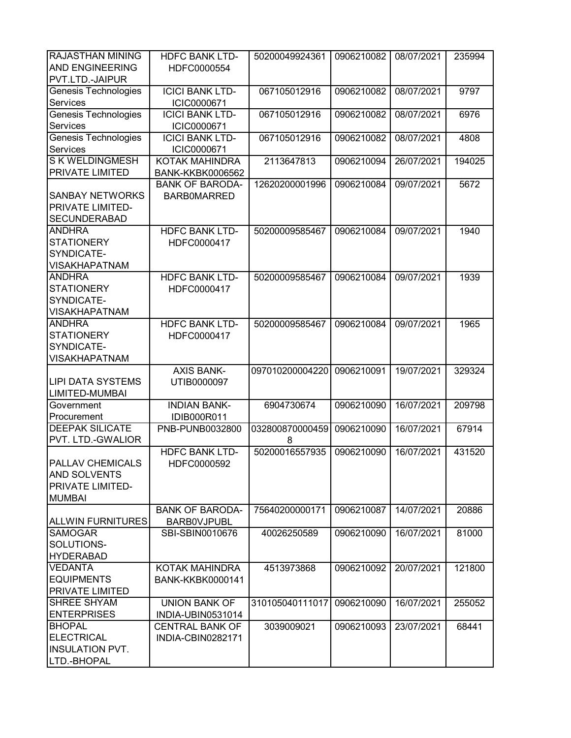| <b>RAJASTHAN MINING</b><br><b>AND ENGINEERING</b><br>PVT.LTD.-JAIPUR                | <b>HDFC BANK LTD-</b><br>HDFC0000554         | 50200049924361       | 0906210082 | 08/07/2021 | 235994 |
|-------------------------------------------------------------------------------------|----------------------------------------------|----------------------|------------|------------|--------|
| Genesis Technologies<br>Services                                                    | <b>ICICI BANK LTD-</b><br>ICIC0000671        | 067105012916         | 0906210082 | 08/07/2021 | 9797   |
| <b>Genesis Technologies</b><br><b>Services</b>                                      | <b>ICICI BANK LTD-</b><br>ICIC0000671        | 067105012916         | 0906210082 | 08/07/2021 | 6976   |
| Genesis Technologies<br>Services                                                    | <b>ICICI BANK LTD-</b><br>ICIC0000671        | 067105012916         | 0906210082 | 08/07/2021 | 4808   |
| <b>SKWELDINGMESH</b><br><b>PRIVATE LIMITED</b>                                      | KOTAK MAHINDRA<br><b>BANK-KKBK0006562</b>    | 2113647813           | 0906210094 | 26/07/2021 | 194025 |
| <b>SANBAY NETWORKS</b><br>PRIVATE LIMITED-<br><b>SECUNDERABAD</b>                   | <b>BANK OF BARODA-</b><br><b>BARBOMARRED</b> | 12620200001996       | 0906210084 | 09/07/2021 | 5672   |
| <b>ANDHRA</b><br><b>STATIONERY</b><br>SYNDICATE-<br><b>VISAKHAPATNAM</b>            | <b>HDFC BANK LTD-</b><br>HDFC0000417         | 50200009585467       | 0906210084 | 09/07/2021 | 1940   |
| <b>ANDHRA</b><br><b>STATIONERY</b><br>SYNDICATE-<br><b>VISAKHAPATNAM</b>            | <b>HDFC BANK LTD-</b><br>HDFC0000417         | 50200009585467       | 0906210084 | 09/07/2021 | 1939   |
| <b>ANDHRA</b><br><b>STATIONERY</b><br>SYNDICATE-<br><b>VISAKHAPATNAM</b>            | <b>HDFC BANK LTD-</b><br>HDFC0000417         | 50200009585467       | 0906210084 | 09/07/2021 | 1965   |
| <b>LIPI DATA SYSTEMS</b><br>LIMITED-MUMBAI                                          | <b>AXIS BANK-</b><br>UTIB0000097             | 097010200004220      | 0906210091 | 19/07/2021 | 329324 |
| Government<br>Procurement                                                           | <b>INDIAN BANK-</b><br>IDIB000R011           | 6904730674           | 0906210090 | 16/07/2021 | 209798 |
| <b>DEEPAK SILICATE</b><br>PVT. LTD.-GWALIOR                                         | PNB-PUNB0032800                              | 032800870000459<br>8 | 0906210090 | 16/07/2021 | 67914  |
| <b>PALLAV CHEMICALS</b><br><b>AND SOLVENTS</b><br>PRIVATE LIMITED-<br><b>MUMBAI</b> | <b>HDFC BANK LTD-</b><br>HDFC0000592         | 50200016557935       | 0906210090 | 16/07/2021 | 431520 |
| <b>ALLWIN FURNITURES</b>                                                            | <b>BANK OF BARODA-</b><br><b>BARBOVJPUBL</b> | 75640200000171       | 0906210087 | 14/07/2021 | 20886  |
| <b>SAMOGAR</b><br>SOLUTIONS-<br><b>HYDERABAD</b>                                    | SBI-SBIN0010676                              | 40026250589          | 0906210090 | 16/07/2021 | 81000  |
| <b>VEDANTA</b><br><b>EQUIPMENTS</b><br><b>PRIVATE LIMITED</b>                       | KOTAK MAHINDRA<br><b>BANK-KKBK0000141</b>    | 4513973868           | 0906210092 | 20/07/2021 | 121800 |
| <b>SHREE SHYAM</b><br><b>ENTERPRISES</b>                                            | <b>UNION BANK OF</b><br>INDIA-UBIN0531014    | 310105040111017      | 0906210090 | 16/07/2021 | 255052 |
| <b>BHOPAL</b><br><b>ELECTRICAL</b><br><b>INSULATION PVT.</b><br>LTD.-BHOPAL         | <b>CENTRAL BANK OF</b><br>INDIA-CBIN0282171  | 3039009021           | 0906210093 | 23/07/2021 | 68441  |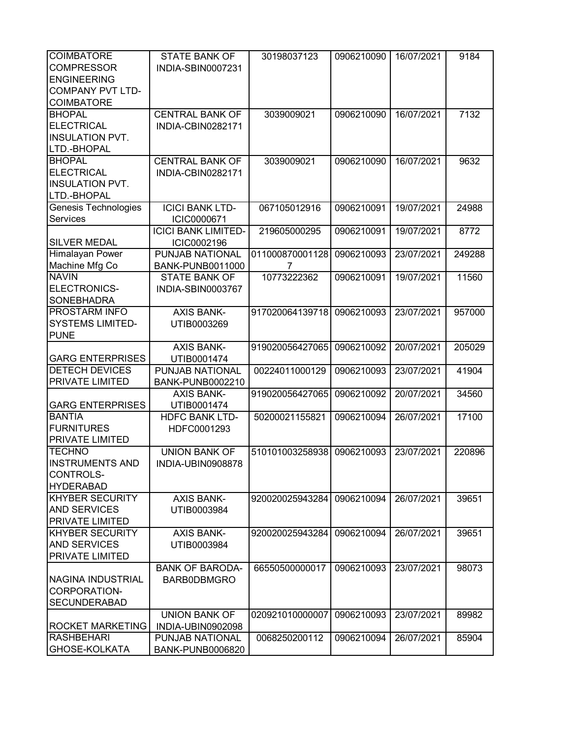| <b>COIMBATORE</b><br><b>COMPRESSOR</b><br><b>ENGINEERING</b><br><b>COMPANY PVT LTD-</b><br><b>COIMBATORE</b> | <b>STATE BANK OF</b><br>INDIA-SBIN0007231                    | 30198037123                      | 0906210090               | 16/07/2021               | 9184           |
|--------------------------------------------------------------------------------------------------------------|--------------------------------------------------------------|----------------------------------|--------------------------|--------------------------|----------------|
| <b>BHOPAL</b><br><b>ELECTRICAL</b><br><b>INSULATION PVT.</b><br>LTD.-BHOPAL                                  | <b>CENTRAL BANK OF</b><br>INDIA-CBIN0282171                  | 3039009021                       | 0906210090               | 16/07/2021               | 7132           |
| <b>BHOPAL</b><br><b>ELECTRICAL</b><br><b>INSULATION PVT.</b><br>LTD.-BHOPAL                                  | <b>CENTRAL BANK OF</b><br>INDIA-CBIN0282171                  | 3039009021                       | 0906210090               | 16/07/2021               | 9632           |
| Genesis Technologies<br>Services                                                                             | <b>ICICI BANK LTD-</b><br>ICIC0000671                        | 067105012916                     | 0906210091               | 19/07/2021               | 24988          |
| <b>SILVER MEDAL</b>                                                                                          | <b>ICICI BANK LIMITED-</b><br>ICIC0002196                    | 219605000295                     | 0906210091               | 19/07/2021               | 8772           |
| <b>Himalayan Power</b><br>Machine Mfg Co                                                                     | PUNJAB NATIONAL<br><b>BANK-PUNB0011000</b>                   | 011000870001128<br>7             | 0906210093               | 23/07/2021               | 249288         |
| <b>NAVIN</b><br>ELECTRONICS-<br><b>SONEBHADRA</b>                                                            | <b>STATE BANK OF</b><br>INDIA-SBIN0003767                    | 10773222362                      | 0906210091               | 19/07/2021               | 11560          |
| <b>PROSTARM INFO</b><br><b>SYSTEMS LIMITED-</b><br><b>PUNE</b>                                               | <b>AXIS BANK-</b><br>UTIB0003269                             | 917020064139718                  | 0906210093               | 23/07/2021               | 957000         |
| <b>GARG ENTERPRISES</b>                                                                                      | <b>AXIS BANK-</b><br>UTIB0001474                             | 919020056427065                  | 0906210092               | 20/07/2021               | 205029         |
| <b>DETECH DEVICES</b><br><b>PRIVATE LIMITED</b>                                                              | PUNJAB NATIONAL<br><b>BANK-PUNB0002210</b>                   | 00224011000129                   | 0906210093               | 23/07/2021               | 41904          |
| <b>GARG ENTERPRISES</b>                                                                                      | <b>AXIS BANK-</b><br>UTIB0001474                             | 919020056427065                  | 0906210092               | 20/07/2021               | 34560          |
| <b>BANTIA</b><br><b>FURNITURES</b><br><b>PRIVATE LIMITED</b>                                                 | <b>HDFC BANK LTD-</b><br>HDFC0001293                         | 50200021155821                   | 0906210094               | 26/07/2021               | 17100          |
| <b>TECHNO</b><br><b>INSTRUMENTS AND</b><br>CONTROLS-<br><b>HYDERABAD</b>                                     | <b>UNION BANK OF</b><br>INDIA-UBIN0908878                    | 510101003258938                  | 0906210093               | 23/07/2021               | 220896         |
| <b>KHYBER SECURITY</b><br><b>AND SERVICES</b><br><b>PRIVATE LIMITED</b>                                      | <b>AXIS BANK-</b><br>UTIB0003984                             | 920020025943284                  | 0906210094               | 26/07/2021               | 39651          |
| <b>KHYBER SECURITY</b><br><b>AND SERVICES</b><br><b>PRIVATE LIMITED</b>                                      | <b>AXIS BANK-</b><br>UTIB0003984                             | 920020025943284                  | 0906210094               | 26/07/2021               | 39651          |
| <b>NAGINA INDUSTRIAL</b><br>CORPORATION-<br><b>SECUNDERABAD</b>                                              | <b>BANK OF BARODA-</b><br>BARB0DBMGRO                        | 66550500000017                   | 0906210093               | 23/07/2021               | 98073          |
| <b>ROCKET MARKETING</b><br><b>RASHBEHARI</b>                                                                 | <b>UNION BANK OF</b><br>INDIA-UBIN0902098<br>PUNJAB NATIONAL | 020921010000007<br>0068250200112 | 0906210093<br>0906210094 | 23/07/2021<br>26/07/2021 | 89982<br>85904 |
| GHOSE-KOLKATA                                                                                                | <b>BANK-PUNB0006820</b>                                      |                                  |                          |                          |                |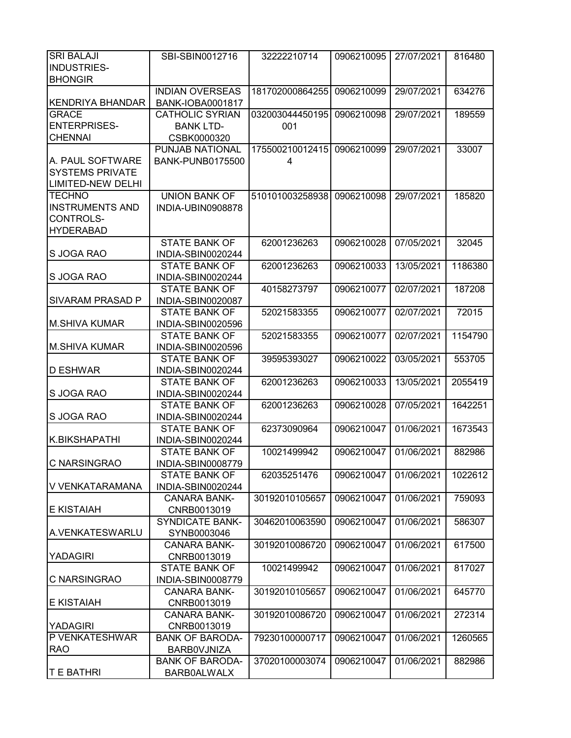| <b>SRI BALAJI</b>        | SBI-SBIN0012716         | 32222210714     | 0906210095 | 27/07/2021 | 816480  |
|--------------------------|-------------------------|-----------------|------------|------------|---------|
| <b>INDUSTRIES-</b>       |                         |                 |            |            |         |
| <b>BHONGIR</b>           |                         |                 |            |            |         |
|                          | <b>INDIAN OVERSEAS</b>  | 181702000864255 | 0906210099 | 29/07/2021 | 634276  |
| <b>KENDRIYA BHANDAR</b>  | <b>BANK-IOBA0001817</b> |                 |            |            |         |
| <b>GRACE</b>             | <b>CATHOLIC SYRIAN</b>  | 032003044450195 | 0906210098 | 29/07/2021 | 189559  |
| <b>ENTERPRISES-</b>      | <b>BANK LTD-</b>        | 001             |            |            |         |
| <b>CHENNAI</b>           | CSBK0000320             |                 |            |            |         |
|                          | <b>PUNJAB NATIONAL</b>  | 175500210012415 | 0906210099 | 29/07/2021 | 33007   |
| A. PAUL SOFTWARE         | <b>BANK-PUNB0175500</b> | 4               |            |            |         |
| <b>SYSTEMS PRIVATE</b>   |                         |                 |            |            |         |
| <b>LIMITED-NEW DELHI</b> |                         |                 |            |            |         |
| <b>TECHNO</b>            | <b>UNION BANK OF</b>    | 510101003258938 | 0906210098 | 29/07/2021 | 185820  |
| <b>INSTRUMENTS AND</b>   | INDIA-UBIN0908878       |                 |            |            |         |
| CONTROLS-                |                         |                 |            |            |         |
| <b>HYDERABAD</b>         |                         |                 |            |            |         |
|                          | <b>STATE BANK OF</b>    | 62001236263     | 0906210028 | 07/05/2021 | 32045   |
| S JOGA RAO               | INDIA-SBIN0020244       |                 |            |            |         |
|                          | <b>STATE BANK OF</b>    | 62001236263     | 0906210033 | 13/05/2021 | 1186380 |
| S JOGA RAO               | INDIA-SBIN0020244       |                 |            |            |         |
|                          | <b>STATE BANK OF</b>    | 40158273797     | 0906210077 | 02/07/2021 | 187208  |
| SIVARAM PRASAD P         | INDIA-SBIN0020087       |                 |            |            |         |
|                          | <b>STATE BANK OF</b>    | 52021583355     | 0906210077 | 02/07/2021 | 72015   |
| <b>M.SHIVA KUMAR</b>     | INDIA-SBIN0020596       |                 |            |            |         |
|                          | <b>STATE BANK OF</b>    | 52021583355     | 0906210077 | 02/07/2021 | 1154790 |
| M.SHIVA KUMAR            | INDIA-SBIN0020596       |                 |            |            |         |
|                          | <b>STATE BANK OF</b>    | 39595393027     | 0906210022 | 03/05/2021 | 553705  |
| D ESHWAR                 | INDIA-SBIN0020244       |                 |            |            |         |
|                          | <b>STATE BANK OF</b>    | 62001236263     | 0906210033 | 13/05/2021 | 2055419 |
| S JOGA RAO               | INDIA-SBIN0020244       |                 |            |            |         |
|                          | <b>STATE BANK OF</b>    | 62001236263     | 0906210028 | 07/05/2021 | 1642251 |
| S JOGA RAO               | INDIA-SBIN0020244       |                 |            |            |         |
|                          | <b>STATE BANK OF</b>    | 62373090964     | 0906210047 | 01/06/2021 | 1673543 |
| K.BIKSHAPATHI            | INDIA-SBIN0020244       |                 |            |            |         |
|                          | <b>STATE BANK OF</b>    | 10021499942     | 0906210047 | 01/06/2021 | 882986  |
| C NARSINGRAO             | INDIA-SBIN0008779       |                 |            |            |         |
|                          | <b>STATE BANK OF</b>    | 62035251476     | 0906210047 | 01/06/2021 | 1022612 |
| V VENKATARAMANA          | INDIA-SBIN0020244       |                 |            |            |         |
|                          | <b>CANARA BANK-</b>     | 30192010105657  | 0906210047 | 01/06/2021 | 759093  |
| <b>E KISTAIAH</b>        | CNRB0013019             |                 |            |            |         |
|                          | <b>SYNDICATE BANK-</b>  | 30462010063590  | 0906210047 | 01/06/2021 | 586307  |
| A.VENKATESWARLU          | SYNB0003046             |                 |            |            |         |
|                          | <b>CANARA BANK-</b>     | 30192010086720  | 0906210047 | 01/06/2021 | 617500  |
| <b>YADAGIRI</b>          | CNRB0013019             |                 |            |            |         |
|                          | STATE BANK OF           | 10021499942     | 0906210047 | 01/06/2021 | 817027  |
| C NARSINGRAO             | INDIA-SBIN0008779       |                 |            |            |         |
|                          | <b>CANARA BANK-</b>     | 30192010105657  | 0906210047 | 01/06/2021 | 645770  |
| <b>E KISTAIAH</b>        | CNRB0013019             |                 |            |            |         |
|                          | <b>CANARA BANK-</b>     | 30192010086720  | 0906210047 | 01/06/2021 | 272314  |
| <b>YADAGIRI</b>          | CNRB0013019             |                 |            |            |         |
| P VENKATESHWAR           | <b>BANK OF BARODA-</b>  | 79230100000717  | 0906210047 | 01/06/2021 | 1260565 |
| <b>RAO</b>               | BARB0VJNIZA             |                 |            |            |         |
|                          | <b>BANK OF BARODA-</b>  | 37020100003074  | 0906210047 | 01/06/2021 | 882986  |
| <b>T E BATHRI</b>        | BARB0ALWALX             |                 |            |            |         |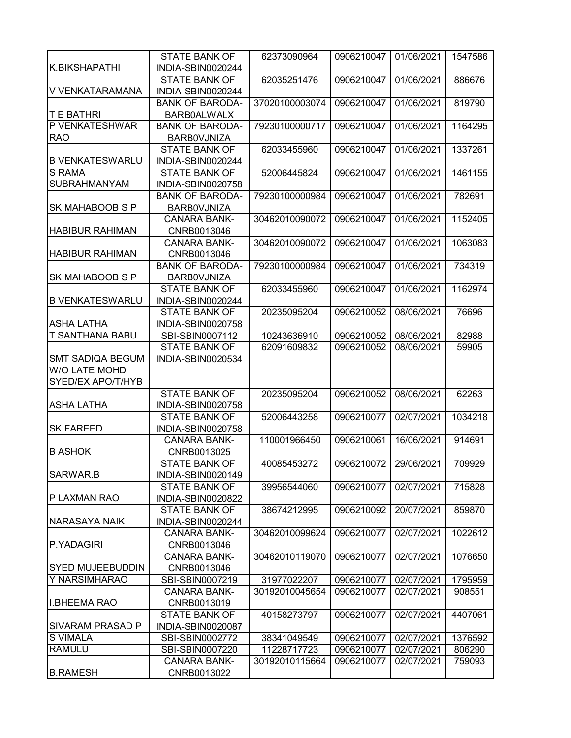|                         | <b>STATE BANK OF</b>   | 62373090964    | 0906210047            | 01/06/2021 | 1547586 |
|-------------------------|------------------------|----------------|-----------------------|------------|---------|
| K.BIKSHAPATHI           | INDIA-SBIN0020244      |                |                       |            |         |
|                         | <b>STATE BANK OF</b>   | 62035251476    | 0906210047            | 01/06/2021 | 886676  |
| V VENKATARAMANA         | INDIA-SBIN0020244      |                |                       |            |         |
|                         | <b>BANK OF BARODA-</b> | 37020100003074 | 0906210047            | 01/06/2021 | 819790  |
| <b>T E BATHRI</b>       | <b>BARB0ALWALX</b>     |                |                       |            |         |
| P VENKATESHWAR          | <b>BANK OF BARODA-</b> | 79230100000717 | 0906210047            | 01/06/2021 | 1164295 |
| <b>RAO</b>              | <b>BARBOVJNIZA</b>     |                |                       |            |         |
|                         | <b>STATE BANK OF</b>   | 62033455960    | 0906210047            | 01/06/2021 | 1337261 |
| <b>B VENKATESWARLU</b>  | INDIA-SBIN0020244      |                |                       |            |         |
| <b>S RAMA</b>           | <b>STATE BANK OF</b>   | 52006445824    | 0906210047            | 01/06/2021 | 1461155 |
| <b>SUBRAHMANYAM</b>     | INDIA-SBIN0020758      |                |                       |            |         |
|                         | <b>BANK OF BARODA-</b> | 79230100000984 | 0906210047            | 01/06/2021 | 782691  |
| <b>SK MAHABOOB S P</b>  | BARB0VJNIZA            |                |                       |            |         |
|                         | <b>CANARA BANK-</b>    | 30462010090072 | 0906210047            | 01/06/2021 | 1152405 |
| <b>HABIBUR RAHIMAN</b>  | CNRB0013046            |                |                       |            |         |
|                         | <b>CANARA BANK-</b>    | 30462010090072 | 0906210047            | 01/06/2021 | 1063083 |
| <b>HABIBUR RAHIMAN</b>  | CNRB0013046            |                |                       |            |         |
|                         | <b>BANK OF BARODA-</b> | 79230100000984 | 0906210047            | 01/06/2021 | 734319  |
| <b>SK MAHABOOB S P</b>  | <b>BARBOVJNIZA</b>     |                |                       |            |         |
|                         | <b>STATE BANK OF</b>   | 62033455960    | 0906210047            | 01/06/2021 | 1162974 |
| <b>B VENKATESWARLU</b>  | INDIA-SBIN0020244      |                |                       |            |         |
|                         | <b>STATE BANK OF</b>   | 20235095204    | 0906210052            | 08/06/2021 | 76696   |
| <b>ASHA LATHA</b>       | INDIA-SBIN0020758      |                |                       |            |         |
| T SANTHANA BABU         | SBI-SBIN0007112        | 10243636910    | 0906210052            | 08/06/2021 | 82988   |
|                         | <b>STATE BANK OF</b>   | 62091609832    | 0906210052            | 08/06/2021 | 59905   |
| <b>SMT SADIQA BEGUM</b> | INDIA-SBIN0020534      |                |                       |            |         |
| <b>W/O LATE MOHD</b>    |                        |                |                       |            |         |
| SYED/EX APO/T/HYB       |                        |                |                       |            |         |
|                         | <b>STATE BANK OF</b>   | 20235095204    | 0906210052            | 08/06/2021 | 62263   |
| <b>ASHA LATHA</b>       | INDIA-SBIN0020758      |                |                       |            |         |
|                         | <b>STATE BANK OF</b>   | 52006443258    | 0906210077            | 02/07/2021 | 1034218 |
| <b>SK FAREED</b>        | INDIA-SBIN0020758      |                |                       |            |         |
|                         | <b>CANARA BANK-</b>    | 110001966450   | 0906210061            | 16/06/2021 | 914691  |
| <b>B ASHOK</b>          | CNRB0013025            |                |                       |            |         |
|                         | <b>STATE BANK OF</b>   | 40085453272    | 0906210072 29/06/2021 |            | 709929  |
| SARWAR.B                | INDIA-SBIN0020149      |                |                       |            |         |
|                         | <b>STATE BANK OF</b>   | 39956544060    | 0906210077            | 02/07/2021 | 715828  |
| P LAXMAN RAO            | INDIA-SBIN0020822      |                |                       |            |         |
|                         | <b>STATE BANK OF</b>   | 38674212995    | 0906210092            | 20/07/2021 | 859870  |
| NARASAYA NAIK           | INDIA-SBIN0020244      |                |                       |            |         |
|                         | <b>CANARA BANK-</b>    | 30462010099624 | 0906210077            | 02/07/2021 | 1022612 |
| P.YADAGIRI              | CNRB0013046            |                |                       |            |         |
|                         | <b>CANARA BANK-</b>    | 30462010119070 | 0906210077            | 02/07/2021 | 1076650 |
| <b>SYED MUJEEBUDDIN</b> | CNRB0013046            |                |                       |            |         |
| Y NARSIMHARAO           | SBI-SBIN0007219        | 31977022207    | 0906210077            | 02/07/2021 | 1795959 |
|                         | <b>CANARA BANK-</b>    | 30192010045654 | 0906210077            | 02/07/2021 | 908551  |
| <b>I.BHEEMA RAO</b>     | CNRB0013019            |                |                       |            |         |
|                         | <b>STATE BANK OF</b>   | 40158273797    | 0906210077            | 02/07/2021 | 4407061 |
| <b>SIVARAM PRASAD P</b> | INDIA-SBIN0020087      |                |                       |            |         |
| <b>S VIMALA</b>         | SBI-SBIN0002772        | 38341049549    | 0906210077            | 02/07/2021 | 1376592 |
| <b>RAMULU</b>           | SBI-SBIN0007220        | 11228717723    | 0906210077            | 02/07/2021 | 806290  |
|                         | <b>CANARA BANK-</b>    | 30192010115664 | 0906210077            | 02/07/2021 | 759093  |
| <b>B.RAMESH</b>         | CNRB0013022            |                |                       |            |         |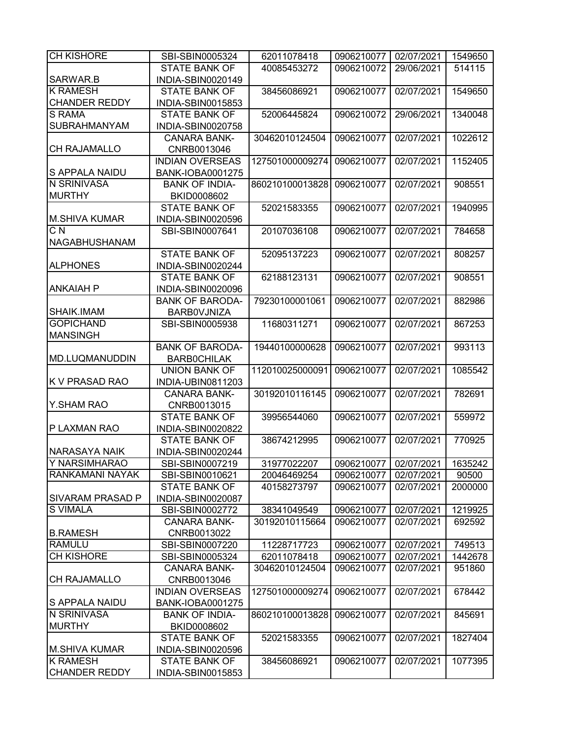| <b>CH KISHORE</b>       | SBI-SBIN0005324         | 62011078418     | 0906210077 | 02/07/2021 | 1549650 |
|-------------------------|-------------------------|-----------------|------------|------------|---------|
|                         | <b>STATE BANK OF</b>    | 40085453272     | 0906210072 | 29/06/2021 | 514115  |
| <b>SARWAR.B</b>         | INDIA-SBIN0020149       |                 |            |            |         |
| <b>K RAMESH</b>         | <b>STATE BANK OF</b>    | 38456086921     | 0906210077 | 02/07/2021 | 1549650 |
| <b>CHANDER REDDY</b>    | INDIA-SBIN0015853       |                 |            |            |         |
| S RAMA                  | <b>STATE BANK OF</b>    | 52006445824     | 0906210072 | 29/06/2021 | 1340048 |
| SUBRAHMANYAM            | INDIA-SBIN0020758       |                 |            |            |         |
|                         | <b>CANARA BANK-</b>     | 30462010124504  | 0906210077 | 02/07/2021 | 1022612 |
| CH RAJAMALLO            | CNRB0013046             |                 |            |            |         |
|                         | <b>INDIAN OVERSEAS</b>  | 127501000009274 | 0906210077 | 02/07/2021 | 1152405 |
| <b>S APPALA NAIDU</b>   | <b>BANK-IOBA0001275</b> |                 |            |            |         |
| N SRINIVASA             | <b>BANK OF INDIA-</b>   | 860210100013828 | 0906210077 | 02/07/2021 | 908551  |
| <b>MURTHY</b>           | BKID0008602             |                 |            |            |         |
|                         | <b>STATE BANK OF</b>    | 52021583355     | 0906210077 | 02/07/2021 | 1940995 |
| <b>M.SHIVA KUMAR</b>    | INDIA-SBIN0020596       |                 |            |            |         |
| $C\overline{N}$         | SBI-SBIN0007641         | 20107036108     | 0906210077 | 02/07/2021 | 784658  |
| <b>NAGABHUSHANAM</b>    |                         |                 |            |            |         |
|                         | <b>STATE BANK OF</b>    | 52095137223     | 0906210077 | 02/07/2021 | 808257  |
| <b>ALPHONES</b>         | INDIA-SBIN0020244       |                 |            |            |         |
|                         | <b>STATE BANK OF</b>    | 62188123131     | 0906210077 | 02/07/2021 | 908551  |
| ANKAIAH P               | INDIA-SBIN0020096       |                 |            |            |         |
|                         | <b>BANK OF BARODA-</b>  | 79230100001061  | 0906210077 | 02/07/2021 | 882986  |
| SHAIK.IMAM              |                         |                 |            |            |         |
| <b>GOPICHAND</b>        | BARB0VJNIZA             |                 |            |            |         |
|                         | SBI-SBIN0005938         | 11680311271     | 0906210077 | 02/07/2021 | 867253  |
| <b>MANSINGH</b>         |                         |                 |            |            |         |
|                         | <b>BANK OF BARODA-</b>  | 19440100000628  | 0906210077 | 02/07/2021 | 993113  |
| <b>MD.LUQMANUDDIN</b>   | <b>BARBOCHILAK</b>      |                 |            |            |         |
|                         | <b>UNION BANK OF</b>    | 112010025000091 | 0906210077 | 02/07/2021 | 1085542 |
| <b>K V PRASAD RAO</b>   | INDIA-UBIN0811203       |                 |            |            |         |
|                         | <b>CANARA BANK-</b>     | 30192010116145  | 0906210077 | 02/07/2021 | 782691  |
| Y.SHAM RAO              | CNRB0013015             |                 |            |            |         |
|                         | <b>STATE BANK OF</b>    | 39956544060     | 0906210077 | 02/07/2021 | 559972  |
| P LAXMAN RAO            | INDIA-SBIN0020822       |                 |            |            |         |
|                         | <b>STATE BANK OF</b>    | 38674212995     | 0906210077 | 02/07/2021 | 770925  |
| <b>NARASAYA NAIK</b>    | INDIA-SBIN0020244       |                 |            |            |         |
| Y NARSIMHARAO           | SBI-SBIN0007219         | 31977022207     | 0906210077 | 02/07/2021 | 1635242 |
| RANKAMANI NAYAK         | SBI-SBIN0010621         | 20046469254     | 0906210077 | 02/07/2021 | 90500   |
|                         | <b>STATE BANK OF</b>    | 40158273797     | 0906210077 | 02/07/2021 | 2000000 |
| <b>SIVARAM PRASAD P</b> | INDIA-SBIN0020087       |                 |            |            |         |
| <b>S VIMALA</b>         | SBI-SBIN0002772         | 38341049549     | 0906210077 | 02/07/2021 | 1219925 |
|                         | <b>CANARA BANK-</b>     | 30192010115664  | 0906210077 | 02/07/2021 | 692592  |
| <b>B.RAMESH</b>         | CNRB0013022             |                 |            |            |         |
| <b>RAMULU</b>           | SBI-SBIN0007220         | 11228717723     | 0906210077 | 02/07/2021 | 749513  |
| <b>CH KISHORE</b>       | SBI-SBIN0005324         | 62011078418     | 0906210077 | 02/07/2021 | 1442678 |
|                         | <b>CANARA BANK-</b>     | 30462010124504  | 0906210077 | 02/07/2021 | 951860  |
| <b>CH RAJAMALLO</b>     | CNRB0013046             |                 |            |            |         |
|                         | <b>INDIAN OVERSEAS</b>  | 127501000009274 | 0906210077 | 02/07/2021 | 678442  |
| <b>S APPALA NAIDU</b>   | <b>BANK-IOBA0001275</b> |                 |            |            |         |
| N SRINIVASA             | <b>BANK OF INDIA-</b>   | 860210100013828 | 0906210077 | 02/07/2021 | 845691  |
| <b>MURTHY</b>           | BKID0008602             |                 |            |            |         |
|                         | <b>STATE BANK OF</b>    | 52021583355     | 0906210077 | 02/07/2021 | 1827404 |
| <b>M.SHIVA KUMAR</b>    | INDIA-SBIN0020596       |                 |            |            |         |
| <b>K RAMESH</b>         | <b>STATE BANK OF</b>    | 38456086921     | 0906210077 | 02/07/2021 | 1077395 |
| <b>CHANDER REDDY</b>    | INDIA-SBIN0015853       |                 |            |            |         |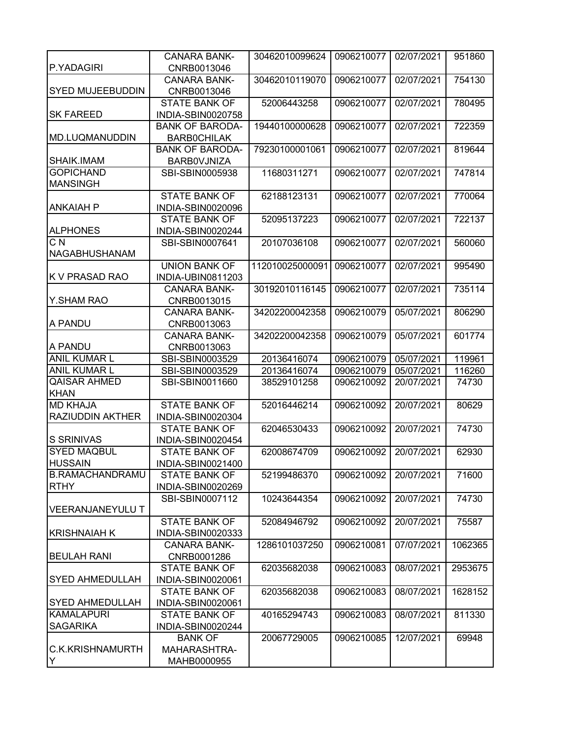|                         | <b>CANARA BANK-</b>                | 30462010099624  | 0906210077 | 02/07/2021 | 951860  |
|-------------------------|------------------------------------|-----------------|------------|------------|---------|
| P.YADAGIRI              | CNRB0013046                        |                 |            |            |         |
| <b>SYED MUJEEBUDDIN</b> | <b>CANARA BANK-</b><br>CNRB0013046 | 30462010119070  | 0906210077 | 02/07/2021 | 754130  |
|                         | <b>STATE BANK OF</b>               | 52006443258     | 0906210077 | 02/07/2021 | 780495  |
| <b>SK FAREED</b>        | INDIA-SBIN0020758                  |                 |            |            |         |
|                         | <b>BANK OF BARODA-</b>             | 19440100000628  | 0906210077 | 02/07/2021 | 722359  |
| <b>MD.LUQMANUDDIN</b>   | <b>BARBOCHILAK</b>                 |                 |            |            |         |
|                         | <b>BANK OF BARODA-</b>             | 79230100001061  | 0906210077 | 02/07/2021 | 819644  |
| <b>SHAIK.IMAM</b>       | BARBOVJNIZA                        |                 |            |            |         |
| <b>GOPICHAND</b>        | SBI-SBIN0005938                    | 11680311271     | 0906210077 | 02/07/2021 | 747814  |
| <b>MANSINGH</b>         |                                    |                 |            |            |         |
|                         | <b>STATE BANK OF</b>               | 62188123131     | 0906210077 | 02/07/2021 | 770064  |
| <b>ANKAIAH P</b>        | INDIA-SBIN0020096                  |                 |            |            |         |
|                         | <b>STATE BANK OF</b>               | 52095137223     | 0906210077 | 02/07/2021 | 722137  |
| <b>ALPHONES</b>         | INDIA-SBIN0020244                  |                 |            |            |         |
| C <sub>N</sub>          | SBI-SBIN0007641                    | 20107036108     | 0906210077 | 02/07/2021 | 560060  |
| <b>NAGABHUSHANAM</b>    |                                    |                 |            |            |         |
|                         | <b>UNION BANK OF</b>               | 112010025000091 | 0906210077 | 02/07/2021 | 995490  |
| <b>K V PRASAD RAO</b>   | INDIA-UBIN0811203                  |                 |            |            |         |
|                         | <b>CANARA BANK-</b>                | 30192010116145  | 0906210077 | 02/07/2021 | 735114  |
| Y.SHAM RAO              | CNRB0013015                        |                 |            |            |         |
|                         | <b>CANARA BANK-</b>                | 34202200042358  | 0906210079 | 05/07/2021 | 806290  |
| IA PANDU                | CNRB0013063                        |                 |            |            |         |
|                         | <b>CANARA BANK-</b>                | 34202200042358  | 0906210079 | 05/07/2021 | 601774  |
| A PANDU                 | CNRB0013063                        |                 |            |            |         |
| <b>ANIL KUMAR L</b>     | SBI-SBIN0003529                    | 20136416074     | 0906210079 | 05/07/2021 | 119961  |
| <b>ANIL KUMAR L</b>     | SBI-SBIN0003529                    | 20136416074     | 0906210079 | 05/07/2021 | 116260  |
| <b>QAISAR AHMED</b>     | SBI-SBIN0011660                    | 38529101258     | 0906210092 | 20/07/2021 | 74730   |
| <b>KHAN</b>             |                                    |                 |            |            |         |
| <b>MD KHAJA</b>         | <b>STATE BANK OF</b>               | 52016446214     | 0906210092 | 20/07/2021 | 80629   |
| <b>RAZIUDDIN AKTHER</b> | INDIA-SBIN0020304                  |                 |            |            |         |
|                         | <b>STATE BANK OF</b>               | 62046530433     | 0906210092 | 20/07/2021 | 74730   |
| <b>S SRINIVAS</b>       | INDIA-SBIN0020454                  |                 |            |            |         |
| <b>SYED MAQBUL</b>      | <b>STATE BANK OF</b>               | 62008674709     | 0906210092 | 20/07/2021 | 62930   |
| <b>HUSSAIN</b>          | INDIA-SBIN0021400                  |                 |            |            |         |
| <b>B.RAMACHANDRAMU</b>  | <b>STATE BANK OF</b>               | 52199486370     | 0906210092 | 20/07/2021 | 71600   |
| <b>RTHY</b>             | INDIA-SBIN0020269                  |                 |            |            |         |
|                         | SBI-SBIN0007112                    | 10243644354     | 0906210092 | 20/07/2021 | 74730   |
| <b>VEERANJANEYULU T</b> |                                    |                 |            |            |         |
|                         | <b>STATE BANK OF</b>               | 52084946792     | 0906210092 | 20/07/2021 | 75587   |
| <b>KRISHNAIAH K</b>     | INDIA-SBIN0020333                  |                 |            |            |         |
|                         | <b>CANARA BANK-</b>                | 1286101037250   | 0906210081 | 07/07/2021 | 1062365 |
| <b>BEULAH RANI</b>      | CNRB0001286                        |                 |            |            |         |
|                         | <b>STATE BANK OF</b>               | 62035682038     | 0906210083 | 08/07/2021 | 2953675 |
| <b>SYED AHMEDULLAH</b>  | INDIA-SBIN0020061                  |                 |            |            |         |
|                         | <b>STATE BANK OF</b>               | 62035682038     | 0906210083 | 08/07/2021 | 1628152 |
| <b>SYED AHMEDULLAH</b>  | INDIA-SBIN0020061                  |                 |            |            |         |
| <b>KAMALAPURI</b>       | <b>STATE BANK OF</b>               | 40165294743     | 0906210083 | 08/07/2021 | 811330  |
| <b>SAGARIKA</b>         | INDIA-SBIN0020244                  |                 |            |            |         |
|                         | <b>BANK OF</b>                     | 20067729005     | 0906210085 | 12/07/2021 | 69948   |
| C.K.KRISHNAMURTH        | MAHARASHTRA-                       |                 |            |            |         |
| Y                       | MAHB0000955                        |                 |            |            |         |
|                         |                                    |                 |            |            |         |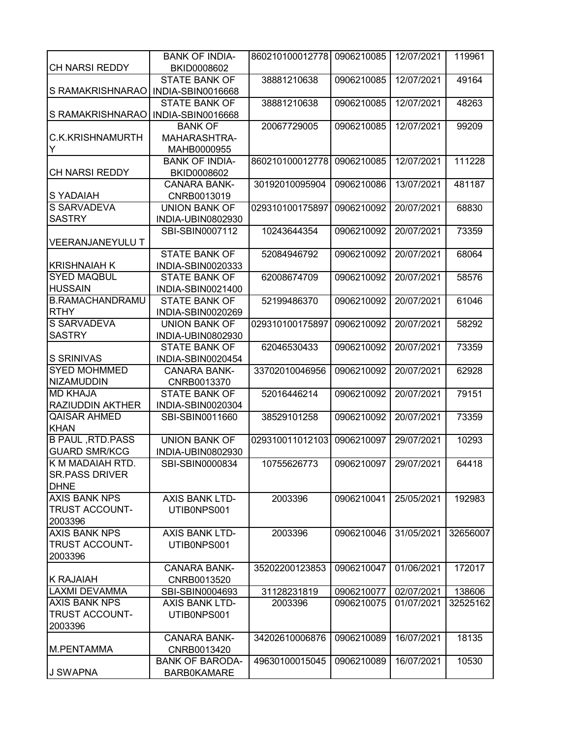| <b>CH NARSI REDDY</b>           | <b>BANK OF INDIA-</b>               | 860210100012778 | 0906210085 | 12/07/2021 | 119961   |
|---------------------------------|-------------------------------------|-----------------|------------|------------|----------|
|                                 | BKID0008602<br><b>STATE BANK OF</b> | 38881210638     |            | 12/07/2021 | 49164    |
| S RAMAKRISHNARAO                |                                     |                 | 0906210085 |            |          |
|                                 | INDIA-SBIN0016668                   |                 |            |            |          |
|                                 | <b>STATE BANK OF</b>                | 38881210638     | 0906210085 | 12/07/2021 | 48263    |
| S RAMAKRISHNARAO                | INDIA-SBIN0016668                   |                 |            |            |          |
|                                 | <b>BANK OF</b>                      | 20067729005     | 0906210085 | 12/07/2021 | 99209    |
| C.K.KRISHNAMURTH                | MAHARASHTRA-                        |                 |            |            |          |
| Y                               | MAHB0000955                         |                 |            |            |          |
|                                 | <b>BANK OF INDIA-</b>               | 860210100012778 | 0906210085 | 12/07/2021 | 111228   |
| <b>CH NARSI REDDY</b>           | BKID0008602                         |                 |            |            |          |
|                                 | <b>CANARA BANK-</b>                 | 30192010095904  | 0906210086 | 13/07/2021 | 481187   |
| S YADAIAH                       | CNRB0013019                         |                 |            |            |          |
| S SARVADEVA                     | <b>UNION BANK OF</b>                | 029310100175897 | 0906210092 | 20/07/2021 | 68830    |
| <b>SASTRY</b>                   | INDIA-UBIN0802930                   |                 |            |            |          |
|                                 | SBI-SBIN0007112                     | 10243644354     | 0906210092 | 20/07/2021 | 73359    |
| <b>VEERANJANEYULU T</b>         |                                     |                 |            |            |          |
|                                 | <b>STATE BANK OF</b>                | 52084946792     | 0906210092 | 20/07/2021 | 68064    |
| <b>KRISHNAIAH K</b>             | INDIA-SBIN0020333                   |                 |            |            |          |
| <b>SYED MAQBUL</b>              | <b>STATE BANK OF</b>                | 62008674709     | 0906210092 | 20/07/2021 | 58576    |
| <b>HUSSAIN</b>                  | INDIA-SBIN0021400                   |                 |            |            |          |
| <b>B.RAMACHANDRAMU</b>          | <b>STATE BANK OF</b>                | 52199486370     | 0906210092 | 20/07/2021 | 61046    |
| <b>RTHY</b>                     | INDIA-SBIN0020269                   |                 |            |            |          |
| S SARVADEVA                     | <b>UNION BANK OF</b>                | 029310100175897 | 0906210092 | 20/07/2021 | 58292    |
| <b>SASTRY</b>                   | INDIA-UBIN0802930                   |                 |            |            |          |
|                                 | <b>STATE BANK OF</b>                | 62046530433     | 0906210092 | 20/07/2021 | 73359    |
| <b>S SRINIVAS</b>               | INDIA-SBIN0020454                   |                 |            |            |          |
| <b>SYED MOHMMED</b>             | <b>CANARA BANK-</b>                 | 33702010046956  | 0906210092 | 20/07/2021 | 62928    |
| <b>NIZAMUDDIN</b>               | CNRB0013370                         |                 |            |            |          |
| <b>MD KHAJA</b>                 | <b>STATE BANK OF</b>                | 52016446214     | 0906210092 | 20/07/2021 | 79151    |
| RAZIUDDIN AKTHER                | INDIA-SBIN0020304                   |                 |            |            |          |
| <b>QAISAR AHMED</b>             | SBI-SBIN0011660                     | 38529101258     | 0906210092 | 20/07/2021 | 73359    |
| <b>KHAN</b>                     |                                     |                 |            |            |          |
| <b>B PAUL , RTD. PASS</b>       | <b>UNION BANK OF</b>                | 029310011012103 | 0906210097 | 29/07/2021 | 10293    |
| <b>GUARD SMR/KCG</b>            | INDIA-UBIN0802930                   |                 |            |            |          |
| K M MADAIAH RTD.                | SBI-SBIN0000834                     | 10755626773     | 0906210097 | 29/07/2021 | 64418    |
| <b>SR.PASS DRIVER</b>           |                                     |                 |            |            |          |
| <b>DHNE</b>                     |                                     |                 |            |            |          |
| <b>AXIS BANK NPS</b>            | <b>AXIS BANK LTD-</b>               |                 |            |            |          |
| <b>TRUST ACCOUNT-</b>           |                                     | 2003396         | 0906210041 | 25/05/2021 | 192983   |
|                                 | UTIB0NPS001                         |                 |            |            |          |
| 2003396<br><b>AXIS BANK NPS</b> |                                     |                 |            |            |          |
|                                 | AXIS BANK LTD-                      | 2003396         | 0906210046 | 31/05/2021 | 32656007 |
| <b>TRUST ACCOUNT-</b>           | UTIB0NPS001                         |                 |            |            |          |
| 2003396                         |                                     |                 |            |            |          |
|                                 | <b>CANARA BANK-</b>                 | 35202200123853  | 0906210047 | 01/06/2021 | 172017   |
| <b>K RAJAIAH</b>                | CNRB0013520                         |                 |            |            |          |
| <b>LAXMI DEVAMMA</b>            | SBI-SBIN0004693                     | 31128231819     | 0906210077 | 02/07/2021 | 138606   |
| <b>AXIS BANK NPS</b>            | <b>AXIS BANK LTD-</b>               | 2003396         | 0906210075 | 01/07/2021 | 32525162 |
| TRUST ACCOUNT-                  | UTIB0NPS001                         |                 |            |            |          |
| 2003396                         |                                     |                 |            |            |          |
|                                 | <b>CANARA BANK-</b>                 | 34202610006876  | 0906210089 | 16/07/2021 | 18135    |
| M.PENTAMMA                      | CNRB0013420                         |                 |            |            |          |
|                                 | <b>BANK OF BARODA-</b>              | 49630100015045  | 0906210089 | 16/07/2021 | 10530    |
| J SWAPNA                        | <b>BARB0KAMARE</b>                  |                 |            |            |          |